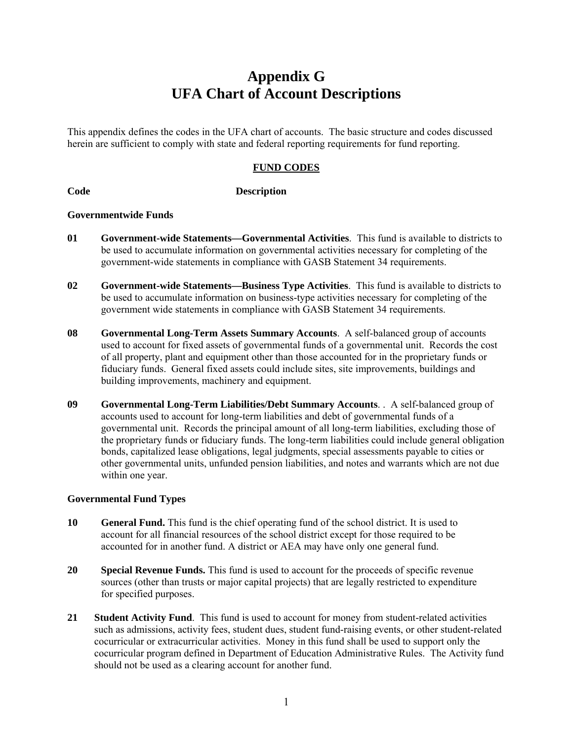# **Appendix G UFA Chart of Account Descriptions**

This appendix defines the codes in the UFA chart of accounts. The basic structure and codes discussed herein are sufficient to comply with state and federal reporting requirements for fund reporting.

#### **FUND CODES**

#### **Code Description**

#### **Governmentwide Funds**

- **01 Government-wide Statements—Governmental Activities**. This fund is available to districts to be used to accumulate information on governmental activities necessary for completing of the government-wide statements in compliance with GASB Statement 34 requirements.
- **02 Government-wide Statements—Business Type Activities**. This fund is available to districts to be used to accumulate information on business-type activities necessary for completing of the government wide statements in compliance with GASB Statement 34 requirements.
- **08 Governmental Long-Term Assets Summary Accounts**. A self-balanced group of accounts used to account for fixed assets of governmental funds of a governmental unit. Records the cost of all property, plant and equipment other than those accounted for in the proprietary funds or fiduciary funds. General fixed assets could include sites, site improvements, buildings and building improvements, machinery and equipment.
- **09 Governmental Long-Term Liabilities/Debt Summary Accounts**. . A self-balanced group of accounts used to account for long-term liabilities and debt of governmental funds of a governmental unit. Records the principal amount of all long-term liabilities, excluding those of the proprietary funds or fiduciary funds. The long-term liabilities could include general obligation bonds, capitalized lease obligations, legal judgments, special assessments payable to cities or other governmental units, unfunded pension liabilities, and notes and warrants which are not due within one year.

#### **Governmental Fund Types**

- **10** General Fund. This fund is the chief operating fund of the school district. It is used to account for all financial resources of the school district except for those required to be accounted for in another fund. A district or AEA may have only one general fund.
- **20 Special Revenue Funds.** This fund is used to account for the proceeds of specific revenue sources (other than trusts or major capital projects) that are legally restricted to expenditure for specified purposes.
- **21 Student Activity Fund**. This fund is used to account for money from student-related activities such as admissions, activity fees, student dues, student fund-raising events, or other student-related cocurricular or extracurricular activities. Money in this fund shall be used to support only the cocurricular program defined in Department of Education Administrative Rules. The Activity fund should not be used as a clearing account for another fund.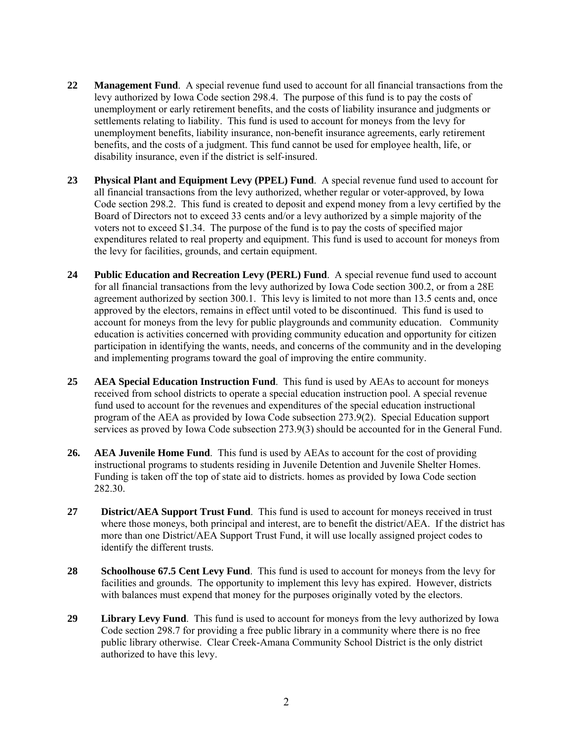- **22 Management Fund**. A special revenue fund used to account for all financial transactions from the levy authorized by Iowa Code section 298.4. The purpose of this fund is to pay the costs of unemployment or early retirement benefits, and the costs of liability insurance and judgments or settlements relating to liability. This fund is used to account for moneys from the levy for unemployment benefits, liability insurance, non-benefit insurance agreements, early retirement benefits, and the costs of a judgment. This fund cannot be used for employee health, life, or disability insurance, even if the district is self-insured.
- **23 Physical Plant and Equipment Levy (PPEL) Fund**. A special revenue fund used to account for all financial transactions from the levy authorized, whether regular or voter-approved, by Iowa Code section 298.2. This fund is created to deposit and expend money from a levy certified by the Board of Directors not to exceed 33 cents and/or a levy authorized by a simple majority of the voters not to exceed \$1.34. The purpose of the fund is to pay the costs of specified major expenditures related to real property and equipment. This fund is used to account for moneys from the levy for facilities, grounds, and certain equipment.
- **24 Public Education and Recreation Levy (PERL) Fund**. A special revenue fund used to account for all financial transactions from the levy authorized by Iowa Code section 300.2, or from a 28E agreement authorized by section 300.1. This levy is limited to not more than 13.5 cents and, once approved by the electors, remains in effect until voted to be discontinued. This fund is used to account for moneys from the levy for public playgrounds and community education. Community education is activities concerned with providing community education and opportunity for citizen participation in identifying the wants, needs, and concerns of the community and in the developing and implementing programs toward the goal of improving the entire community.
- **25 AEA Special Education Instruction Fund**. This fund is used by AEAs to account for moneys received from school districts to operate a special education instruction pool. A special revenue fund used to account for the revenues and expenditures of the special education instructional program of the AEA as provided by Iowa Code subsection 273.9(2). Special Education support services as proved by Iowa Code subsection 273.9(3) should be accounted for in the General Fund.
- **26. AEA Juvenile Home Fund**. This fund is used by AEAs to account for the cost of providing instructional programs to students residing in Juvenile Detention and Juvenile Shelter Homes. Funding is taken off the top of state aid to districts. homes as provided by Iowa Code section 282.30.
- **27 District/AEA Support Trust Fund**. This fund is used to account for moneys received in trust where those moneys, both principal and interest, are to benefit the district/AEA. If the district has more than one District/AEA Support Trust Fund, it will use locally assigned project codes to identify the different trusts.
- **28 Schoolhouse 67.5 Cent Levy Fund**. This fund is used to account for moneys from the levy for facilities and grounds. The opportunity to implement this levy has expired. However, districts with balances must expend that money for the purposes originally voted by the electors.
- **29 Library Levy Fund**. This fund is used to account for moneys from the levy authorized by Iowa Code section 298.7 for providing a free public library in a community where there is no free public library otherwise. Clear Creek-Amana Community School District is the only district authorized to have this levy.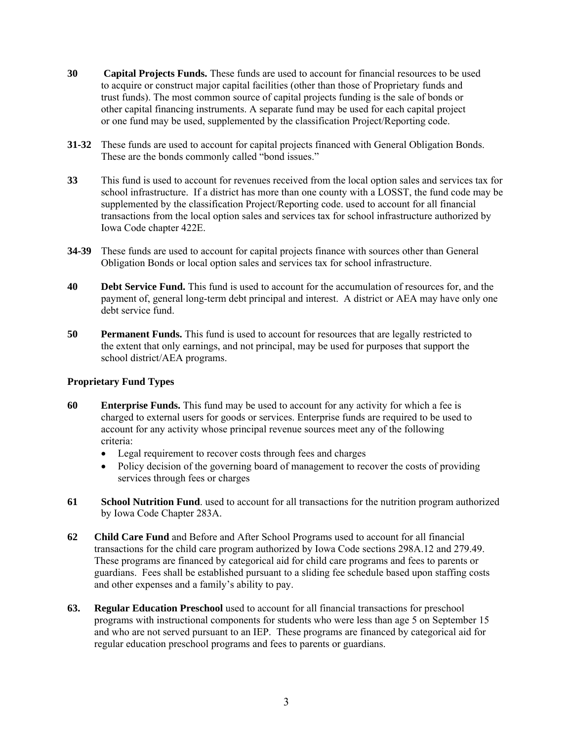- **30 Capital Projects Funds.** These funds are used to account for financial resources to be used to acquire or construct major capital facilities (other than those of Proprietary funds and trust funds). The most common source of capital projects funding is the sale of bonds or other capital financing instruments. A separate fund may be used for each capital project or one fund may be used, supplemented by the classification Project/Reporting code.
- **31-32** These funds are used to account for capital projects financed with General Obligation Bonds. These are the bonds commonly called "bond issues."
- **33** This fund is used to account for revenues received from the local option sales and services tax for school infrastructure. If a district has more than one county with a LOSST, the fund code may be supplemented by the classification Project/Reporting code. used to account for all financial transactions from the local option sales and services tax for school infrastructure authorized by Iowa Code chapter 422E.
- **34-39** These funds are used to account for capital projects finance with sources other than General Obligation Bonds or local option sales and services tax for school infrastructure.
- **40** Debt Service Fund. This fund is used to account for the accumulation of resources for, and the payment of, general long-term debt principal and interest. A district or AEA may have only one debt service fund.
- **50 Permanent Funds.** This fund is used to account for resources that are legally restricted to the extent that only earnings, and not principal, may be used for purposes that support the school district/AEA programs.

### **Proprietary Fund Types**

- **60 Enterprise Funds.** This fund may be used to account for any activity for which a fee is charged to external users for goods or services. Enterprise funds are required to be used to account for any activity whose principal revenue sources meet any of the following criteria:
	- Legal requirement to recover costs through fees and charges
	- Policy decision of the governing board of management to recover the costs of providing services through fees or charges
- **61 School Nutrition Fund**. used to account for all transactions for the nutrition program authorized by Iowa Code Chapter 283A.
- **62 Child Care Fund** and Before and After School Programs used to account for all financial transactions for the child care program authorized by Iowa Code sections 298A.12 and 279.49. These programs are financed by categorical aid for child care programs and fees to parents or guardians. Fees shall be established pursuant to a sliding fee schedule based upon staffing costs and other expenses and a family's ability to pay.
- **63. Regular Education Preschool** used to account for all financial transactions for preschool programs with instructional components for students who were less than age 5 on September 15 and who are not served pursuant to an IEP. These programs are financed by categorical aid for regular education preschool programs and fees to parents or guardians.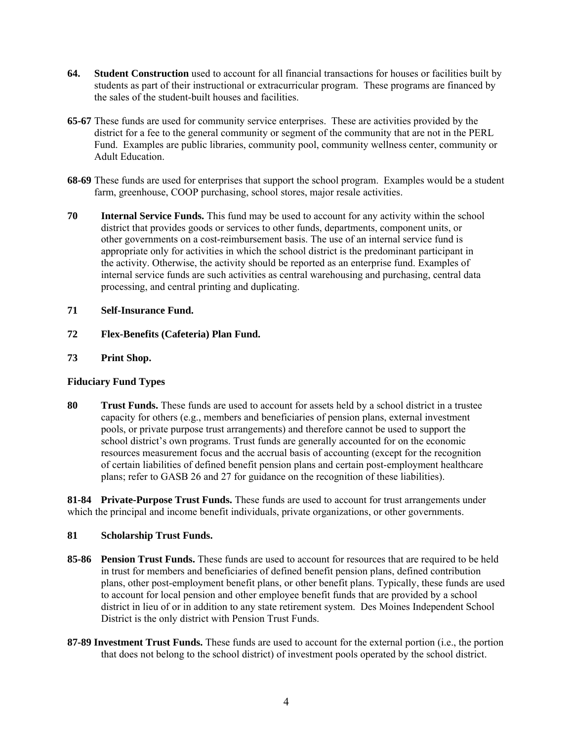- **64. Student Construction** used to account for all financial transactions for houses or facilities built by students as part of their instructional or extracurricular program. These programs are financed by the sales of the student-built houses and facilities.
- **65-67** These funds are used for community service enterprises. These are activities provided by the district for a fee to the general community or segment of the community that are not in the PERL Fund. Examples are public libraries, community pool, community wellness center, community or Adult Education.
- **68-69** These funds are used for enterprises that support the school program. Examples would be a student farm, greenhouse, COOP purchasing, school stores, major resale activities.
- **70 Internal Service Funds.** This fund may be used to account for any activity within the school district that provides goods or services to other funds, departments, component units, or other governments on a cost-reimbursement basis. The use of an internal service fund is appropriate only for activities in which the school district is the predominant participant in the activity. Otherwise, the activity should be reported as an enterprise fund. Examples of internal service funds are such activities as central warehousing and purchasing, central data processing, and central printing and duplicating.

#### **71 Self-Insurance Fund.**

- **72 Flex-Benefits (Cafeteria) Plan Fund.**
- **73 Print Shop.**

#### **Fiduciary Fund Types**

**80 Trust Funds.** These funds are used to account for assets held by a school district in a trustee capacity for others (e.g., members and beneficiaries of pension plans, external investment pools, or private purpose trust arrangements) and therefore cannot be used to support the school district's own programs. Trust funds are generally accounted for on the economic resources measurement focus and the accrual basis of accounting (except for the recognition of certain liabilities of defined benefit pension plans and certain post-employment healthcare plans; refer to GASB 26 and 27 for guidance on the recognition of these liabilities).

**81-84 Private-Purpose Trust Funds.** These funds are used to account for trust arrangements under which the principal and income benefit individuals, private organizations, or other governments.

#### **81 Scholarship Trust Funds.**

- **85-86 Pension Trust Funds.** These funds are used to account for resources that are required to be held in trust for members and beneficiaries of defined benefit pension plans, defined contribution plans, other post-employment benefit plans, or other benefit plans. Typically, these funds are used to account for local pension and other employee benefit funds that are provided by a school district in lieu of or in addition to any state retirement system. Des Moines Independent School District is the only district with Pension Trust Funds.
- **87-89 Investment Trust Funds.** These funds are used to account for the external portion (i.e., the portion that does not belong to the school district) of investment pools operated by the school district.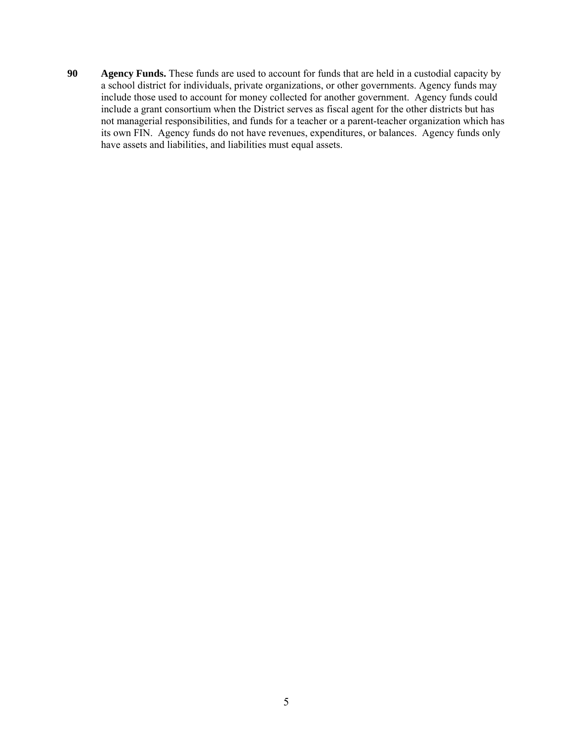**90 Agency Funds.** These funds are used to account for funds that are held in a custodial capacity by a school district for individuals, private organizations, or other governments. Agency funds may include those used to account for money collected for another government. Agency funds could include a grant consortium when the District serves as fiscal agent for the other districts but has not managerial responsibilities, and funds for a teacher or a parent-teacher organization which has its own FIN. Agency funds do not have revenues, expenditures, or balances. Agency funds only have assets and liabilities, and liabilities must equal assets.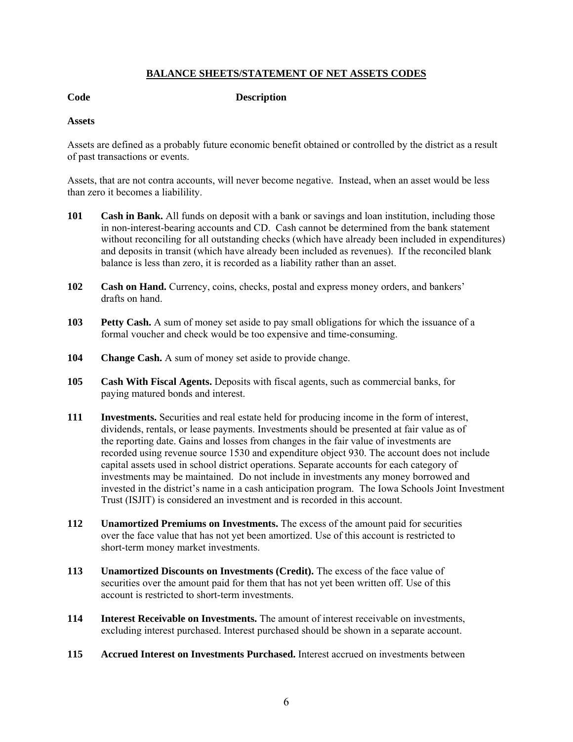#### **BALANCE SHEETS/STATEMENT OF NET ASSETS CODES**

**Code Description** 

#### **Assets**

Assets are defined as a probably future economic benefit obtained or controlled by the district as a result of past transactions or events.

Assets, that are not contra accounts, will never become negative. Instead, when an asset would be less than zero it becomes a liabilility.

- **101 Cash in Bank.** All funds on deposit with a bank or savings and loan institution, including those in non-interest-bearing accounts and CD. Cash cannot be determined from the bank statement without reconciling for all outstanding checks (which have already been included in expenditures) and deposits in transit (which have already been included as revenues). If the reconciled blank balance is less than zero, it is recorded as a liability rather than an asset.
- **102 Cash on Hand.** Currency, coins, checks, postal and express money orders, and bankers' drafts on hand.
- **103** Petty Cash. A sum of money set aside to pay small obligations for which the issuance of a formal voucher and check would be too expensive and time-consuming.
- 104 Change Cash. A sum of money set aside to provide change.
- **105 Cash With Fiscal Agents.** Deposits with fiscal agents, such as commercial banks, for paying matured bonds and interest.
- **111 Investments.** Securities and real estate held for producing income in the form of interest, dividends, rentals, or lease payments. Investments should be presented at fair value as of the reporting date. Gains and losses from changes in the fair value of investments are recorded using revenue source 1530 and expenditure object 930. The account does not include capital assets used in school district operations. Separate accounts for each category of investments may be maintained. Do not include in investments any money borrowed and invested in the district's name in a cash anticipation program. The Iowa Schools Joint Investment Trust (ISJIT) is considered an investment and is recorded in this account.
- **112 Unamortized Premiums on Investments.** The excess of the amount paid for securities over the face value that has not yet been amortized. Use of this account is restricted to short-term money market investments.
- **113 Unamortized Discounts on Investments (Credit).** The excess of the face value of securities over the amount paid for them that has not yet been written off. Use of this account is restricted to short-term investments.
- **114 Interest Receivable on Investments.** The amount of interest receivable on investments, excluding interest purchased. Interest purchased should be shown in a separate account.
- **115 Accrued Interest on Investments Purchased.** Interest accrued on investments between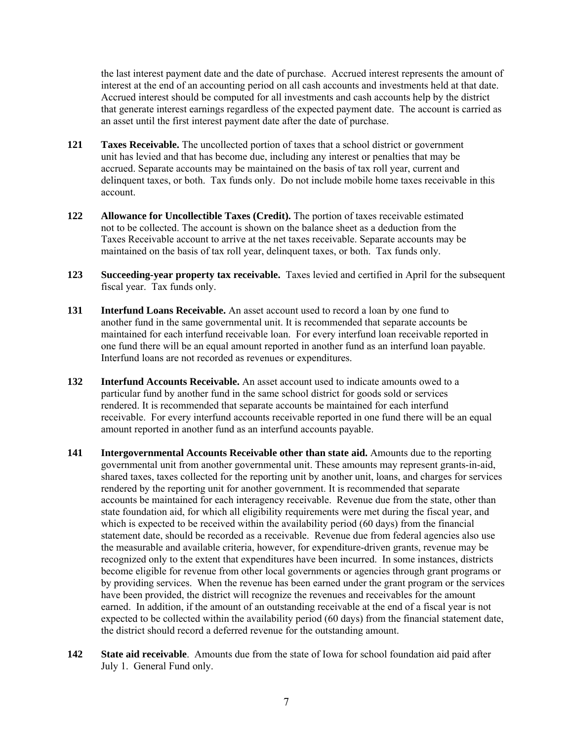the last interest payment date and the date of purchase. Accrued interest represents the amount of interest at the end of an accounting period on all cash accounts and investments held at that date. Accrued interest should be computed for all investments and cash accounts help by the district that generate interest earnings regardless of the expected payment date. The account is carried as an asset until the first interest payment date after the date of purchase.

- **121 Taxes Receivable.** The uncollected portion of taxes that a school district or government unit has levied and that has become due, including any interest or penalties that may be accrued. Separate accounts may be maintained on the basis of tax roll year, current and delinquent taxes, or both. Tax funds only. Do not include mobile home taxes receivable in this account.
- **122 Allowance for Uncollectible Taxes (Credit).** The portion of taxes receivable estimated not to be collected. The account is shown on the balance sheet as a deduction from the Taxes Receivable account to arrive at the net taxes receivable. Separate accounts may be maintained on the basis of tax roll year, delinquent taxes, or both. Tax funds only.
- **123 Succeeding-year property tax receivable.** Taxes levied and certified in April for the subsequent fiscal year. Tax funds only.
- **131 Interfund Loans Receivable.** An asset account used to record a loan by one fund to another fund in the same governmental unit. It is recommended that separate accounts be maintained for each interfund receivable loan. For every interfund loan receivable reported in one fund there will be an equal amount reported in another fund as an interfund loan payable. Interfund loans are not recorded as revenues or expenditures.
- **132 Interfund Accounts Receivable.** An asset account used to indicate amounts owed to a particular fund by another fund in the same school district for goods sold or services rendered. It is recommended that separate accounts be maintained for each interfund receivable. For every interfund accounts receivable reported in one fund there will be an equal amount reported in another fund as an interfund accounts payable.
- **141** Intergovernmental Accounts Receivable other than state aid. Amounts due to the reporting governmental unit from another governmental unit. These amounts may represent grants-in-aid, shared taxes, taxes collected for the reporting unit by another unit, loans, and charges for services rendered by the reporting unit for another government. It is recommended that separate accounts be maintained for each interagency receivable. Revenue due from the state, other than state foundation aid, for which all eligibility requirements were met during the fiscal year, and which is expected to be received within the availability period (60 days) from the financial statement date, should be recorded as a receivable. Revenue due from federal agencies also use the measurable and available criteria, however, for expenditure-driven grants, revenue may be recognized only to the extent that expenditures have been incurred. In some instances, districts become eligible for revenue from other local governments or agencies through grant programs or by providing services. When the revenue has been earned under the grant program or the services have been provided, the district will recognize the revenues and receivables for the amount earned. In addition, if the amount of an outstanding receivable at the end of a fiscal year is not expected to be collected within the availability period (60 days) from the financial statement date, the district should record a deferred revenue for the outstanding amount.
- **142 State aid receivable**. Amounts due from the state of Iowa for school foundation aid paid after July 1. General Fund only.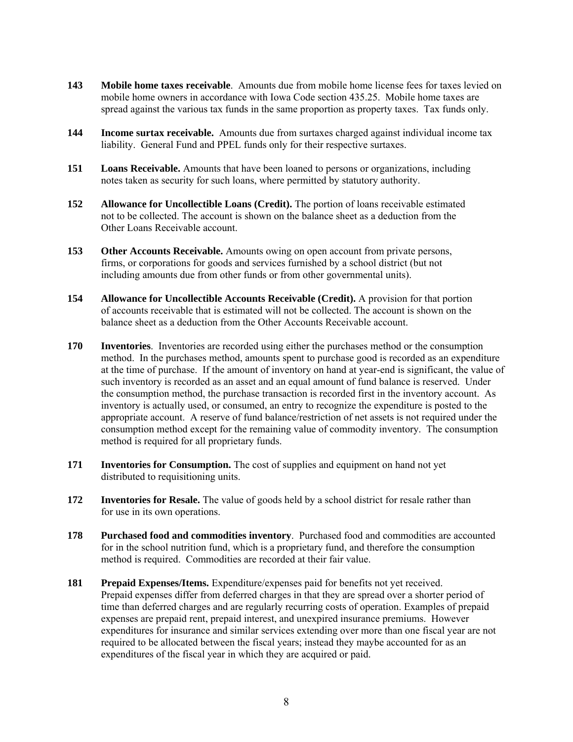- **143 Mobile home taxes receivable**. Amounts due from mobile home license fees for taxes levied on mobile home owners in accordance with Iowa Code section 435.25. Mobile home taxes are spread against the various tax funds in the same proportion as property taxes. Tax funds only.
- **144 Income surtax receivable.** Amounts due from surtaxes charged against individual income tax liability. General Fund and PPEL funds only for their respective surtaxes.
- **151 Loans Receivable.** Amounts that have been loaned to persons or organizations, including notes taken as security for such loans, where permitted by statutory authority.
- **152 Allowance for Uncollectible Loans (Credit).** The portion of loans receivable estimated not to be collected. The account is shown on the balance sheet as a deduction from the Other Loans Receivable account.
- **153 Other Accounts Receivable.** Amounts owing on open account from private persons, firms, or corporations for goods and services furnished by a school district (but not including amounts due from other funds or from other governmental units).
- **154 Allowance for Uncollectible Accounts Receivable (Credit).** A provision for that portion of accounts receivable that is estimated will not be collected. The account is shown on the balance sheet as a deduction from the Other Accounts Receivable account.
- **170 Inventories**. Inventories are recorded using either the purchases method or the consumption method. In the purchases method, amounts spent to purchase good is recorded as an expenditure at the time of purchase. If the amount of inventory on hand at year-end is significant, the value of such inventory is recorded as an asset and an equal amount of fund balance is reserved. Under the consumption method, the purchase transaction is recorded first in the inventory account. As inventory is actually used, or consumed, an entry to recognize the expenditure is posted to the appropriate account. A reserve of fund balance/restriction of net assets is not required under the consumption method except for the remaining value of commodity inventory. The consumption method is required for all proprietary funds.
- **171 Inventories for Consumption.** The cost of supplies and equipment on hand not yet distributed to requisitioning units.
- **172** Inventories for Resale. The value of goods held by a school district for resale rather than for use in its own operations.
- **178 Purchased food and commodities inventory**. Purchased food and commodities are accounted for in the school nutrition fund, which is a proprietary fund, and therefore the consumption method is required. Commodities are recorded at their fair value.
- **181** Prepaid Expenses/Items. Expenditure/expenses paid for benefits not yet received. Prepaid expenses differ from deferred charges in that they are spread over a shorter period of time than deferred charges and are regularly recurring costs of operation. Examples of prepaid expenses are prepaid rent, prepaid interest, and unexpired insurance premiums. However expenditures for insurance and similar services extending over more than one fiscal year are not required to be allocated between the fiscal years; instead they maybe accounted for as an expenditures of the fiscal year in which they are acquired or paid.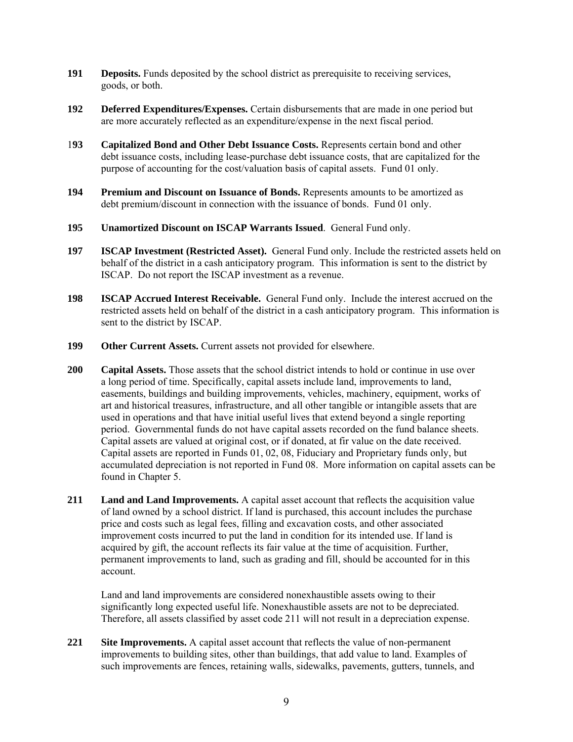- **191 Deposits.** Funds deposited by the school district as prerequisite to receiving services, goods, or both.
- **192 Deferred Expenditures/Expenses.** Certain disbursements that are made in one period but are more accurately reflected as an expenditure/expense in the next fiscal period.
- 1**93 Capitalized Bond and Other Debt Issuance Costs.** Represents certain bond and other debt issuance costs, including lease-purchase debt issuance costs, that are capitalized for the purpose of accounting for the cost/valuation basis of capital assets. Fund 01 only.
- **194 Premium and Discount on Issuance of Bonds.** Represents amounts to be amortized as debt premium/discount in connection with the issuance of bonds. Fund 01 only.
- **195 Unamortized Discount on ISCAP Warrants Issued**. General Fund only.
- **197 ISCAP Investment (Restricted Asset).** General Fund only. Include the restricted assets held on behalf of the district in a cash anticipatory program. This information is sent to the district by ISCAP. Do not report the ISCAP investment as a revenue.
- **198 ISCAP Accrued Interest Receivable.** General Fund only. Include the interest accrued on the restricted assets held on behalf of the district in a cash anticipatory program. This information is sent to the district by ISCAP.
- 199 Other Current Assets. Current assets not provided for elsewhere.
- **200 Capital Assets.** Those assets that the school district intends to hold or continue in use over a long period of time. Specifically, capital assets include land, improvements to land, easements, buildings and building improvements, vehicles, machinery, equipment, works of art and historical treasures, infrastructure, and all other tangible or intangible assets that are used in operations and that have initial useful lives that extend beyond a single reporting period. Governmental funds do not have capital assets recorded on the fund balance sheets. Capital assets are valued at original cost, or if donated, at fir value on the date received. Capital assets are reported in Funds 01, 02, 08, Fiduciary and Proprietary funds only, but accumulated depreciation is not reported in Fund 08. More information on capital assets can be found in Chapter 5.
- **211 Land and Land Improvements.** A capital asset account that reflects the acquisition value of land owned by a school district. If land is purchased, this account includes the purchase price and costs such as legal fees, filling and excavation costs, and other associated improvement costs incurred to put the land in condition for its intended use. If land is acquired by gift, the account reflects its fair value at the time of acquisition. Further, permanent improvements to land, such as grading and fill, should be accounted for in this account.

Land and land improvements are considered nonexhaustible assets owing to their significantly long expected useful life. Nonexhaustible assets are not to be depreciated. Therefore, all assets classified by asset code 211 will not result in a depreciation expense.

**221 Site Improvements.** A capital asset account that reflects the value of non-permanent improvements to building sites, other than buildings, that add value to land. Examples of such improvements are fences, retaining walls, sidewalks, pavements, gutters, tunnels, and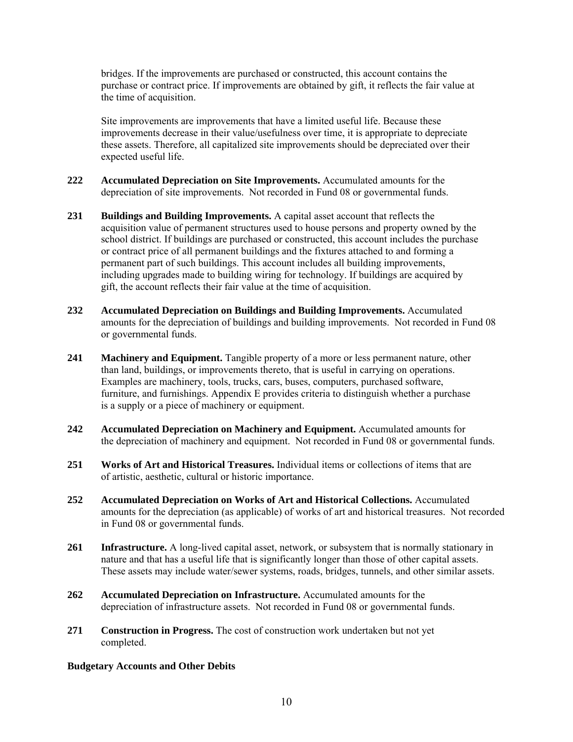bridges. If the improvements are purchased or constructed, this account contains the purchase or contract price. If improvements are obtained by gift, it reflects the fair value at the time of acquisition.

Site improvements are improvements that have a limited useful life. Because these improvements decrease in their value/usefulness over time, it is appropriate to depreciate these assets. Therefore, all capitalized site improvements should be depreciated over their expected useful life.

- **222 Accumulated Depreciation on Site Improvements.** Accumulated amounts for the depreciation of site improvements. Not recorded in Fund 08 or governmental funds.
- **231 Buildings and Building Improvements.** A capital asset account that reflects the acquisition value of permanent structures used to house persons and property owned by the school district. If buildings are purchased or constructed, this account includes the purchase or contract price of all permanent buildings and the fixtures attached to and forming a permanent part of such buildings. This account includes all building improvements, including upgrades made to building wiring for technology. If buildings are acquired by gift, the account reflects their fair value at the time of acquisition.
- **232 Accumulated Depreciation on Buildings and Building Improvements.** Accumulated amounts for the depreciation of buildings and building improvements. Not recorded in Fund 08 or governmental funds.
- **241 Machinery and Equipment.** Tangible property of a more or less permanent nature, other than land, buildings, or improvements thereto, that is useful in carrying on operations. Examples are machinery, tools, trucks, cars, buses, computers, purchased software, furniture, and furnishings. Appendix E provides criteria to distinguish whether a purchase is a supply or a piece of machinery or equipment.
- **242 Accumulated Depreciation on Machinery and Equipment.** Accumulated amounts for the depreciation of machinery and equipment. Not recorded in Fund 08 or governmental funds.
- **251 Works of Art and Historical Treasures.** Individual items or collections of items that are of artistic, aesthetic, cultural or historic importance.
- **252 Accumulated Depreciation on Works of Art and Historical Collections.** Accumulated amounts for the depreciation (as applicable) of works of art and historical treasures. Not recorded in Fund 08 or governmental funds.
- **261 Infrastructure.** A long-lived capital asset, network, or subsystem that is normally stationary in nature and that has a useful life that is significantly longer than those of other capital assets. These assets may include water/sewer systems, roads, bridges, tunnels, and other similar assets.
- **262 Accumulated Depreciation on Infrastructure.** Accumulated amounts for the depreciation of infrastructure assets. Not recorded in Fund 08 or governmental funds.
- **271 Construction in Progress.** The cost of construction work undertaken but not yet completed.

#### **Budgetary Accounts and Other Debits**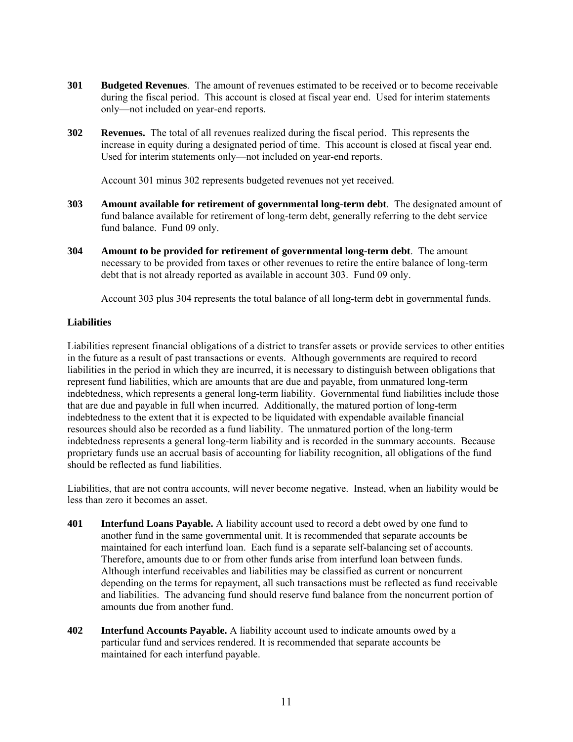- **301 Budgeted Revenues**. The amount of revenues estimated to be received or to become receivable during the fiscal period. This account is closed at fiscal year end. Used for interim statements only—not included on year-end reports.
- **302 Revenues.** The total of all revenues realized during the fiscal period. This represents the increase in equity during a designated period of time. This account is closed at fiscal year end. Used for interim statements only—not included on year-end reports.

Account 301 minus 302 represents budgeted revenues not yet received.

- **303 Amount available for retirement of governmental long-term debt**. The designated amount of fund balance available for retirement of long-term debt, generally referring to the debt service fund balance. Fund 09 only.
- **304 Amount to be provided for retirement of governmental long-term debt**. The amount necessary to be provided from taxes or other revenues to retire the entire balance of long-term debt that is not already reported as available in account 303. Fund 09 only.

Account 303 plus 304 represents the total balance of all long-term debt in governmental funds.

#### **Liabilities**

Liabilities represent financial obligations of a district to transfer assets or provide services to other entities in the future as a result of past transactions or events. Although governments are required to record liabilities in the period in which they are incurred, it is necessary to distinguish between obligations that represent fund liabilities, which are amounts that are due and payable, from unmatured long-term indebtedness, which represents a general long-term liability. Governmental fund liabilities include those that are due and payable in full when incurred. Additionally, the matured portion of long-term indebtedness to the extent that it is expected to be liquidated with expendable available financial resources should also be recorded as a fund liability. The unmatured portion of the long-term indebtedness represents a general long-term liability and is recorded in the summary accounts. Because proprietary funds use an accrual basis of accounting for liability recognition, all obligations of the fund should be reflected as fund liabilities.

Liabilities, that are not contra accounts, will never become negative. Instead, when an liability would be less than zero it becomes an asset.

- **401 Interfund Loans Payable.** A liability account used to record a debt owed by one fund to another fund in the same governmental unit. It is recommended that separate accounts be maintained for each interfund loan. Each fund is a separate self-balancing set of accounts. Therefore, amounts due to or from other funds arise from interfund loan between funds. Although interfund receivables and liabilities may be classified as current or noncurrent depending on the terms for repayment, all such transactions must be reflected as fund receivable and liabilities. The advancing fund should reserve fund balance from the noncurrent portion of amounts due from another fund.
- **402 Interfund Accounts Payable.** A liability account used to indicate amounts owed by a particular fund and services rendered. It is recommended that separate accounts be maintained for each interfund payable.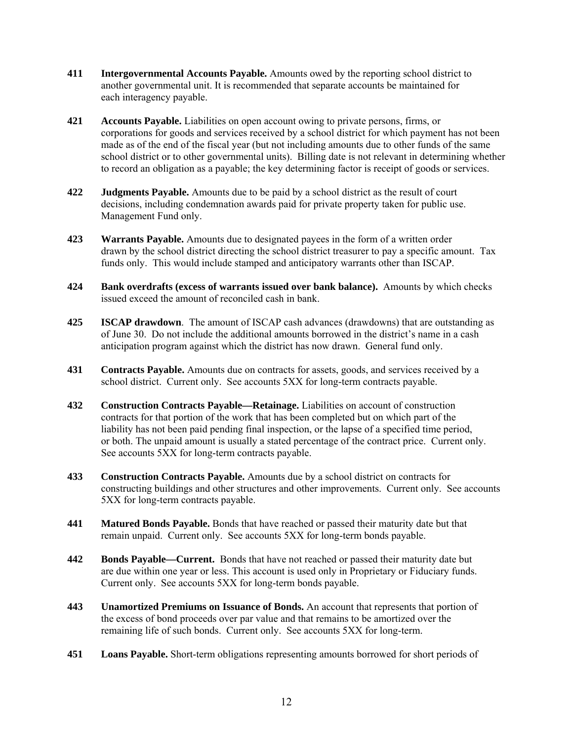- **411 Intergovernmental Accounts Payable.** Amounts owed by the reporting school district to another governmental unit. It is recommended that separate accounts be maintained for each interagency payable.
- **421 Accounts Payable.** Liabilities on open account owing to private persons, firms, or corporations for goods and services received by a school district for which payment has not been made as of the end of the fiscal year (but not including amounts due to other funds of the same school district or to other governmental units). Billing date is not relevant in determining whether to record an obligation as a payable; the key determining factor is receipt of goods or services.
- **422 Judgments Payable.** Amounts due to be paid by a school district as the result of court decisions, including condemnation awards paid for private property taken for public use. Management Fund only.
- **423 Warrants Payable.** Amounts due to designated payees in the form of a written order drawn by the school district directing the school district treasurer to pay a specific amount. Tax funds only. This would include stamped and anticipatory warrants other than ISCAP.
- **424 Bank overdrafts (excess of warrants issued over bank balance).** Amounts by which checks issued exceed the amount of reconciled cash in bank.
- **425 ISCAP drawdown**. The amount of ISCAP cash advances (drawdowns) that are outstanding as of June 30. Do not include the additional amounts borrowed in the district's name in a cash anticipation program against which the district has now drawn. General fund only.
- **431 Contracts Payable.** Amounts due on contracts for assets, goods, and services received by a school district. Current only. See accounts 5XX for long-term contracts payable.
- **432 Construction Contracts Payable—Retainage.** Liabilities on account of construction contracts for that portion of the work that has been completed but on which part of the liability has not been paid pending final inspection, or the lapse of a specified time period, or both. The unpaid amount is usually a stated percentage of the contract price. Current only. See accounts 5XX for long-term contracts payable.
- **433 Construction Contracts Payable.** Amounts due by a school district on contracts for constructing buildings and other structures and other improvements. Current only. See accounts 5XX for long-term contracts payable.
- **441 Matured Bonds Payable.** Bonds that have reached or passed their maturity date but that remain unpaid. Current only. See accounts 5XX for long-term bonds payable.
- **442 Bonds Payable—Current.** Bonds that have not reached or passed their maturity date but are due within one year or less. This account is used only in Proprietary or Fiduciary funds. Current only. See accounts 5XX for long-term bonds payable.
- **443 Unamortized Premiums on Issuance of Bonds.** An account that represents that portion of the excess of bond proceeds over par value and that remains to be amortized over the remaining life of such bonds. Current only. See accounts 5XX for long-term.
- **451 Loans Payable.** Short-term obligations representing amounts borrowed for short periods of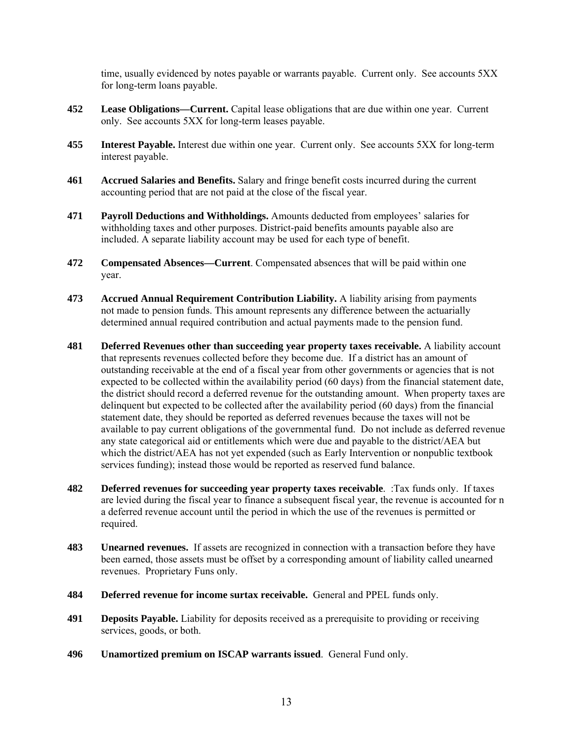time, usually evidenced by notes payable or warrants payable. Current only. See accounts 5XX for long-term loans payable.

- **452 Lease Obligations—Current.** Capital lease obligations that are due within one year. Current only. See accounts 5XX for long-term leases payable.
- **455 Interest Payable.** Interest due within one year. Current only. See accounts 5XX for long-term interest payable.
- **461 Accrued Salaries and Benefits.** Salary and fringe benefit costs incurred during the current accounting period that are not paid at the close of the fiscal year.
- **471 Payroll Deductions and Withholdings.** Amounts deducted from employees' salaries for withholding taxes and other purposes. District-paid benefits amounts payable also are included. A separate liability account may be used for each type of benefit.
- **472 Compensated Absences—Current**. Compensated absences that will be paid within one year.
- **473 Accrued Annual Requirement Contribution Liability.** A liability arising from payments not made to pension funds. This amount represents any difference between the actuarially determined annual required contribution and actual payments made to the pension fund.
- **481 Deferred Revenues other than succeeding year property taxes receivable.** A liability account that represents revenues collected before they become due. If a district has an amount of outstanding receivable at the end of a fiscal year from other governments or agencies that is not expected to be collected within the availability period (60 days) from the financial statement date, the district should record a deferred revenue for the outstanding amount. When property taxes are delinquent but expected to be collected after the availability period (60 days) from the financial statement date, they should be reported as deferred revenues because the taxes will not be available to pay current obligations of the governmental fund. Do not include as deferred revenue any state categorical aid or entitlements which were due and payable to the district/AEA but which the district/AEA has not yet expended (such as Early Intervention or nonpublic textbook services funding); instead those would be reported as reserved fund balance.
- **482 Deferred revenues for succeeding year property taxes receivable**. :Tax funds only. If taxes are levied during the fiscal year to finance a subsequent fiscal year, the revenue is accounted for n a deferred revenue account until the period in which the use of the revenues is permitted or required.
- **483 Unearned revenues.** If assets are recognized in connection with a transaction before they have been earned, those assets must be offset by a corresponding amount of liability called unearned revenues. Proprietary Funs only.
- **484 Deferred revenue for income surtax receivable.** General and PPEL funds only.
- **491 Deposits Payable.** Liability for deposits received as a prerequisite to providing or receiving services, goods, or both.
- **496 Unamortized premium on ISCAP warrants issued**. General Fund only.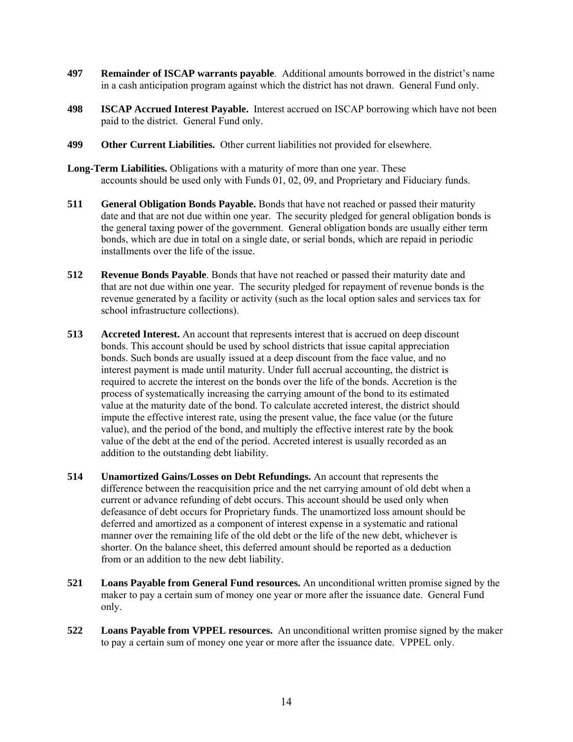- **497 Remainder of ISCAP warrants payable**. Additional amounts borrowed in the district's name in a cash anticipation program against which the district has not drawn. General Fund only.
- **498 ISCAP Accrued Interest Payable.** Interest accrued on ISCAP borrowing which have not been paid to the district. General Fund only.
- **499 Other Current Liabilities.** Other current liabilities not provided for elsewhere.
- **Long-Term Liabilities.** Obligations with a maturity of more than one year. These accounts should be used only with Funds 01, 02, 09, and Proprietary and Fiduciary funds.
- **511 General Obligation Bonds Payable.** Bonds that have not reached or passed their maturity date and that are not due within one year. The security pledged for general obligation bonds is the general taxing power of the government. General obligation bonds are usually either term bonds, which are due in total on a single date, or serial bonds, which are repaid in periodic installments over the life of the issue.
- **512 Revenue Bonds Payable**. Bonds that have not reached or passed their maturity date and that are not due within one year. The security pledged for repayment of revenue bonds is the revenue generated by a facility or activity (such as the local option sales and services tax for school infrastructure collections).
- **513 Accreted Interest.** An account that represents interest that is accrued on deep discount bonds. This account should be used by school districts that issue capital appreciation bonds. Such bonds are usually issued at a deep discount from the face value, and no interest payment is made until maturity. Under full accrual accounting, the district is required to accrete the interest on the bonds over the life of the bonds. Accretion is the process of systematically increasing the carrying amount of the bond to its estimated value at the maturity date of the bond. To calculate accreted interest, the district should impute the effective interest rate, using the present value, the face value (or the future value), and the period of the bond, and multiply the effective interest rate by the book value of the debt at the end of the period. Accreted interest is usually recorded as an addition to the outstanding debt liability.
- **514 Unamortized Gains/Losses on Debt Refundings.** An account that represents the difference between the reacquisition price and the net carrying amount of old debt when a current or advance refunding of debt occurs. This account should be used only when defeasance of debt occurs for Proprietary funds. The unamortized loss amount should be deferred and amortized as a component of interest expense in a systematic and rational manner over the remaining life of the old debt or the life of the new debt, whichever is shorter. On the balance sheet, this deferred amount should be reported as a deduction from or an addition to the new debt liability.
- **521 Loans Payable from General Fund resources.** An unconditional written promise signed by the maker to pay a certain sum of money one year or more after the issuance date. General Fund only.
- **522 Loans Payable from VPPEL resources.** An unconditional written promise signed by the maker to pay a certain sum of money one year or more after the issuance date. VPPEL only.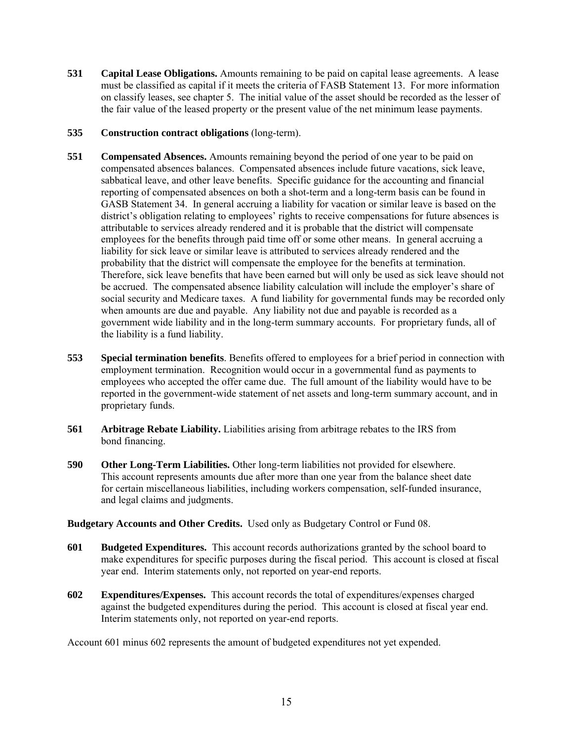- **531 Capital Lease Obligations.** Amounts remaining to be paid on capital lease agreements. A lease must be classified as capital if it meets the criteria of FASB Statement 13. For more information on classify leases, see chapter 5. The initial value of the asset should be recorded as the lesser of the fair value of the leased property or the present value of the net minimum lease payments.
- **535 Construction contract obligations** (long-term).
- **551 Compensated Absences.** Amounts remaining beyond the period of one year to be paid on compensated absences balances. Compensated absences include future vacations, sick leave, sabbatical leave, and other leave benefits. Specific guidance for the accounting and financial reporting of compensated absences on both a shot-term and a long-term basis can be found in GASB Statement 34. In general accruing a liability for vacation or similar leave is based on the district's obligation relating to employees' rights to receive compensations for future absences is attributable to services already rendered and it is probable that the district will compensate employees for the benefits through paid time off or some other means. In general accruing a liability for sick leave or similar leave is attributed to services already rendered and the probability that the district will compensate the employee for the benefits at termination. Therefore, sick leave benefits that have been earned but will only be used as sick leave should not be accrued. The compensated absence liability calculation will include the employer's share of social security and Medicare taxes. A fund liability for governmental funds may be recorded only when amounts are due and payable. Any liability not due and payable is recorded as a government wide liability and in the long-term summary accounts. For proprietary funds, all of the liability is a fund liability.
- **553 Special termination benefits**. Benefits offered to employees for a brief period in connection with employment termination. Recognition would occur in a governmental fund as payments to employees who accepted the offer came due. The full amount of the liability would have to be reported in the government-wide statement of net assets and long-term summary account, and in proprietary funds.
- **561 Arbitrage Rebate Liability.** Liabilities arising from arbitrage rebates to the IRS from bond financing.
- **590 Other Long-Term Liabilities.** Other long-term liabilities not provided for elsewhere. This account represents amounts due after more than one year from the balance sheet date for certain miscellaneous liabilities, including workers compensation, self-funded insurance, and legal claims and judgments.

**Budgetary Accounts and Other Credits.** Used only as Budgetary Control or Fund 08.

- **601 Budgeted Expenditures.** This account records authorizations granted by the school board to make expenditures for specific purposes during the fiscal period. This account is closed at fiscal year end. Interim statements only, not reported on year-end reports.
- **602 Expenditures/Expenses.** This account records the total of expenditures/expenses charged against the budgeted expenditures during the period. This account is closed at fiscal year end. Interim statements only, not reported on year-end reports.

Account 601 minus 602 represents the amount of budgeted expenditures not yet expended.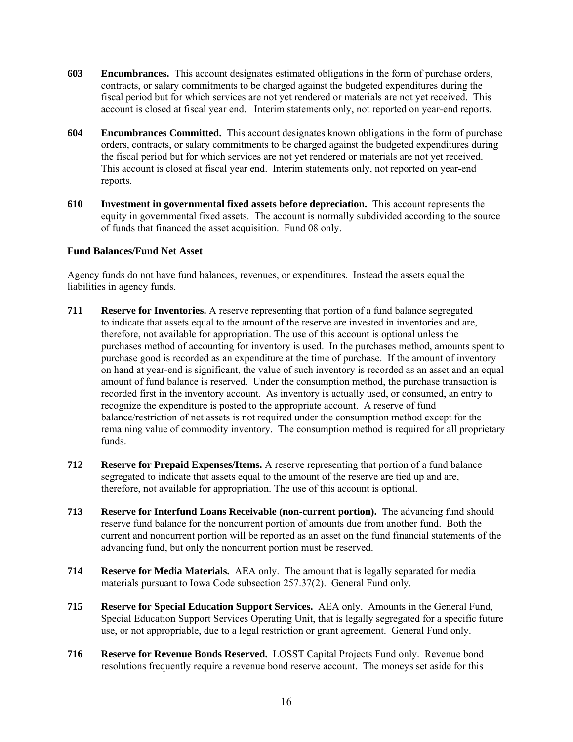- **603 Encumbrances.** This account designates estimated obligations in the form of purchase orders, contracts, or salary commitments to be charged against the budgeted expenditures during the fiscal period but for which services are not yet rendered or materials are not yet received. This account is closed at fiscal year end. Interim statements only, not reported on year-end reports.
- **604 Encumbrances Committed.** This account designates known obligations in the form of purchase orders, contracts, or salary commitments to be charged against the budgeted expenditures during the fiscal period but for which services are not yet rendered or materials are not yet received. This account is closed at fiscal year end. Interim statements only, not reported on year-end reports.
- **610 Investment in governmental fixed assets before depreciation.** This account represents the equity in governmental fixed assets. The account is normally subdivided according to the source of funds that financed the asset acquisition. Fund 08 only.

#### **Fund Balances/Fund Net Asset**

Agency funds do not have fund balances, revenues, or expenditures. Instead the assets equal the liabilities in agency funds.

- **711 Reserve for Inventories.** A reserve representing that portion of a fund balance segregated to indicate that assets equal to the amount of the reserve are invested in inventories and are, therefore, not available for appropriation. The use of this account is optional unless the purchases method of accounting for inventory is used. In the purchases method, amounts spent to purchase good is recorded as an expenditure at the time of purchase. If the amount of inventory on hand at year-end is significant, the value of such inventory is recorded as an asset and an equal amount of fund balance is reserved. Under the consumption method, the purchase transaction is recorded first in the inventory account. As inventory is actually used, or consumed, an entry to recognize the expenditure is posted to the appropriate account. A reserve of fund balance/restriction of net assets is not required under the consumption method except for the remaining value of commodity inventory. The consumption method is required for all proprietary funds.
- **712 Reserve for Prepaid Expenses/Items.** A reserve representing that portion of a fund balance segregated to indicate that assets equal to the amount of the reserve are tied up and are, therefore, not available for appropriation. The use of this account is optional.
- **713 Reserve for Interfund Loans Receivable (non-current portion).** The advancing fund should reserve fund balance for the noncurrent portion of amounts due from another fund. Both the current and noncurrent portion will be reported as an asset on the fund financial statements of the advancing fund, but only the noncurrent portion must be reserved.
- **714 Reserve for Media Materials.** AEA only. The amount that is legally separated for media materials pursuant to Iowa Code subsection 257.37(2). General Fund only.
- **715 Reserve for Special Education Support Services.** AEA only. Amounts in the General Fund, Special Education Support Services Operating Unit, that is legally segregated for a specific future use, or not appropriable, due to a legal restriction or grant agreement. General Fund only.
- **716 Reserve for Revenue Bonds Reserved.** LOSST Capital Projects Fund only. Revenue bond resolutions frequently require a revenue bond reserve account. The moneys set aside for this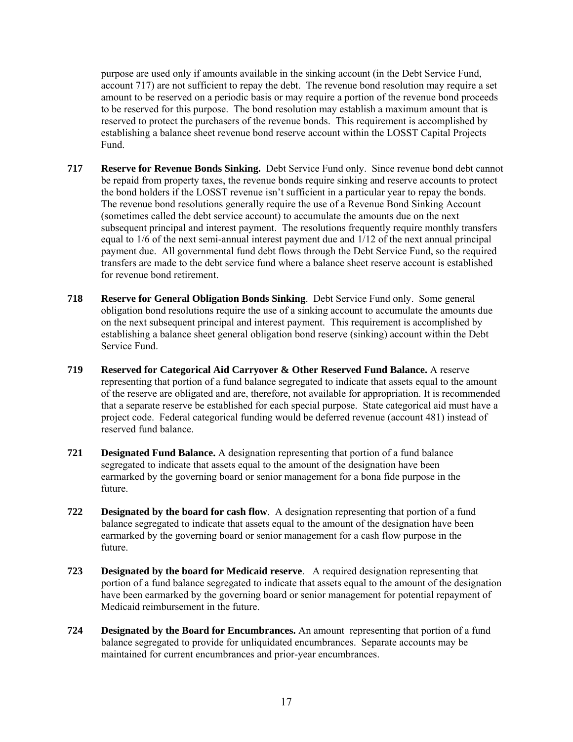purpose are used only if amounts available in the sinking account (in the Debt Service Fund, account 717) are not sufficient to repay the debt. The revenue bond resolution may require a set amount to be reserved on a periodic basis or may require a portion of the revenue bond proceeds to be reserved for this purpose. The bond resolution may establish a maximum amount that is reserved to protect the purchasers of the revenue bonds. This requirement is accomplished by establishing a balance sheet revenue bond reserve account within the LOSST Capital Projects Fund.

- **717 Reserve for Revenue Bonds Sinking.** Debt Service Fund only. Since revenue bond debt cannot be repaid from property taxes, the revenue bonds require sinking and reserve accounts to protect the bond holders if the LOSST revenue isn't sufficient in a particular year to repay the bonds. The revenue bond resolutions generally require the use of a Revenue Bond Sinking Account (sometimes called the debt service account) to accumulate the amounts due on the next subsequent principal and interest payment. The resolutions frequently require monthly transfers equal to 1/6 of the next semi-annual interest payment due and 1/12 of the next annual principal payment due. All governmental fund debt flows through the Debt Service Fund, so the required transfers are made to the debt service fund where a balance sheet reserve account is established for revenue bond retirement.
- **718 Reserve for General Obligation Bonds Sinking**. Debt Service Fund only. Some general obligation bond resolutions require the use of a sinking account to accumulate the amounts due on the next subsequent principal and interest payment. This requirement is accomplished by establishing a balance sheet general obligation bond reserve (sinking) account within the Debt Service Fund.
- **719 Reserved for Categorical Aid Carryover & Other Reserved Fund Balance.** A reserve representing that portion of a fund balance segregated to indicate that assets equal to the amount of the reserve are obligated and are, therefore, not available for appropriation. It is recommended that a separate reserve be established for each special purpose. State categorical aid must have a project code. Federal categorical funding would be deferred revenue (account 481) instead of reserved fund balance.
- **721 Designated Fund Balance.** A designation representing that portion of a fund balance segregated to indicate that assets equal to the amount of the designation have been earmarked by the governing board or senior management for a bona fide purpose in the future.
- **722 Designated by the board for cash flow**. A designation representing that portion of a fund balance segregated to indicate that assets equal to the amount of the designation have been earmarked by the governing board or senior management for a cash flow purpose in the future.
- **723 Designated by the board for Medicaid reserve**. A required designation representing that portion of a fund balance segregated to indicate that assets equal to the amount of the designation have been earmarked by the governing board or senior management for potential repayment of Medicaid reimbursement in the future.
- **724 Designated by the Board for Encumbrances.** An amount representing that portion of a fund balance segregated to provide for unliquidated encumbrances. Separate accounts may be maintained for current encumbrances and prior-year encumbrances.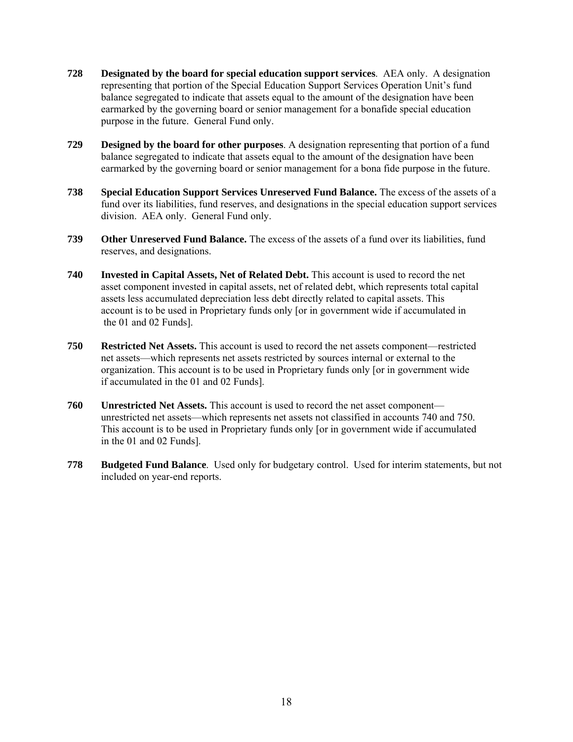- **728 Designated by the board for special education support services**. AEA only. A designation representing that portion of the Special Education Support Services Operation Unit's fund balance segregated to indicate that assets equal to the amount of the designation have been earmarked by the governing board or senior management for a bonafide special education purpose in the future. General Fund only.
- **729 Designed by the board for other purposes**. A designation representing that portion of a fund balance segregated to indicate that assets equal to the amount of the designation have been earmarked by the governing board or senior management for a bona fide purpose in the future.
- **738 Special Education Support Services Unreserved Fund Balance.** The excess of the assets of a fund over its liabilities, fund reserves, and designations in the special education support services division. AEA only. General Fund only.
- **739 Other Unreserved Fund Balance.** The excess of the assets of a fund over its liabilities, fund reserves, and designations.
- **740 Invested in Capital Assets, Net of Related Debt.** This account is used to record the net asset component invested in capital assets, net of related debt, which represents total capital assets less accumulated depreciation less debt directly related to capital assets. This account is to be used in Proprietary funds only [or in government wide if accumulated in the 01 and 02 Funds].
- **750 Restricted Net Assets.** This account is used to record the net assets component—restricted net assets—which represents net assets restricted by sources internal or external to the organization. This account is to be used in Proprietary funds only [or in government wide if accumulated in the 01 and 02 Funds].
- **760 Unrestricted Net Assets.** This account is used to record the net asset component unrestricted net assets—which represents net assets not classified in accounts 740 and 750. This account is to be used in Proprietary funds only [or in government wide if accumulated in the 01 and 02 Funds].
- **778 Budgeted Fund Balance**. Used only for budgetary control. Used for interim statements, but not included on year-end reports.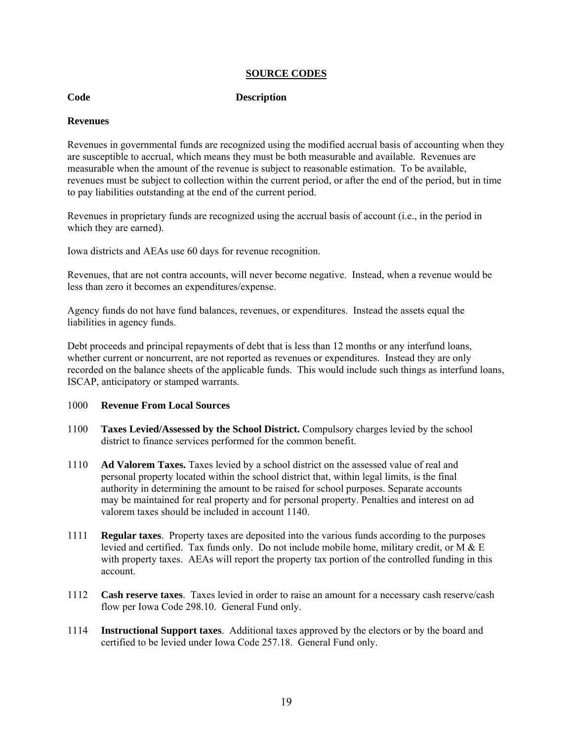#### **SOURCE CODES**

#### **Code Description**

## **Revenues**

Revenues in governmental funds are recognized using the modified accrual basis of accounting when they are susceptible to accrual, which means they must be both measurable and available. Revenues are measurable when the amount of the revenue is subject to reasonable estimation. To be available, revenues must be subject to collection within the current period, or after the end of the period, but in time to pay liabilities outstanding at the end of the current period.

Revenues in proprietary funds are recognized using the accrual basis of account (i.e., in the period in which they are earned).

Iowa districts and AEAs use 60 days for revenue recognition.

Revenues, that are not contra accounts, will never become negative. Instead, when a revenue would be less than zero it becomes an expenditures/expense.

Agency funds do not have fund balances, revenues, or expenditures. Instead the assets equal the liabilities in agency funds.

Debt proceeds and principal repayments of debt that is less than 12 months or any interfund loans, whether current or noncurrent, are not reported as revenues or expenditures. Instead they are only recorded on the balance sheets of the applicable funds. This would include such things as interfund loans, ISCAP, anticipatory or stamped warrants.

#### 1000 **Revenue From Local Sources**

- 1100 **Taxes Levied/Assessed by the School District.** Compulsory charges levied by the school district to finance services performed for the common benefit.
- 1110 **Ad Valorem Taxes.** Taxes levied by a school district on the assessed value of real and personal property located within the school district that, within legal limits, is the final authority in determining the amount to be raised for school purposes. Separate accounts may be maintained for real property and for personal property. Penalties and interest on ad valorem taxes should be included in account 1140.
- 1111 **Regular taxes**. Property taxes are deposited into the various funds according to the purposes levied and certified. Tax funds only. Do not include mobile home, military credit, or  $M & E$ with property taxes. AEAs will report the property tax portion of the controlled funding in this account.
- 1112 **Cash reserve taxes**. Taxes levied in order to raise an amount for a necessary cash reserve/cash flow per Iowa Code 298.10. General Fund only.
- 1114 **Instructional Support taxes**. Additional taxes approved by the electors or by the board and certified to be levied under Iowa Code 257.18. General Fund only.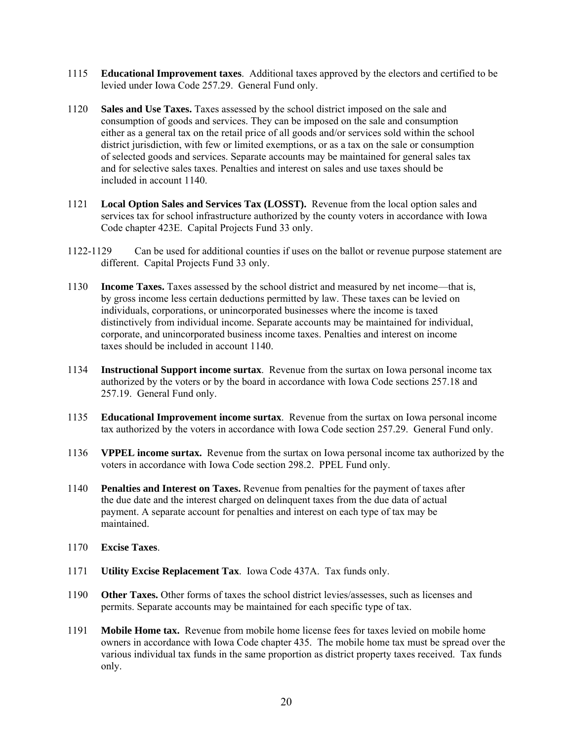- 1115 **Educational Improvement taxes**. Additional taxes approved by the electors and certified to be levied under Iowa Code 257.29. General Fund only.
- 1120 **Sales and Use Taxes.** Taxes assessed by the school district imposed on the sale and consumption of goods and services. They can be imposed on the sale and consumption either as a general tax on the retail price of all goods and/or services sold within the school district jurisdiction, with few or limited exemptions, or as a tax on the sale or consumption of selected goods and services. Separate accounts may be maintained for general sales tax and for selective sales taxes. Penalties and interest on sales and use taxes should be included in account 1140.
- 1121 **Local Option Sales and Services Tax (LOSST).** Revenue from the local option sales and services tax for school infrastructure authorized by the county voters in accordance with Iowa Code chapter 423E. Capital Projects Fund 33 only.
- 1122-1129 Can be used for additional counties if uses on the ballot or revenue purpose statement are different. Capital Projects Fund 33 only.
- 1130 **Income Taxes.** Taxes assessed by the school district and measured by net income—that is, by gross income less certain deductions permitted by law. These taxes can be levied on individuals, corporations, or unincorporated businesses where the income is taxed distinctively from individual income. Separate accounts may be maintained for individual, corporate, and unincorporated business income taxes. Penalties and interest on income taxes should be included in account 1140.
- 1134 **Instructional Support income surtax**. Revenue from the surtax on Iowa personal income tax authorized by the voters or by the board in accordance with Iowa Code sections 257.18 and 257.19. General Fund only.
- 1135 **Educational Improvement income surtax**. Revenue from the surtax on Iowa personal income tax authorized by the voters in accordance with Iowa Code section 257.29. General Fund only.
- 1136 **VPPEL income surtax.** Revenue from the surtax on Iowa personal income tax authorized by the voters in accordance with Iowa Code section 298.2. PPEL Fund only.
- 1140 **Penalties and Interest on Taxes.** Revenue from penalties for the payment of taxes after the due date and the interest charged on delinquent taxes from the due data of actual payment. A separate account for penalties and interest on each type of tax may be maintained.
- 1170 **Excise Taxes**.
- 1171 **Utility Excise Replacement Tax**. Iowa Code 437A. Tax funds only.
- 1190 **Other Taxes.** Other forms of taxes the school district levies/assesses, such as licenses and permits. Separate accounts may be maintained for each specific type of tax.
- 1191 **Mobile Home tax.** Revenue from mobile home license fees for taxes levied on mobile home owners in accordance with Iowa Code chapter 435. The mobile home tax must be spread over the various individual tax funds in the same proportion as district property taxes received. Tax funds only.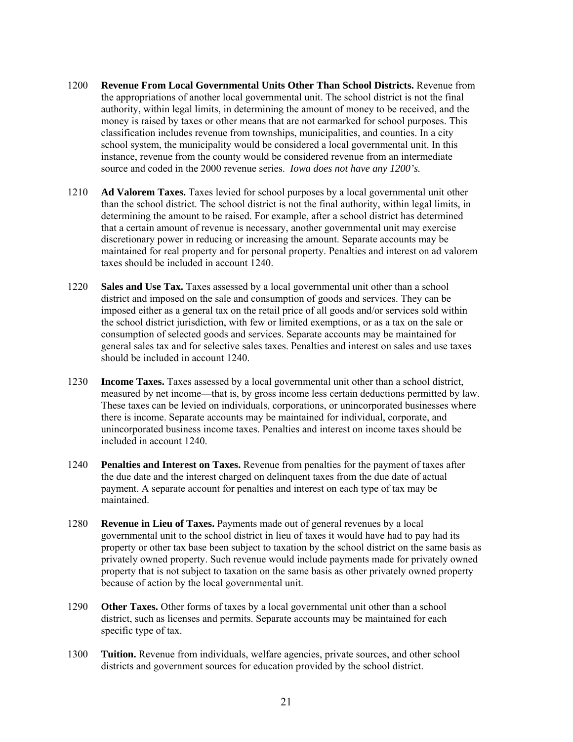- 1200 **Revenue From Local Governmental Units Other Than School Districts.** Revenue from the appropriations of another local governmental unit. The school district is not the final authority, within legal limits, in determining the amount of money to be received, and the money is raised by taxes or other means that are not earmarked for school purposes. This classification includes revenue from townships, municipalities, and counties. In a city school system, the municipality would be considered a local governmental unit. In this instance, revenue from the county would be considered revenue from an intermediate source and coded in the 2000 revenue series. *Iowa does not have any 1200's.*
- 1210 **Ad Valorem Taxes.** Taxes levied for school purposes by a local governmental unit other than the school district. The school district is not the final authority, within legal limits, in determining the amount to be raised. For example, after a school district has determined that a certain amount of revenue is necessary, another governmental unit may exercise discretionary power in reducing or increasing the amount. Separate accounts may be maintained for real property and for personal property. Penalties and interest on ad valorem taxes should be included in account 1240.
- 1220 **Sales and Use Tax.** Taxes assessed by a local governmental unit other than a school district and imposed on the sale and consumption of goods and services. They can be imposed either as a general tax on the retail price of all goods and/or services sold within the school district jurisdiction, with few or limited exemptions, or as a tax on the sale or consumption of selected goods and services. Separate accounts may be maintained for general sales tax and for selective sales taxes. Penalties and interest on sales and use taxes should be included in account 1240.
- 1230 **Income Taxes.** Taxes assessed by a local governmental unit other than a school district, measured by net income—that is, by gross income less certain deductions permitted by law. These taxes can be levied on individuals, corporations, or unincorporated businesses where there is income. Separate accounts may be maintained for individual, corporate, and unincorporated business income taxes. Penalties and interest on income taxes should be included in account 1240.
- 1240 **Penalties and Interest on Taxes.** Revenue from penalties for the payment of taxes after the due date and the interest charged on delinquent taxes from the due date of actual payment. A separate account for penalties and interest on each type of tax may be maintained.
- 1280 **Revenue in Lieu of Taxes.** Payments made out of general revenues by a local governmental unit to the school district in lieu of taxes it would have had to pay had its property or other tax base been subject to taxation by the school district on the same basis as privately owned property. Such revenue would include payments made for privately owned property that is not subject to taxation on the same basis as other privately owned property because of action by the local governmental unit.
- 1290 **Other Taxes.** Other forms of taxes by a local governmental unit other than a school district, such as licenses and permits. Separate accounts may be maintained for each specific type of tax.
- 1300 **Tuition.** Revenue from individuals, welfare agencies, private sources, and other school districts and government sources for education provided by the school district.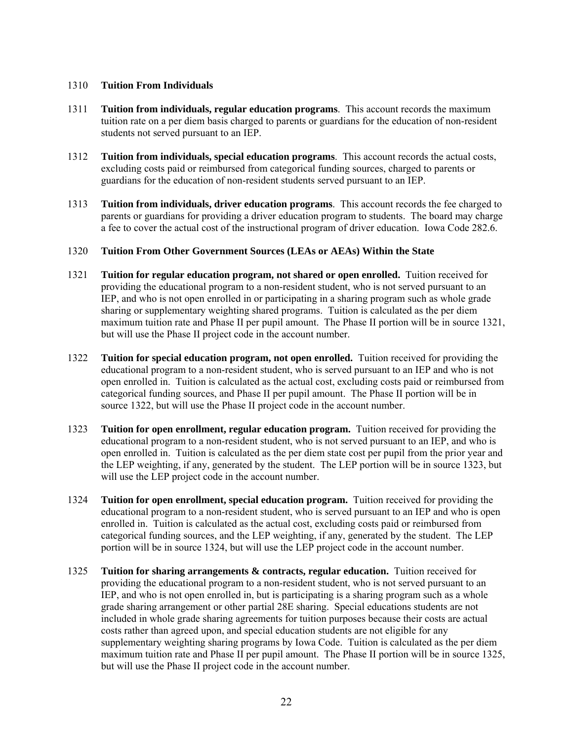#### 1310 **Tuition From Individuals**

- 1311 **Tuition from individuals, regular education programs**. This account records the maximum tuition rate on a per diem basis charged to parents or guardians for the education of non-resident students not served pursuant to an IEP.
- 1312 **Tuition from individuals, special education programs**. This account records the actual costs, excluding costs paid or reimbursed from categorical funding sources, charged to parents or guardians for the education of non-resident students served pursuant to an IEP.
- 1313 **Tuition from individuals, driver education programs**. This account records the fee charged to parents or guardians for providing a driver education program to students. The board may charge a fee to cover the actual cost of the instructional program of driver education. Iowa Code 282.6.

#### 1320 **Tuition From Other Government Sources (LEAs or AEAs) Within the State**

- 1321 **Tuition for regular education program, not shared or open enrolled.** Tuition received for providing the educational program to a non-resident student, who is not served pursuant to an IEP, and who is not open enrolled in or participating in a sharing program such as whole grade sharing or supplementary weighting shared programs. Tuition is calculated as the per diem maximum tuition rate and Phase II per pupil amount. The Phase II portion will be in source 1321, but will use the Phase II project code in the account number.
- 1322 **Tuition for special education program, not open enrolled.** Tuition received for providing the educational program to a non-resident student, who is served pursuant to an IEP and who is not open enrolled in. Tuition is calculated as the actual cost, excluding costs paid or reimbursed from categorical funding sources, and Phase II per pupil amount. The Phase II portion will be in source 1322, but will use the Phase II project code in the account number.
- 1323 **Tuition for open enrollment, regular education program.** Tuition received for providing the educational program to a non-resident student, who is not served pursuant to an IEP, and who is open enrolled in. Tuition is calculated as the per diem state cost per pupil from the prior year and the LEP weighting, if any, generated by the student. The LEP portion will be in source 1323, but will use the LEP project code in the account number.
- 1324 **Tuition for open enrollment, special education program.** Tuition received for providing the educational program to a non-resident student, who is served pursuant to an IEP and who is open enrolled in. Tuition is calculated as the actual cost, excluding costs paid or reimbursed from categorical funding sources, and the LEP weighting, if any, generated by the student. The LEP portion will be in source 1324, but will use the LEP project code in the account number.
- 1325 **Tuition for sharing arrangements & contracts, regular education.** Tuition received for providing the educational program to a non-resident student, who is not served pursuant to an IEP, and who is not open enrolled in, but is participating is a sharing program such as a whole grade sharing arrangement or other partial 28E sharing. Special educations students are not included in whole grade sharing agreements for tuition purposes because their costs are actual costs rather than agreed upon, and special education students are not eligible for any supplementary weighting sharing programs by Iowa Code. Tuition is calculated as the per diem maximum tuition rate and Phase II per pupil amount. The Phase II portion will be in source 1325, but will use the Phase II project code in the account number.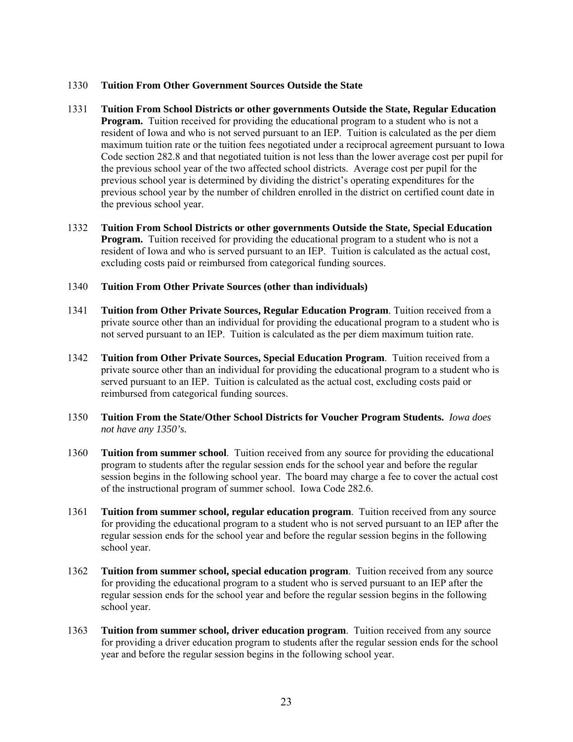#### 1330 **Tuition From Other Government Sources Outside the State**

- 1331 **Tuition From School Districts or other governments Outside the State, Regular Education Program.** Tuition received for providing the educational program to a student who is not a resident of Iowa and who is not served pursuant to an IEP. Tuition is calculated as the per diem maximum tuition rate or the tuition fees negotiated under a reciprocal agreement pursuant to Iowa Code section 282.8 and that negotiated tuition is not less than the lower average cost per pupil for the previous school year of the two affected school districts. Average cost per pupil for the previous school year is determined by dividing the district's operating expenditures for the previous school year by the number of children enrolled in the district on certified count date in the previous school year.
- 1332 **Tuition From School Districts or other governments Outside the State, Special Education Program.** Tuition received for providing the educational program to a student who is not a resident of Iowa and who is served pursuant to an IEP. Tuition is calculated as the actual cost, excluding costs paid or reimbursed from categorical funding sources.

#### 1340 **Tuition From Other Private Sources (other than individuals)**

- 1341 **Tuition from Other Private Sources, Regular Education Program**. Tuition received from a private source other than an individual for providing the educational program to a student who is not served pursuant to an IEP. Tuition is calculated as the per diem maximum tuition rate.
- 1342 **Tuition from Other Private Sources, Special Education Program**. Tuition received from a private source other than an individual for providing the educational program to a student who is served pursuant to an IEP. Tuition is calculated as the actual cost, excluding costs paid or reimbursed from categorical funding sources.
- 1350 **Tuition From the State/Other School Districts for Voucher Program Students.** *Iowa does not have any 1350's.*
- 1360 **Tuition from summer school**. Tuition received from any source for providing the educational program to students after the regular session ends for the school year and before the regular session begins in the following school year. The board may charge a fee to cover the actual cost of the instructional program of summer school. Iowa Code 282.6.
- 1361 **Tuition from summer school, regular education program**. Tuition received from any source for providing the educational program to a student who is not served pursuant to an IEP after the regular session ends for the school year and before the regular session begins in the following school year.
- 1362 **Tuition from summer school, special education program**. Tuition received from any source for providing the educational program to a student who is served pursuant to an IEP after the regular session ends for the school year and before the regular session begins in the following school year.
- 1363 **Tuition from summer school, driver education program**. Tuition received from any source for providing a driver education program to students after the regular session ends for the school year and before the regular session begins in the following school year.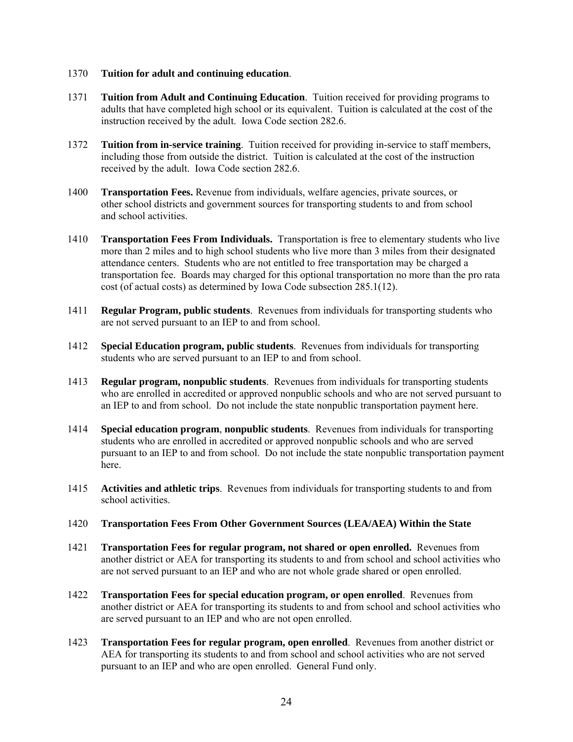#### 1370 **Tuition for adult and continuing education**.

- 1371 **Tuition from Adult and Continuing Education**. Tuition received for providing programs to adults that have completed high school or its equivalent. Tuition is calculated at the cost of the instruction received by the adult. Iowa Code section 282.6.
- 1372 **Tuition from in-service training**. Tuition received for providing in-service to staff members, including those from outside the district. Tuition is calculated at the cost of the instruction received by the adult. Iowa Code section 282.6.
- 1400 **Transportation Fees.** Revenue from individuals, welfare agencies, private sources, or other school districts and government sources for transporting students to and from school and school activities.
- 1410 **Transportation Fees From Individuals.** Transportation is free to elementary students who live more than 2 miles and to high school students who live more than 3 miles from their designated attendance centers. Students who are not entitled to free transportation may be charged a transportation fee. Boards may charged for this optional transportation no more than the pro rata cost (of actual costs) as determined by Iowa Code subsection 285.1(12).
- 1411 **Regular Program, public students**. Revenues from individuals for transporting students who are not served pursuant to an IEP to and from school.
- 1412 **Special Education program, public students**. Revenues from individuals for transporting students who are served pursuant to an IEP to and from school.
- 1413 **Regular program, nonpublic students**. Revenues from individuals for transporting students who are enrolled in accredited or approved nonpublic schools and who are not served pursuant to an IEP to and from school. Do not include the state nonpublic transportation payment here.
- 1414 **Special education program**, **nonpublic students**. Revenues from individuals for transporting students who are enrolled in accredited or approved nonpublic schools and who are served pursuant to an IEP to and from school. Do not include the state nonpublic transportation payment here.
- 1415 **Activities and athletic trips**. Revenues from individuals for transporting students to and from school activities.
- 1420 **Transportation Fees From Other Government Sources (LEA/AEA) Within the State**
- 1421 **Transportation Fees for regular program, not shared or open enrolled.** Revenues from another district or AEA for transporting its students to and from school and school activities who are not served pursuant to an IEP and who are not whole grade shared or open enrolled.
- 1422 **Transportation Fees for special education program, or open enrolled**. Revenues from another district or AEA for transporting its students to and from school and school activities who are served pursuant to an IEP and who are not open enrolled.
- 1423 **Transportation Fees for regular program, open enrolled**. Revenues from another district or AEA for transporting its students to and from school and school activities who are not served pursuant to an IEP and who are open enrolled. General Fund only.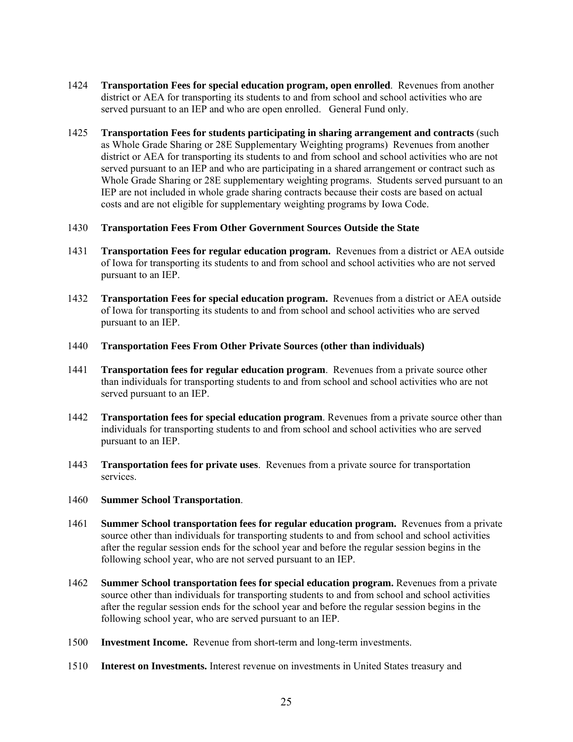- 1424 **Transportation Fees for special education program, open enrolled**. Revenues from another district or AEA for transporting its students to and from school and school activities who are served pursuant to an IEP and who are open enrolled. General Fund only.
- 1425 **Transportation Fees for students participating in sharing arrangement and contracts** (such as Whole Grade Sharing or 28E Supplementary Weighting programs) Revenues from another district or AEA for transporting its students to and from school and school activities who are not served pursuant to an IEP and who are participating in a shared arrangement or contract such as Whole Grade Sharing or 28E supplementary weighting programs. Students served pursuant to an IEP are not included in whole grade sharing contracts because their costs are based on actual costs and are not eligible for supplementary weighting programs by Iowa Code.

#### 1430 **Transportation Fees From Other Government Sources Outside the State**

- 1431 **Transportation Fees for regular education program.** Revenues from a district or AEA outside of Iowa for transporting its students to and from school and school activities who are not served pursuant to an IEP.
- 1432 **Transportation Fees for special education program.** Revenues from a district or AEA outside of Iowa for transporting its students to and from school and school activities who are served pursuant to an IEP.
- 1440 **Transportation Fees From Other Private Sources (other than individuals)**
- 1441 **Transportation fees for regular education program**. Revenues from a private source other than individuals for transporting students to and from school and school activities who are not served pursuant to an IEP.
- 1442 **Transportation fees for special education program**. Revenues from a private source other than individuals for transporting students to and from school and school activities who are served pursuant to an IEP.
- 1443 **Transportation fees for private uses**. Revenues from a private source for transportation services.
- 1460 **Summer School Transportation**.
- 1461 **Summer School transportation fees for regular education program.** Revenues from a private source other than individuals for transporting students to and from school and school activities after the regular session ends for the school year and before the regular session begins in the following school year, who are not served pursuant to an IEP.
- 1462 **Summer School transportation fees for special education program.** Revenues from a private source other than individuals for transporting students to and from school and school activities after the regular session ends for the school year and before the regular session begins in the following school year, who are served pursuant to an IEP.
- 1500 **Investment Income.** Revenue from short-term and long-term investments.
- 1510 **Interest on Investments.** Interest revenue on investments in United States treasury and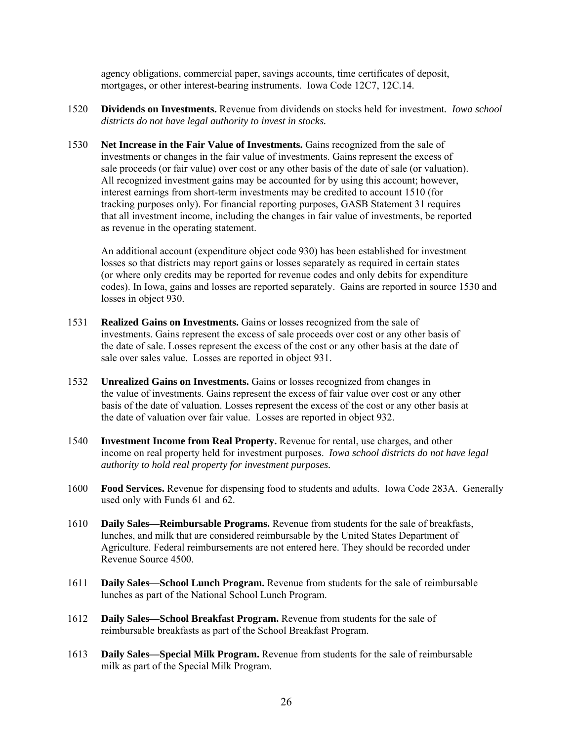agency obligations, commercial paper, savings accounts, time certificates of deposit, mortgages, or other interest-bearing instruments. Iowa Code 12C7, 12C.14.

- 1520 **Dividends on Investments.** Revenue from dividends on stocks held for investment*. Iowa school districts do not have legal authority to invest in stocks.*
- 1530 **Net Increase in the Fair Value of Investments.** Gains recognized from the sale of investments or changes in the fair value of investments. Gains represent the excess of sale proceeds (or fair value) over cost or any other basis of the date of sale (or valuation). All recognized investment gains may be accounted for by using this account; however, interest earnings from short-term investments may be credited to account 1510 (for tracking purposes only). For financial reporting purposes, GASB Statement 31 requires that all investment income, including the changes in fair value of investments, be reported as revenue in the operating statement.

An additional account (expenditure object code 930) has been established for investment losses so that districts may report gains or losses separately as required in certain states (or where only credits may be reported for revenue codes and only debits for expenditure codes). In Iowa, gains and losses are reported separately. Gains are reported in source 1530 and losses in object 930.

- 1531 **Realized Gains on Investments.** Gains or losses recognized from the sale of investments. Gains represent the excess of sale proceeds over cost or any other basis of the date of sale. Losses represent the excess of the cost or any other basis at the date of sale over sales value. Losses are reported in object 931.
- 1532 **Unrealized Gains on Investments.** Gains or losses recognized from changes in the value of investments. Gains represent the excess of fair value over cost or any other basis of the date of valuation. Losses represent the excess of the cost or any other basis at the date of valuation over fair value. Losses are reported in object 932.
- 1540 **Investment Income from Real Property.** Revenue for rental, use charges, and other income on real property held for investment purposes. *Iowa school districts do not have legal authority to hold real property for investment purposes.*
- 1600 **Food Services.** Revenue for dispensing food to students and adults. Iowa Code 283A. Generally used only with Funds 61 and 62.
- 1610 **Daily Sales—Reimbursable Programs.** Revenue from students for the sale of breakfasts, lunches, and milk that are considered reimbursable by the United States Department of Agriculture. Federal reimbursements are not entered here. They should be recorded under Revenue Source 4500.
- 1611 **Daily Sales—School Lunch Program.** Revenue from students for the sale of reimbursable lunches as part of the National School Lunch Program.
- 1612 **Daily Sales—School Breakfast Program.** Revenue from students for the sale of reimbursable breakfasts as part of the School Breakfast Program.
- 1613 **Daily Sales—Special Milk Program.** Revenue from students for the sale of reimbursable milk as part of the Special Milk Program.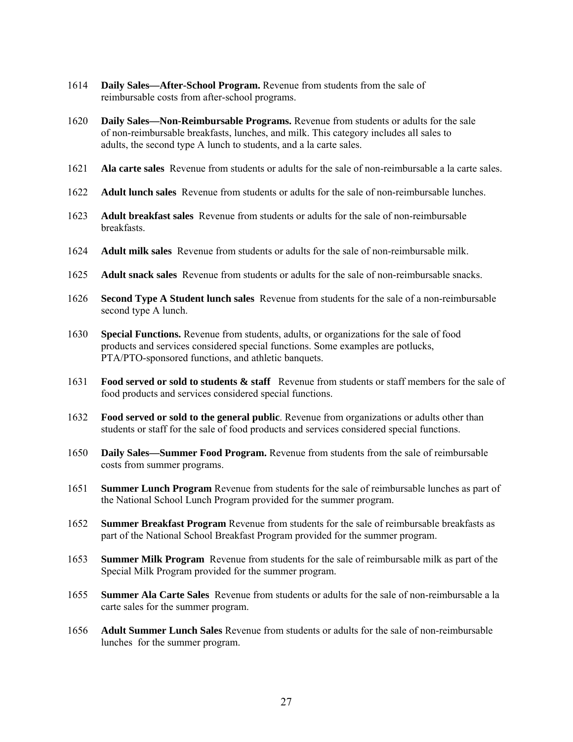- 1614 **Daily Sales—After-School Program.** Revenue from students from the sale of reimbursable costs from after-school programs.
- 1620 **Daily Sales—Non-Reimbursable Programs.** Revenue from students or adults for the sale of non-reimbursable breakfasts, lunches, and milk. This category includes all sales to adults, the second type A lunch to students, and a la carte sales.
- 1621 **Ala carte sales** Revenue from students or adults for the sale of non-reimbursable a la carte sales.
- 1622 **Adult lunch sales** Revenue from students or adults for the sale of non-reimbursable lunches.
- 1623 **Adult breakfast sales** Revenue from students or adults for the sale of non-reimbursable breakfasts.
- 1624 **Adult milk sales** Revenue from students or adults for the sale of non-reimbursable milk.
- 1625 **Adult snack sales** Revenue from students or adults for the sale of non-reimbursable snacks.
- 1626 **Second Type A Student lunch sales** Revenue from students for the sale of a non-reimbursable second type A lunch.
- 1630 **Special Functions.** Revenue from students, adults, or organizations for the sale of food products and services considered special functions. Some examples are potlucks, PTA/PTO-sponsored functions, and athletic banquets.
- 1631 **Food served or sold to students & staff** Revenue from students or staff members for the sale of food products and services considered special functions.
- 1632 **Food served or sold to the general public**. Revenue from organizations or adults other than students or staff for the sale of food products and services considered special functions.
- 1650 **Daily Sales—Summer Food Program.** Revenue from students from the sale of reimbursable costs from summer programs.
- 1651 **Summer Lunch Program** Revenue from students for the sale of reimbursable lunches as part of the National School Lunch Program provided for the summer program.
- 1652 **Summer Breakfast Program** Revenue from students for the sale of reimbursable breakfasts as part of the National School Breakfast Program provided for the summer program.
- 1653 **Summer Milk Program** Revenue from students for the sale of reimbursable milk as part of the Special Milk Program provided for the summer program.
- 1655 **Summer Ala Carte Sales** Revenue from students or adults for the sale of non-reimbursable a la carte sales for the summer program.
- 1656 **Adult Summer Lunch Sales** Revenue from students or adults for the sale of non-reimbursable lunches for the summer program.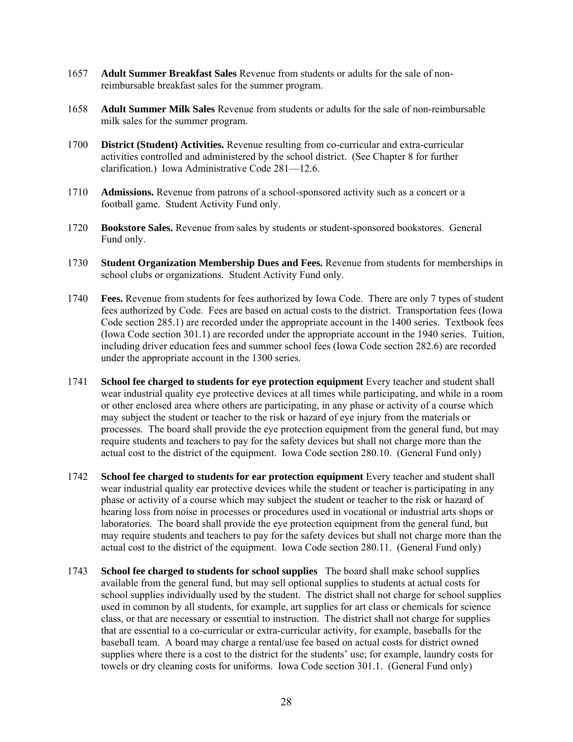- 1657 **Adult Summer Breakfast Sales** Revenue from students or adults for the sale of nonreimbursable breakfast sales for the summer program.
- 1658 **Adult Summer Milk Sales** Revenue from students or adults for the sale of non-reimbursable milk sales for the summer program.
- 1700 **District (Student) Activities.** Revenue resulting from co-curricular and extra-curricular activities controlled and administered by the school district. (See Chapter 8 for further clarification.) Iowa Administrative Code 281—12.6.
- 1710 **Admissions.** Revenue from patrons of a school-sponsored activity such as a concert or a football game. Student Activity Fund only.
- 1720 **Bookstore Sales.** Revenue from sales by students or student-sponsored bookstores. General Fund only.
- 1730 **Student Organization Membership Dues and Fees.** Revenue from students for memberships in school clubs or organizations. Student Activity Fund only.
- 1740 **Fees.** Revenue from students for fees authorized by Iowa Code. There are only 7 types of student fees authorized by Code. Fees are based on actual costs to the district. Transportation fees (Iowa Code section 285.1) are recorded under the appropriate account in the 1400 series. Textbook fees (Iowa Code section 301.1) are recorded under the appropriate account in the 1940 series. Tuition, including driver education fees and summer school fees (Iowa Code section 282.6) are recorded under the appropriate account in the 1300 series.
- 1741 **School fee charged to students for eye protection equipment** Every teacher and student shall wear industrial quality eye protective devices at all times while participating, and while in a room or other enclosed area where others are participating, in any phase or activity of a course which may subject the student or teacher to the risk or hazard of eye injury from the materials or processes. The board shall provide the eye protection equipment from the general fund, but may require students and teachers to pay for the safety devices but shall not charge more than the actual cost to the district of the equipment. Iowa Code section 280.10. (General Fund only)
- 1742 **School fee charged to students for ear protection equipment** Every teacher and student shall wear industrial quality ear protective devices while the student or teacher is participating in any phase or activity of a course which may subject the student or teacher to the risk or hazard of hearing loss from noise in processes or procedures used in vocational or industrial arts shops or laboratories. The board shall provide the eye protection equipment from the general fund, but may require students and teachers to pay for the safety devices but shall not charge more than the actual cost to the district of the equipment. Iowa Code section 280.11. (General Fund only)
- 1743 **School fee charged to students for school supplies** The board shall make school supplies available from the general fund, but may sell optional supplies to students at actual costs for school supplies individually used by the student. The district shall not charge for school supplies used in common by all students, for example, art supplies for art class or chemicals for science class, or that are necessary or essential to instruction. The district shall not charge for supplies that are essential to a co-curricular or extra-curricular activity, for example, baseballs for the baseball team. A board may charge a rental/use fee based on actual costs for district owned supplies where there is a cost to the district for the students' use; for example, laundry costs for towels or dry cleaning costs for uniforms. Iowa Code section 301.1. (General Fund only)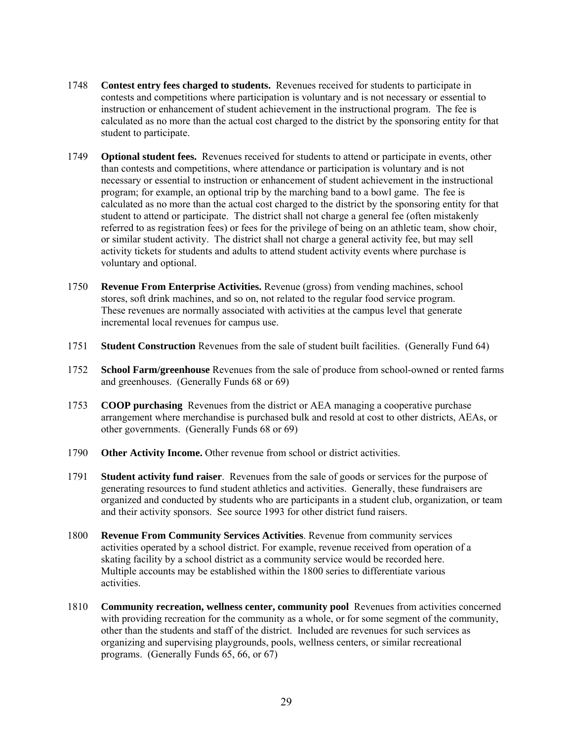- 1748 **Contest entry fees charged to students.** Revenues received for students to participate in contests and competitions where participation is voluntary and is not necessary or essential to instruction or enhancement of student achievement in the instructional program. The fee is calculated as no more than the actual cost charged to the district by the sponsoring entity for that student to participate.
- 1749 **Optional student fees.** Revenues received for students to attend or participate in events, other than contests and competitions, where attendance or participation is voluntary and is not necessary or essential to instruction or enhancement of student achievement in the instructional program; for example, an optional trip by the marching band to a bowl game. The fee is calculated as no more than the actual cost charged to the district by the sponsoring entity for that student to attend or participate. The district shall not charge a general fee (often mistakenly referred to as registration fees) or fees for the privilege of being on an athletic team, show choir, or similar student activity. The district shall not charge a general activity fee, but may sell activity tickets for students and adults to attend student activity events where purchase is voluntary and optional.
- 1750 **Revenue From Enterprise Activities.** Revenue (gross) from vending machines, school stores, soft drink machines, and so on, not related to the regular food service program. These revenues are normally associated with activities at the campus level that generate incremental local revenues for campus use.
- 1751 **Student Construction** Revenues from the sale of student built facilities. (Generally Fund 64)
- 1752 **School Farm/greenhouse** Revenues from the sale of produce from school-owned or rented farms and greenhouses. (Generally Funds 68 or 69)
- 1753 **COOP purchasing** Revenues from the district or AEA managing a cooperative purchase arrangement where merchandise is purchased bulk and resold at cost to other districts, AEAs, or other governments. (Generally Funds 68 or 69)
- 1790 **Other Activity Income.** Other revenue from school or district activities.
- 1791 **Student activity fund raiser**. Revenues from the sale of goods or services for the purpose of generating resources to fund student athletics and activities. Generally, these fundraisers are organized and conducted by students who are participants in a student club, organization, or team and their activity sponsors. See source 1993 for other district fund raisers.
- 1800 **Revenue From Community Services Activities**. Revenue from community services activities operated by a school district. For example, revenue received from operation of a skating facility by a school district as a community service would be recorded here. Multiple accounts may be established within the 1800 series to differentiate various activities.
- 1810 **Community recreation, wellness center, community pool** Revenues from activities concerned with providing recreation for the community as a whole, or for some segment of the community, other than the students and staff of the district. Included are revenues for such services as organizing and supervising playgrounds, pools, wellness centers, or similar recreational programs. (Generally Funds 65, 66, or 67)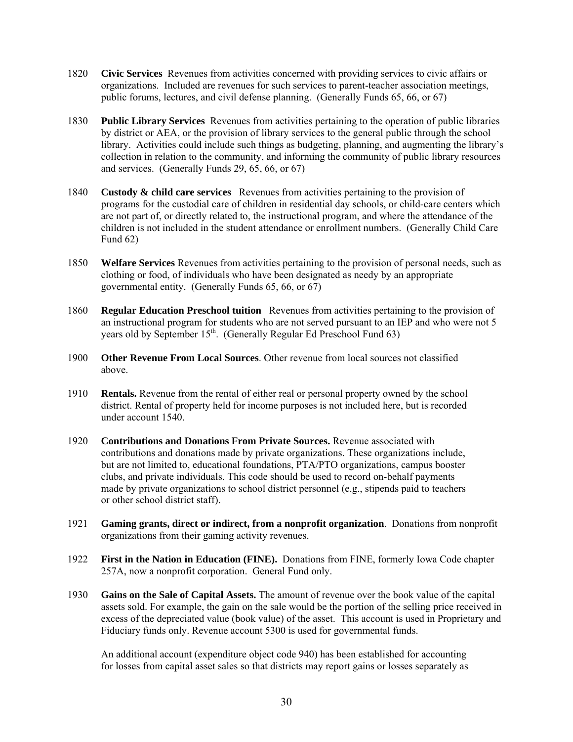- 1820 **Civic Services** Revenues from activities concerned with providing services to civic affairs or organizations. Included are revenues for such services to parent-teacher association meetings, public forums, lectures, and civil defense planning. (Generally Funds 65, 66, or 67)
- 1830 **Public Library Services** Revenues from activities pertaining to the operation of public libraries by district or AEA, or the provision of library services to the general public through the school library. Activities could include such things as budgeting, planning, and augmenting the library's collection in relation to the community, and informing the community of public library resources and services. (Generally Funds 29, 65, 66, or 67)
- 1840 **Custody & child care services** Revenues from activities pertaining to the provision of programs for the custodial care of children in residential day schools, or child-care centers which are not part of, or directly related to, the instructional program, and where the attendance of the children is not included in the student attendance or enrollment numbers. (Generally Child Care Fund 62)
- 1850 **Welfare Services** Revenues from activities pertaining to the provision of personal needs, such as clothing or food, of individuals who have been designated as needy by an appropriate governmental entity. (Generally Funds 65, 66, or 67)
- 1860 **Regular Education Preschool tuition** Revenues from activities pertaining to the provision of an instructional program for students who are not served pursuant to an IEP and who were not 5 years old by September  $15<sup>th</sup>$ . (Generally Regular Ed Preschool Fund 63)
- 1900 **Other Revenue From Local Sources**. Other revenue from local sources not classified above.
- 1910 **Rentals.** Revenue from the rental of either real or personal property owned by the school district. Rental of property held for income purposes is not included here, but is recorded under account 1540.
- 1920 **Contributions and Donations From Private Sources.** Revenue associated with contributions and donations made by private organizations. These organizations include, but are not limited to, educational foundations, PTA/PTO organizations, campus booster clubs, and private individuals. This code should be used to record on-behalf payments made by private organizations to school district personnel (e.g., stipends paid to teachers or other school district staff).
- 1921 **Gaming grants, direct or indirect, from a nonprofit organization**. Donations from nonprofit organizations from their gaming activity revenues.
- 1922 **First in the Nation in Education (FINE).** Donations from FINE, formerly Iowa Code chapter 257A, now a nonprofit corporation. General Fund only.
- 1930 **Gains on the Sale of Capital Assets.** The amount of revenue over the book value of the capital assets sold. For example, the gain on the sale would be the portion of the selling price received in excess of the depreciated value (book value) of the asset. This account is used in Proprietary and Fiduciary funds only. Revenue account 5300 is used for governmental funds.

An additional account (expenditure object code 940) has been established for accounting for losses from capital asset sales so that districts may report gains or losses separately as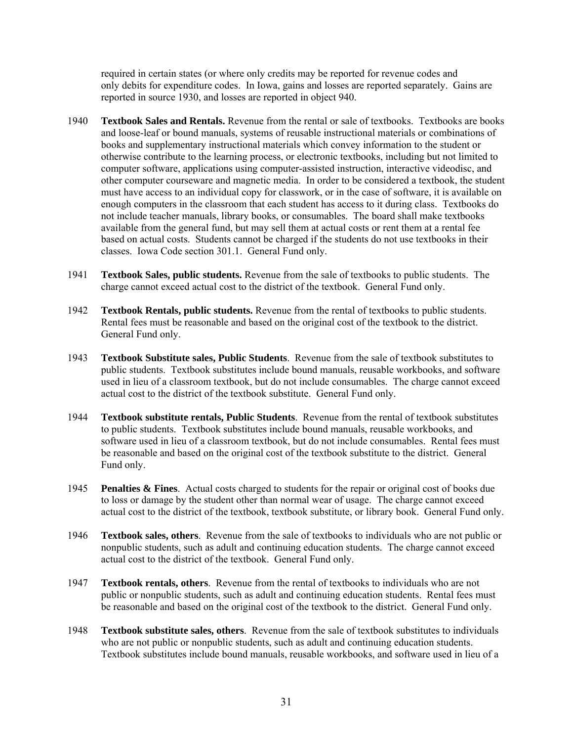required in certain states (or where only credits may be reported for revenue codes and only debits for expenditure codes. In Iowa, gains and losses are reported separately. Gains are reported in source 1930, and losses are reported in object 940.

- 1940 **Textbook Sales and Rentals.** Revenue from the rental or sale of textbooks. Textbooks are books and loose-leaf or bound manuals, systems of reusable instructional materials or combinations of books and supplementary instructional materials which convey information to the student or otherwise contribute to the learning process, or electronic textbooks, including but not limited to computer software, applications using computer-assisted instruction, interactive videodisc, and other computer courseware and magnetic media. In order to be considered a textbook, the student must have access to an individual copy for classwork, or in the case of software, it is available on enough computers in the classroom that each student has access to it during class. Textbooks do not include teacher manuals, library books, or consumables. The board shall make textbooks available from the general fund, but may sell them at actual costs or rent them at a rental fee based on actual costs. Students cannot be charged if the students do not use textbooks in their classes. Iowa Code section 301.1. General Fund only.
- 1941 **Textbook Sales, public students.** Revenue from the sale of textbooks to public students. The charge cannot exceed actual cost to the district of the textbook. General Fund only.
- 1942 **Textbook Rentals, public students.** Revenue from the rental of textbooks to public students. Rental fees must be reasonable and based on the original cost of the textbook to the district. General Fund only.
- 1943 **Textbook Substitute sales, Public Students**. Revenue from the sale of textbook substitutes to public students. Textbook substitutes include bound manuals, reusable workbooks, and software used in lieu of a classroom textbook, but do not include consumables. The charge cannot exceed actual cost to the district of the textbook substitute. General Fund only.
- 1944 **Textbook substitute rentals, Public Students**. Revenue from the rental of textbook substitutes to public students. Textbook substitutes include bound manuals, reusable workbooks, and software used in lieu of a classroom textbook, but do not include consumables. Rental fees must be reasonable and based on the original cost of the textbook substitute to the district. General Fund only.
- 1945 **Penalties & Fines**. Actual costs charged to students for the repair or original cost of books due to loss or damage by the student other than normal wear of usage. The charge cannot exceed actual cost to the district of the textbook, textbook substitute, or library book. General Fund only.
- 1946 **Textbook sales, others**. Revenue from the sale of textbooks to individuals who are not public or nonpublic students, such as adult and continuing education students. The charge cannot exceed actual cost to the district of the textbook. General Fund only.
- 1947 **Textbook rentals, others**. Revenue from the rental of textbooks to individuals who are not public or nonpublic students, such as adult and continuing education students. Rental fees must be reasonable and based on the original cost of the textbook to the district. General Fund only.
- 1948 **Textbook substitute sales, others**. Revenue from the sale of textbook substitutes to individuals who are not public or nonpublic students, such as adult and continuing education students. Textbook substitutes include bound manuals, reusable workbooks, and software used in lieu of a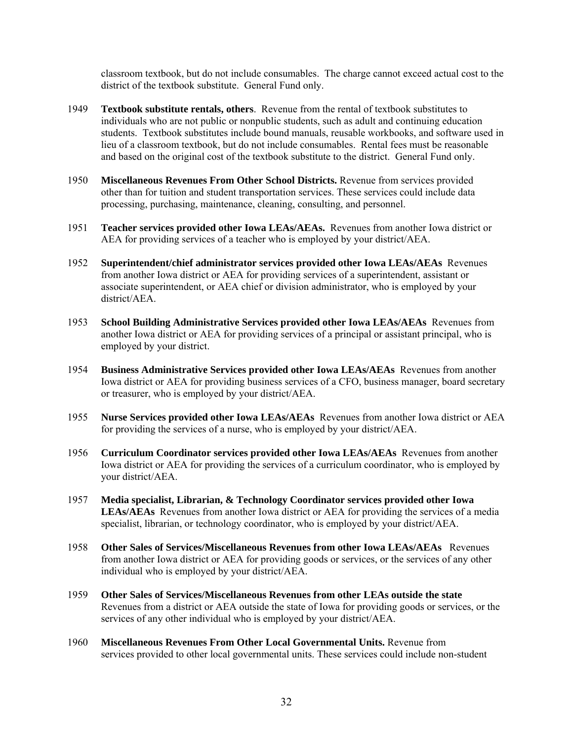classroom textbook, but do not include consumables. The charge cannot exceed actual cost to the district of the textbook substitute. General Fund only.

- 1949 **Textbook substitute rentals, others**. Revenue from the rental of textbook substitutes to individuals who are not public or nonpublic students, such as adult and continuing education students. Textbook substitutes include bound manuals, reusable workbooks, and software used in lieu of a classroom textbook, but do not include consumables. Rental fees must be reasonable and based on the original cost of the textbook substitute to the district. General Fund only.
- 1950 **Miscellaneous Revenues From Other School Districts.** Revenue from services provided other than for tuition and student transportation services. These services could include data processing, purchasing, maintenance, cleaning, consulting, and personnel.
- 1951 **Teacher services provided other Iowa LEAs/AEAs.** Revenues from another Iowa district or AEA for providing services of a teacher who is employed by your district/AEA.
- 1952 **Superintendent/chief administrator services provided other Iowa LEAs/AEAs** Revenues from another Iowa district or AEA for providing services of a superintendent, assistant or associate superintendent, or AEA chief or division administrator, who is employed by your district/AEA.
- 1953 **School Building Administrative Services provided other Iowa LEAs/AEAs** Revenues from another Iowa district or AEA for providing services of a principal or assistant principal, who is employed by your district.
- 1954 **Business Administrative Services provided other Iowa LEAs/AEAs** Revenues from another Iowa district or AEA for providing business services of a CFO, business manager, board secretary or treasurer, who is employed by your district/AEA.
- 1955 **Nurse Services provided other Iowa LEAs/AEAs** Revenues from another Iowa district or AEA for providing the services of a nurse, who is employed by your district/AEA.
- 1956 **Curriculum Coordinator services provided other Iowa LEAs/AEAs** Revenues from another Iowa district or AEA for providing the services of a curriculum coordinator, who is employed by your district/AEA.
- 1957 **Media specialist, Librarian, & Technology Coordinator services provided other Iowa LEAs/AEAs** Revenues from another Iowa district or AEA for providing the services of a media specialist, librarian, or technology coordinator, who is employed by your district/AEA.
- 1958 **Other Sales of Services/Miscellaneous Revenues from other Iowa LEAs/AEAs** Revenues from another Iowa district or AEA for providing goods or services, or the services of any other individual who is employed by your district/AEA.
- 1959 **Other Sales of Services/Miscellaneous Revenues from other LEAs outside the state**  Revenues from a district or AEA outside the state of Iowa for providing goods or services, or the services of any other individual who is employed by your district/AEA.
- 1960 **Miscellaneous Revenues From Other Local Governmental Units.** Revenue from services provided to other local governmental units. These services could include non-student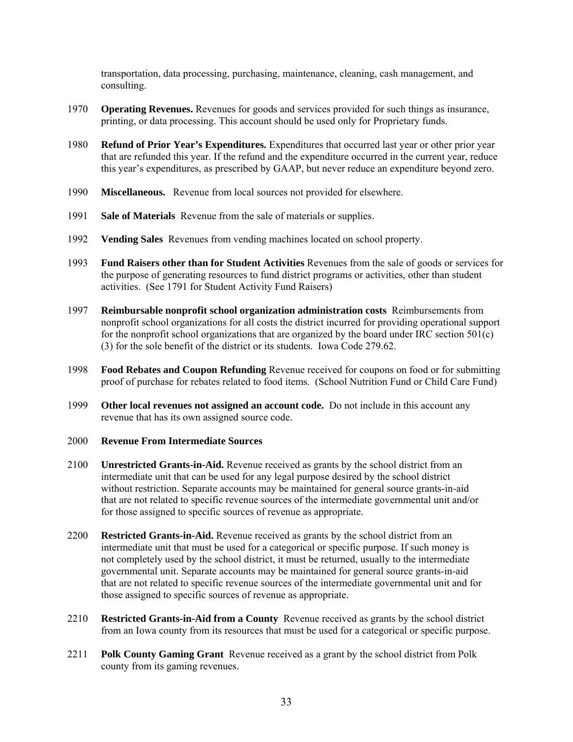transportation, data processing, purchasing, maintenance, cleaning, cash management, and consulting.

- 1970 **Operating Revenues.** Revenues for goods and services provided for such things as insurance, printing, or data processing. This account should be used only for Proprietary funds.
- 1980 **Refund of Prior Year's Expenditures.** Expenditures that occurred last year or other prior year that are refunded this year. If the refund and the expenditure occurred in the current year, reduce this year's expenditures, as prescribed by GAAP, but never reduce an expenditure beyond zero.
- 1990 **Miscellaneous.** Revenue from local sources not provided for elsewhere.
- 1991 **Sale of Materials** Revenue from the sale of materials or supplies.
- 1992 **Vending Sales** Revenues from vending machines located on school property.
- 1993 **Fund Raisers other than for Student Activities** Revenues from the sale of goods or services for the purpose of generating resources to fund district programs or activities, other than student activities. (See 1791 for Student Activity Fund Raisers)
- 1997 **Reimbursable nonprofit school organization administration costs** Reimbursements from nonprofit school organizations for all costs the district incurred for providing operational support for the nonprofit school organizations that are organized by the board under IRC section 501(c) (3) for the sole benefit of the district or its students. Iowa Code 279.62.
- 1998 **Food Rebates and Coupon Refunding** Revenue received for coupons on food or for submitting proof of purchase for rebates related to food items. (School Nutrition Fund or Child Care Fund)
- 1999 **Other local revenues not assigned an account code.** Do not include in this account any revenue that has its own assigned source code.
- 2000 **Revenue From Intermediate Sources**
- 2100 **Unrestricted Grants-in-Aid.** Revenue received as grants by the school district from an intermediate unit that can be used for any legal purpose desired by the school district without restriction. Separate accounts may be maintained for general source grants-in-aid that are not related to specific revenue sources of the intermediate governmental unit and/or for those assigned to specific sources of revenue as appropriate.
- 2200 **Restricted Grants-in-Aid.** Revenue received as grants by the school district from an intermediate unit that must be used for a categorical or specific purpose. If such money is not completely used by the school district, it must be returned, usually to the intermediate governmental unit. Separate accounts may be maintained for general source grants-in-aid that are not related to specific revenue sources of the intermediate governmental unit and for those assigned to specific sources of revenue as appropriate.
- 2210 **Restricted Grants-in-Aid from a County** Revenue received as grants by the school district from an Iowa county from its resources that must be used for a categorical or specific purpose.
- 2211 **Polk County Gaming Grant** Revenue received as a grant by the school district from Polk county from its gaming revenues.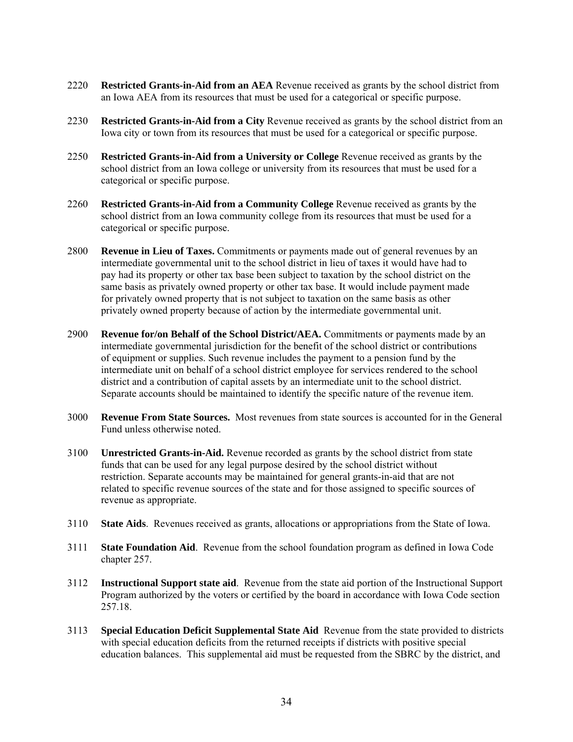- 2220 **Restricted Grants-in-Aid from an AEA** Revenue received as grants by the school district from an Iowa AEA from its resources that must be used for a categorical or specific purpose.
- 2230 **Restricted Grants-in-Aid from a City** Revenue received as grants by the school district from an Iowa city or town from its resources that must be used for a categorical or specific purpose.
- 2250 **Restricted Grants-in-Aid from a University or College** Revenue received as grants by the school district from an Iowa college or university from its resources that must be used for a categorical or specific purpose.
- 2260 **Restricted Grants-in-Aid from a Community College** Revenue received as grants by the school district from an Iowa community college from its resources that must be used for a categorical or specific purpose.
- 2800 **Revenue in Lieu of Taxes.** Commitments or payments made out of general revenues by an intermediate governmental unit to the school district in lieu of taxes it would have had to pay had its property or other tax base been subject to taxation by the school district on the same basis as privately owned property or other tax base. It would include payment made for privately owned property that is not subject to taxation on the same basis as other privately owned property because of action by the intermediate governmental unit.
- 2900 **Revenue for/on Behalf of the School District/AEA.** Commitments or payments made by an intermediate governmental jurisdiction for the benefit of the school district or contributions of equipment or supplies. Such revenue includes the payment to a pension fund by the intermediate unit on behalf of a school district employee for services rendered to the school district and a contribution of capital assets by an intermediate unit to the school district. Separate accounts should be maintained to identify the specific nature of the revenue item.
- 3000 **Revenue From State Sources.** Most revenues from state sources is accounted for in the General Fund unless otherwise noted.
- 3100 **Unrestricted Grants-in-Aid.** Revenue recorded as grants by the school district from state funds that can be used for any legal purpose desired by the school district without restriction. Separate accounts may be maintained for general grants-in-aid that are not related to specific revenue sources of the state and for those assigned to specific sources of revenue as appropriate.
- 3110 **State Aids**. Revenues received as grants, allocations or appropriations from the State of Iowa.
- 3111 **State Foundation Aid**. Revenue from the school foundation program as defined in Iowa Code chapter 257.
- 3112 **Instructional Support state aid**. Revenue from the state aid portion of the Instructional Support Program authorized by the voters or certified by the board in accordance with Iowa Code section 257.18.
- 3113 **Special Education Deficit Supplemental State Aid** Revenue from the state provided to districts with special education deficits from the returned receipts if districts with positive special education balances. This supplemental aid must be requested from the SBRC by the district, and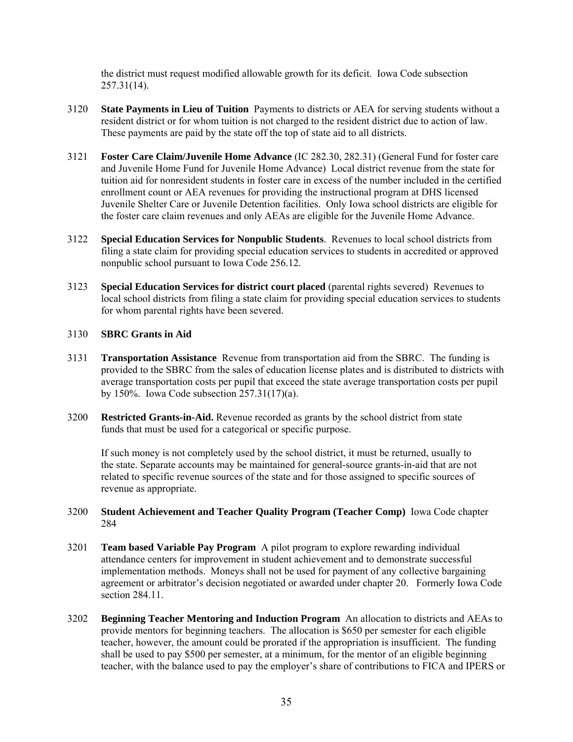the district must request modified allowable growth for its deficit. Iowa Code subsection 257.31(14).

- 3120 **State Payments in Lieu of Tuition** Payments to districts or AEA for serving students without a resident district or for whom tuition is not charged to the resident district due to action of law. These payments are paid by the state off the top of state aid to all districts.
- 3121 **Foster Care Claim/Juvenile Home Advance** (IC 282.30, 282.31) (General Fund for foster care and Juvenile Home Fund for Juvenile Home Advance) Local district revenue from the state for tuition aid for nonresident students in foster care in excess of the number included in the certified enrollment count or AEA revenues for providing the instructional program at DHS licensed Juvenile Shelter Care or Juvenile Detention facilities. Only Iowa school districts are eligible for the foster care claim revenues and only AEAs are eligible for the Juvenile Home Advance.
- 3122 **Special Education Services for Nonpublic Students**. Revenues to local school districts from filing a state claim for providing special education services to students in accredited or approved nonpublic school pursuant to Iowa Code 256.12.
- 3123 **Special Education Services for district court placed** (parental rights severed) Revenues to local school districts from filing a state claim for providing special education services to students for whom parental rights have been severed.

#### 3130 **SBRC Grants in Aid**

- 3131 **Transportation Assistance** Revenue from transportation aid from the SBRC. The funding is provided to the SBRC from the sales of education license plates and is distributed to districts with average transportation costs per pupil that exceed the state average transportation costs per pupil by 150%. Iowa Code subsection 257.31(17)(a).
- 3200 **Restricted Grants-in-Aid.** Revenue recorded as grants by the school district from state funds that must be used for a categorical or specific purpose.

If such money is not completely used by the school district, it must be returned, usually to the state. Separate accounts may be maintained for general-source grants-in-aid that are not related to specific revenue sources of the state and for those assigned to specific sources of revenue as appropriate.

#### 3200 **Student Achievement and Teacher Quality Program (Teacher Comp)** Iowa Code chapter 284

- 3201 **Team based Variable Pay Program** A pilot program to explore rewarding individual attendance centers for improvement in student achievement and to demonstrate successful implementation methods. Moneys shall not be used for payment of any collective bargaining agreement or arbitrator's decision negotiated or awarded under chapter 20. Formerly Iowa Code section 284.11.
- 3202 **Beginning Teacher Mentoring and Induction Program** An allocation to districts and AEAs to provide mentors for beginning teachers. The allocation is \$650 per semester for each eligible teacher, however, the amount could be prorated if the appropriation is insufficient. The funding shall be used to pay \$500 per semester, at a minimum, for the mentor of an eligible beginning teacher, with the balance used to pay the employer's share of contributions to FICA and IPERS or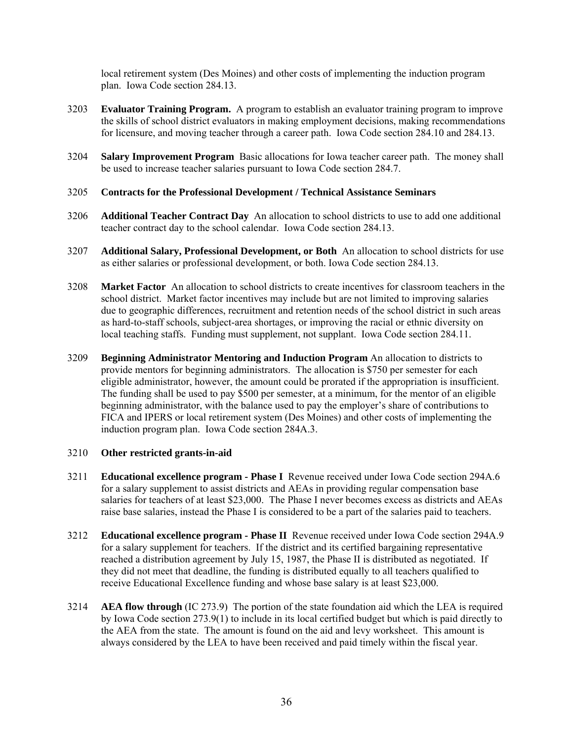local retirement system (Des Moines) and other costs of implementing the induction program plan. Iowa Code section 284.13.

- 3203 **Evaluator Training Program.** A program to establish an evaluator training program to improve the skills of school district evaluators in making employment decisions, making recommendations for licensure, and moving teacher through a career path. Iowa Code section 284.10 and 284.13.
- 3204 **Salary Improvement Program** Basic allocations for Iowa teacher career path.The money shall be used to increase teacher salaries pursuant to Iowa Code section 284.7.

#### 3205 **Contracts for the Professional Development / Technical Assistance Seminars**

- 3206 **Additional Teacher Contract Day** An allocation to school districts to use to add one additional teacher contract day to the school calendar. Iowa Code section 284.13.
- 3207 **Additional Salary, Professional Development, or Both** An allocation to school districts for use as either salaries or professional development, or both. Iowa Code section 284.13.
- 3208 **Market Factor** An allocation to school districts to create incentives for classroom teachers in the school district. Market factor incentives may include but are not limited to improving salaries due to geographic differences, recruitment and retention needs of the school district in such areas as hard-to-staff schools, subject-area shortages, or improving the racial or ethnic diversity on local teaching staffs. Funding must supplement, not supplant. Iowa Code section 284.11.
- 3209 **Beginning Administrator Mentoring and Induction Program** An allocation to districts to provide mentors for beginning administrators. The allocation is \$750 per semester for each eligible administrator, however, the amount could be prorated if the appropriation is insufficient. The funding shall be used to pay \$500 per semester, at a minimum, for the mentor of an eligible beginning administrator, with the balance used to pay the employer's share of contributions to FICA and IPERS or local retirement system (Des Moines) and other costs of implementing the induction program plan. Iowa Code section 284A.3.

#### 3210 **Other restricted grants-in-aid**

- 3211 **Educational excellence program Phase I** Revenue received under Iowa Code section 294A.6 for a salary supplement to assist districts and AEAs in providing regular compensation base salaries for teachers of at least \$23,000. The Phase I never becomes excess as districts and AEAs raise base salaries, instead the Phase I is considered to be a part of the salaries paid to teachers.
- 3212 **Educational excellence program Phase II** Revenue received under Iowa Code section 294A.9 for a salary supplement for teachers. If the district and its certified bargaining representative reached a distribution agreement by July 15, 1987, the Phase II is distributed as negotiated. If they did not meet that deadline, the funding is distributed equally to all teachers qualified to receive Educational Excellence funding and whose base salary is at least \$23,000.
- 3214 **AEA flow through** (IC 273.9) The portion of the state foundation aid which the LEA is required by Iowa Code section 273.9(1) to include in its local certified budget but which is paid directly to the AEA from the state. The amount is found on the aid and levy worksheet. This amount is always considered by the LEA to have been received and paid timely within the fiscal year.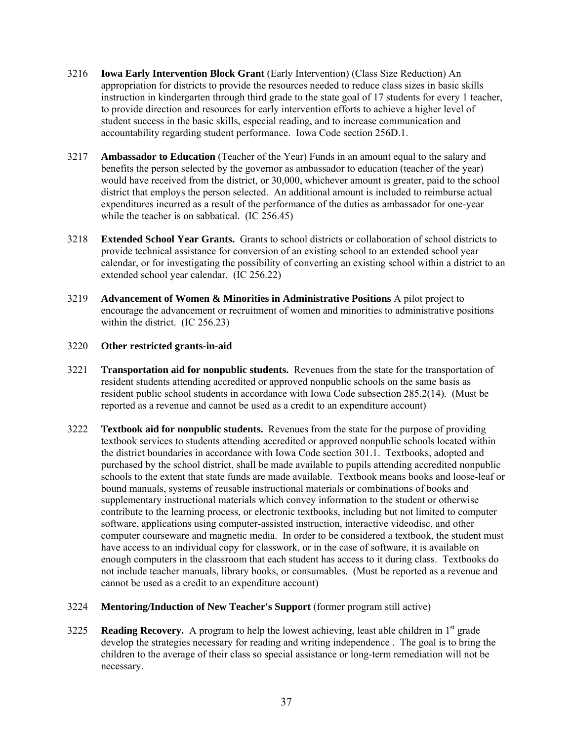- 3216 **Iowa Early Intervention Block Grant** (Early Intervention) (Class Size Reduction) An appropriation for districts to provide the resources needed to reduce class sizes in basic skills instruction in kindergarten through third grade to the state goal of 17 students for every 1 teacher, to provide direction and resources for early intervention efforts to achieve a higher level of student success in the basic skills, especial reading, and to increase communication and accountability regarding student performance. Iowa Code section 256D.1.
- 3217 **Ambassador to Education** (Teacher of the Year) Funds in an amount equal to the salary and benefits the person selected by the governor as ambassador to education (teacher of the year) would have received from the district, or 30,000, whichever amount is greater, paid to the school district that employs the person selected. An additional amount is included to reimburse actual expenditures incurred as a result of the performance of the duties as ambassador for one-year while the teacher is on sabbatical. (IC 256.45)
- 3218 **Extended School Year Grants.** Grants to school districts or collaboration of school districts to provide technical assistance for conversion of an existing school to an extended school year calendar, or for investigating the possibility of converting an existing school within a district to an extended school year calendar. (IC 256.22)
- 3219 **Advancement of Women & Minorities in Administrative Positions** A pilot project to encourage the advancement or recruitment of women and minorities to administrative positions within the district. (IC 256.23)

# 3220 **Other restricted grants-in-aid**

- 3221 **Transportation aid for nonpublic students.** Revenues from the state for the transportation of resident students attending accredited or approved nonpublic schools on the same basis as resident public school students in accordance with Iowa Code subsection 285.2(14). (Must be reported as a revenue and cannot be used as a credit to an expenditure account)
- 3222 **Textbook aid for nonpublic students.** Revenues from the state for the purpose of providing textbook services to students attending accredited or approved nonpublic schools located within the district boundaries in accordance with Iowa Code section 301.1. Textbooks, adopted and purchased by the school district, shall be made available to pupils attending accredited nonpublic schools to the extent that state funds are made available. Textbook means books and loose-leaf or bound manuals, systems of reusable instructional materials or combinations of books and supplementary instructional materials which convey information to the student or otherwise contribute to the learning process, or electronic textbooks, including but not limited to computer software, applications using computer-assisted instruction, interactive videodisc, and other computer courseware and magnetic media. In order to be considered a textbook, the student must have access to an individual copy for classwork, or in the case of software, it is available on enough computers in the classroom that each student has access to it during class. Textbooks do not include teacher manuals, library books, or consumables. (Must be reported as a revenue and cannot be used as a credit to an expenditure account)
- 3224 **Mentoring/Induction of New Teacher's Support** (former program still active)
- 3225 **Reading Recovery.** A program to help the lowest achieving, least able children in  $1<sup>st</sup>$  grade develop the strategies necessary for reading and writing independence . The goal is to bring the children to the average of their class so special assistance or long-term remediation will not be necessary.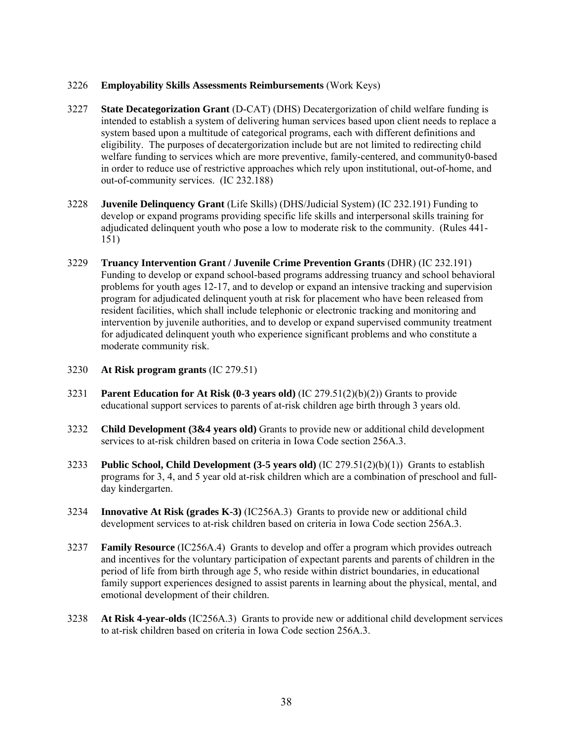# 3226 **Employability Skills Assessments Reimbursements** (Work Keys)

- 3227 **State Decategorization Grant** (D-CAT) (DHS) Decatergorization of child welfare funding is intended to establish a system of delivering human services based upon client needs to replace a system based upon a multitude of categorical programs, each with different definitions and eligibility. The purposes of decatergorization include but are not limited to redirecting child welfare funding to services which are more preventive, family-centered, and community0-based in order to reduce use of restrictive approaches which rely upon institutional, out-of-home, and out-of-community services. (IC 232.188)
- 3228 **Juvenile Delinquency Grant** (Life Skills) (DHS/Judicial System) (IC 232.191) Funding to develop or expand programs providing specific life skills and interpersonal skills training for adjudicated delinquent youth who pose a low to moderate risk to the community. (Rules 441- 151)
- 3229 **Truancy Intervention Grant / Juvenile Crime Prevention Grants** (DHR) (IC 232.191) Funding to develop or expand school-based programs addressing truancy and school behavioral problems for youth ages 12-17, and to develop or expand an intensive tracking and supervision program for adjudicated delinquent youth at risk for placement who have been released from resident facilities, which shall include telephonic or electronic tracking and monitoring and intervention by juvenile authorities, and to develop or expand supervised community treatment for adjudicated delinquent youth who experience significant problems and who constitute a moderate community risk.
- 3230 **At Risk program grants** (IC 279.51)
- 3231 **Parent Education for At Risk (0-3 years old)** (IC 279.51(2)(b)(2)) Grants to provide educational support services to parents of at-risk children age birth through 3 years old.
- 3232 **Child Development (3&4 years old)** Grants to provide new or additional child development services to at-risk children based on criteria in Iowa Code section 256A.3.
- 3233 **Public School, Child Development (3-5 years old)** (IC 279.51(2)(b)(1)) Grants to establish programs for 3, 4, and 5 year old at-risk children which are a combination of preschool and fullday kindergarten.
- 3234 **Innovative At Risk (grades K-3)** (IC256A.3) Grants to provide new or additional child development services to at-risk children based on criteria in Iowa Code section 256A.3.
- 3237 **Family Resource** (IC256A.4) Grants to develop and offer a program which provides outreach and incentives for the voluntary participation of expectant parents and parents of children in the period of life from birth through age 5, who reside within district boundaries, in educational family support experiences designed to assist parents in learning about the physical, mental, and emotional development of their children.
- 3238 **At Risk 4-year-olds** (IC256A.3) Grants to provide new or additional child development services to at-risk children based on criteria in Iowa Code section 256A.3.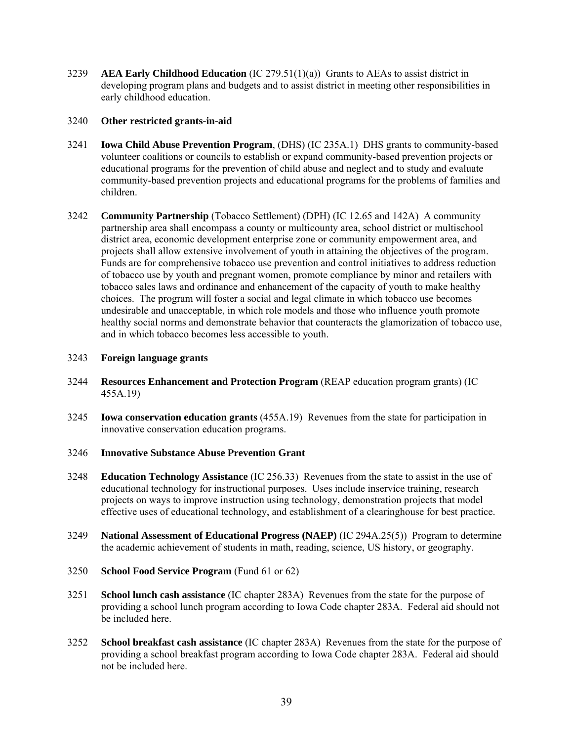3239 **AEA Early Childhood Education** (IC 279.51(1)(a)) Grants to AEAs to assist district in developing program plans and budgets and to assist district in meeting other responsibilities in early childhood education.

# 3240 **Other restricted grants-in-aid**

- 3241 **Iowa Child Abuse Prevention Program**, (DHS) (IC 235A.1) DHS grants to community-based volunteer coalitions or councils to establish or expand community-based prevention projects or educational programs for the prevention of child abuse and neglect and to study and evaluate community-based prevention projects and educational programs for the problems of families and children.
- 3242 **Community Partnership** (Tobacco Settlement) (DPH) (IC 12.65 and 142A) A community partnership area shall encompass a county or multicounty area, school district or multischool district area, economic development enterprise zone or community empowerment area, and projects shall allow extensive involvement of youth in attaining the objectives of the program. Funds are for comprehensive tobacco use prevention and control initiatives to address reduction of tobacco use by youth and pregnant women, promote compliance by minor and retailers with tobacco sales laws and ordinance and enhancement of the capacity of youth to make healthy choices. The program will foster a social and legal climate in which tobacco use becomes undesirable and unacceptable, in which role models and those who influence youth promote healthy social norms and demonstrate behavior that counteracts the glamorization of tobacco use, and in which tobacco becomes less accessible to youth.

### 3243 **Foreign language grants**

- 3244 **Resources Enhancement and Protection Program** (REAP education program grants) (IC 455A.19)
- 3245 **Iowa conservation education grants** (455A.19) Revenues from the state for participation in innovative conservation education programs.
- 3246 **Innovative Substance Abuse Prevention Grant**
- 3248 **Education Technology Assistance** (IC 256.33) Revenues from the state to assist in the use of educational technology for instructional purposes. Uses include inservice training, research projects on ways to improve instruction using technology, demonstration projects that model effective uses of educational technology, and establishment of a clearinghouse for best practice.
- 3249 **National Assessment of Educational Progress (NAEP)** (IC 294A.25(5)) Program to determine the academic achievement of students in math, reading, science, US history, or geography.
- 3250 **School Food Service Program** (Fund 61 or 62)
- 3251 **School lunch cash assistance** (IC chapter 283A) Revenues from the state for the purpose of providing a school lunch program according to Iowa Code chapter 283A. Federal aid should not be included here.
- 3252 **School breakfast cash assistance** (IC chapter 283A) Revenues from the state for the purpose of providing a school breakfast program according to Iowa Code chapter 283A. Federal aid should not be included here.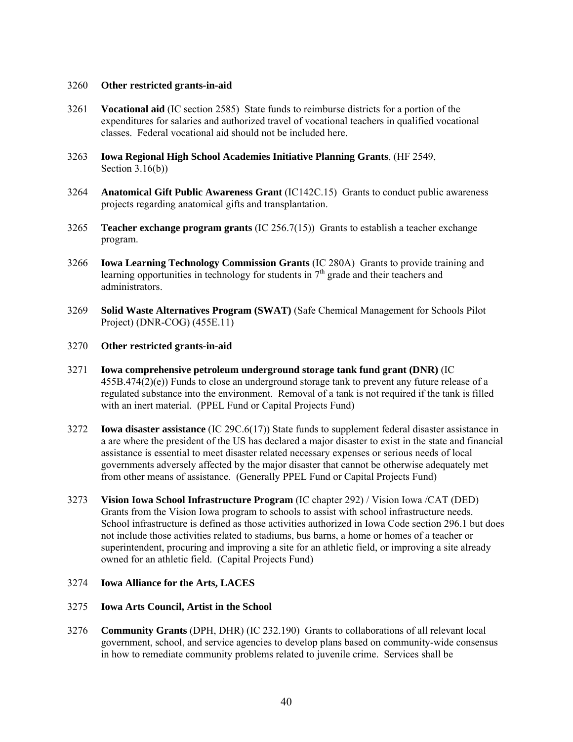## 3260 **Other restricted grants-in-aid**

- 3261 **Vocational aid** (IC section 2585) State funds to reimburse districts for a portion of the expenditures for salaries and authorized travel of vocational teachers in qualified vocational classes. Federal vocational aid should not be included here.
- 3263 **Iowa Regional High School Academies Initiative Planning Grants**, (HF 2549, Section  $3.16(b)$ )
- 3264 **Anatomical Gift Public Awareness Grant** (IC142C.15) Grants to conduct public awareness projects regarding anatomical gifts and transplantation.
- 3265 **Teacher exchange program grants** (IC 256.7(15)) Grants to establish a teacher exchange program.
- 3266 **Iowa Learning Technology Commission Grants** (IC 280A) Grants to provide training and learning opportunities in technology for students in  $7<sup>th</sup>$  grade and their teachers and administrators.
- 3269 **Solid Waste Alternatives Program (SWAT)** (Safe Chemical Management for Schools Pilot Project) (DNR-COG) (455E.11)

### 3270 **Other restricted grants-in-aid**

- 3271 **Iowa comprehensive petroleum underground storage tank fund grant (DNR)** (IC 455B.474(2)(e)) Funds to close an underground storage tank to prevent any future release of a regulated substance into the environment. Removal of a tank is not required if the tank is filled with an inert material. (PPEL Fund or Capital Projects Fund)
- 3272 **Iowa disaster assistance** (IC 29C.6(17)) State funds to supplement federal disaster assistance in a are where the president of the US has declared a major disaster to exist in the state and financial assistance is essential to meet disaster related necessary expenses or serious needs of local governments adversely affected by the major disaster that cannot be otherwise adequately met from other means of assistance. (Generally PPEL Fund or Capital Projects Fund)
- 3273 **Vision Iowa School Infrastructure Program** (IC chapter 292) / Vision Iowa /CAT (DED) Grants from the Vision Iowa program to schools to assist with school infrastructure needs. School infrastructure is defined as those activities authorized in Iowa Code section 296.1 but does not include those activities related to stadiums, bus barns, a home or homes of a teacher or superintendent, procuring and improving a site for an athletic field, or improving a site already owned for an athletic field. (Capital Projects Fund)

# 3274 **Iowa Alliance for the Arts, LACES**

### 3275 **Iowa Arts Council, Artist in the School**

3276 **Community Grants** (DPH, DHR) (IC 232.190) Grants to collaborations of all relevant local government, school, and service agencies to develop plans based on community-wide consensus in how to remediate community problems related to juvenile crime. Services shall be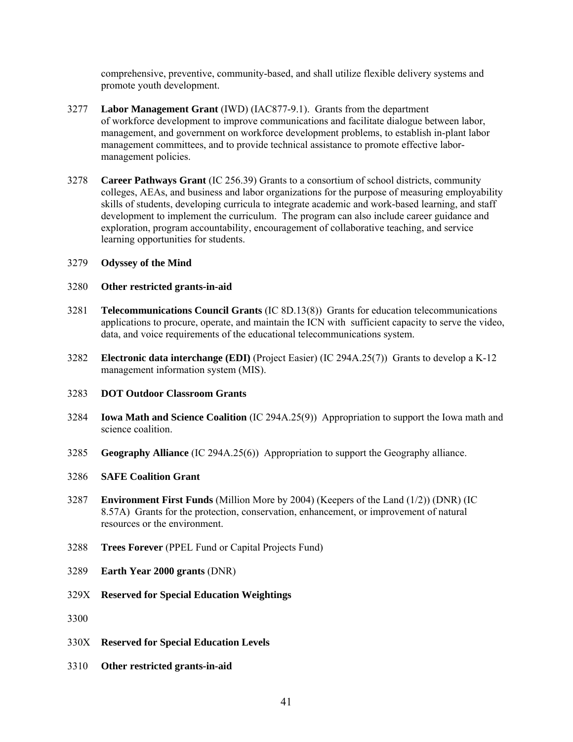comprehensive, preventive, community-based, and shall utilize flexible delivery systems and promote youth development.

- 3277 **Labor Management Grant** (IWD) (IAC877-9.1). Grants from the department of workforce development to improve communications and facilitate dialogue between labor, management, and government on workforce development problems, to establish in-plant labor management committees, and to provide technical assistance to promote effective labormanagement policies.
- 3278 **Career Pathways Grant** (IC 256.39) Grants to a consortium of school districts, community colleges, AEAs, and business and labor organizations for the purpose of measuring employability skills of students, developing curricula to integrate academic and work-based learning, and staff development to implement the curriculum. The program can also include career guidance and exploration, program accountability, encouragement of collaborative teaching, and service learning opportunities for students.
- 3279 **Odyssey of the Mind**

### 3280 **Other restricted grants-in-aid**

- 3281 **Telecommunications Council Grants** (IC 8D.13(8)) Grants for education telecommunications applications to procure, operate, and maintain the ICN with sufficient capacity to serve the video, data, and voice requirements of the educational telecommunications system.
- 3282 **Electronic data interchange (EDI)** (Project Easier) (IC 294A.25(7)) Grants to develop a K-12 management information system (MIS).

#### 3283 **DOT Outdoor Classroom Grants**

- 3284 **Iowa Math and Science Coalition** (IC 294A.25(9)) Appropriation to support the Iowa math and science coalition.
- 3285 **Geography Alliance** (IC 294A.25(6)) Appropriation to support the Geography alliance.

# 3286 **SAFE Coalition Grant**

- 3287 **Environment First Funds** (Million More by 2004) (Keepers of the Land (1/2)) (DNR) (IC 8.57A) Grants for the protection, conservation, enhancement, or improvement of natural resources or the environment.
- 3288 **Trees Forever** (PPEL Fund or Capital Projects Fund)
- 3289 **Earth Year 2000 grants** (DNR)
- 329X **Reserved for Special Education Weightings**
- 3300
- 330X **Reserved for Special Education Levels**
- 3310 **Other restricted grants-in-aid**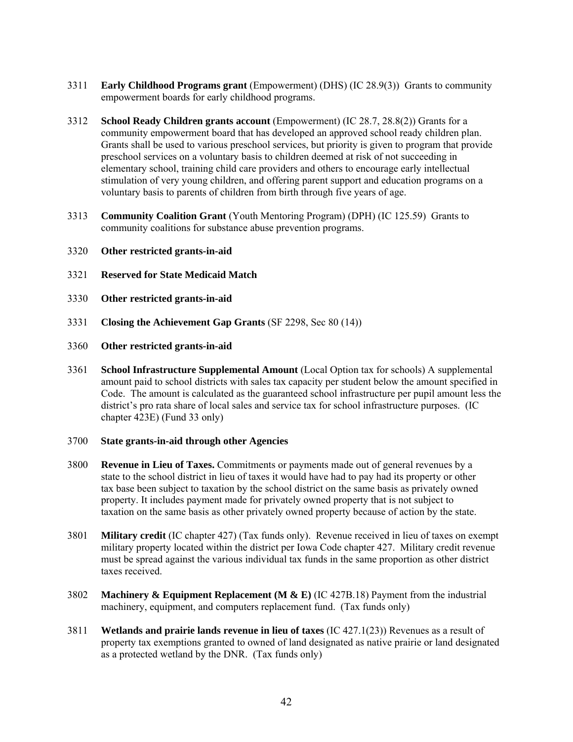- 3311 **Early Childhood Programs grant** (Empowerment) (DHS) (IC 28.9(3)) Grants to community empowerment boards for early childhood programs.
- 3312 **School Ready Children grants account** (Empowerment) (IC 28.7, 28.8(2)) Grants for a community empowerment board that has developed an approved school ready children plan. Grants shall be used to various preschool services, but priority is given to program that provide preschool services on a voluntary basis to children deemed at risk of not succeeding in elementary school, training child care providers and others to encourage early intellectual stimulation of very young children, and offering parent support and education programs on a voluntary basis to parents of children from birth through five years of age.
- 3313 **Community Coalition Grant** (Youth Mentoring Program) (DPH) (IC 125.59) Grants to community coalitions for substance abuse prevention programs.
- 3320 **Other restricted grants-in-aid**
- 3321 **Reserved for State Medicaid Match**
- 3330 **Other restricted grants-in-aid**
- 3331 **Closing the Achievement Gap Grants** (SF 2298, Sec 80 (14))
- 3360 **Other restricted grants-in-aid**
- 3361 **School Infrastructure Supplemental Amount** (Local Option tax for schools) A supplemental amount paid to school districts with sales tax capacity per student below the amount specified in Code. The amount is calculated as the guaranteed school infrastructure per pupil amount less the district's pro rata share of local sales and service tax for school infrastructure purposes. (IC chapter 423E) (Fund 33 only)

#### 3700 **State grants-in-aid through other Agencies**

- 3800 **Revenue in Lieu of Taxes.** Commitments or payments made out of general revenues by a state to the school district in lieu of taxes it would have had to pay had its property or other tax base been subject to taxation by the school district on the same basis as privately owned property. It includes payment made for privately owned property that is not subject to taxation on the same basis as other privately owned property because of action by the state.
- 3801 **Military credit** (IC chapter 427) (Tax funds only). Revenue received in lieu of taxes on exempt military property located within the district per Iowa Code chapter 427. Military credit revenue must be spread against the various individual tax funds in the same proportion as other district taxes received.
- 3802 **Machinery & Equipment Replacement (M & E)** (IC 427B.18) Payment from the industrial machinery, equipment, and computers replacement fund. (Tax funds only)
- 3811 **Wetlands and prairie lands revenue in lieu of taxes** (IC 427.1(23)) Revenues as a result of property tax exemptions granted to owned of land designated as native prairie or land designated as a protected wetland by the DNR. (Tax funds only)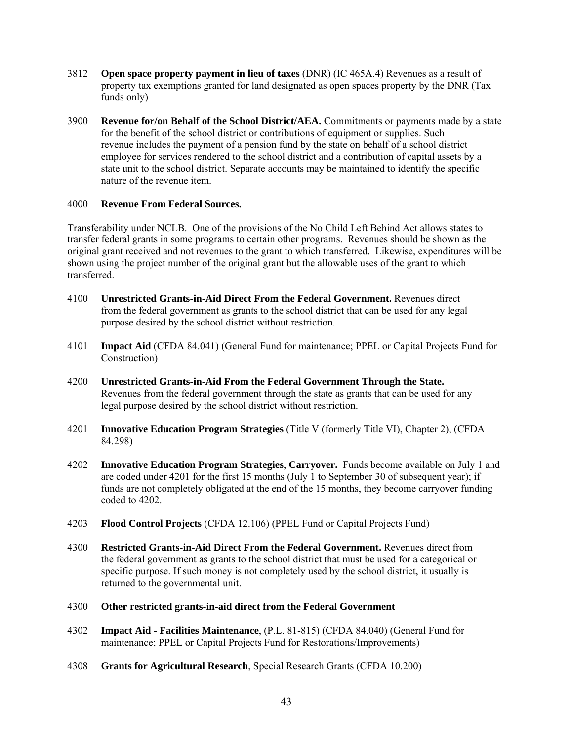- 3812 **Open space property payment in lieu of taxes** (DNR) (IC 465A.4) Revenues as a result of property tax exemptions granted for land designated as open spaces property by the DNR (Tax funds only)
- 3900 **Revenue for/on Behalf of the School District/AEA.** Commitments or payments made by a state for the benefit of the school district or contributions of equipment or supplies. Such revenue includes the payment of a pension fund by the state on behalf of a school district employee for services rendered to the school district and a contribution of capital assets by a state unit to the school district. Separate accounts may be maintained to identify the specific nature of the revenue item.

# 4000 **Revenue From Federal Sources.**

Transferability under NCLB. One of the provisions of the No Child Left Behind Act allows states to transfer federal grants in some programs to certain other programs. Revenues should be shown as the original grant received and not revenues to the grant to which transferred. Likewise, expenditures will be shown using the project number of the original grant but the allowable uses of the grant to which transferred.

- 4100 **Unrestricted Grants-in-Aid Direct From the Federal Government.** Revenues direct from the federal government as grants to the school district that can be used for any legal purpose desired by the school district without restriction.
- 4101 **Impact Aid** (CFDA 84.041) (General Fund for maintenance; PPEL or Capital Projects Fund for Construction)
- 4200 **Unrestricted Grants-in-Aid From the Federal Government Through the State.**  Revenues from the federal government through the state as grants that can be used for any legal purpose desired by the school district without restriction.
- 4201 **Innovative Education Program Strategies** (Title V (formerly Title VI), Chapter 2), (CFDA 84.298)
- 4202 **Innovative Education Program Strategies**, **Carryover.** Funds become available on July 1 and are coded under 4201 for the first 15 months (July 1 to September 30 of subsequent year); if funds are not completely obligated at the end of the 15 months, they become carryover funding coded to 4202.
- 4203 **Flood Control Projects** (CFDA 12.106) (PPEL Fund or Capital Projects Fund)
- 4300 **Restricted Grants-in-Aid Direct From the Federal Government.** Revenues direct from the federal government as grants to the school district that must be used for a categorical or specific purpose. If such money is not completely used by the school district, it usually is returned to the governmental unit.
- 4300 **Other restricted grants-in-aid direct from the Federal Government**
- 4302 **Impact Aid Facilities Maintenance**, (P.L. 81-815) (CFDA 84.040) (General Fund for maintenance; PPEL or Capital Projects Fund for Restorations/Improvements)
- 4308 **Grants for Agricultural Research**, Special Research Grants (CFDA 10.200)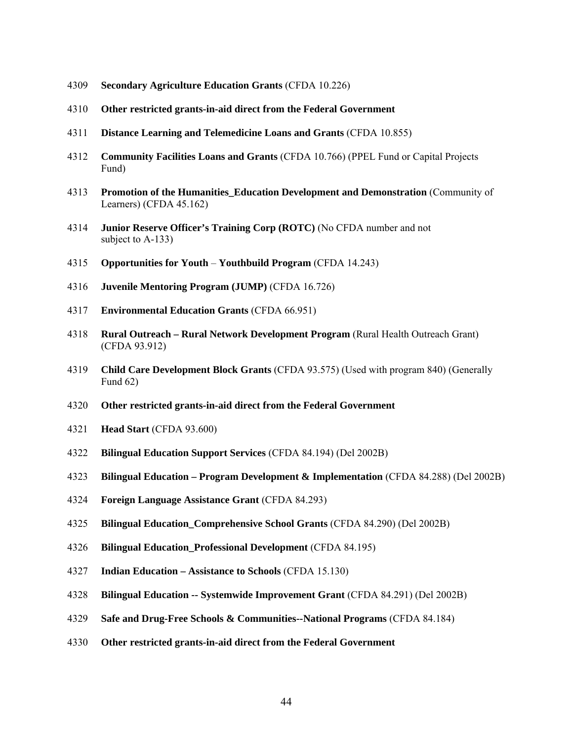- **Secondary Agriculture Education Grants** (CFDA 10.226)
- **Other restricted grants-in-aid direct from the Federal Government**
- **Distance Learning and Telemedicine Loans and Grants** (CFDA 10.855)
- **Community Facilities Loans and Grants** (CFDA 10.766) (PPEL Fund or Capital Projects Fund)
- **Promotion of the Humanities\_Education Development and Demonstration** (Community of Learners) (CFDA 45.162)
- **Junior Reserve Officer's Training Corp (ROTC)** (No CFDA number and not subject to A-133)
- **Opportunities for Youth Youthbuild Program** (CFDA 14.243)
- **Juvenile Mentoring Program (JUMP)** (CFDA 16.726)
- **Environmental Education Grants** (CFDA 66.951)
- **Rural Outreach Rural Network Development Program** (Rural Health Outreach Grant) (CFDA 93.912)
- **Child Care Development Block Grants** (CFDA 93.575) (Used with program 840) (Generally Fund 62)
- **Other restricted grants-in-aid direct from the Federal Government**
- **Head Start** (CFDA 93.600)
- **Bilingual Education Support Services** (CFDA 84.194) (Del 2002B)
- **Bilingual Education Program Development & Implementation** (CFDA 84.288) (Del 2002B)
- **Foreign Language Assistance Grant** (CFDA 84.293)
- **Bilingual Education\_Comprehensive School Grants** (CFDA 84.290) (Del 2002B)
- **Bilingual Education\_Professional Development** (CFDA 84.195)
- **Indian Education Assistance to Schools** (CFDA 15.130)
- **Bilingual Education -- Systemwide Improvement Grant** (CFDA 84.291) (Del 2002B)
- **Safe and Drug-Free Schools & Communities--National Programs** (CFDA 84.184)
- **Other restricted grants-in-aid direct from the Federal Government**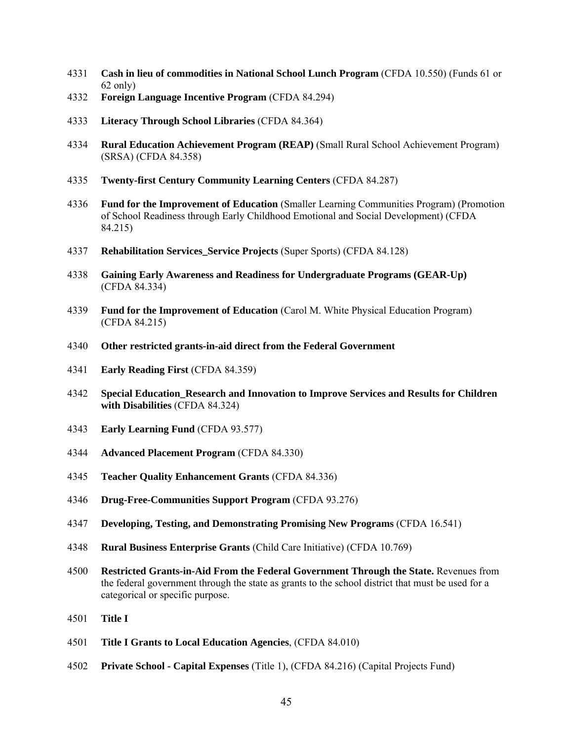- **Cash in lieu of commodities in National School Lunch Program** (CFDA 10.550) (Funds 61 or 62 only)
- **Foreign Language Incentive Program** (CFDA 84.294)
- **Literacy Through School Libraries** (CFDA 84.364)
- **Rural Education Achievement Program (REAP)** (Small Rural School Achievement Program) (SRSA) (CFDA 84.358)
- **Twenty-first Century Community Learning Centers** (CFDA 84.287)
- **Fund for the Improvement of Education** (Smaller Learning Communities Program) (Promotion of School Readiness through Early Childhood Emotional and Social Development) (CFDA 84.215)
- **Rehabilitation Services\_Service Projects** (Super Sports) (CFDA 84.128)
- **Gaining Early Awareness and Readiness for Undergraduate Programs (GEAR-Up)** (CFDA 84.334)
- **Fund for the Improvement of Education** (Carol M. White Physical Education Program) (CFDA 84.215)
- **Other restricted grants-in-aid direct from the Federal Government**
- **Early Reading First** (CFDA 84.359)
- **Special Education\_Research and Innovation to Improve Services and Results for Children with Disabilities** (CFDA 84.324)
- **Early Learning Fund** (CFDA 93.577)
- **Advanced Placement Program** (CFDA 84.330)
- **Teacher Quality Enhancement Grants** (CFDA 84.336)
- **Drug-Free-Communities Support Program** (CFDA 93.276)
- **Developing, Testing, and Demonstrating Promising New Programs** (CFDA 16.541)
- **Rural Business Enterprise Grants** (Child Care Initiative) (CFDA 10.769)
- **Restricted Grants-in-Aid From the Federal Government Through the State.** Revenues from the federal government through the state as grants to the school district that must be used for a categorical or specific purpose.
- **Title I**
- **Title I Grants to Local Education Agencies**, (CFDA 84.010)
- **Private School Capital Expenses** (Title 1), (CFDA 84.216) (Capital Projects Fund)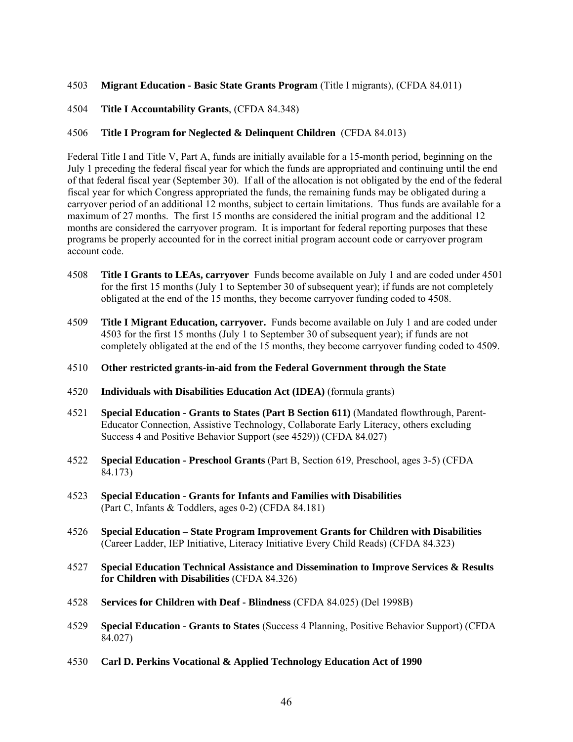# 4503 **Migrant Education - Basic State Grants Program** (Title I migrants), (CFDA 84.011)

4504 **Title I Accountability Grants**, (CFDA 84.348)

### 4506 **Title I Program for Neglected & Delinquent Children** (CFDA 84.013)

Federal Title I and Title V, Part A, funds are initially available for a 15-month period, beginning on the July 1 preceding the federal fiscal year for which the funds are appropriated and continuing until the end of that federal fiscal year (September 30). If all of the allocation is not obligated by the end of the federal fiscal year for which Congress appropriated the funds, the remaining funds may be obligated during a carryover period of an additional 12 months, subject to certain limitations. Thus funds are available for a maximum of 27 months. The first 15 months are considered the initial program and the additional 12 months are considered the carryover program. It is important for federal reporting purposes that these programs be properly accounted for in the correct initial program account code or carryover program account code.

- 4508 **Title I Grants to LEAs, carryover** Funds become available on July 1 and are coded under 4501 for the first 15 months (July 1 to September 30 of subsequent year); if funds are not completely obligated at the end of the 15 months, they become carryover funding coded to 4508.
- 4509 **Title I Migrant Education, carryover.** Funds become available on July 1 and are coded under 4503 for the first 15 months (July 1 to September 30 of subsequent year); if funds are not completely obligated at the end of the 15 months, they become carryover funding coded to 4509.

#### 4510 **Other restricted grants-in-aid from the Federal Government through the State**

- 4520 **Individuals with Disabilities Education Act (IDEA)** (formula grants)
- 4521 **Special Education Grants to States (Part B Section 611)** (Mandated flowthrough, Parent-Educator Connection, Assistive Technology, Collaborate Early Literacy, others excluding Success 4 and Positive Behavior Support (see 4529)) (CFDA 84.027)
- 4522 **Special Education Preschool Grants** (Part B, Section 619, Preschool, ages 3-5) (CFDA 84.173)
- 4523 **Special Education Grants for Infants and Families with Disabilities** (Part C, Infants & Toddlers, ages 0-2) (CFDA 84.181)
- 4526 **Special Education State Program Improvement Grants for Children with Disabilities** (Career Ladder, IEP Initiative, Literacy Initiative Every Child Reads) (CFDA 84.323)
- 4527 **Special Education Technical Assistance and Dissemination to Improve Services & Results for Children with Disabilities** (CFDA 84.326)
- 4528 **Services for Children with Deaf Blindness** (CFDA 84.025) (Del 1998B)
- 4529 **Special Education Grants to States** (Success 4 Planning, Positive Behavior Support) (CFDA 84.027)
- 4530 **Carl D. Perkins Vocational & Applied Technology Education Act of 1990**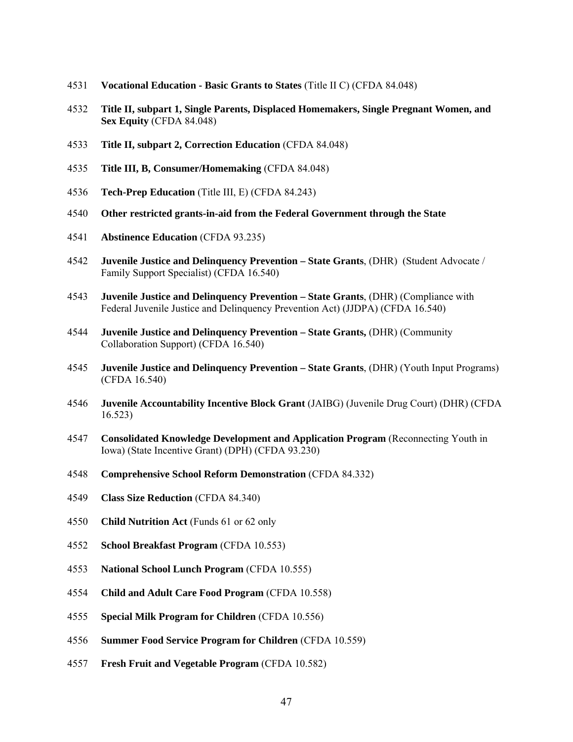- **Vocational Education Basic Grants to States** (Title II C) (CFDA 84.048)
- **Title II, subpart 1, Single Parents, Displaced Homemakers, Single Pregnant Women, and Sex Equity** (CFDA 84.048)
- **Title II, subpart 2, Correction Education** (CFDA 84.048)
- **Title III, B, Consumer/Homemaking** (CFDA 84.048)
- **Tech-Prep Education** (Title III, E) (CFDA 84.243)
- **Other restricted grants-in-aid from the Federal Government through the State**
- **Abstinence Education** (CFDA 93.235)
- **Juvenile Justice and Delinquency Prevention State Grants**, (DHR) (Student Advocate / Family Support Specialist) (CFDA 16.540)
- **Juvenile Justice and Delinquency Prevention State Grants**, (DHR) (Compliance with Federal Juvenile Justice and Delinquency Prevention Act) (JJDPA) (CFDA 16.540)
- **Juvenile Justice and Delinquency Prevention State Grants,** (DHR) (Community Collaboration Support) (CFDA 16.540)
- **Juvenile Justice and Delinquency Prevention State Grants**, (DHR) (Youth Input Programs) (CFDA 16.540)
- **Juvenile Accountability Incentive Block Grant** (JAIBG) (Juvenile Drug Court) (DHR) (CFDA 16.523)
- **Consolidated Knowledge Development and Application Program** (Reconnecting Youth in Iowa) (State Incentive Grant) (DPH) (CFDA 93.230)
- **Comprehensive School Reform Demonstration** (CFDA 84.332)
- **Class Size Reduction** (CFDA 84.340)
- **Child Nutrition Act** (Funds 61 or 62 only
- **School Breakfast Program** (CFDA 10.553)
- **National School Lunch Program** (CFDA 10.555)
- **Child and Adult Care Food Program** (CFDA 10.558)
- **Special Milk Program for Children** (CFDA 10.556)
- **Summer Food Service Program for Children** (CFDA 10.559)
- **Fresh Fruit and Vegetable Program** (CFDA 10.582)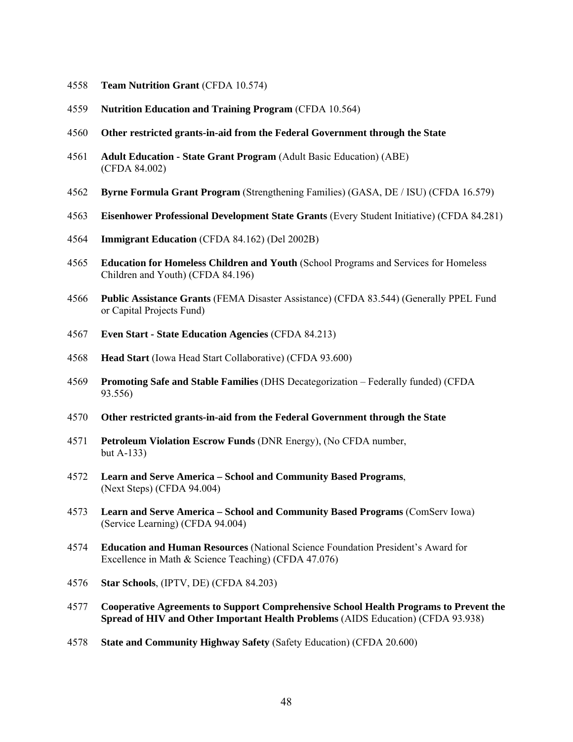- **Team Nutrition Grant** (CFDA 10.574)
- **Nutrition Education and Training Program** (CFDA 10.564)
- **Other restricted grants-in-aid from the Federal Government through the State**
- **Adult Education State Grant Program** (Adult Basic Education) (ABE) (CFDA 84.002)
- **Byrne Formula Grant Program** (Strengthening Families) (GASA, DE / ISU) (CFDA 16.579)
- **Eisenhower Professional Development State Grants** (Every Student Initiative) (CFDA 84.281)
- **Immigrant Education** (CFDA 84.162) (Del 2002B)
- **Education for Homeless Children and Youth** (School Programs and Services for Homeless Children and Youth) (CFDA 84.196)
- **Public Assistance Grants** (FEMA Disaster Assistance) (CFDA 83.544) (Generally PPEL Fund or Capital Projects Fund)
- **Even Start State Education Agencies** (CFDA 84.213)
- **Head Start** (Iowa Head Start Collaborative) (CFDA 93.600)
- **Promoting Safe and Stable Families** (DHS Decategorization Federally funded) (CFDA 93.556)
- **Other restricted grants-in-aid from the Federal Government through the State**
- **Petroleum Violation Escrow Funds** (DNR Energy), (No CFDA number, but A-133)
- **Learn and Serve America School and Community Based Programs**, (Next Steps) (CFDA 94.004)
- **Learn and Serve America School and Community Based Programs** (ComServ Iowa) (Service Learning) (CFDA 94.004)
- **Education and Human Resources** (National Science Foundation President's Award for Excellence in Math & Science Teaching) (CFDA 47.076)
- **Star Schools**, (IPTV, DE) (CFDA 84.203)
- **Cooperative Agreements to Support Comprehensive School Health Programs to Prevent the Spread of HIV and Other Important Health Problems** (AIDS Education) (CFDA 93.938)
- **State and Community Highway Safety** (Safety Education) (CFDA 20.600)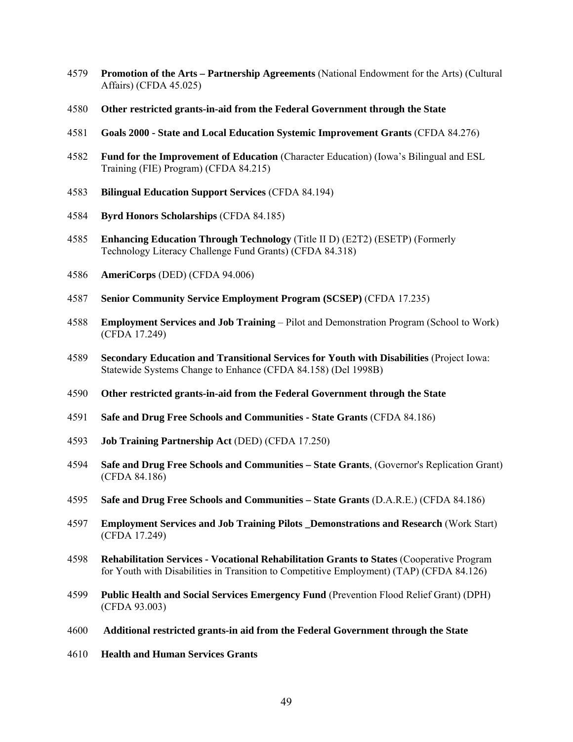- **Promotion of the Arts Partnership Agreements** (National Endowment for the Arts) (Cultural Affairs) (CFDA 45.025)
- **Other restricted grants-in-aid from the Federal Government through the State**
- **Goals 2000 State and Local Education Systemic Improvement Grants** (CFDA 84.276)
- **Fund for the Improvement of Education** (Character Education) (Iowa's Bilingual and ESL Training (FIE) Program) (CFDA 84.215)
- **Bilingual Education Support Services** (CFDA 84.194)
- **Byrd Honors Scholarships** (CFDA 84.185)
- **Enhancing Education Through Technology** (Title II D) (E2T2) (ESETP) (Formerly Technology Literacy Challenge Fund Grants) (CFDA 84.318)
- **AmeriCorps** (DED) (CFDA 94.006)
- **Senior Community Service Employment Program (SCSEP)** (CFDA 17.235)
- **Employment Services and Job Training** Pilot and Demonstration Program (School to Work) (CFDA 17.249)
- **Secondary Education and Transitional Services for Youth with Disabilities** (Project Iowa: Statewide Systems Change to Enhance (CFDA 84.158) (Del 1998B)
- **Other restricted grants-in-aid from the Federal Government through the State**
- **Safe and Drug Free Schools and Communities State Grants** (CFDA 84.186)
- **Job Training Partnership Act** (DED) (CFDA 17.250)
- **Safe and Drug Free Schools and Communities State Grants**, (Governor's Replication Grant) (CFDA 84.186)
- **Safe and Drug Free Schools and Communities State Grants** (D.A.R.E.) (CFDA 84.186)
- **Employment Services and Job Training Pilots \_Demonstrations and Research** (Work Start) (CFDA 17.249)
- **Rehabilitation Services Vocational Rehabilitation Grants to States** (Cooperative Program for Youth with Disabilities in Transition to Competitive Employment) (TAP) (CFDA 84.126)
- **Public Health and Social Services Emergency Fund** (Prevention Flood Relief Grant) (DPH) (CFDA 93.003)
- **Additional restricted grants-in aid from the Federal Government through the State**
- **Health and Human Services Grants**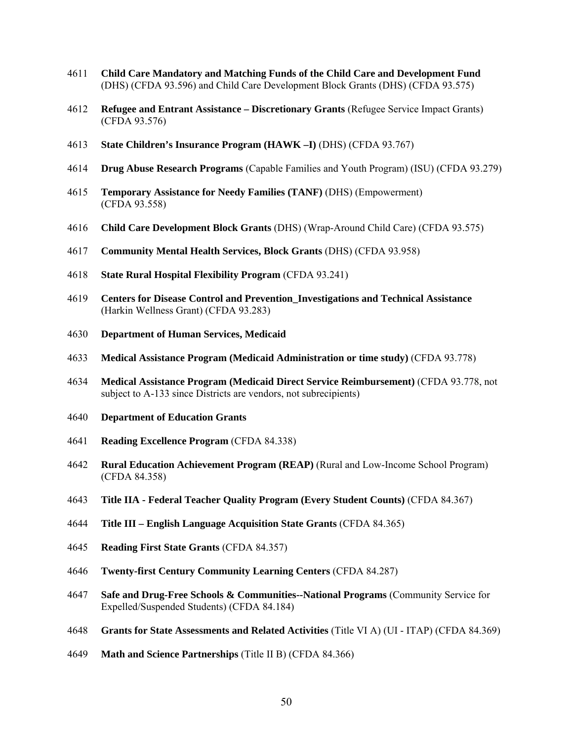- **Child Care Mandatory and Matching Funds of the Child Care and Development Fund** (DHS) (CFDA 93.596) and Child Care Development Block Grants (DHS) (CFDA 93.575)
- **Refugee and Entrant Assistance Discretionary Grants** (Refugee Service Impact Grants) (CFDA 93.576)
- **State Children's Insurance Program (HAWK –I)** (DHS) (CFDA 93.767)
- **Drug Abuse Research Programs** (Capable Families and Youth Program) (ISU) (CFDA 93.279)
- **Temporary Assistance for Needy Families (TANF)** (DHS) (Empowerment) (CFDA 93.558)
- **Child Care Development Block Grants** (DHS) (Wrap-Around Child Care) (CFDA 93.575)
- **Community Mental Health Services, Block Grants** (DHS) (CFDA 93.958)
- **State Rural Hospital Flexibility Program** (CFDA 93.241)
- **Centers for Disease Control and Prevention\_Investigations and Technical Assistance** (Harkin Wellness Grant) (CFDA 93.283)
- **Department of Human Services, Medicaid**
- **Medical Assistance Program (Medicaid Administration or time study)** (CFDA 93.778)
- **Medical Assistance Program (Medicaid Direct Service Reimbursement)** (CFDA 93.778, not subject to A-133 since Districts are vendors, not subrecipients)
- **Department of Education Grants**
- **Reading Excellence Program** (CFDA 84.338)
- **Rural Education Achievement Program (REAP)** (Rural and Low-Income School Program) (CFDA 84.358)
- **Title IIA Federal Teacher Quality Program (Every Student Counts)** (CFDA 84.367)
- **Title III English Language Acquisition State Grants** (CFDA 84.365)
- **Reading First State Grants** (CFDA 84.357)
- **Twenty-first Century Community Learning Centers** (CFDA 84.287)
- **Safe and Drug-Free Schools & Communities--National Programs** (Community Service for Expelled/Suspended Students) (CFDA 84.184)
- **Grants for State Assessments and Related Activities** (Title VI A) (UI ITAP) (CFDA 84.369)
- **Math and Science Partnerships** (Title II B) (CFDA 84.366)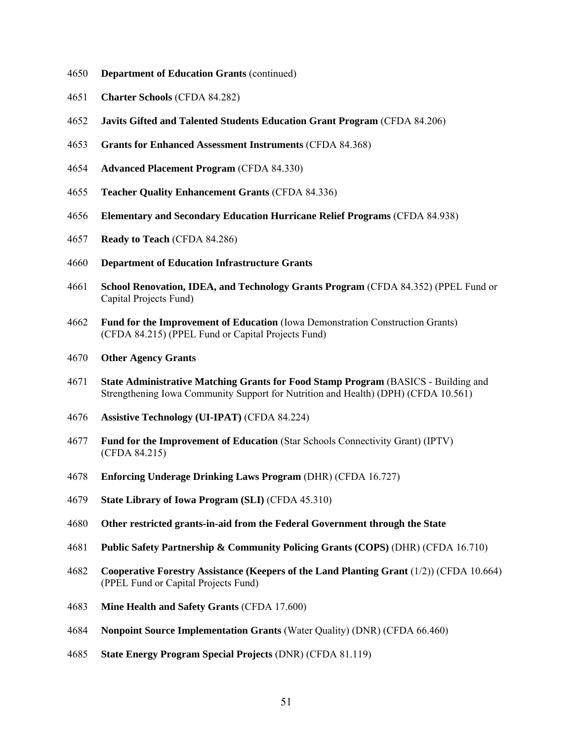- **Department of Education Grants** (continued)
- **Charter Schools** (CFDA 84.282)
- **Javits Gifted and Talented Students Education Grant Program** (CFDA 84.206)
- **Grants for Enhanced Assessment Instruments** (CFDA 84.368)
- **Advanced Placement Program** (CFDA 84.330)
- **Teacher Quality Enhancement Grants** (CFDA 84.336)
- **Elementary and Secondary Education Hurricane Relief Programs** (CFDA 84.938)
- **Ready to Teach** (CFDA 84.286)
- **Department of Education Infrastructure Grants**
- **School Renovation, IDEA, and Technology Grants Program** (CFDA 84.352) (PPEL Fund or Capital Projects Fund)
- **Fund for the Improvement of Education** (Iowa Demonstration Construction Grants) (CFDA 84.215) (PPEL Fund or Capital Projects Fund)
- **Other Agency Grants**
- **State Administrative Matching Grants for Food Stamp Program** (BASICS Building and Strengthening Iowa Community Support for Nutrition and Health) (DPH) (CFDA 10.561)
- **Assistive Technology (UI-IPAT)** (CFDA 84.224)
- **Fund for the Improvement of Education** (Star Schools Connectivity Grant) (IPTV) (CFDA 84.215)
- **Enforcing Underage Drinking Laws Program** (DHR) (CFDA 16.727)
- **State Library of Iowa Program (SLI)** (CFDA 45.310)
- **Other restricted grants-in-aid from the Federal Government through the State**
- **Public Safety Partnership & Community Policing Grants (COPS)** (DHR) (CFDA 16.710)
- **Cooperative Forestry Assistance (Keepers of the Land Planting Grant** (1/2)) (CFDA 10.664) (PPEL Fund or Capital Projects Fund)
- **Mine Health and Safety Grants** (CFDA 17.600)
- **Nonpoint Source Implementation Grants** (Water Quality) (DNR) (CFDA 66.460)
- **State Energy Program Special Projects** (DNR) (CFDA 81.119)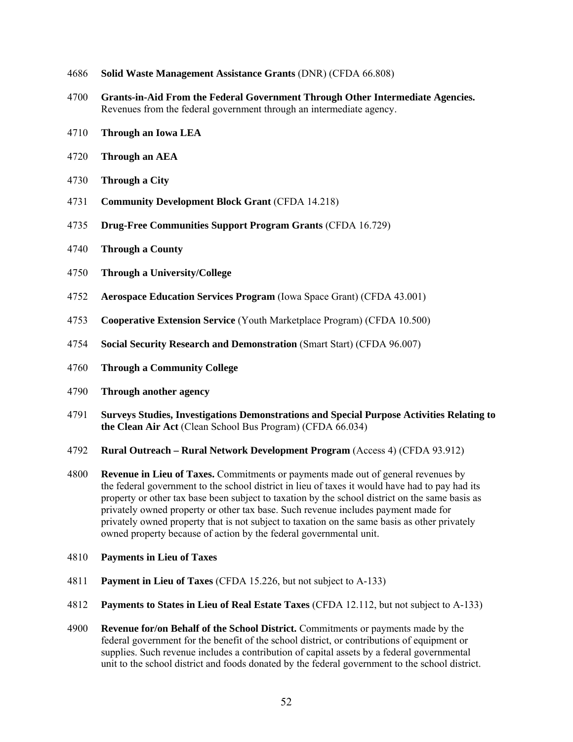- **Solid Waste Management Assistance Grants** (DNR) (CFDA 66.808)
- **Grants-in-Aid From the Federal Government Through Other Intermediate Agencies.**  Revenues from the federal government through an intermediate agency.
- **Through an Iowa LEA**
- **Through an AEA**
- **Through a City**
- **Community Development Block Grant** (CFDA 14.218)
- **Drug-Free Communities Support Program Grants** (CFDA 16.729)
- **Through a County**
- **Through a University/College**
- **Aerospace Education Services Program** (Iowa Space Grant) (CFDA 43.001)
- **Cooperative Extension Service** (Youth Marketplace Program) (CFDA 10.500)
- **Social Security Research and Demonstration** (Smart Start) (CFDA 96.007)
- **Through a Community College**
- **Through another agency**
- **Surveys Studies, Investigations Demonstrations and Special Purpose Activities Relating to the Clean Air Act** (Clean School Bus Program) (CFDA 66.034)
- **Rural Outreach Rural Network Development Program** (Access 4) (CFDA 93.912)
- **Revenue in Lieu of Taxes.** Commitments or payments made out of general revenues by the federal government to the school district in lieu of taxes it would have had to pay had its property or other tax base been subject to taxation by the school district on the same basis as privately owned property or other tax base. Such revenue includes payment made for privately owned property that is not subject to taxation on the same basis as other privately owned property because of action by the federal governmental unit.
- **Payments in Lieu of Taxes**
- **Payment in Lieu of Taxes** (CFDA 15.226, but not subject to A-133)
- **Payments to States in Lieu of Real Estate Taxes** (CFDA 12.112, but not subject to A-133)
- **Revenue for/on Behalf of the School District.** Commitments or payments made by the federal government for the benefit of the school district, or contributions of equipment or supplies. Such revenue includes a contribution of capital assets by a federal governmental unit to the school district and foods donated by the federal government to the school district.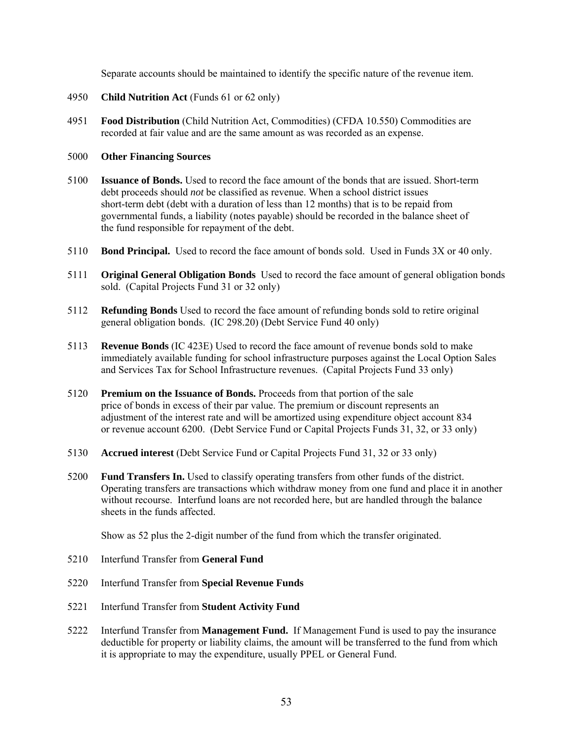Separate accounts should be maintained to identify the specific nature of the revenue item.

- 4950 **Child Nutrition Act** (Funds 61 or 62 only)
- 4951 **Food Distribution** (Child Nutrition Act, Commodities) (CFDA 10.550) Commodities are recorded at fair value and are the same amount as was recorded as an expense.

# 5000 **Other Financing Sources**

- 5100 **Issuance of Bonds.** Used to record the face amount of the bonds that are issued. Short-term debt proceeds should *not* be classified as revenue. When a school district issues short-term debt (debt with a duration of less than 12 months) that is to be repaid from governmental funds, a liability (notes payable) should be recorded in the balance sheet of the fund responsible for repayment of the debt.
- 5110 **Bond Principal.** Used to record the face amount of bonds sold. Used in Funds 3X or 40 only.
- 5111 **Original General Obligation Bonds** Used to record the face amount of general obligation bonds sold. (Capital Projects Fund 31 or 32 only)
- 5112 **Refunding Bonds** Used to record the face amount of refunding bonds sold to retire original general obligation bonds. (IC 298.20) (Debt Service Fund 40 only)
- 5113 **Revenue Bonds** (IC 423E) Used to record the face amount of revenue bonds sold to make immediately available funding for school infrastructure purposes against the Local Option Sales and Services Tax for School Infrastructure revenues. (Capital Projects Fund 33 only)
- 5120 **Premium on the Issuance of Bonds.** Proceeds from that portion of the sale price of bonds in excess of their par value. The premium or discount represents an adjustment of the interest rate and will be amortized using expenditure object account 834 or revenue account 6200. (Debt Service Fund or Capital Projects Funds 31, 32, or 33 only)
- 5130 **Accrued interest** (Debt Service Fund or Capital Projects Fund 31, 32 or 33 only)
- 5200 **Fund Transfers In.** Used to classify operating transfers from other funds of the district. Operating transfers are transactions which withdraw money from one fund and place it in another without recourse. Interfund loans are not recorded here, but are handled through the balance sheets in the funds affected.

Show as 52 plus the 2-digit number of the fund from which the transfer originated.

- 5210 Interfund Transfer from **General Fund**
- 5220 Interfund Transfer from **Special Revenue Funds**
- 5221 Interfund Transfer from **Student Activity Fund**
- 5222 Interfund Transfer from **Management Fund.** If Management Fund is used to pay the insurance deductible for property or liability claims, the amount will be transferred to the fund from which it is appropriate to may the expenditure, usually PPEL or General Fund.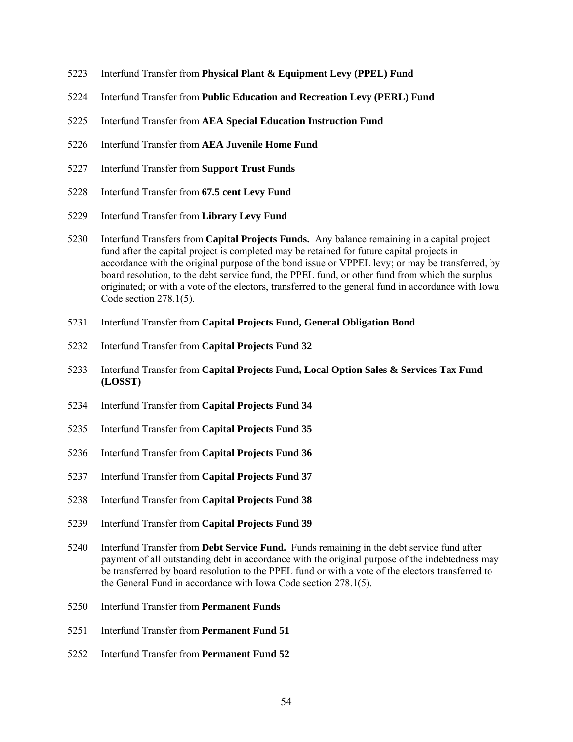- 5223 Interfund Transfer from **Physical Plant & Equipment Levy (PPEL) Fund**
- 5224 Interfund Transfer from **Public Education and Recreation Levy (PERL) Fund**
- 5225 Interfund Transfer from **AEA Special Education Instruction Fund**
- 5226 Interfund Transfer from **AEA Juvenile Home Fund**
- 5227 Interfund Transfer from **Support Trust Funds**
- 5228 Interfund Transfer from **67.5 cent Levy Fund**
- 5229 Interfund Transfer from **Library Levy Fund**
- 5230 Interfund Transfers from **Capital Projects Funds.** Any balance remaining in a capital project fund after the capital project is completed may be retained for future capital projects in accordance with the original purpose of the bond issue or VPPEL levy; or may be transferred, by board resolution, to the debt service fund, the PPEL fund, or other fund from which the surplus originated; or with a vote of the electors, transferred to the general fund in accordance with Iowa Code section 278.1(5).
- 5231 Interfund Transfer from **Capital Projects Fund, General Obligation Bond**
- 5232 Interfund Transfer from **Capital Projects Fund 32**
- 5233 Interfund Transfer from **Capital Projects Fund, Local Option Sales & Services Tax Fund (LOSST)**
- 5234 Interfund Transfer from **Capital Projects Fund 34**
- 5235 Interfund Transfer from **Capital Projects Fund 35**
- 5236 Interfund Transfer from **Capital Projects Fund 36**
- 5237 Interfund Transfer from **Capital Projects Fund 37**
- 5238 Interfund Transfer from **Capital Projects Fund 38**
- 5239 Interfund Transfer from **Capital Projects Fund 39**
- 5240 Interfund Transfer from **Debt Service Fund.** Funds remaining in the debt service fund after payment of all outstanding debt in accordance with the original purpose of the indebtedness may be transferred by board resolution to the PPEL fund or with a vote of the electors transferred to the General Fund in accordance with Iowa Code section 278.1(5).
- 5250 Interfund Transfer from **Permanent Funds**
- 5251 Interfund Transfer from **Permanent Fund 51**
- 5252 Interfund Transfer from **Permanent Fund 52**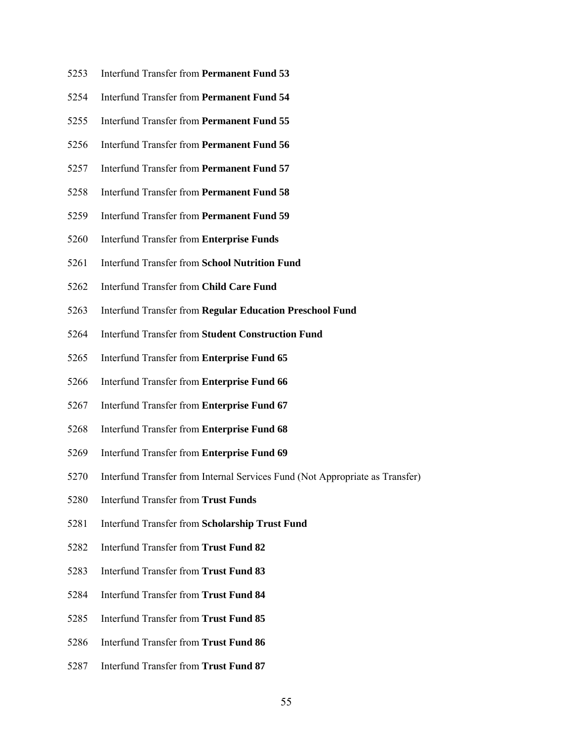- 5253 Interfund Transfer from **Permanent Fund 53**
- 5254 Interfund Transfer from **Permanent Fund 54**
- 5255 Interfund Transfer from **Permanent Fund 55**
- 5256 Interfund Transfer from **Permanent Fund 56**
- 5257 Interfund Transfer from **Permanent Fund 57**
- 5258 Interfund Transfer from **Permanent Fund 58**
- 5259 Interfund Transfer from **Permanent Fund 59**
- 5260 Interfund Transfer from **Enterprise Funds**
- 5261 Interfund Transfer from **School Nutrition Fund**
- 5262 Interfund Transfer from **Child Care Fund**
- 5263 Interfund Transfer from **Regular Education Preschool Fund**
- 5264 Interfund Transfer from **Student Construction Fund**
- 5265 Interfund Transfer from **Enterprise Fund 65**
- 5266 Interfund Transfer from **Enterprise Fund 66**
- 5267 Interfund Transfer from **Enterprise Fund 67**
- 5268 Interfund Transfer from **Enterprise Fund 68**
- 5269 Interfund Transfer from **Enterprise Fund 69**
- 5270 Interfund Transfer from Internal Services Fund (Not Appropriate as Transfer)
- 5280 Interfund Transfer from **Trust Funds**
- 5281 Interfund Transfer from **Scholarship Trust Fund**
- 5282 Interfund Transfer from **Trust Fund 82**
- 5283 Interfund Transfer from **Trust Fund 83**
- 5284 Interfund Transfer from **Trust Fund 84**
- 5285 Interfund Transfer from **Trust Fund 85**
- 5286 Interfund Transfer from **Trust Fund 86**
- 5287 Interfund Transfer from **Trust Fund 87**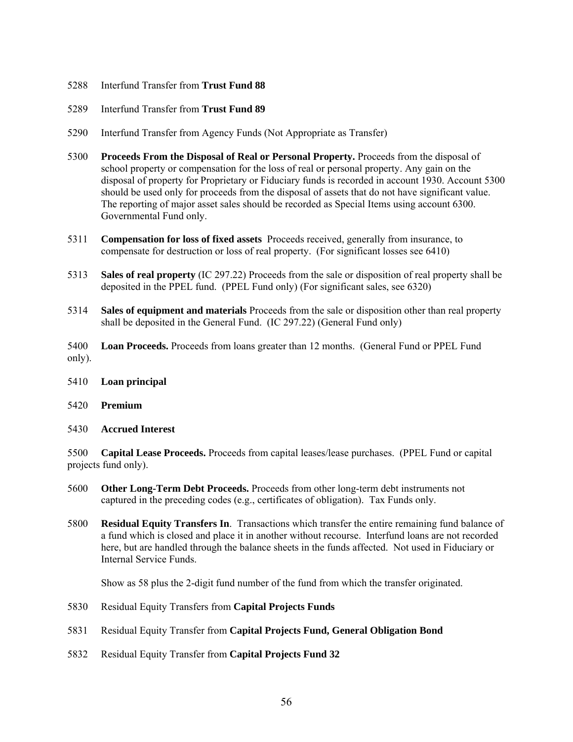- 5288 Interfund Transfer from **Trust Fund 88**
- 5289 Interfund Transfer from **Trust Fund 89**
- 5290 Interfund Transfer from Agency Funds (Not Appropriate as Transfer)
- 5300 **Proceeds From the Disposal of Real or Personal Property.** Proceeds from the disposal of school property or compensation for the loss of real or personal property. Any gain on the disposal of property for Proprietary or Fiduciary funds is recorded in account 1930. Account 5300 should be used only for proceeds from the disposal of assets that do not have significant value. The reporting of major asset sales should be recorded as Special Items using account 6300. Governmental Fund only.
- 5311 **Compensation for loss of fixed assets** Proceeds received, generally from insurance, to compensate for destruction or loss of real property. (For significant losses see 6410)
- 5313 **Sales of real property** (IC 297.22) Proceeds from the sale or disposition of real property shall be deposited in the PPEL fund. (PPEL Fund only) (For significant sales, see 6320)
- 5314 **Sales of equipment and materials** Proceeds from the sale or disposition other than real property shall be deposited in the General Fund. (IC 297.22) (General Fund only)
- 5400 **Loan Proceeds.** Proceeds from loans greater than 12 months. (General Fund or PPEL Fund only).
- 5410 **Loan principal**
- 5420 **Premium**
- 5430 **Accrued Interest**

5500 **Capital Lease Proceeds.** Proceeds from capital leases/lease purchases. (PPEL Fund or capital projects fund only).

- 5600 **Other Long-Term Debt Proceeds.** Proceeds from other long-term debt instruments not captured in the preceding codes (e.g., certificates of obligation). Tax Funds only.
- 5800 **Residual Equity Transfers In**. Transactions which transfer the entire remaining fund balance of a fund which is closed and place it in another without recourse. Interfund loans are not recorded here, but are handled through the balance sheets in the funds affected. Not used in Fiduciary or Internal Service Funds.

Show as 58 plus the 2-digit fund number of the fund from which the transfer originated.

- 5830 Residual Equity Transfers from **Capital Projects Funds**
- 5831 Residual Equity Transfer from **Capital Projects Fund, General Obligation Bond**
- 5832 Residual Equity Transfer from **Capital Projects Fund 32**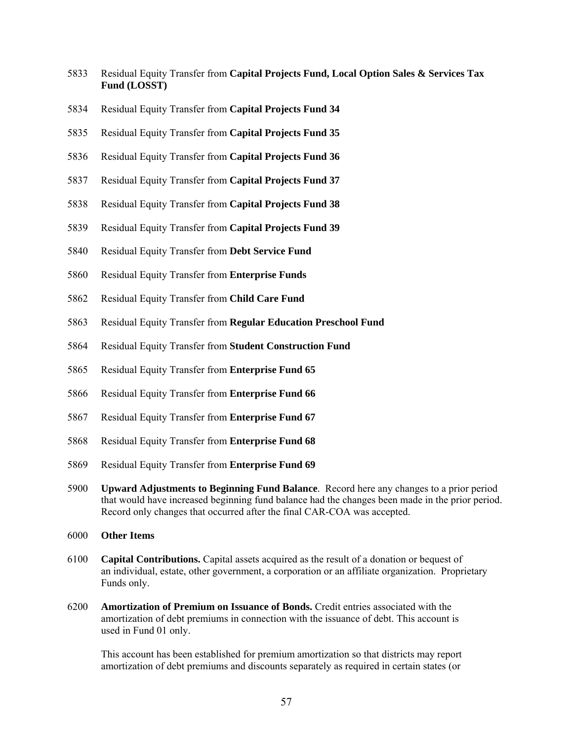- 5833 Residual Equity Transfer from **Capital Projects Fund, Local Option Sales & Services Tax Fund (LOSST)**
- 5834 Residual Equity Transfer from **Capital Projects Fund 34**
- 5835 Residual Equity Transfer from **Capital Projects Fund 35**
- 5836 Residual Equity Transfer from **Capital Projects Fund 36**
- 5837 Residual Equity Transfer from **Capital Projects Fund 37**
- 5838 Residual Equity Transfer from **Capital Projects Fund 38**
- 5839 Residual Equity Transfer from **Capital Projects Fund 39**
- 5840 Residual Equity Transfer from **Debt Service Fund**
- 5860 Residual Equity Transfer from **Enterprise Funds**
- 5862 Residual Equity Transfer from **Child Care Fund**
- 5863 Residual Equity Transfer from **Regular Education Preschool Fund**
- 5864 Residual Equity Transfer from **Student Construction Fund**
- 5865 Residual Equity Transfer from **Enterprise Fund 65**
- 5866 Residual Equity Transfer from **Enterprise Fund 66**
- 5867 Residual Equity Transfer from **Enterprise Fund 67**
- 5868 Residual Equity Transfer from **Enterprise Fund 68**
- 5869 Residual Equity Transfer from **Enterprise Fund 69**
- 5900 **Upward Adjustments to Beginning Fund Balance**. Record here any changes to a prior period that would have increased beginning fund balance had the changes been made in the prior period. Record only changes that occurred after the final CAR-COA was accepted.
- 6000 **Other Items**
- 6100 **Capital Contributions.** Capital assets acquired as the result of a donation or bequest of an individual, estate, other government, a corporation or an affiliate organization. Proprietary Funds only.
- 6200 **Amortization of Premium on Issuance of Bonds.** Credit entries associated with the amortization of debt premiums in connection with the issuance of debt. This account is used in Fund 01 only.

This account has been established for premium amortization so that districts may report amortization of debt premiums and discounts separately as required in certain states (or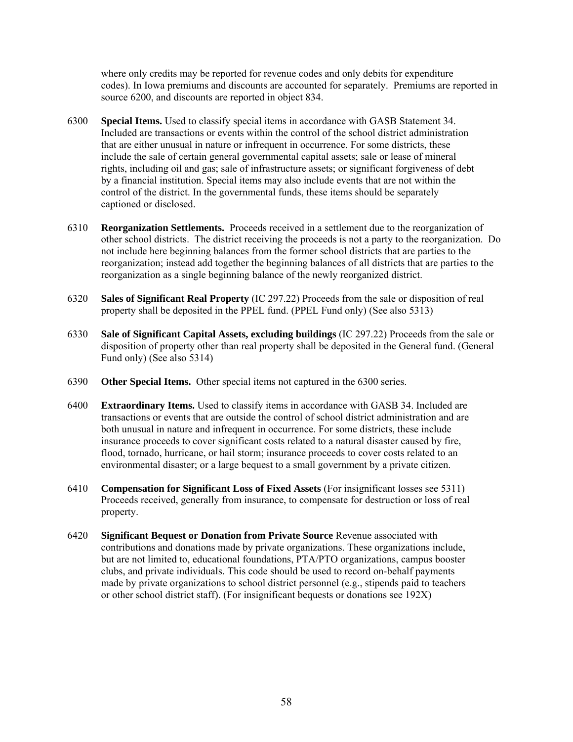where only credits may be reported for revenue codes and only debits for expenditure codes). In Iowa premiums and discounts are accounted for separately. Premiums are reported in source 6200, and discounts are reported in object 834.

- 6300 **Special Items.** Used to classify special items in accordance with GASB Statement 34. Included are transactions or events within the control of the school district administration that are either unusual in nature or infrequent in occurrence. For some districts, these include the sale of certain general governmental capital assets; sale or lease of mineral rights, including oil and gas; sale of infrastructure assets; or significant forgiveness of debt by a financial institution. Special items may also include events that are not within the control of the district. In the governmental funds, these items should be separately captioned or disclosed.
- 6310 **Reorganization Settlements.** Proceeds received in a settlement due to the reorganization of other school districts. The district receiving the proceeds is not a party to the reorganization. Do not include here beginning balances from the former school districts that are parties to the reorganization; instead add together the beginning balances of all districts that are parties to the reorganization as a single beginning balance of the newly reorganized district.
- 6320 **Sales of Significant Real Property** (IC 297.22) Proceeds from the sale or disposition of real property shall be deposited in the PPEL fund. (PPEL Fund only) (See also 5313)
- 6330 **Sale of Significant Capital Assets, excluding buildings** (IC 297.22) Proceeds from the sale or disposition of property other than real property shall be deposited in the General fund. (General Fund only) (See also 5314)
- 6390 **Other Special Items.** Other special items not captured in the 6300 series.
- 6400 **Extraordinary Items.** Used to classify items in accordance with GASB 34. Included are transactions or events that are outside the control of school district administration and are both unusual in nature and infrequent in occurrence. For some districts, these include insurance proceeds to cover significant costs related to a natural disaster caused by fire, flood, tornado, hurricane, or hail storm; insurance proceeds to cover costs related to an environmental disaster; or a large bequest to a small government by a private citizen.
- 6410 **Compensation for Significant Loss of Fixed Assets** (For insignificant losses see 5311) Proceeds received, generally from insurance, to compensate for destruction or loss of real property.
- 6420 **Significant Bequest or Donation from Private Source** Revenue associated with contributions and donations made by private organizations. These organizations include, but are not limited to, educational foundations, PTA/PTO organizations, campus booster clubs, and private individuals. This code should be used to record on-behalf payments made by private organizations to school district personnel (e.g., stipends paid to teachers or other school district staff). (For insignificant bequests or donations see 192X)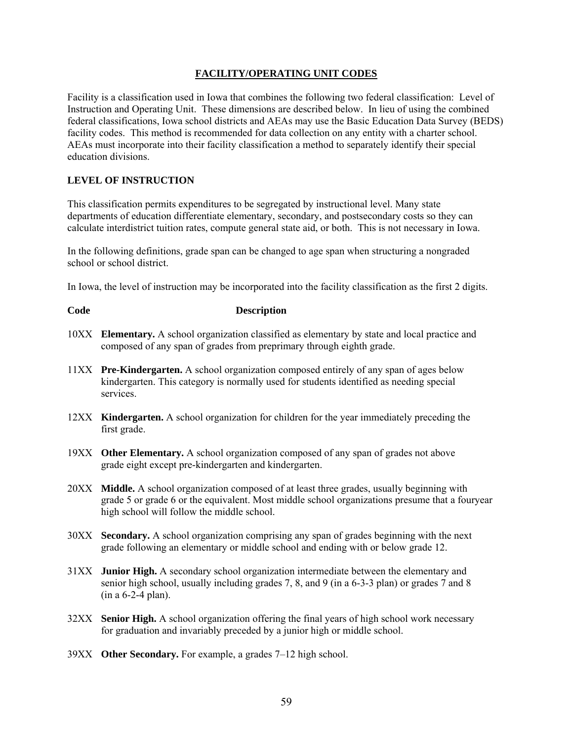# **FACILITY/OPERATING UNIT CODES**

Facility is a classification used in Iowa that combines the following two federal classification: Level of Instruction and Operating Unit. These dimensions are described below. In lieu of using the combined federal classifications, Iowa school districts and AEAs may use the Basic Education Data Survey (BEDS) facility codes. This method is recommended for data collection on any entity with a charter school. AEAs must incorporate into their facility classification a method to separately identify their special education divisions.

# **LEVEL OF INSTRUCTION**

This classification permits expenditures to be segregated by instructional level. Many state departments of education differentiate elementary, secondary, and postsecondary costs so they can calculate interdistrict tuition rates, compute general state aid, or both. This is not necessary in Iowa.

In the following definitions, grade span can be changed to age span when structuring a nongraded school or school district.

In Iowa, the level of instruction may be incorporated into the facility classification as the first 2 digits.

# **Code Description**

- 10XX **Elementary.** A school organization classified as elementary by state and local practice and composed of any span of grades from preprimary through eighth grade.
- 11XX **Pre-Kindergarten.** A school organization composed entirely of any span of ages below kindergarten. This category is normally used for students identified as needing special services.
- 12XX **Kindergarten.** A school organization for children for the year immediately preceding the first grade.
- 19XX **Other Elementary.** A school organization composed of any span of grades not above grade eight except pre-kindergarten and kindergarten.
- 20XX **Middle.** A school organization composed of at least three grades, usually beginning with grade 5 or grade 6 or the equivalent. Most middle school organizations presume that a fouryear high school will follow the middle school.
- 30XX **Secondary.** A school organization comprising any span of grades beginning with the next grade following an elementary or middle school and ending with or below grade 12.
- 31XX **Junior High.** A secondary school organization intermediate between the elementary and senior high school, usually including grades 7, 8, and 9 (in a 6-3-3 plan) or grades 7 and 8 (in a 6-2-4 plan).
- 32XX **Senior High.** A school organization offering the final years of high school work necessary for graduation and invariably preceded by a junior high or middle school.
- 39XX **Other Secondary.** For example, a grades 7–12 high school.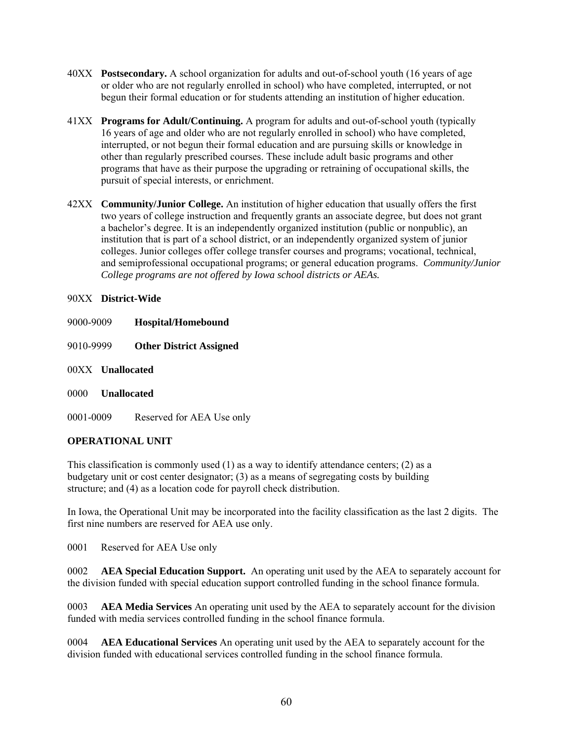- 40XX **Postsecondary.** A school organization for adults and out-of-school youth (16 years of age or older who are not regularly enrolled in school) who have completed, interrupted, or not begun their formal education or for students attending an institution of higher education.
- 41XX **Programs for Adult/Continuing.** A program for adults and out-of-school youth (typically 16 years of age and older who are not regularly enrolled in school) who have completed, interrupted, or not begun their formal education and are pursuing skills or knowledge in other than regularly prescribed courses. These include adult basic programs and other programs that have as their purpose the upgrading or retraining of occupational skills, the pursuit of special interests, or enrichment.
- 42XX **Community/Junior College.** An institution of higher education that usually offers the first two years of college instruction and frequently grants an associate degree, but does not grant a bachelor's degree. It is an independently organized institution (public or nonpublic), an institution that is part of a school district, or an independently organized system of junior colleges. Junior colleges offer college transfer courses and programs; vocational, technical, and semiprofessional occupational programs; or general education programs. *Community/Junior College programs are not offered by Iowa school districts or AEAs.*

# 90XX **District-Wide**

- 9000-9009 **Hospital/Homebound**
- 9010-9999 **Other District Assigned**
- 00XX **Unallocated**
- 0000 **Unallocated**
- 0001-0009 Reserved for AEA Use only

# **OPERATIONAL UNIT**

This classification is commonly used  $(1)$  as a way to identify attendance centers;  $(2)$  as a budgetary unit or cost center designator; (3) as a means of segregating costs by building structure; and (4) as a location code for payroll check distribution.

In Iowa, the Operational Unit may be incorporated into the facility classification as the last 2 digits. The first nine numbers are reserved for AEA use only.

0001 Reserved for AEA Use only

0002 **AEA Special Education Support.** An operating unit used by the AEA to separately account for the division funded with special education support controlled funding in the school finance formula.

0003 **AEA Media Services** An operating unit used by the AEA to separately account for the division funded with media services controlled funding in the school finance formula.

0004 **AEA Educational Services** An operating unit used by the AEA to separately account for the division funded with educational services controlled funding in the school finance formula.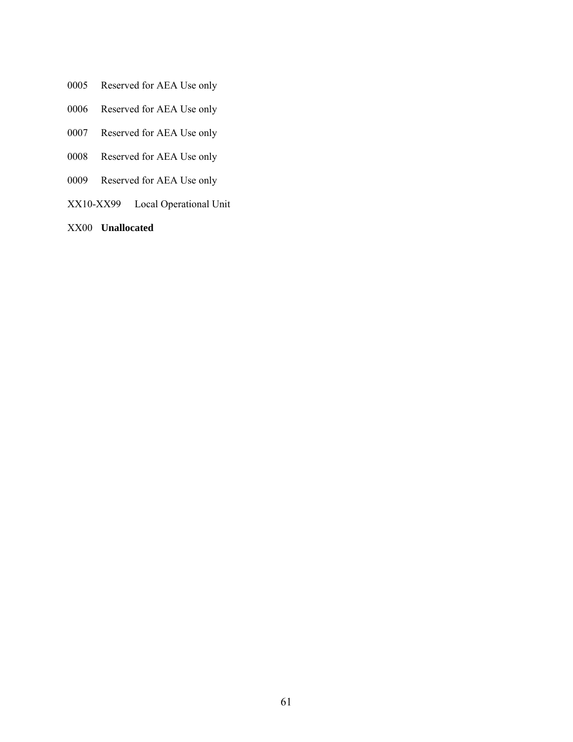- 0005 Reserved for AEA Use only
- 0006 Reserved for AEA Use only
- 0007 Reserved for AEA Use only
- 0008 Reserved for AEA Use only
- 0009 Reserved for AEA Use only
- XX10-XX99 Local Operational Unit
- XX00 **Unallocated**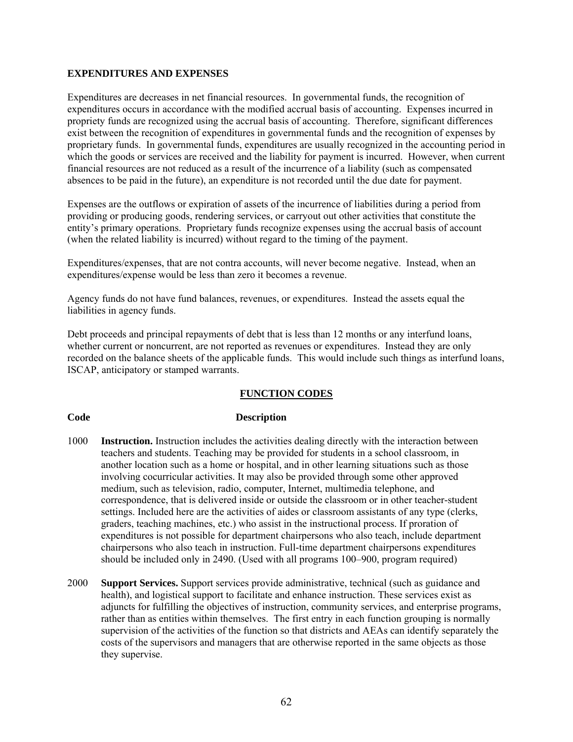# **EXPENDITURES AND EXPENSES**

Expenditures are decreases in net financial resources. In governmental funds, the recognition of expenditures occurs in accordance with the modified accrual basis of accounting. Expenses incurred in propriety funds are recognized using the accrual basis of accounting. Therefore, significant differences exist between the recognition of expenditures in governmental funds and the recognition of expenses by proprietary funds. In governmental funds, expenditures are usually recognized in the accounting period in which the goods or services are received and the liability for payment is incurred. However, when current financial resources are not reduced as a result of the incurrence of a liability (such as compensated absences to be paid in the future), an expenditure is not recorded until the due date for payment.

Expenses are the outflows or expiration of assets of the incurrence of liabilities during a period from providing or producing goods, rendering services, or carryout out other activities that constitute the entity's primary operations. Proprietary funds recognize expenses using the accrual basis of account (when the related liability is incurred) without regard to the timing of the payment.

Expenditures/expenses, that are not contra accounts, will never become negative. Instead, when an expenditures/expense would be less than zero it becomes a revenue.

Agency funds do not have fund balances, revenues, or expenditures. Instead the assets equal the liabilities in agency funds.

Debt proceeds and principal repayments of debt that is less than 12 months or any interfund loans, whether current or noncurrent, are not reported as revenues or expenditures. Instead they are only recorded on the balance sheets of the applicable funds. This would include such things as interfund loans, ISCAP, anticipatory or stamped warrants.

# **FUNCTION CODES**

## **Code Description**

- 1000 **Instruction.** Instruction includes the activities dealing directly with the interaction between teachers and students. Teaching may be provided for students in a school classroom, in another location such as a home or hospital, and in other learning situations such as those involving cocurricular activities. It may also be provided through some other approved medium, such as television, radio, computer, Internet, multimedia telephone, and correspondence, that is delivered inside or outside the classroom or in other teacher-student settings. Included here are the activities of aides or classroom assistants of any type (clerks, graders, teaching machines, etc.) who assist in the instructional process. If proration of expenditures is not possible for department chairpersons who also teach, include department chairpersons who also teach in instruction. Full-time department chairpersons expenditures should be included only in 2490. (Used with all programs 100–900, program required)
- 2000 **Support Services.** Support services provide administrative, technical (such as guidance and health), and logistical support to facilitate and enhance instruction. These services exist as adjuncts for fulfilling the objectives of instruction, community services, and enterprise programs, rather than as entities within themselves. The first entry in each function grouping is normally supervision of the activities of the function so that districts and AEAs can identify separately the costs of the supervisors and managers that are otherwise reported in the same objects as those they supervise.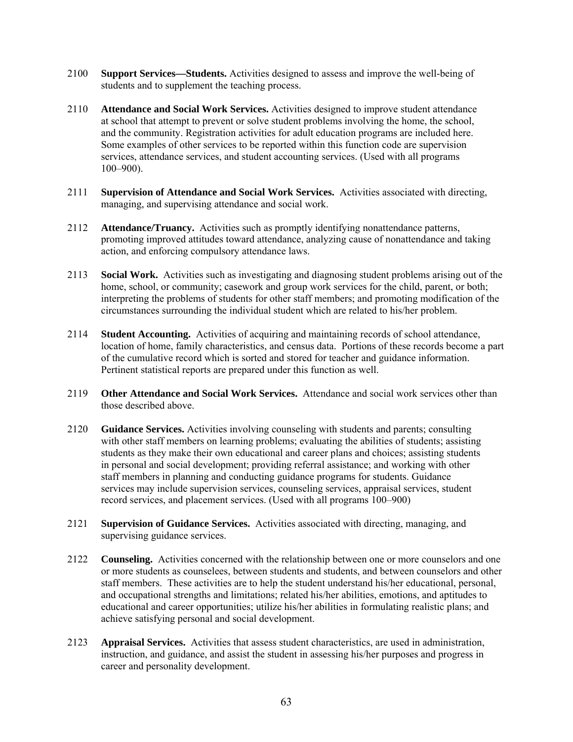- 2100 **Support Services—Students.** Activities designed to assess and improve the well-being of students and to supplement the teaching process.
- 2110 **Attendance and Social Work Services.** Activities designed to improve student attendance at school that attempt to prevent or solve student problems involving the home, the school, and the community. Registration activities for adult education programs are included here. Some examples of other services to be reported within this function code are supervision services, attendance services, and student accounting services. (Used with all programs 100–900).
- 2111 **Supervision of Attendance and Social Work Services.** Activities associated with directing, managing, and supervising attendance and social work.
- 2112 **Attendance/Truancy.** Activities such as promptly identifying nonattendance patterns, promoting improved attitudes toward attendance, analyzing cause of nonattendance and taking action, and enforcing compulsory attendance laws.
- 2113 **Social Work.** Activities such as investigating and diagnosing student problems arising out of the home, school, or community; casework and group work services for the child, parent, or both; interpreting the problems of students for other staff members; and promoting modification of the circumstances surrounding the individual student which are related to his/her problem.
- 2114 **Student Accounting.** Activities of acquiring and maintaining records of school attendance, location of home, family characteristics, and census data. Portions of these records become a part of the cumulative record which is sorted and stored for teacher and guidance information. Pertinent statistical reports are prepared under this function as well.
- 2119 **Other Attendance and Social Work Services.** Attendance and social work services other than those described above.
- 2120 **Guidance Services.** Activities involving counseling with students and parents; consulting with other staff members on learning problems; evaluating the abilities of students; assisting students as they make their own educational and career plans and choices; assisting students in personal and social development; providing referral assistance; and working with other staff members in planning and conducting guidance programs for students. Guidance services may include supervision services, counseling services, appraisal services, student record services, and placement services. (Used with all programs 100–900)
- 2121 **Supervision of Guidance Services.** Activities associated with directing, managing, and supervising guidance services.
- 2122 **Counseling.** Activities concerned with the relationship between one or more counselors and one or more students as counselees, between students and students, and between counselors and other staff members. These activities are to help the student understand his/her educational, personal, and occupational strengths and limitations; related his/her abilities, emotions, and aptitudes to educational and career opportunities; utilize his/her abilities in formulating realistic plans; and achieve satisfying personal and social development.
- 2123 **Appraisal Services.** Activities that assess student characteristics, are used in administration, instruction, and guidance, and assist the student in assessing his/her purposes and progress in career and personality development.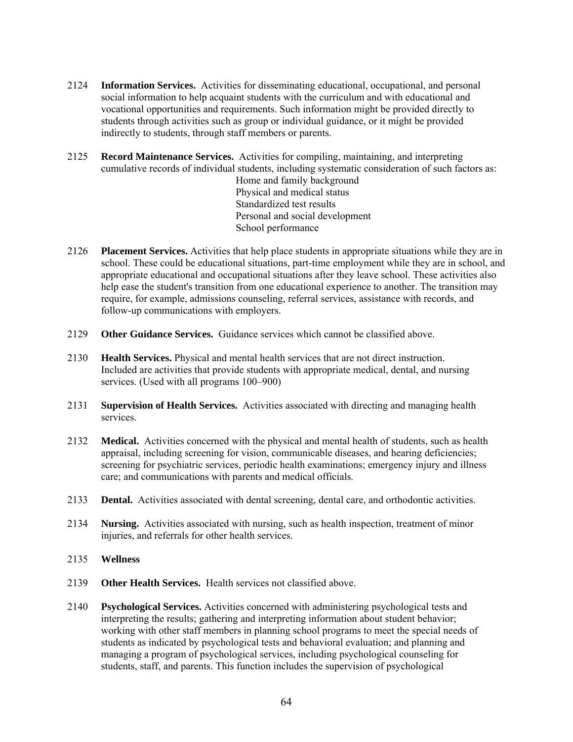- 2124 **Information Services.** Activities for disseminating educational, occupational, and personal social information to help acquaint students with the curriculum and with educational and vocational opportunities and requirements. Such information might be provided directly to students through activities such as group or individual guidance, or it might be provided indirectly to students, through staff members or parents.
- 2125 **Record Maintenance Services.** Activities for compiling, maintaining, and interpreting cumulative records of individual students, including systematic consideration of such factors as: Home and family background Physical and medical status Standardized test results Personal and social development School performance
- 2126 **Placement Services.** Activities that help place students in appropriate situations while they are in school. These could be educational situations, part-time employment while they are in school, and appropriate educational and occupational situations after they leave school. These activities also help ease the student's transition from one educational experience to another. The transition may require, for example, admissions counseling, referral services, assistance with records, and follow-up communications with employers.
- 2129 **Other Guidance Services.** Guidance services which cannot be classified above.
- 2130 **Health Services.** Physical and mental health services that are not direct instruction. Included are activities that provide students with appropriate medical, dental, and nursing services. (Used with all programs 100–900)
- 2131 **Supervision of Health Services.** Activities associated with directing and managing health services.
- 2132 **Medical.** Activities concerned with the physical and mental health of students, such as health appraisal, including screening for vision, communicable diseases, and hearing deficiencies; screening for psychiatric services, periodic health examinations; emergency injury and illness care; and communications with parents and medical officials.
- 2133 **Dental.** Activities associated with dental screening, dental care, and orthodontic activities.
- 2134 **Nursing.** Activities associated with nursing, such as health inspection, treatment of minor injuries, and referrals for other health services.
- 2135 **Wellness**
- 2139 **Other Health Services.** Health services not classified above.
- 2140 **Psychological Services.** Activities concerned with administering psychological tests and interpreting the results; gathering and interpreting information about student behavior; working with other staff members in planning school programs to meet the special needs of students as indicated by psychological tests and behavioral evaluation; and planning and managing a program of psychological services, including psychological counseling for students, staff, and parents. This function includes the supervision of psychological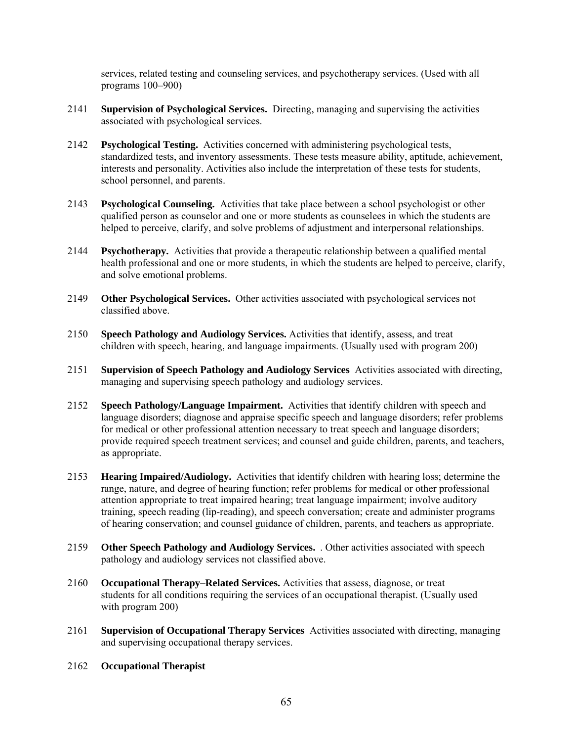services, related testing and counseling services, and psychotherapy services. (Used with all programs 100–900)

- 2141 **Supervision of Psychological Services.** Directing, managing and supervising the activities associated with psychological services.
- 2142 **Psychological Testing.** Activities concerned with administering psychological tests, standardized tests, and inventory assessments. These tests measure ability, aptitude, achievement, interests and personality. Activities also include the interpretation of these tests for students, school personnel, and parents.
- 2143 **Psychological Counseling.** Activities that take place between a school psychologist or other qualified person as counselor and one or more students as counselees in which the students are helped to perceive, clarify, and solve problems of adjustment and interpersonal relationships.
- 2144 **Psychotherapy.** Activities that provide a therapeutic relationship between a qualified mental health professional and one or more students, in which the students are helped to perceive, clarify, and solve emotional problems.
- 2149 **Other Psychological Services.** Other activities associated with psychological services not classified above.
- 2150 **Speech Pathology and Audiology Services.** Activities that identify, assess, and treat children with speech, hearing, and language impairments. (Usually used with program 200)
- 2151 **Supervision of Speech Pathology and Audiology Services** Activities associated with directing, managing and supervising speech pathology and audiology services.
- 2152 **Speech Pathology/Language Impairment.** Activities that identify children with speech and language disorders; diagnose and appraise specific speech and language disorders; refer problems for medical or other professional attention necessary to treat speech and language disorders; provide required speech treatment services; and counsel and guide children, parents, and teachers, as appropriate.
- 2153 **Hearing Impaired/Audiology.** Activities that identify children with hearing loss; determine the range, nature, and degree of hearing function; refer problems for medical or other professional attention appropriate to treat impaired hearing; treat language impairment; involve auditory training, speech reading (lip-reading), and speech conversation; create and administer programs of hearing conservation; and counsel guidance of children, parents, and teachers as appropriate.
- 2159 **Other Speech Pathology and Audiology Services.** *.* Other activities associated with speech pathology and audiology services not classified above.
- 2160 **Occupational Therapy–Related Services.** Activities that assess, diagnose, or treat students for all conditions requiring the services of an occupational therapist. (Usually used with program 200)
- 2161 **Supervision of Occupational Therapy Services** Activities associated with directing, managing and supervising occupational therapy services.
- 2162 **Occupational Therapist**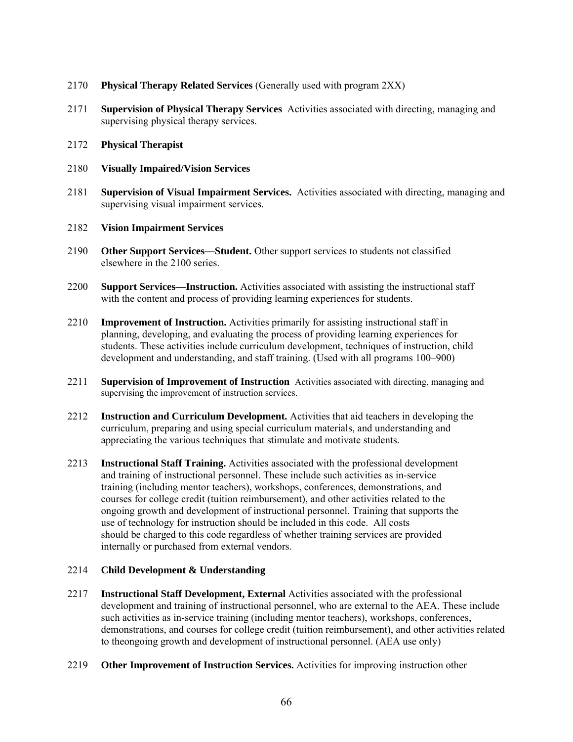- 2170 **Physical Therapy Related Services** (Generally used with program 2XX)
- 2171 **Supervision of Physical Therapy Services** Activities associated with directing, managing and supervising physical therapy services.
- 2172 **Physical Therapist**
- 2180 **Visually Impaired/Vision Services**
- 2181 **Supervision of Visual Impairment Services.** Activities associated with directing, managing and supervising visual impairment services.
- 2182 **Vision Impairment Services**
- 2190 **Other Support Services—Student.** Other support services to students not classified elsewhere in the 2100 series.
- 2200 **Support Services—Instruction.** Activities associated with assisting the instructional staff with the content and process of providing learning experiences for students.
- 2210 **Improvement of Instruction.** Activities primarily for assisting instructional staff in planning, developing, and evaluating the process of providing learning experiences for students. These activities include curriculum development, techniques of instruction, child development and understanding, and staff training. (Used with all programs 100–900)
- 2211 **Supervision of Improvement of Instruction** Activities associated with directing, managing and supervising the improvement of instruction services.
- 2212 **Instruction and Curriculum Development.** Activities that aid teachers in developing the curriculum, preparing and using special curriculum materials, and understanding and appreciating the various techniques that stimulate and motivate students.
- 2213 **Instructional Staff Training.** Activities associated with the professional development and training of instructional personnel. These include such activities as in-service training (including mentor teachers), workshops, conferences, demonstrations, and courses for college credit (tuition reimbursement), and other activities related to the ongoing growth and development of instructional personnel. Training that supports the use of technology for instruction should be included in this code. All costs should be charged to this code regardless of whether training services are provided internally or purchased from external vendors.

# 2214 **Child Development & Understanding**

- 2217 **Instructional Staff Development, External** Activities associated with the professional development and training of instructional personnel, who are external to the AEA. These include such activities as in-service training (including mentor teachers), workshops, conferences, demonstrations, and courses for college credit (tuition reimbursement), and other activities related to theongoing growth and development of instructional personnel. (AEA use only)
- 2219 **Other Improvement of Instruction Services.** Activities for improving instruction other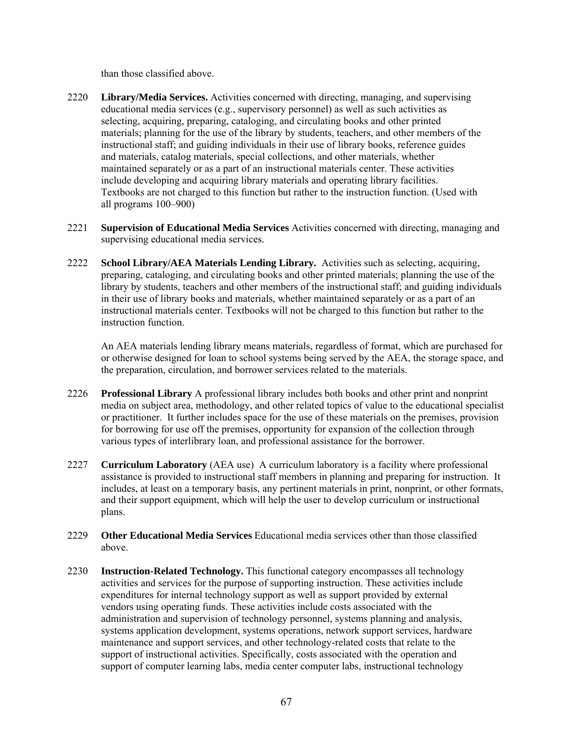than those classified above.

- 2220 **Library/Media Services.** Activities concerned with directing, managing, and supervising educational media services (e.g., supervisory personnel) as well as such activities as selecting, acquiring, preparing, cataloging, and circulating books and other printed materials; planning for the use of the library by students, teachers, and other members of the instructional staff; and guiding individuals in their use of library books, reference guides and materials, catalog materials, special collections, and other materials, whether maintained separately or as a part of an instructional materials center. These activities include developing and acquiring library materials and operating library facilities. Textbooks are not charged to this function but rather to the instruction function. (Used with all programs 100–900)
- 2221 **Supervision of Educational Media Services** Activities concerned with directing, managing and supervising educational media services.
- 2222 **School Library/AEA Materials Lending Library.** Activities such as selecting, acquiring, preparing, cataloging, and circulating books and other printed materials; planning the use of the library by students, teachers and other members of the instructional staff; and guiding individuals in their use of library books and materials, whether maintained separately or as a part of an instructional materials center. Textbooks will not be charged to this function but rather to the instruction function.

An AEA materials lending library means materials, regardless of format, which are purchased for or otherwise designed for loan to school systems being served by the AEA, the storage space, and the preparation, circulation, and borrower services related to the materials.

- 2226 **Professional Library** A professional library includes both books and other print and nonprint media on subject area, methodology, and other related topics of value to the educational specialist or practitioner. It further includes space for the use of these materials on the premises, provision for borrowing for use off the premises, opportunity for expansion of the collection through various types of interlibrary loan, and professional assistance for the borrower.
- 2227 **Curriculum Laboratory** (AEA use) A curriculum laboratory is a facility where professional assistance is provided to instructional staff members in planning and preparing for instruction. It includes, at least on a temporary basis, any pertinent materials in print, nonprint, or other formats, and their support equipment, which will help the user to develop curriculum or instructional plans.
- 2229 **Other Educational Media Services** Educational media services other than those classified above.
- 2230 **Instruction-Related Technology.** This functional category encompasses all technology activities and services for the purpose of supporting instruction. These activities include expenditures for internal technology support as well as support provided by external vendors using operating funds. These activities include costs associated with the administration and supervision of technology personnel, systems planning and analysis, systems application development, systems operations, network support services, hardware maintenance and support services, and other technology-related costs that relate to the support of instructional activities. Specifically, costs associated with the operation and support of computer learning labs, media center computer labs, instructional technology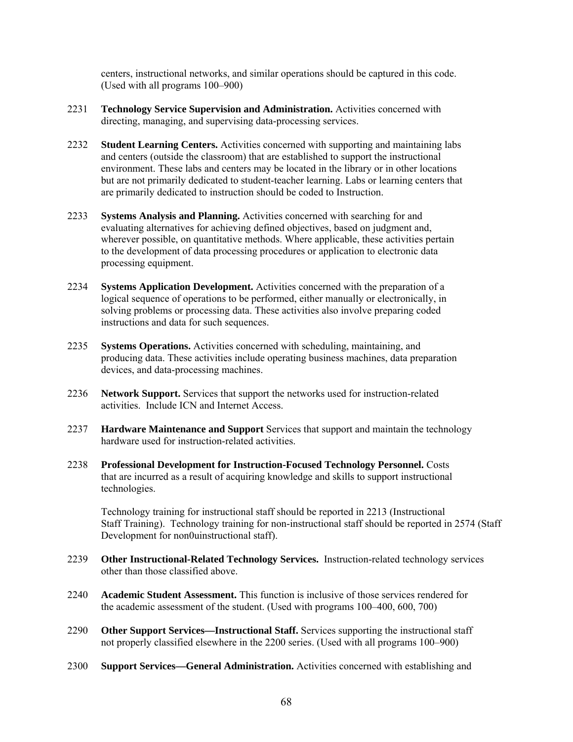centers, instructional networks, and similar operations should be captured in this code. (Used with all programs 100–900)

- 2231 **Technology Service Supervision and Administration.** Activities concerned with directing, managing, and supervising data-processing services.
- 2232 **Student Learning Centers.** Activities concerned with supporting and maintaining labs and centers (outside the classroom) that are established to support the instructional environment. These labs and centers may be located in the library or in other locations but are not primarily dedicated to student-teacher learning. Labs or learning centers that are primarily dedicated to instruction should be coded to Instruction.
- 2233 **Systems Analysis and Planning.** Activities concerned with searching for and evaluating alternatives for achieving defined objectives, based on judgment and, wherever possible, on quantitative methods. Where applicable, these activities pertain to the development of data processing procedures or application to electronic data processing equipment.
- 2234 **Systems Application Development.** Activities concerned with the preparation of a logical sequence of operations to be performed, either manually or electronically, in solving problems or processing data. These activities also involve preparing coded instructions and data for such sequences.
- 2235 **Systems Operations.** Activities concerned with scheduling, maintaining, and producing data. These activities include operating business machines, data preparation devices, and data-processing machines.
- 2236 **Network Support.** Services that support the networks used for instruction-related activities. Include ICN and Internet Access.
- 2237 **Hardware Maintenance and Support** Services that support and maintain the technology hardware used for instruction-related activities.
- 2238 **Professional Development for Instruction-Focused Technology Personnel.** Costs that are incurred as a result of acquiring knowledge and skills to support instructional technologies.

Technology training for instructional staff should be reported in 2213 (Instructional Staff Training). Technology training for non-instructional staff should be reported in 2574 (Staff Development for non0uinstructional staff).

- 2239 **Other Instructional-Related Technology Services.** Instruction-related technology services other than those classified above.
- 2240 **Academic Student Assessment.** This function is inclusive of those services rendered for the academic assessment of the student. (Used with programs 100–400, 600, 700)
- 2290 **Other Support Services—Instructional Staff.** Services supporting the instructional staff not properly classified elsewhere in the 2200 series. (Used with all programs 100–900)
- 2300 **Support Services—General Administration.** Activities concerned with establishing and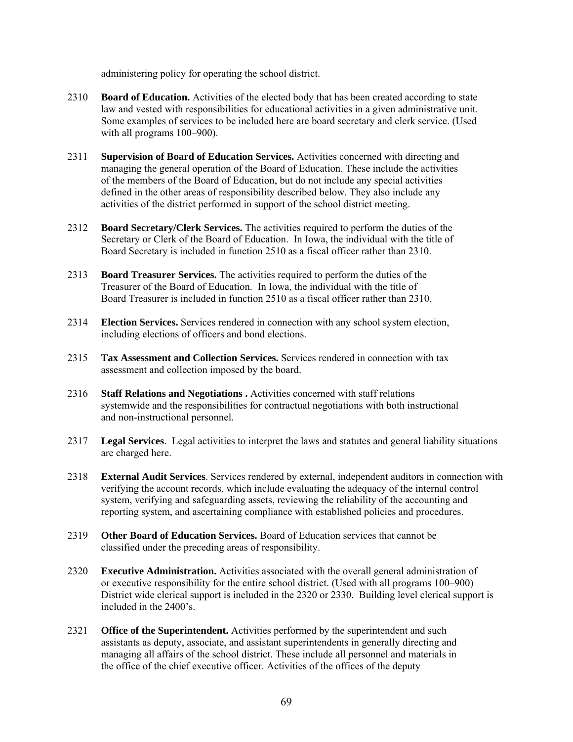administering policy for operating the school district.

- 2310 **Board of Education.** Activities of the elected body that has been created according to state law and vested with responsibilities for educational activities in a given administrative unit. Some examples of services to be included here are board secretary and clerk service. (Used with all programs 100–900).
- 2311 **Supervision of Board of Education Services.** Activities concerned with directing and managing the general operation of the Board of Education. These include the activities of the members of the Board of Education, but do not include any special activities defined in the other areas of responsibility described below. They also include any activities of the district performed in support of the school district meeting.
- 2312 **Board Secretary/Clerk Services.** The activities required to perform the duties of the Secretary or Clerk of the Board of Education. In Iowa, the individual with the title of Board Secretary is included in function 2510 as a fiscal officer rather than 2310.
- 2313 **Board Treasurer Services.** The activities required to perform the duties of the Treasurer of the Board of Education. In Iowa, the individual with the title of Board Treasurer is included in function 2510 as a fiscal officer rather than 2310.
- 2314 **Election Services.** Services rendered in connection with any school system election, including elections of officers and bond elections.
- 2315 **Tax Assessment and Collection Services.** Services rendered in connection with tax assessment and collection imposed by the board.
- 2316 **Staff Relations and Negotiations .** Activities concerned with staff relations systemwide and the responsibilities for contractual negotiations with both instructional and non-instructional personnel.
- 2317 **Legal Services**. Legal activities to interpret the laws and statutes and general liability situations are charged here.
- 2318 **External Audit Services**. Services rendered by external, independent auditors in connection with verifying the account records, which include evaluating the adequacy of the internal control system, verifying and safeguarding assets, reviewing the reliability of the accounting and reporting system, and ascertaining compliance with established policies and procedures.
- 2319 **Other Board of Education Services.** Board of Education services that cannot be classified under the preceding areas of responsibility.
- 2320 **Executive Administration.** Activities associated with the overall general administration of or executive responsibility for the entire school district. (Used with all programs 100–900) District wide clerical support is included in the 2320 or 2330. Building level clerical support is included in the 2400's.
- 2321 **Office of the Superintendent.** Activities performed by the superintendent and such assistants as deputy, associate, and assistant superintendents in generally directing and managing all affairs of the school district. These include all personnel and materials in the office of the chief executive officer. Activities of the offices of the deputy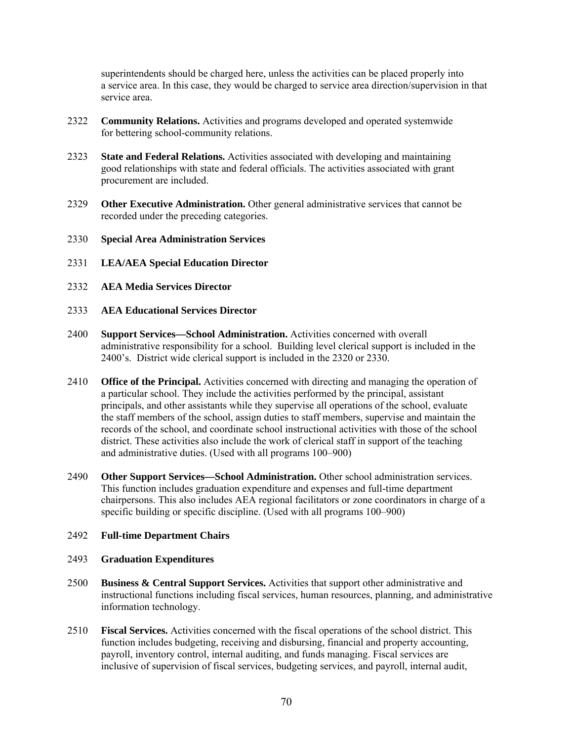superintendents should be charged here, unless the activities can be placed properly into a service area. In this case, they would be charged to service area direction/supervision in that service area.

- 2322 **Community Relations.** Activities and programs developed and operated systemwide for bettering school-community relations.
- 2323 **State and Federal Relations.** Activities associated with developing and maintaining good relationships with state and federal officials. The activities associated with grant procurement are included.
- 2329 **Other Executive Administration.** Other general administrative services that cannot be recorded under the preceding categories.
- 2330 **Special Area Administration Services**
- 2331 **LEA/AEA Special Education Director**
- 2332 **AEA Media Services Director**
- 2333 **AEA Educational Services Director**
- 2400 **Support Services—School Administration.** Activities concerned with overall administrative responsibility for a school. Building level clerical support is included in the 2400's. District wide clerical support is included in the 2320 or 2330.
- 2410 **Office of the Principal.** Activities concerned with directing and managing the operation of a particular school. They include the activities performed by the principal, assistant principals, and other assistants while they supervise all operations of the school, evaluate the staff members of the school, assign duties to staff members, supervise and maintain the records of the school, and coordinate school instructional activities with those of the school district. These activities also include the work of clerical staff in support of the teaching and administrative duties. (Used with all programs 100–900)
- 2490 **Other Support Services—School Administration.** Other school administration services. This function includes graduation expenditure and expenses and full-time department chairpersons. This also includes AEA regional facilitators or zone coordinators in charge of a specific building or specific discipline. (Used with all programs 100–900)

### 2492 **Full-time Department Chairs**

#### 2493 **Graduation Expenditures**

- 2500 **Business & Central Support Services.** Activities that support other administrative and instructional functions including fiscal services, human resources, planning, and administrative information technology.
- 2510 **Fiscal Services.** Activities concerned with the fiscal operations of the school district. This function includes budgeting, receiving and disbursing, financial and property accounting, payroll, inventory control, internal auditing, and funds managing. Fiscal services are inclusive of supervision of fiscal services, budgeting services, and payroll, internal audit,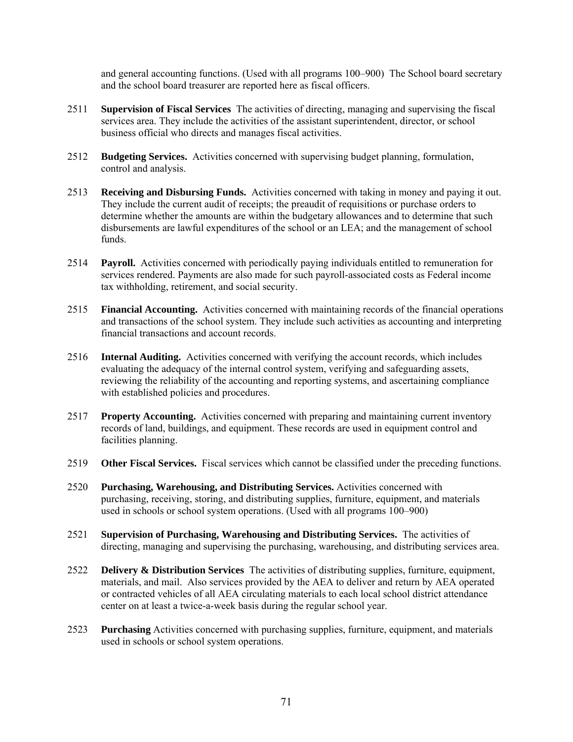and general accounting functions. (Used with all programs 100–900) The School board secretary and the school board treasurer are reported here as fiscal officers.

- 2511 **Supervision of Fiscal Services** The activities of directing, managing and supervising the fiscal services area. They include the activities of the assistant superintendent, director, or school business official who directs and manages fiscal activities.
- 2512 **Budgeting Services.** Activities concerned with supervising budget planning, formulation, control and analysis.
- 2513 **Receiving and Disbursing Funds.** Activities concerned with taking in money and paying it out. They include the current audit of receipts; the preaudit of requisitions or purchase orders to determine whether the amounts are within the budgetary allowances and to determine that such disbursements are lawful expenditures of the school or an LEA; and the management of school funds.
- 2514 **Payroll.** Activities concerned with periodically paying individuals entitled to remuneration for services rendered. Payments are also made for such payroll-associated costs as Federal income tax withholding, retirement, and social security.
- 2515 **Financial Accounting.** Activities concerned with maintaining records of the financial operations and transactions of the school system. They include such activities as accounting and interpreting financial transactions and account records.
- 2516 **Internal Auditing.** Activities concerned with verifying the account records, which includes evaluating the adequacy of the internal control system, verifying and safeguarding assets, reviewing the reliability of the accounting and reporting systems, and ascertaining compliance with established policies and procedures.
- 2517 **Property Accounting.** Activities concerned with preparing and maintaining current inventory records of land, buildings, and equipment. These records are used in equipment control and facilities planning.
- 2519 **Other Fiscal Services.** Fiscal services which cannot be classified under the preceding functions.
- 2520 **Purchasing, Warehousing, and Distributing Services.** Activities concerned with purchasing, receiving, storing, and distributing supplies, furniture, equipment, and materials used in schools or school system operations. (Used with all programs 100–900)
- 2521 **Supervision of Purchasing, Warehousing and Distributing Services.** The activities of directing, managing and supervising the purchasing, warehousing, and distributing services area.
- 2522 **Delivery & Distribution Services** The activities of distributing supplies, furniture, equipment, materials, and mail. Also services provided by the AEA to deliver and return by AEA operated or contracted vehicles of all AEA circulating materials to each local school district attendance center on at least a twice-a-week basis during the regular school year.
- 2523 **Purchasing** Activities concerned with purchasing supplies, furniture, equipment, and materials used in schools or school system operations.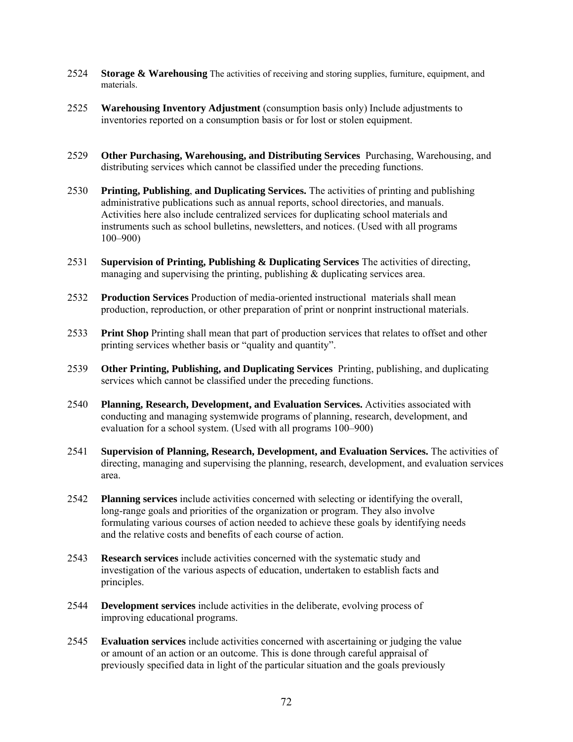- 2524 **Storage & Warehousing** The activities of receiving and storing supplies, furniture, equipment, and materials.
- 2525 **Warehousing Inventory Adjustment** (consumption basis only) Include adjustments to inventories reported on a consumption basis or for lost or stolen equipment.
- 2529 **Other Purchasing, Warehousing, and Distributing Services** Purchasing, Warehousing, and distributing services which cannot be classified under the preceding functions.
- 2530 **Printing, Publishing**, **and Duplicating Services.** The activities of printing and publishing administrative publications such as annual reports, school directories, and manuals. Activities here also include centralized services for duplicating school materials and instruments such as school bulletins, newsletters, and notices. (Used with all programs 100–900)
- 2531 **Supervision of Printing, Publishing & Duplicating Services** The activities of directing, managing and supervising the printing, publishing  $&$  duplicating services area.
- 2532 **Production Services** Production of media-oriented instructional materials shall mean production, reproduction, or other preparation of print or nonprint instructional materials.
- 2533 **Print Shop** Printing shall mean that part of production services that relates to offset and other printing services whether basis or "quality and quantity".
- 2539 **Other Printing, Publishing, and Duplicating Services** Printing, publishing, and duplicating services which cannot be classified under the preceding functions.
- 2540 **Planning, Research, Development, and Evaluation Services.** Activities associated with conducting and managing systemwide programs of planning, research, development, and evaluation for a school system. (Used with all programs 100–900)
- 2541 **Supervision of Planning, Research, Development, and Evaluation Services.** The activities of directing, managing and supervising the planning, research, development, and evaluation services area.
- 2542 **Planning services** include activities concerned with selecting or identifying the overall, long-range goals and priorities of the organization or program. They also involve formulating various courses of action needed to achieve these goals by identifying needs and the relative costs and benefits of each course of action.
- 2543 **Research services** include activities concerned with the systematic study and investigation of the various aspects of education, undertaken to establish facts and principles.
- 2544 **Development services** include activities in the deliberate, evolving process of improving educational programs.
- 2545 **Evaluation services** include activities concerned with ascertaining or judging the value or amount of an action or an outcome. This is done through careful appraisal of previously specified data in light of the particular situation and the goals previously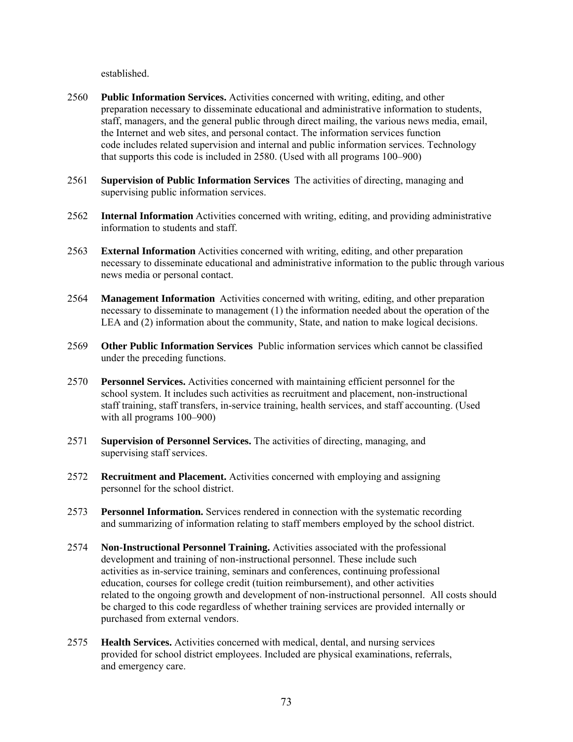established.

- 2560 **Public Information Services.** Activities concerned with writing, editing, and other preparation necessary to disseminate educational and administrative information to students, staff, managers, and the general public through direct mailing, the various news media, email, the Internet and web sites, and personal contact. The information services function code includes related supervision and internal and public information services. Technology that supports this code is included in 2580. (Used with all programs 100–900)
- 2561 **Supervision of Public Information Services** The activities of directing, managing and supervising public information services.
- 2562 **Internal Information** Activities concerned with writing, editing, and providing administrative information to students and staff.
- 2563 **External Information** Activities concerned with writing, editing, and other preparation necessary to disseminate educational and administrative information to the public through various news media or personal contact.
- 2564 **Management Information** Activities concerned with writing, editing, and other preparation necessary to disseminate to management (1) the information needed about the operation of the LEA and (2) information about the community, State, and nation to make logical decisions.
- 2569 **Other Public Information Services** Public information services which cannot be classified under the preceding functions.
- 2570 **Personnel Services.** Activities concerned with maintaining efficient personnel for the school system. It includes such activities as recruitment and placement, non-instructional staff training, staff transfers, in-service training, health services, and staff accounting. (Used with all programs 100–900)
- 2571 **Supervision of Personnel Services.** The activities of directing, managing, and supervising staff services.
- 2572 **Recruitment and Placement.** Activities concerned with employing and assigning personnel for the school district.
- 2573 **Personnel Information.** Services rendered in connection with the systematic recording and summarizing of information relating to staff members employed by the school district.
- 2574 **Non-Instructional Personnel Training.** Activities associated with the professional development and training of non-instructional personnel. These include such activities as in-service training, seminars and conferences, continuing professional education, courses for college credit (tuition reimbursement), and other activities related to the ongoing growth and development of non-instructional personnel. All costs should be charged to this code regardless of whether training services are provided internally or purchased from external vendors.
- 2575 **Health Services.** Activities concerned with medical, dental, and nursing services provided for school district employees. Included are physical examinations, referrals, and emergency care.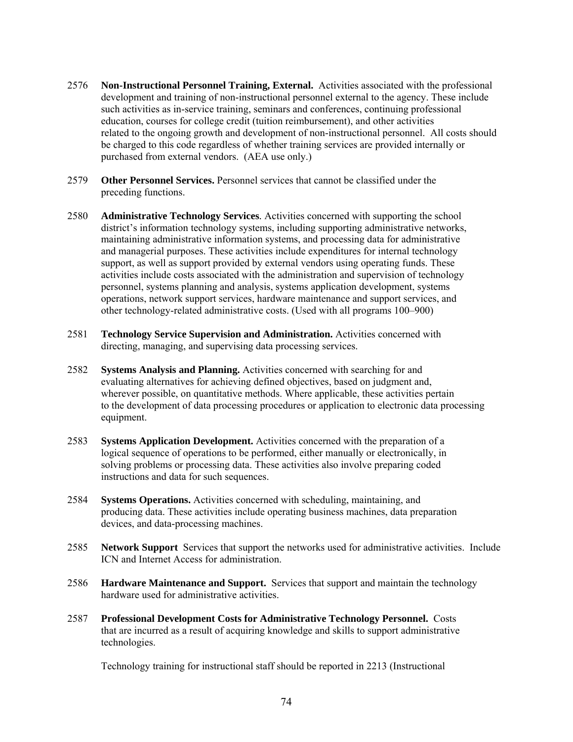- 2576 **Non-Instructional Personnel Training, External.** Activities associated with the professional development and training of non-instructional personnel external to the agency. These include such activities as in-service training, seminars and conferences, continuing professional education, courses for college credit (tuition reimbursement), and other activities related to the ongoing growth and development of non-instructional personnel. All costs should be charged to this code regardless of whether training services are provided internally or purchased from external vendors. (AEA use only.)
- 2579 **Other Personnel Services.** Personnel services that cannot be classified under the preceding functions.
- 2580 **Administrative Technology Services***.* Activities concerned with supporting the school district's information technology systems, including supporting administrative networks, maintaining administrative information systems, and processing data for administrative and managerial purposes. These activities include expenditures for internal technology support, as well as support provided by external vendors using operating funds. These activities include costs associated with the administration and supervision of technology personnel, systems planning and analysis, systems application development, systems operations, network support services, hardware maintenance and support services, and other technology-related administrative costs. (Used with all programs 100–900)
- 2581 **Technology Service Supervision and Administration.** Activities concerned with directing, managing, and supervising data processing services.
- 2582 **Systems Analysis and Planning.** Activities concerned with searching for and evaluating alternatives for achieving defined objectives, based on judgment and, wherever possible, on quantitative methods. Where applicable, these activities pertain to the development of data processing procedures or application to electronic data processing equipment.
- 2583 **Systems Application Development.** Activities concerned with the preparation of a logical sequence of operations to be performed, either manually or electronically, in solving problems or processing data. These activities also involve preparing coded instructions and data for such sequences.
- 2584 **Systems Operations.** Activities concerned with scheduling, maintaining, and producing data. These activities include operating business machines, data preparation devices, and data-processing machines.
- 2585 **Network Support** Services that support the networks used for administrative activities. Include ICN and Internet Access for administration.
- 2586 **Hardware Maintenance and Support.** Services that support and maintain the technology hardware used for administrative activities.
- 2587 **Professional Development Costs for Administrative Technology Personnel.** Costs that are incurred as a result of acquiring knowledge and skills to support administrative technologies.

Technology training for instructional staff should be reported in 2213 (Instructional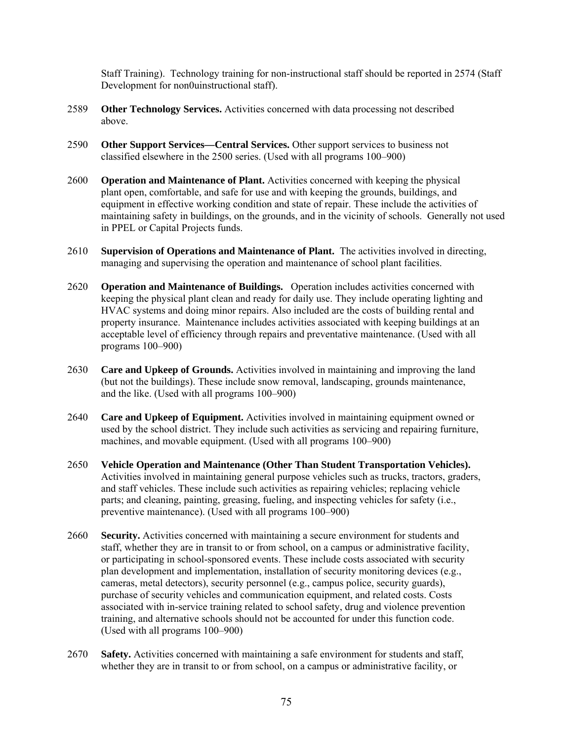Staff Training). Technology training for non-instructional staff should be reported in 2574 (Staff Development for non0uinstructional staff).

- 2589 **Other Technology Services.** Activities concerned with data processing not described above.
- 2590 **Other Support Services—Central Services.** Other support services to business not classified elsewhere in the 2500 series. (Used with all programs 100–900)
- 2600 **Operation and Maintenance of Plant.** Activities concerned with keeping the physical plant open, comfortable, and safe for use and with keeping the grounds, buildings, and equipment in effective working condition and state of repair. These include the activities of maintaining safety in buildings, on the grounds, and in the vicinity of schools. Generally not used in PPEL or Capital Projects funds.
- 2610 **Supervision of Operations and Maintenance of Plant.** The activities involved in directing, managing and supervising the operation and maintenance of school plant facilities.
- 2620 **Operation and Maintenance of Buildings.** Operation includes activities concerned with keeping the physical plant clean and ready for daily use. They include operating lighting and HVAC systems and doing minor repairs. Also included are the costs of building rental and property insurance. Maintenance includes activities associated with keeping buildings at an acceptable level of efficiency through repairs and preventative maintenance. (Used with all programs 100–900)
- 2630 **Care and Upkeep of Grounds.** Activities involved in maintaining and improving the land (but not the buildings). These include snow removal, landscaping, grounds maintenance, and the like. (Used with all programs 100–900)
- 2640 **Care and Upkeep of Equipment.** Activities involved in maintaining equipment owned or used by the school district. They include such activities as servicing and repairing furniture, machines, and movable equipment. (Used with all programs 100–900)
- 2650 **Vehicle Operation and Maintenance (Other Than Student Transportation Vehicles).**  Activities involved in maintaining general purpose vehicles such as trucks, tractors, graders, and staff vehicles. These include such activities as repairing vehicles; replacing vehicle parts; and cleaning, painting, greasing, fueling, and inspecting vehicles for safety (i.e., preventive maintenance). (Used with all programs 100–900)
- 2660 **Security.** Activities concerned with maintaining a secure environment for students and staff, whether they are in transit to or from school, on a campus or administrative facility, or participating in school-sponsored events. These include costs associated with security plan development and implementation, installation of security monitoring devices (e.g., cameras, metal detectors), security personnel (e.g., campus police, security guards), purchase of security vehicles and communication equipment, and related costs. Costs associated with in-service training related to school safety, drug and violence prevention training, and alternative schools should not be accounted for under this function code. (Used with all programs 100–900)
- 2670 **Safety.** Activities concerned with maintaining a safe environment for students and staff, whether they are in transit to or from school, on a campus or administrative facility, or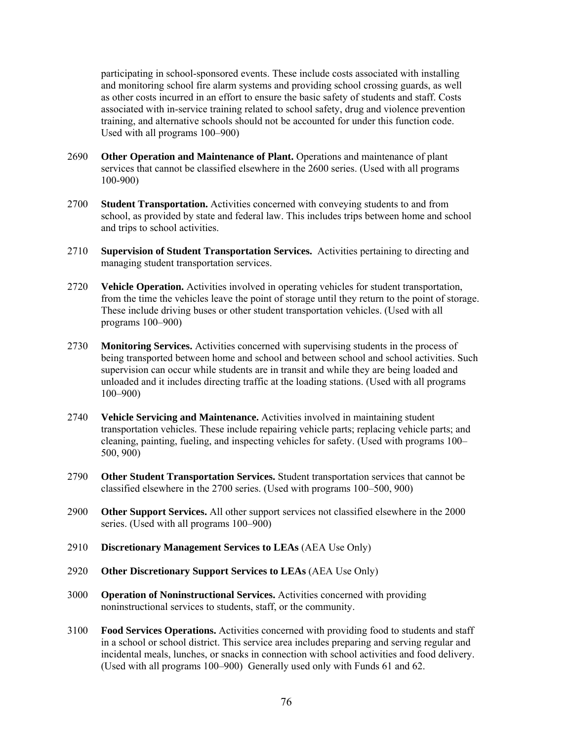participating in school-sponsored events. These include costs associated with installing and monitoring school fire alarm systems and providing school crossing guards, as well as other costs incurred in an effort to ensure the basic safety of students and staff. Costs associated with in-service training related to school safety, drug and violence prevention training, and alternative schools should not be accounted for under this function code. Used with all programs 100–900)

- 2690 **Other Operation and Maintenance of Plant.** Operations and maintenance of plant services that cannot be classified elsewhere in the 2600 series. (Used with all programs 100-900)
- 2700 **Student Transportation.** Activities concerned with conveying students to and from school, as provided by state and federal law. This includes trips between home and school and trips to school activities.
- 2710 **Supervision of Student Transportation Services.** Activities pertaining to directing and managing student transportation services.
- 2720 **Vehicle Operation.** Activities involved in operating vehicles for student transportation, from the time the vehicles leave the point of storage until they return to the point of storage. These include driving buses or other student transportation vehicles. (Used with all programs 100–900)
- 2730 **Monitoring Services.** Activities concerned with supervising students in the process of being transported between home and school and between school and school activities. Such supervision can occur while students are in transit and while they are being loaded and unloaded and it includes directing traffic at the loading stations. (Used with all programs 100–900)
- 2740 **Vehicle Servicing and Maintenance.** Activities involved in maintaining student transportation vehicles. These include repairing vehicle parts; replacing vehicle parts; and cleaning, painting, fueling, and inspecting vehicles for safety. (Used with programs 100– 500, 900)
- 2790 **Other Student Transportation Services.** Student transportation services that cannot be classified elsewhere in the 2700 series. (Used with programs 100–500, 900)
- 2900 **Other Support Services.** All other support services not classified elsewhere in the 2000 series. (Used with all programs 100–900)
- 2910 **Discretionary Management Services to LEAs** (AEA Use Only)
- 2920 **Other Discretionary Support Services to LEAs** (AEA Use Only)
- 3000 **Operation of Noninstructional Services.** Activities concerned with providing noninstructional services to students, staff, or the community.
- 3100 **Food Services Operations.** Activities concerned with providing food to students and staff in a school or school district. This service area includes preparing and serving regular and incidental meals, lunches, or snacks in connection with school activities and food delivery. (Used with all programs 100–900) Generally used only with Funds 61 and 62.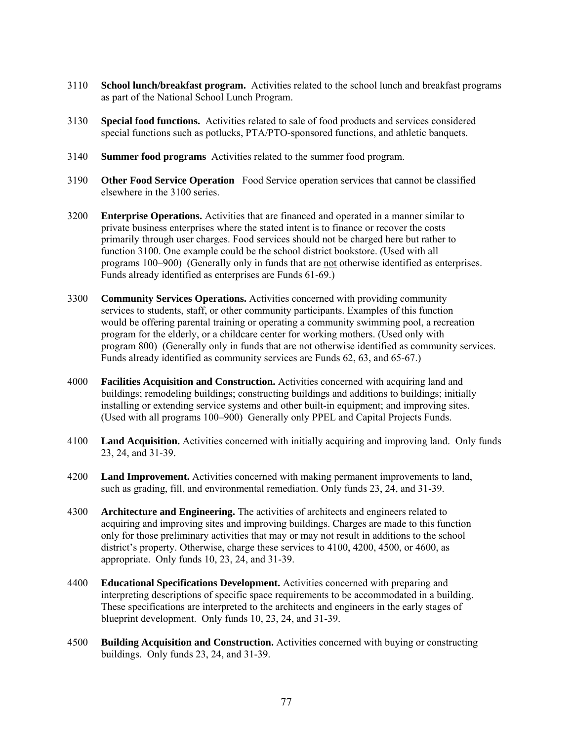- 3110 **School lunch/breakfast program.** Activities related to the school lunch and breakfast programs as part of the National School Lunch Program.
- 3130 **Special food functions.** Activities related to sale of food products and services considered special functions such as potlucks, PTA/PTO-sponsored functions, and athletic banquets.
- 3140 **Summer food programs** Activities related to the summer food program.
- 3190 **Other Food Service Operation** Food Service operation services that cannot be classified elsewhere in the 3100 series.
- 3200 **Enterprise Operations.** Activities that are financed and operated in a manner similar to private business enterprises where the stated intent is to finance or recover the costs primarily through user charges. Food services should not be charged here but rather to function 3100. One example could be the school district bookstore. (Used with all programs 100–900) (Generally only in funds that are not otherwise identified as enterprises. Funds already identified as enterprises are Funds 61-69.)
- 3300 **Community Services Operations.** Activities concerned with providing community services to students, staff, or other community participants. Examples of this function would be offering parental training or operating a community swimming pool, a recreation program for the elderly, or a childcare center for working mothers. (Used only with program 800) (Generally only in funds that are not otherwise identified as community services. Funds already identified as community services are Funds 62, 63, and 65-67.)
- 4000 **Facilities Acquisition and Construction.** Activities concerned with acquiring land and buildings; remodeling buildings; constructing buildings and additions to buildings; initially installing or extending service systems and other built-in equipment; and improving sites. (Used with all programs 100–900) Generally only PPEL and Capital Projects Funds.
- 4100 **Land Acquisition.** Activities concerned with initially acquiring and improving land. Only funds 23, 24, and 31-39.
- 4200 **Land Improvement.** Activities concerned with making permanent improvements to land, such as grading, fill, and environmental remediation. Only funds 23, 24, and 31-39.
- 4300 **Architecture and Engineering.** The activities of architects and engineers related to acquiring and improving sites and improving buildings. Charges are made to this function only for those preliminary activities that may or may not result in additions to the school district's property. Otherwise, charge these services to 4100, 4200, 4500, or 4600, as appropriate. Only funds 10, 23, 24, and 31-39.
- 4400 **Educational Specifications Development.** Activities concerned with preparing and interpreting descriptions of specific space requirements to be accommodated in a building. These specifications are interpreted to the architects and engineers in the early stages of blueprint development. Only funds 10, 23, 24, and 31-39.
- 4500 **Building Acquisition and Construction.** Activities concerned with buying or constructing buildings. Only funds 23, 24, and 31-39.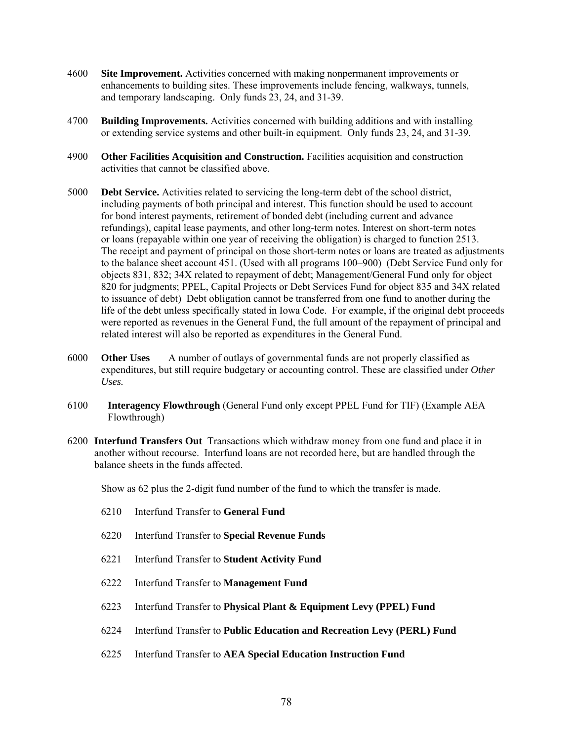- 4600 **Site Improvement.** Activities concerned with making nonpermanent improvements or enhancements to building sites. These improvements include fencing, walkways, tunnels, and temporary landscaping. Only funds 23, 24, and 31-39.
- 4700 **Building Improvements.** Activities concerned with building additions and with installing or extending service systems and other built-in equipment. Only funds 23, 24, and 31-39.
- 4900 **Other Facilities Acquisition and Construction.** Facilities acquisition and construction activities that cannot be classified above.
- 5000 **Debt Service.** Activities related to servicing the long-term debt of the school district, including payments of both principal and interest. This function should be used to account for bond interest payments, retirement of bonded debt (including current and advance refundings), capital lease payments, and other long-term notes. Interest on short-term notes or loans (repayable within one year of receiving the obligation) is charged to function 2513. The receipt and payment of principal on those short-term notes or loans are treated as adjustments to the balance sheet account 451. (Used with all programs 100–900) (Debt Service Fund only for objects 831, 832; 34X related to repayment of debt; Management/General Fund only for object 820 for judgments; PPEL, Capital Projects or Debt Services Fund for object 835 and 34X related to issuance of debt) Debt obligation cannot be transferred from one fund to another during the life of the debt unless specifically stated in Iowa Code. For example, if the original debt proceeds were reported as revenues in the General Fund, the full amount of the repayment of principal and related interest will also be reported as expenditures in the General Fund.
- 6000 **Other Uses** A number of outlays of governmental funds are not properly classified as expenditures, but still require budgetary or accounting control. These are classified under *Other Uses.*
- 6100 **Interagency Flowthrough** (General Fund only except PPEL Fund for TIF) (Example AEA Flowthrough)
- 6200 **Interfund Transfers Out** Transactions which withdraw money from one fund and place it in another without recourse. Interfund loans are not recorded here, but are handled through the balance sheets in the funds affected.

Show as 62 plus the 2-digit fund number of the fund to which the transfer is made.

- 6210 Interfund Transfer to **General Fund**
- 6220 Interfund Transfer to **Special Revenue Funds**
- 6221 Interfund Transfer to **Student Activity Fund**
- 6222 Interfund Transfer to **Management Fund**
- 6223 Interfund Transfer to **Physical Plant & Equipment Levy (PPEL) Fund**
- 6224 Interfund Transfer to **Public Education and Recreation Levy (PERL) Fund**
- 6225 Interfund Transfer to **AEA Special Education Instruction Fund**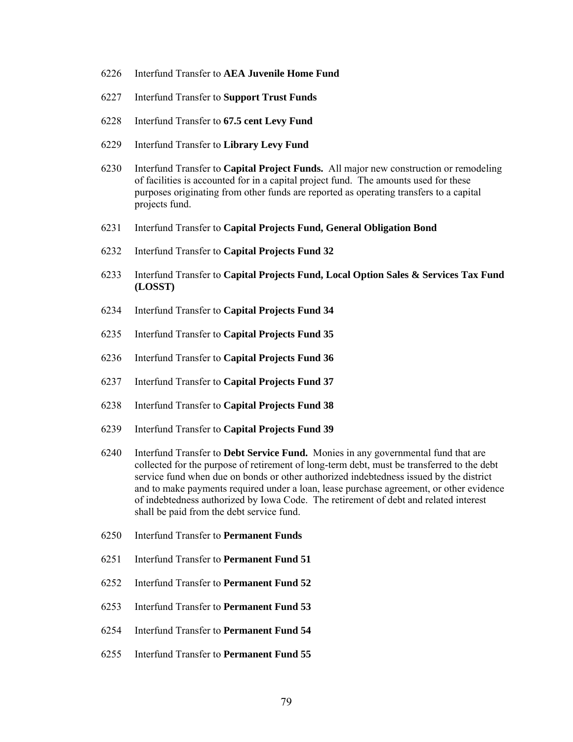- 6226 Interfund Transfer to **AEA Juvenile Home Fund**
- 6227 Interfund Transfer to **Support Trust Funds**
- 6228 Interfund Transfer to **67.5 cent Levy Fund**
- 6229 Interfund Transfer to **Library Levy Fund**
- 6230 Interfund Transfer to **Capital Project Funds.** All major new construction or remodeling of facilities is accounted for in a capital project fund. The amounts used for these purposes originating from other funds are reported as operating transfers to a capital projects fund.
- 6231 Interfund Transfer to **Capital Projects Fund, General Obligation Bond**
- 6232 Interfund Transfer to **Capital Projects Fund 32**
- 6233 Interfund Transfer to **Capital Projects Fund, Local Option Sales & Services Tax Fund (LOSST)**
- 6234 Interfund Transfer to **Capital Projects Fund 34**
- 6235 Interfund Transfer to **Capital Projects Fund 35**
- 6236 Interfund Transfer to **Capital Projects Fund 36**
- 6237 Interfund Transfer to **Capital Projects Fund 37**
- 6238 Interfund Transfer to **Capital Projects Fund 38**
- 6239 Interfund Transfer to **Capital Projects Fund 39**
- 6240 Interfund Transfer to **Debt Service Fund.** Monies in any governmental fund that are collected for the purpose of retirement of long-term debt, must be transferred to the debt service fund when due on bonds or other authorized indebtedness issued by the district and to make payments required under a loan, lease purchase agreement, or other evidence of indebtedness authorized by Iowa Code. The retirement of debt and related interest shall be paid from the debt service fund.
- 6250 Interfund Transfer to **Permanent Funds**
- 6251 Interfund Transfer to **Permanent Fund 51**
- 6252 Interfund Transfer to **Permanent Fund 52**
- 6253 Interfund Transfer to **Permanent Fund 53**
- 6254 Interfund Transfer to **Permanent Fund 54**
- 6255 Interfund Transfer to **Permanent Fund 55**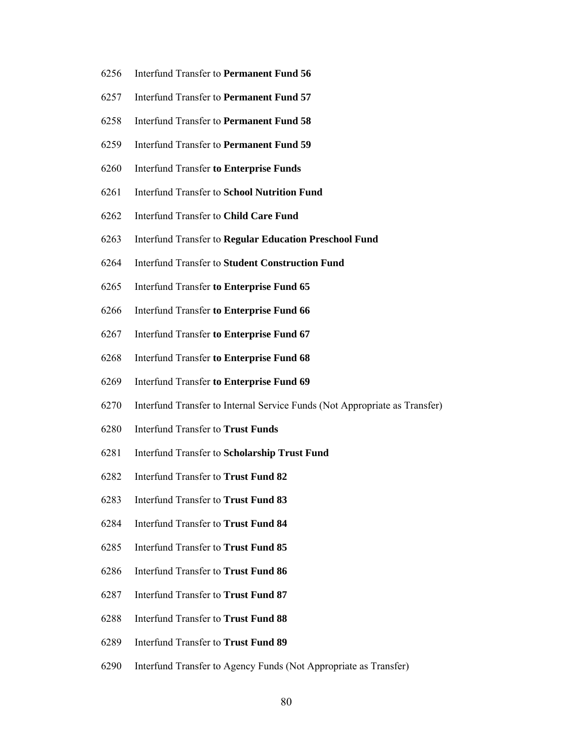- 6256 Interfund Transfer to **Permanent Fund 56**
- 6257 Interfund Transfer to **Permanent Fund 57**
- 6258 Interfund Transfer to **Permanent Fund 58**
- 6259 Interfund Transfer to **Permanent Fund 59**
- 6260 Interfund Transfer **to Enterprise Funds**
- 6261 Interfund Transfer to **School Nutrition Fund**
- 6262 Interfund Transfer to **Child Care Fund**
- 6263 Interfund Transfer to **Regular Education Preschool Fund**
- 6264 Interfund Transfer to **Student Construction Fund**
- 6265 Interfund Transfer **to Enterprise Fund 65**
- 6266 Interfund Transfer **to Enterprise Fund 66**
- 6267 Interfund Transfer **to Enterprise Fund 67**
- 6268 Interfund Transfer **to Enterprise Fund 68**
- 6269 Interfund Transfer **to Enterprise Fund 69**
- 6270 Interfund Transfer to Internal Service Funds (Not Appropriate as Transfer)
- 6280 Interfund Transfer to **Trust Funds**
- 6281 Interfund Transfer to **Scholarship Trust Fund**
- 6282 Interfund Transfer to **Trust Fund 82**
- 6283 Interfund Transfer to **Trust Fund 83**
- 6284 Interfund Transfer to **Trust Fund 84**
- 6285 Interfund Transfer to **Trust Fund 85**
- 6286 Interfund Transfer to **Trust Fund 86**
- 6287 Interfund Transfer to **Trust Fund 87**
- 6288 Interfund Transfer to **Trust Fund 88**
- 6289 Interfund Transfer to **Trust Fund 89**
- 6290 Interfund Transfer to Agency Funds (Not Appropriate as Transfer)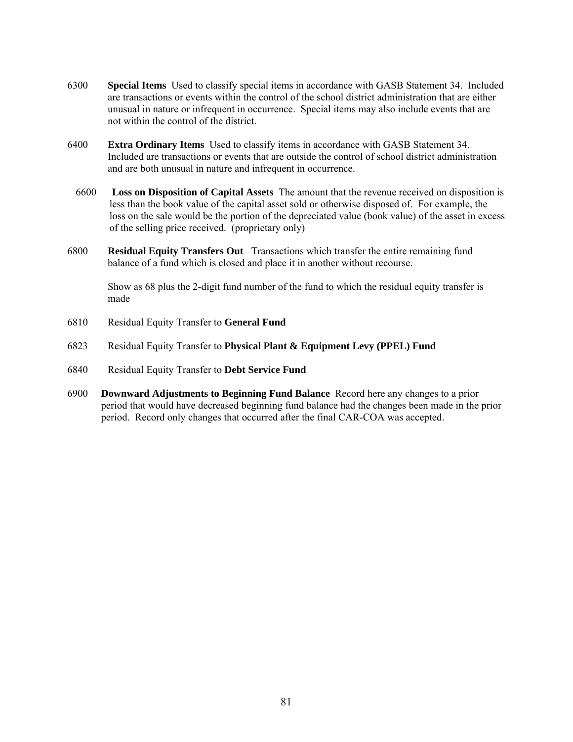- 6300 **Special Items** Used to classify special items in accordance with GASB Statement 34. Included are transactions or events within the control of the school district administration that are either unusual in nature or infrequent in occurrence. Special items may also include events that are not within the control of the district.
- 6400 **Extra Ordinary Items** Used to classify items in accordance with GASB Statement 34. Included are transactions or events that are outside the control of school district administration and are both unusual in nature and infrequent in occurrence.
	- 6600 **Loss on Disposition of Capital Assets** The amount that the revenue received on disposition is less than the book value of the capital asset sold or otherwise disposed of. For example, the loss on the sale would be the portion of the depreciated value (book value) of the asset in excess of the selling price received. (proprietary only)
- 6800 **Residual Equity Transfers Out** Transactions which transfer the entire remaining fund balance of a fund which is closed and place it in another without recourse.

 Show as 68 plus the 2-digit fund number of the fund to which the residual equity transfer is made

- 6810 Residual Equity Transfer to **General Fund**
- 6823 Residual Equity Transfer to **Physical Plant & Equipment Levy (PPEL) Fund**
- 6840 Residual Equity Transfer to **Debt Service Fund**
- 6900 **Downward Adjustments to Beginning Fund Balance** Record here any changes to a prior period that would have decreased beginning fund balance had the changes been made in the prior period. Record only changes that occurred after the final CAR-COA was accepted.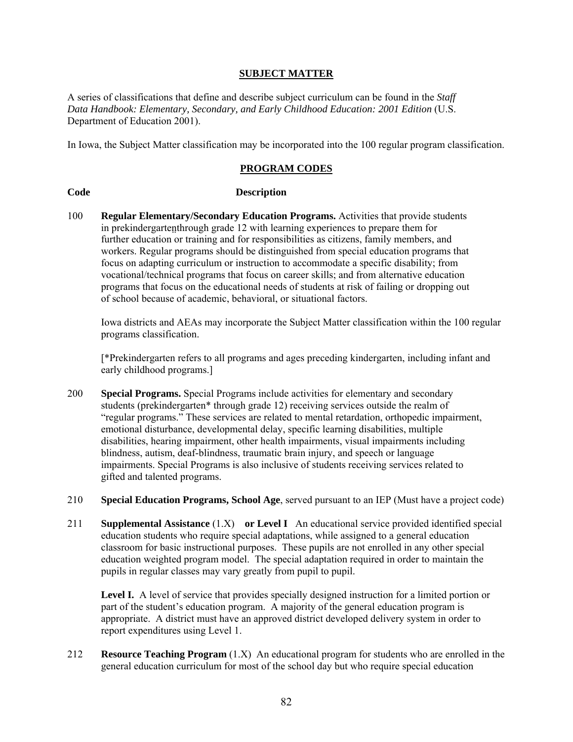# **SUBJECT MATTER**

A series of classifications that define and describe subject curriculum can be found in the *Staff*  Data Handbook: Elementary, Secondary, and Early Childhood Education: 2001 Edition (U.S. Department of Education 2001).

In Iowa, the Subject Matter classification may be incorporated into the 100 regular program classification.

### **PROGRAM CODES**

#### **Code Description**

100 **Regular Elementary/Secondary Education Programs.** Activities that provide students in prekindergartenthrough grade 12 with learning experiences to prepare them for further education or training and for responsibilities as citizens, family members, and workers. Regular programs should be distinguished from special education programs that focus on adapting curriculum or instruction to accommodate a specific disability; from vocational/technical programs that focus on career skills; and from alternative education programs that focus on the educational needs of students at risk of failing or dropping out of school because of academic, behavioral, or situational factors.

Iowa districts and AEAs may incorporate the Subject Matter classification within the 100 regular programs classification.

[\*Prekindergarten refers to all programs and ages preceding kindergarten, including infant and early childhood programs.]

- 200 **Special Programs.** Special Programs include activities for elementary and secondary students (prekindergarten\* through grade 12) receiving services outside the realm of "regular programs." These services are related to mental retardation, orthopedic impairment, emotional disturbance, developmental delay, specific learning disabilities, multiple disabilities, hearing impairment, other health impairments, visual impairments including blindness, autism, deaf-blindness, traumatic brain injury, and speech or language impairments. Special Programs is also inclusive of students receiving services related to gifted and talented programs.
- 210 **Special Education Programs, School Age**, served pursuant to an IEP (Must have a project code)
- 211 **Supplemental Assistance** (1.X) **or Level I** An educational service provided identified special education students who require special adaptations, while assigned to a general education classroom for basic instructional purposes. These pupils are not enrolled in any other special education weighted program model. The special adaptation required in order to maintain the pupils in regular classes may vary greatly from pupil to pupil.

Level I. A level of service that provides specially designed instruction for a limited portion or part of the student's education program. A majority of the general education program is appropriate. A district must have an approved district developed delivery system in order to report expenditures using Level 1.

212 **Resource Teaching Program** (1.X) An educational program for students who are enrolled in the general education curriculum for most of the school day but who require special education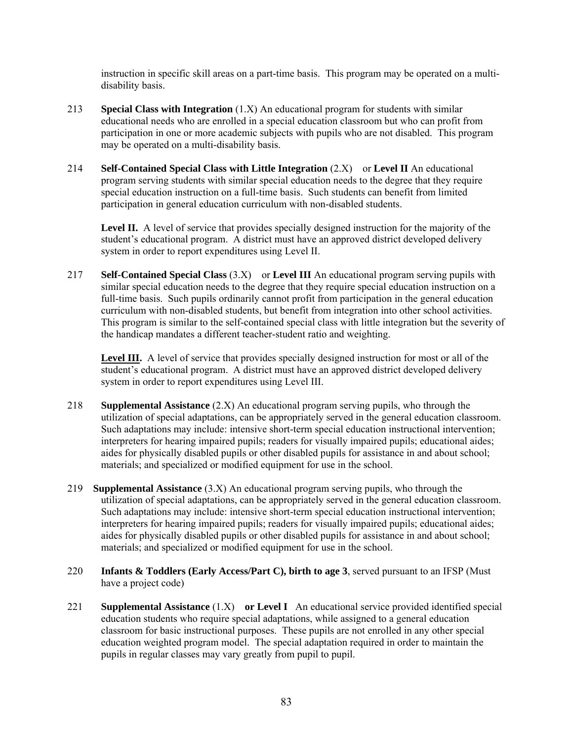instruction in specific skill areas on a part-time basis. This program may be operated on a multidisability basis.

- 213 **Special Class with Integration** (1.X) An educational program for students with similar educational needs who are enrolled in a special education classroom but who can profit from participation in one or more academic subjects with pupils who are not disabled. This program may be operated on a multi-disability basis.
- 214 **Self-Contained Special Class with Little Integration** (2.X) or **Level II** An educational program serving students with similar special education needs to the degree that they require special education instruction on a full-time basis. Such students can benefit from limited participation in general education curriculum with non-disabled students.

**Level II.** A level of service that provides specially designed instruction for the majority of the student's educational program. A district must have an approved district developed delivery system in order to report expenditures using Level II.

217 **Self-Contained Special Class** (3.X) or **Level III** An educational program serving pupils with similar special education needs to the degree that they require special education instruction on a full-time basis. Such pupils ordinarily cannot profit from participation in the general education curriculum with non-disabled students, but benefit from integration into other school activities. This program is similar to the self-contained special class with little integration but the severity of the handicap mandates a different teacher-student ratio and weighting.

**Level III.** A level of service that provides specially designed instruction for most or all of the student's educational program. A district must have an approved district developed delivery system in order to report expenditures using Level III.

- 218 **Supplemental Assistance** (2.X) An educational program serving pupils, who through the utilization of special adaptations, can be appropriately served in the general education classroom. Such adaptations may include: intensive short-term special education instructional intervention; interpreters for hearing impaired pupils; readers for visually impaired pupils; educational aides; aides for physically disabled pupils or other disabled pupils for assistance in and about school; materials; and specialized or modified equipment for use in the school.
- 219 **Supplemental Assistance** (3.X) An educational program serving pupils, who through the utilization of special adaptations, can be appropriately served in the general education classroom. Such adaptations may include: intensive short-term special education instructional intervention; interpreters for hearing impaired pupils; readers for visually impaired pupils; educational aides; aides for physically disabled pupils or other disabled pupils for assistance in and about school; materials; and specialized or modified equipment for use in the school.
- 220 **Infants & Toddlers (Early Access/Part C), birth to age 3**, served pursuant to an IFSP (Must have a project code)
- 221 **Supplemental Assistance** (1.X) **or Level I** An educational service provided identified special education students who require special adaptations, while assigned to a general education classroom for basic instructional purposes. These pupils are not enrolled in any other special education weighted program model. The special adaptation required in order to maintain the pupils in regular classes may vary greatly from pupil to pupil.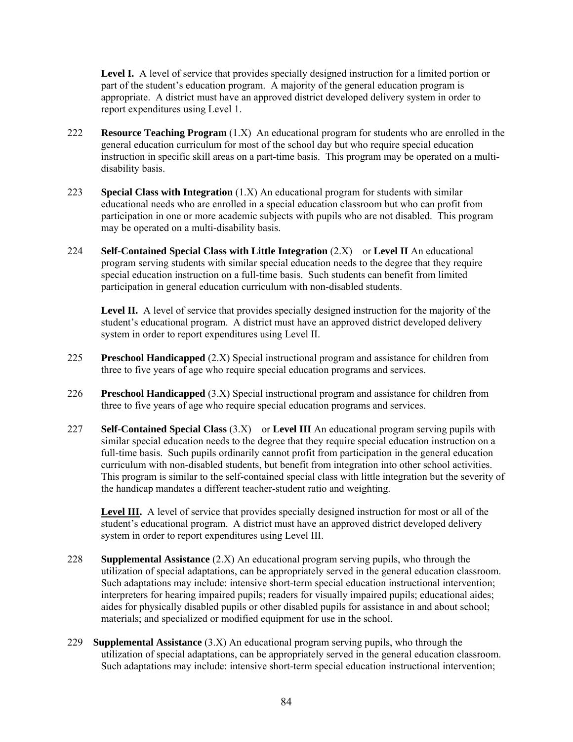**Level I.** A level of service that provides specially designed instruction for a limited portion or part of the student's education program. A majority of the general education program is appropriate. A district must have an approved district developed delivery system in order to report expenditures using Level 1.

- 222 **Resource Teaching Program** (1.X) An educational program for students who are enrolled in the general education curriculum for most of the school day but who require special education instruction in specific skill areas on a part-time basis. This program may be operated on a multidisability basis.
- 223 **Special Class with Integration** (1.X) An educational program for students with similar educational needs who are enrolled in a special education classroom but who can profit from participation in one or more academic subjects with pupils who are not disabled. This program may be operated on a multi-disability basis.
- 224 **Self-Contained Special Class with Little Integration** (2.X) or **Level II** An educational program serving students with similar special education needs to the degree that they require special education instruction on a full-time basis. Such students can benefit from limited participation in general education curriculum with non-disabled students.

**Level II.** A level of service that provides specially designed instruction for the majority of the student's educational program. A district must have an approved district developed delivery system in order to report expenditures using Level II.

- 225 **Preschool Handicapped** (2.X) Special instructional program and assistance for children from three to five years of age who require special education programs and services.
- 226 **Preschool Handicapped** (3.X) Special instructional program and assistance for children from three to five years of age who require special education programs and services.
- 227 **Self-Contained Special Class** (3.X) or **Level III** An educational program serving pupils with similar special education needs to the degree that they require special education instruction on a full-time basis. Such pupils ordinarily cannot profit from participation in the general education curriculum with non-disabled students, but benefit from integration into other school activities. This program is similar to the self-contained special class with little integration but the severity of the handicap mandates a different teacher-student ratio and weighting.

**Level III.** A level of service that provides specially designed instruction for most or all of the student's educational program. A district must have an approved district developed delivery system in order to report expenditures using Level III.

- 228 **Supplemental Assistance** (2.X) An educational program serving pupils, who through the utilization of special adaptations, can be appropriately served in the general education classroom. Such adaptations may include: intensive short-term special education instructional intervention; interpreters for hearing impaired pupils; readers for visually impaired pupils; educational aides; aides for physically disabled pupils or other disabled pupils for assistance in and about school; materials; and specialized or modified equipment for use in the school.
- 229 **Supplemental Assistance** (3.X) An educational program serving pupils, who through the utilization of special adaptations, can be appropriately served in the general education classroom. Such adaptations may include: intensive short-term special education instructional intervention;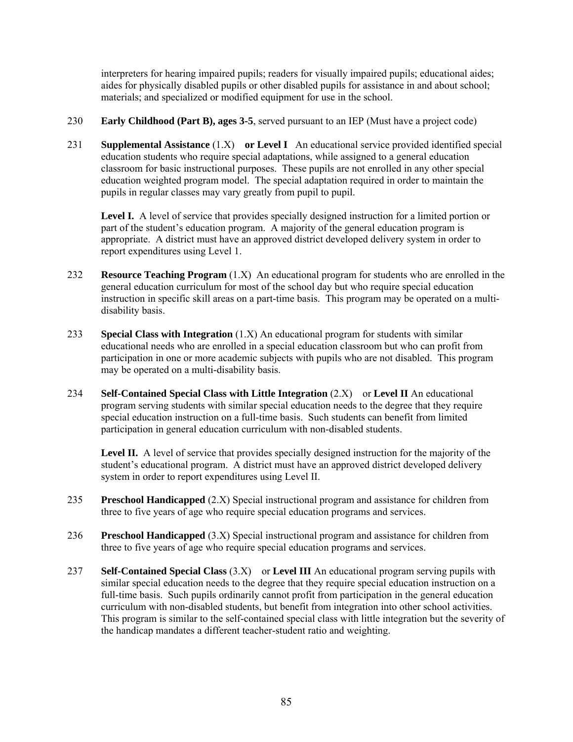interpreters for hearing impaired pupils; readers for visually impaired pupils; educational aides; aides for physically disabled pupils or other disabled pupils for assistance in and about school; materials; and specialized or modified equipment for use in the school.

- 230 **Early Childhood (Part B), ages 3-5**, served pursuant to an IEP (Must have a project code)
- 231 **Supplemental Assistance** (1.X) **or Level I** An educational service provided identified special education students who require special adaptations, while assigned to a general education classroom for basic instructional purposes. These pupils are not enrolled in any other special education weighted program model. The special adaptation required in order to maintain the pupils in regular classes may vary greatly from pupil to pupil.

Level I. A level of service that provides specially designed instruction for a limited portion or part of the student's education program. A majority of the general education program is appropriate. A district must have an approved district developed delivery system in order to report expenditures using Level 1.

- 232 **Resource Teaching Program** (1.X) An educational program for students who are enrolled in the general education curriculum for most of the school day but who require special education instruction in specific skill areas on a part-time basis. This program may be operated on a multidisability basis.
- 233 **Special Class with Integration** (1.X) An educational program for students with similar educational needs who are enrolled in a special education classroom but who can profit from participation in one or more academic subjects with pupils who are not disabled. This program may be operated on a multi-disability basis.
- 234 **Self-Contained Special Class with Little Integration** (2.X) or **Level II** An educational program serving students with similar special education needs to the degree that they require special education instruction on a full-time basis. Such students can benefit from limited participation in general education curriculum with non-disabled students.

**Level II.** A level of service that provides specially designed instruction for the majority of the student's educational program. A district must have an approved district developed delivery system in order to report expenditures using Level II.

- **Preschool Handicapped** (2.X) Special instructional program and assistance for children from three to five years of age who require special education programs and services.
- 236 **Preschool Handicapped** (3.X) Special instructional program and assistance for children from three to five years of age who require special education programs and services.
- 237 **Self-Contained Special Class** (3.X) or **Level III** An educational program serving pupils with similar special education needs to the degree that they require special education instruction on a full-time basis. Such pupils ordinarily cannot profit from participation in the general education curriculum with non-disabled students, but benefit from integration into other school activities. This program is similar to the self-contained special class with little integration but the severity of the handicap mandates a different teacher-student ratio and weighting.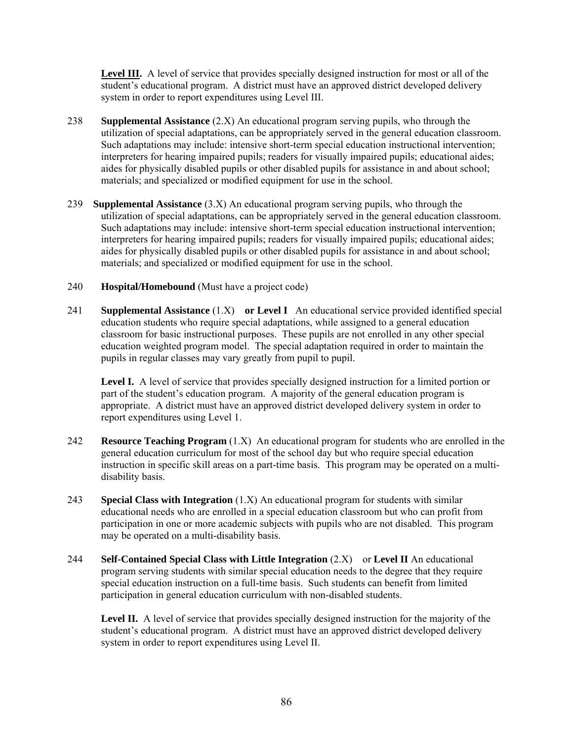**Level III.** A level of service that provides specially designed instruction for most or all of the student's educational program. A district must have an approved district developed delivery system in order to report expenditures using Level III.

- 238 **Supplemental Assistance** (2.X) An educational program serving pupils, who through the utilization of special adaptations, can be appropriately served in the general education classroom. Such adaptations may include: intensive short-term special education instructional intervention; interpreters for hearing impaired pupils; readers for visually impaired pupils; educational aides; aides for physically disabled pupils or other disabled pupils for assistance in and about school; materials; and specialized or modified equipment for use in the school.
- 239 **Supplemental Assistance** (3.X) An educational program serving pupils, who through the utilization of special adaptations, can be appropriately served in the general education classroom. Such adaptations may include: intensive short-term special education instructional intervention; interpreters for hearing impaired pupils; readers for visually impaired pupils; educational aides; aides for physically disabled pupils or other disabled pupils for assistance in and about school; materials; and specialized or modified equipment for use in the school.
- 240 **Hospital/Homebound** (Must have a project code)
- 241 **Supplemental Assistance** (1.X) **or Level I** An educational service provided identified special education students who require special adaptations, while assigned to a general education classroom for basic instructional purposes. These pupils are not enrolled in any other special education weighted program model. The special adaptation required in order to maintain the pupils in regular classes may vary greatly from pupil to pupil.

Level I. A level of service that provides specially designed instruction for a limited portion or part of the student's education program. A majority of the general education program is appropriate. A district must have an approved district developed delivery system in order to report expenditures using Level 1.

- 242 **Resource Teaching Program** (1.X) An educational program for students who are enrolled in the general education curriculum for most of the school day but who require special education instruction in specific skill areas on a part-time basis. This program may be operated on a multidisability basis.
- 243 **Special Class with Integration** (1.X) An educational program for students with similar educational needs who are enrolled in a special education classroom but who can profit from participation in one or more academic subjects with pupils who are not disabled. This program may be operated on a multi-disability basis.
- 244 **Self-Contained Special Class with Little Integration** (2.X) or **Level II** An educational program serving students with similar special education needs to the degree that they require special education instruction on a full-time basis. Such students can benefit from limited participation in general education curriculum with non-disabled students.

Level II. A level of service that provides specially designed instruction for the majority of the student's educational program. A district must have an approved district developed delivery system in order to report expenditures using Level II.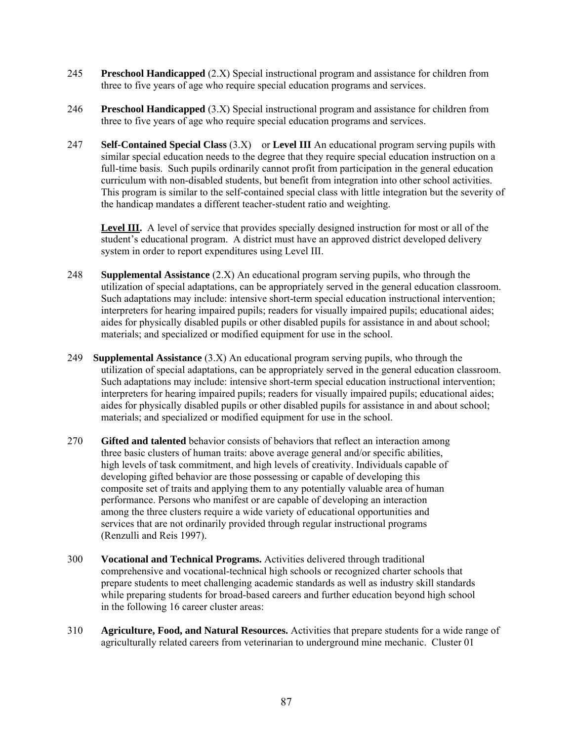- 245 **Preschool Handicapped** (2.X) Special instructional program and assistance for children from three to five years of age who require special education programs and services.
- 246 **Preschool Handicapped** (3.X) Special instructional program and assistance for children from three to five years of age who require special education programs and services.
- 247 **Self-Contained Special Class** (3.X) or **Level III** An educational program serving pupils with similar special education needs to the degree that they require special education instruction on a full-time basis. Such pupils ordinarily cannot profit from participation in the general education curriculum with non-disabled students, but benefit from integration into other school activities. This program is similar to the self-contained special class with little integration but the severity of the handicap mandates a different teacher-student ratio and weighting.

**Level III.** A level of service that provides specially designed instruction for most or all of the student's educational program. A district must have an approved district developed delivery system in order to report expenditures using Level III.

- 248 **Supplemental Assistance** (2.X) An educational program serving pupils, who through the utilization of special adaptations, can be appropriately served in the general education classroom. Such adaptations may include: intensive short-term special education instructional intervention; interpreters for hearing impaired pupils; readers for visually impaired pupils; educational aides; aides for physically disabled pupils or other disabled pupils for assistance in and about school; materials; and specialized or modified equipment for use in the school.
- 249 **Supplemental Assistance** (3.X) An educational program serving pupils, who through the utilization of special adaptations, can be appropriately served in the general education classroom. Such adaptations may include: intensive short-term special education instructional intervention; interpreters for hearing impaired pupils; readers for visually impaired pupils; educational aides; aides for physically disabled pupils or other disabled pupils for assistance in and about school; materials; and specialized or modified equipment for use in the school.
- 270 **Gifted and talented** behavior consists of behaviors that reflect an interaction among three basic clusters of human traits: above average general and/or specific abilities, high levels of task commitment, and high levels of creativity. Individuals capable of developing gifted behavior are those possessing or capable of developing this composite set of traits and applying them to any potentially valuable area of human performance. Persons who manifest or are capable of developing an interaction among the three clusters require a wide variety of educational opportunities and services that are not ordinarily provided through regular instructional programs (Renzulli and Reis 1997).
- 300 **Vocational and Technical Programs.** Activities delivered through traditional comprehensive and vocational-technical high schools or recognized charter schools that prepare students to meet challenging academic standards as well as industry skill standards while preparing students for broad-based careers and further education beyond high school in the following 16 career cluster areas:
- 310 **Agriculture, Food, and Natural Resources.** Activities that prepare students for a wide range of agriculturally related careers from veterinarian to underground mine mechanic. Cluster 01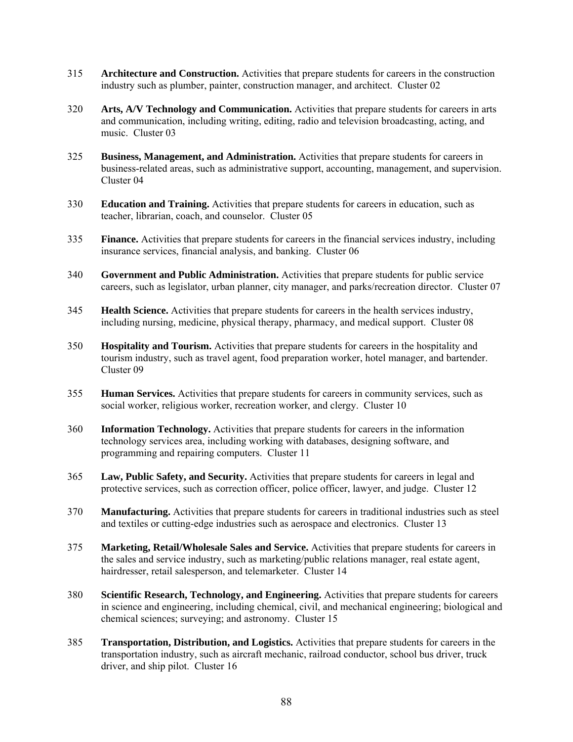- 315 **Architecture and Construction.** Activities that prepare students for careers in the construction industry such as plumber, painter, construction manager, and architect. Cluster 02
- 320 **Arts, A/V Technology and Communication.** Activities that prepare students for careers in arts and communication, including writing, editing, radio and television broadcasting, acting, and music. Cluster 03
- 325 **Business, Management, and Administration.** Activities that prepare students for careers in business-related areas, such as administrative support, accounting, management, and supervision. Cluster 04
- 330 **Education and Training.** Activities that prepare students for careers in education, such as teacher, librarian, coach, and counselor. Cluster 05
- 335 **Finance.** Activities that prepare students for careers in the financial services industry, including insurance services, financial analysis, and banking. Cluster 06
- 340 **Government and Public Administration.** Activities that prepare students for public service careers, such as legislator, urban planner, city manager, and parks/recreation director. Cluster 07
- 345 **Health Science.** Activities that prepare students for careers in the health services industry, including nursing, medicine, physical therapy, pharmacy, and medical support. Cluster 08
- 350 **Hospitality and Tourism.** Activities that prepare students for careers in the hospitality and tourism industry, such as travel agent, food preparation worker, hotel manager, and bartender. Cluster 09
- 355 **Human Services.** Activities that prepare students for careers in community services, such as social worker, religious worker, recreation worker, and clergy. Cluster 10
- 360 **Information Technology.** Activities that prepare students for careers in the information technology services area, including working with databases, designing software, and programming and repairing computers. Cluster 11
- 365 **Law, Public Safety, and Security.** Activities that prepare students for careers in legal and protective services, such as correction officer, police officer, lawyer, and judge. Cluster 12
- 370 **Manufacturing.** Activities that prepare students for careers in traditional industries such as steel and textiles or cutting-edge industries such as aerospace and electronics. Cluster 13
- 375 **Marketing, Retail/Wholesale Sales and Service.** Activities that prepare students for careers in the sales and service industry, such as marketing/public relations manager, real estate agent, hairdresser, retail salesperson, and telemarketer. Cluster 14
- 380 **Scientific Research, Technology, and Engineering.** Activities that prepare students for careers in science and engineering, including chemical, civil, and mechanical engineering; biological and chemical sciences; surveying; and astronomy. Cluster 15
- 385 **Transportation, Distribution, and Logistics.** Activities that prepare students for careers in the transportation industry, such as aircraft mechanic, railroad conductor, school bus driver, truck driver, and ship pilot. Cluster 16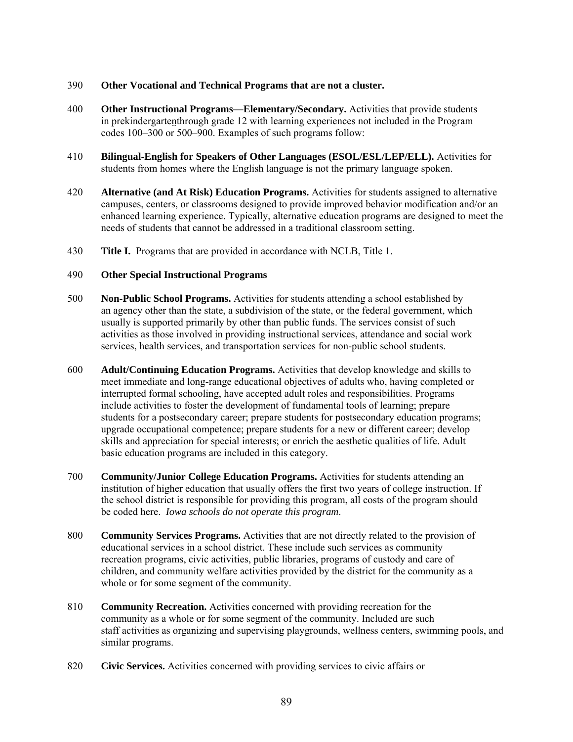# 390 **Other Vocational and Technical Programs that are not a cluster.**

- 400 **Other Instructional Programs—Elementary/Secondary.** Activities that provide students in prekindergartenthrough grade 12 with learning experiences not included in the Program codes 100–300 or 500–900. Examples of such programs follow:
- 410 **Bilingual-English for Speakers of Other Languages (ESOL/ESL/LEP/ELL).** Activities for students from homes where the English language is not the primary language spoken.
- 420 **Alternative (and At Risk) Education Programs.** Activities for students assigned to alternative campuses, centers, or classrooms designed to provide improved behavior modification and/or an enhanced learning experience. Typically, alternative education programs are designed to meet the needs of students that cannot be addressed in a traditional classroom setting.
- 430 **Title I.** Programs that are provided in accordance with NCLB, Title 1.

### 490 **Other Special Instructional Programs**

- 500 **Non-Public School Programs.** Activities for students attending a school established by an agency other than the state, a subdivision of the state, or the federal government, which usually is supported primarily by other than public funds. The services consist of such activities as those involved in providing instructional services, attendance and social work services, health services, and transportation services for non-public school students.
- 600 **Adult/Continuing Education Programs.** Activities that develop knowledge and skills to meet immediate and long-range educational objectives of adults who, having completed or interrupted formal schooling, have accepted adult roles and responsibilities. Programs include activities to foster the development of fundamental tools of learning; prepare students for a postsecondary career; prepare students for postsecondary education programs; upgrade occupational competence; prepare students for a new or different career; develop skills and appreciation for special interests; or enrich the aesthetic qualities of life. Adult basic education programs are included in this category.
- 700 **Community/Junior College Education Programs.** Activities for students attending an institution of higher education that usually offers the first two years of college instruction. If the school district is responsible for providing this program, all costs of the program should be coded here. *Iowa schools do not operate this program*.
- 800 **Community Services Programs.** Activities that are not directly related to the provision of educational services in a school district. These include such services as community recreation programs, civic activities, public libraries, programs of custody and care of children, and community welfare activities provided by the district for the community as a whole or for some segment of the community.
- 810 **Community Recreation.** Activities concerned with providing recreation for the community as a whole or for some segment of the community. Included are such staff activities as organizing and supervising playgrounds, wellness centers, swimming pools, and similar programs.
- 820 **Civic Services.** Activities concerned with providing services to civic affairs or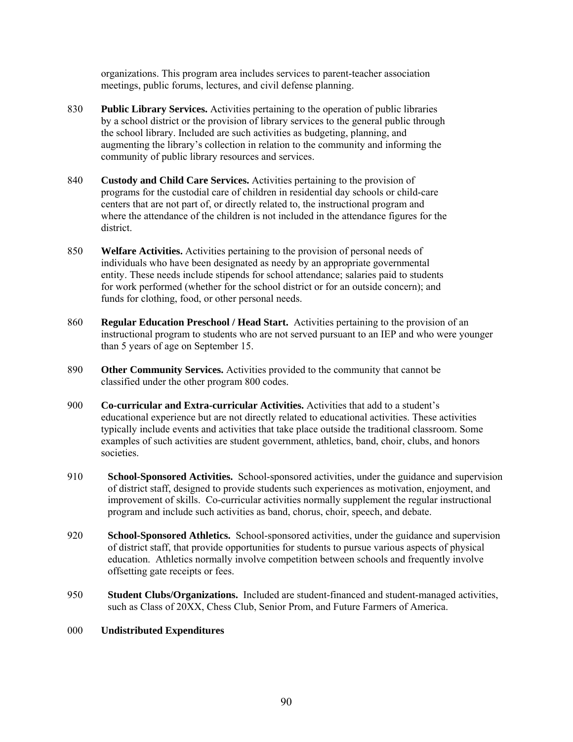organizations. This program area includes services to parent-teacher association meetings, public forums, lectures, and civil defense planning.

- 830 **Public Library Services.** Activities pertaining to the operation of public libraries by a school district or the provision of library services to the general public through the school library. Included are such activities as budgeting, planning, and augmenting the library's collection in relation to the community and informing the community of public library resources and services.
- 840 **Custody and Child Care Services.** Activities pertaining to the provision of programs for the custodial care of children in residential day schools or child-care centers that are not part of, or directly related to, the instructional program and where the attendance of the children is not included in the attendance figures for the district.
- 850 **Welfare Activities.** Activities pertaining to the provision of personal needs of individuals who have been designated as needy by an appropriate governmental entity. These needs include stipends for school attendance; salaries paid to students for work performed (whether for the school district or for an outside concern); and funds for clothing, food, or other personal needs.
- 860 **Regular Education Preschool / Head Start.** Activities pertaining to the provision of an instructional program to students who are not served pursuant to an IEP and who were younger than 5 years of age on September 15.
- 890 **Other Community Services.** Activities provided to the community that cannot be classified under the other program 800 codes.
- 900 **Co-curricular and Extra-curricular Activities.** Activities that add to a student's educational experience but are not directly related to educational activities. These activities typically include events and activities that take place outside the traditional classroom. Some examples of such activities are student government, athletics, band, choir, clubs, and honors societies.
- 910 **School-Sponsored Activities.** School-sponsored activities, under the guidance and supervision of district staff, designed to provide students such experiences as motivation, enjoyment, and improvement of skills. Co-curricular activities normally supplement the regular instructional program and include such activities as band, chorus, choir, speech, and debate.
- 920 **School-Sponsored Athletics.** School-sponsored activities, under the guidance and supervision of district staff, that provide opportunities for students to pursue various aspects of physical education. Athletics normally involve competition between schools and frequently involve offsetting gate receipts or fees.
- 950 **Student Clubs/Organizations.** Included are student-financed and student-managed activities, such as Class of 20XX, Chess Club, Senior Prom, and Future Farmers of America.

# 000 **Undistributed Expenditures**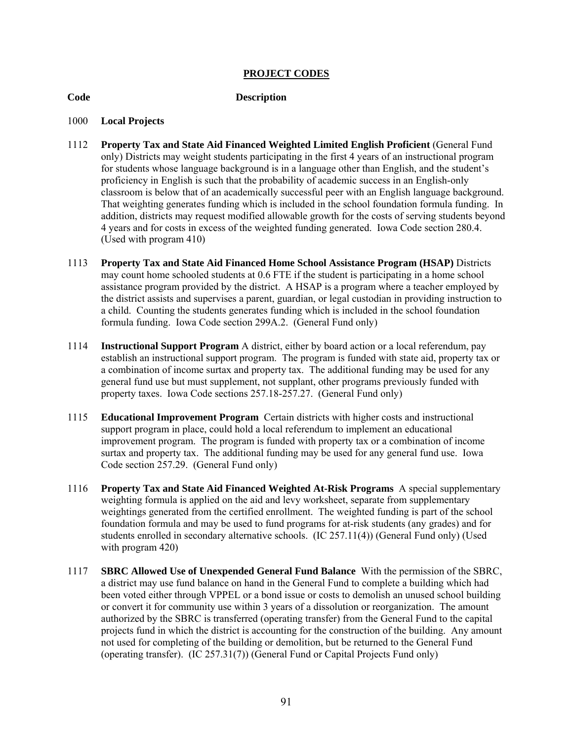# **PROJECT CODES**

#### **Code Description**

#### 1000 **Local Projects**

- 1112 **Property Tax and State Aid Financed Weighted Limited English Proficient** (General Fund only) Districts may weight students participating in the first 4 years of an instructional program for students whose language background is in a language other than English, and the student's proficiency in English is such that the probability of academic success in an English-only classroom is below that of an academically successful peer with an English language background. That weighting generates funding which is included in the school foundation formula funding. In addition, districts may request modified allowable growth for the costs of serving students beyond 4 years and for costs in excess of the weighted funding generated. Iowa Code section 280.4. (Used with program 410)
- 1113 **Property Tax and State Aid Financed Home School Assistance Program (HSAP)** Districts may count home schooled students at 0.6 FTE if the student is participating in a home school assistance program provided by the district. A HSAP is a program where a teacher employed by the district assists and supervises a parent, guardian, or legal custodian in providing instruction to a child. Counting the students generates funding which is included in the school foundation formula funding. Iowa Code section 299A.2. (General Fund only)
- 1114 **Instructional Support Program** A district, either by board action or a local referendum, pay establish an instructional support program. The program is funded with state aid, property tax or a combination of income surtax and property tax. The additional funding may be used for any general fund use but must supplement, not supplant, other programs previously funded with property taxes. Iowa Code sections 257.18-257.27. (General Fund only)
- 1115 **Educational Improvement Program** Certain districts with higher costs and instructional support program in place, could hold a local referendum to implement an educational improvement program. The program is funded with property tax or a combination of income surtax and property tax. The additional funding may be used for any general fund use. Iowa Code section 257.29. (General Fund only)
- 1116 **Property Tax and State Aid Financed Weighted At-Risk Programs** A special supplementary weighting formula is applied on the aid and levy worksheet, separate from supplementary weightings generated from the certified enrollment. The weighted funding is part of the school foundation formula and may be used to fund programs for at-risk students (any grades) and for students enrolled in secondary alternative schools. (IC 257.11(4)) (General Fund only) (Used with program 420)
- 1117 **SBRC Allowed Use of Unexpended General Fund Balance** With the permission of the SBRC, a district may use fund balance on hand in the General Fund to complete a building which had been voted either through VPPEL or a bond issue or costs to demolish an unused school building or convert it for community use within 3 years of a dissolution or reorganization. The amount authorized by the SBRC is transferred (operating transfer) from the General Fund to the capital projects fund in which the district is accounting for the construction of the building. Any amount not used for completing of the building or demolition, but be returned to the General Fund (operating transfer). (IC 257.31(7)) (General Fund or Capital Projects Fund only)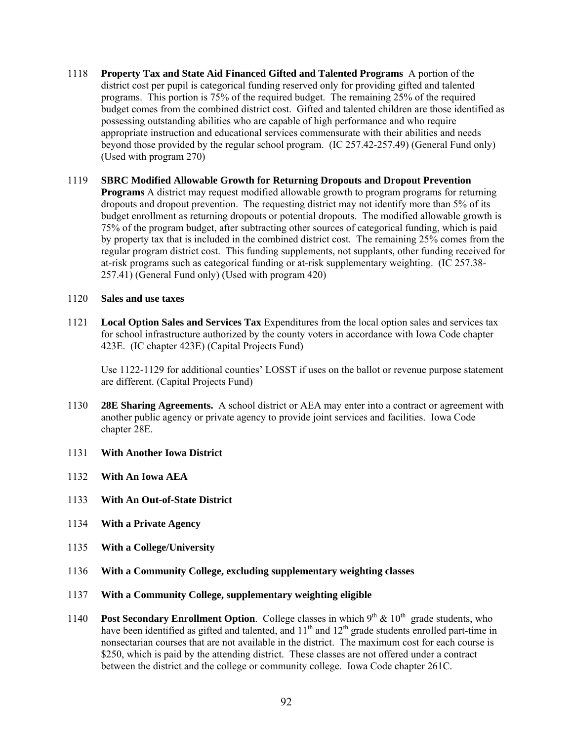- 1118 **Property Tax and State Aid Financed Gifted and Talented Programs** A portion of the district cost per pupil is categorical funding reserved only for providing gifted and talented programs. This portion is 75% of the required budget. The remaining 25% of the required budget comes from the combined district cost. Gifted and talented children are those identified as possessing outstanding abilities who are capable of high performance and who require appropriate instruction and educational services commensurate with their abilities and needs beyond those provided by the regular school program. (IC 257.42-257.49) (General Fund only) (Used with program 270)
- 1119 **SBRC Modified Allowable Growth for Returning Dropouts and Dropout Prevention Programs** A district may request modified allowable growth to program programs for returning dropouts and dropout prevention. The requesting district may not identify more than 5% of its budget enrollment as returning dropouts or potential dropouts. The modified allowable growth is 75% of the program budget, after subtracting other sources of categorical funding, which is paid by property tax that is included in the combined district cost. The remaining 25% comes from the regular program district cost. This funding supplements, not supplants, other funding received for at-risk programs such as categorical funding or at-risk supplementary weighting. (IC 257.38- 257.41) (General Fund only) (Used with program 420)

# 1120 **Sales and use taxes**

1121 **Local Option Sales and Services Tax** Expenditures from the local option sales and services tax for school infrastructure authorized by the county voters in accordance with Iowa Code chapter 423E. (IC chapter 423E) (Capital Projects Fund)

Use 1122-1129 for additional counties' LOSST if uses on the ballot or revenue purpose statement are different. (Capital Projects Fund)

- 1130 **28E Sharing Agreements.** A school district or AEA may enter into a contract or agreement with another public agency or private agency to provide joint services and facilities. Iowa Code chapter 28E.
- 1131 **With Another Iowa District**
- 1132 **With An Iowa AEA**
- 1133 **With An Out-of-State District**
- 1134 **With a Private Agency**
- 1135 **With a College/University**
- 1136 **With a Community College, excluding supplementary weighting classes**
- 1137 **With a Community College, supplementary weighting eligible**
- 1140 **Post Secondary Enrollment Option**. College classes in which  $9<sup>th</sup> \& 10<sup>th</sup>$  grade students, who have been identified as gifted and talented, and  $11<sup>th</sup>$  and  $12<sup>th</sup>$  grade students enrolled part-time in nonsectarian courses that are not available in the district. The maximum cost for each course is \$250, which is paid by the attending district. These classes are not offered under a contract between the district and the college or community college. Iowa Code chapter 261C.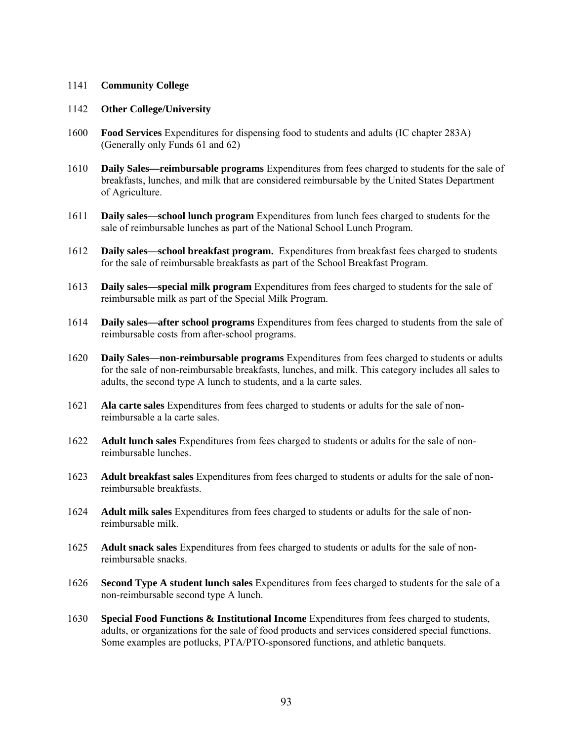# 1141 **Community College**

### 1142 **Other College/University**

- 1600 **Food Services** Expenditures for dispensing food to students and adults (IC chapter 283A) (Generally only Funds 61 and 62)
- 1610 **Daily Sales—reimbursable programs** Expenditures from fees charged to students for the sale of breakfasts, lunches, and milk that are considered reimbursable by the United States Department of Agriculture.
- 1611 **Daily sales—school lunch program** Expenditures from lunch fees charged to students for the sale of reimbursable lunches as part of the National School Lunch Program.
- 1612 **Daily sales—school breakfast program.** Expenditures from breakfast fees charged to students for the sale of reimbursable breakfasts as part of the School Breakfast Program.
- 1613 **Daily sales—special milk program** Expenditures from fees charged to students for the sale of reimbursable milk as part of the Special Milk Program.
- 1614 **Daily sales—after school programs** Expenditures from fees charged to students from the sale of reimbursable costs from after-school programs.
- 1620 **Daily Sales—non-reimbursable programs** Expenditures from fees charged to students or adults for the sale of non-reimbursable breakfasts, lunches, and milk. This category includes all sales to adults, the second type A lunch to students, and a la carte sales.
- 1621 **Ala carte sales** Expenditures from fees charged to students or adults for the sale of nonreimbursable a la carte sales.
- 1622 **Adult lunch sales** Expenditures from fees charged to students or adults for the sale of nonreimbursable lunches.
- 1623 **Adult breakfast sales** Expenditures from fees charged to students or adults for the sale of nonreimbursable breakfasts.
- 1624 **Adult milk sales** Expenditures from fees charged to students or adults for the sale of nonreimbursable milk.
- 1625 **Adult snack sales** Expenditures from fees charged to students or adults for the sale of nonreimbursable snacks.
- 1626 **Second Type A student lunch sales** Expenditures from fees charged to students for the sale of a non-reimbursable second type A lunch.
- 1630 **Special Food Functions & Institutional Income** Expenditures from fees charged to students, adults, or organizations for the sale of food products and services considered special functions. Some examples are potlucks, PTA/PTO-sponsored functions, and athletic banquets.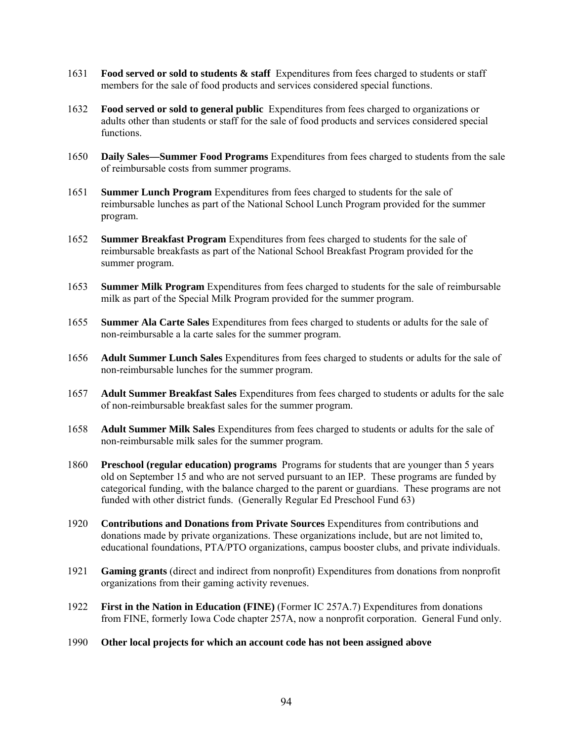- 1631 **Food served or sold to students & staff** Expenditures from fees charged to students or staff members for the sale of food products and services considered special functions.
- 1632 **Food served or sold to general public** Expenditures from fees charged to organizations or adults other than students or staff for the sale of food products and services considered special functions.
- 1650 **Daily Sales—Summer Food Programs** Expenditures from fees charged to students from the sale of reimbursable costs from summer programs.
- 1651 **Summer Lunch Program** Expenditures from fees charged to students for the sale of reimbursable lunches as part of the National School Lunch Program provided for the summer program.
- 1652 **Summer Breakfast Program** Expenditures from fees charged to students for the sale of reimbursable breakfasts as part of the National School Breakfast Program provided for the summer program.
- 1653 **Summer Milk Program** Expenditures from fees charged to students for the sale of reimbursable milk as part of the Special Milk Program provided for the summer program.
- 1655 **Summer Ala Carte Sales** Expenditures from fees charged to students or adults for the sale of non-reimbursable a la carte sales for the summer program.
- 1656 **Adult Summer Lunch Sales** Expenditures from fees charged to students or adults for the sale of non-reimbursable lunches for the summer program.
- 1657 **Adult Summer Breakfast Sales** Expenditures from fees charged to students or adults for the sale of non-reimbursable breakfast sales for the summer program.
- 1658 **Adult Summer Milk Sales** Expenditures from fees charged to students or adults for the sale of non-reimbursable milk sales for the summer program.
- 1860 **Preschool (regular education) programs** Programs for students that are younger than 5 years old on September 15 and who are not served pursuant to an IEP. These programs are funded by categorical funding, with the balance charged to the parent or guardians. These programs are not funded with other district funds. (Generally Regular Ed Preschool Fund 63)
- 1920 **Contributions and Donations from Private Sources** Expenditures from contributions and donations made by private organizations. These organizations include, but are not limited to, educational foundations, PTA/PTO organizations, campus booster clubs, and private individuals.
- 1921 **Gaming grants** (direct and indirect from nonprofit) Expenditures from donations from nonprofit organizations from their gaming activity revenues.
- 1922 **First in the Nation in Education (FINE)** (Former IC 257A.7) Expenditures from donations from FINE, formerly Iowa Code chapter 257A, now a nonprofit corporation. General Fund only.
- 1990 **Other local projects for which an account code has not been assigned above**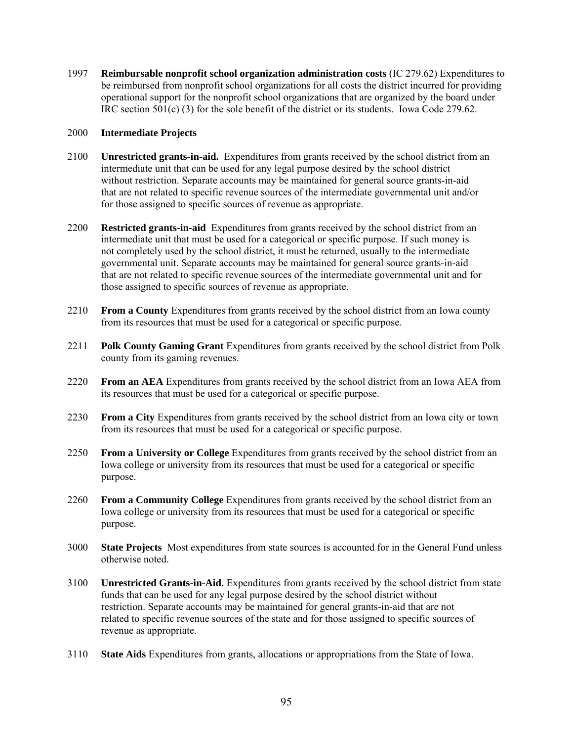1997 **Reimbursable nonprofit school organization administration costs** (IC 279.62) Expenditures to be reimbursed from nonprofit school organizations for all costs the district incurred for providing operational support for the nonprofit school organizations that are organized by the board under IRC section 501(c) (3) for the sole benefit of the district or its students. Iowa Code 279.62.

# 2000 **Intermediate Projects**

- 2100 **Unrestricted grants-in-aid.** Expenditures from grants received by the school district from an intermediate unit that can be used for any legal purpose desired by the school district without restriction. Separate accounts may be maintained for general source grants-in-aid that are not related to specific revenue sources of the intermediate governmental unit and/or for those assigned to specific sources of revenue as appropriate.
- 2200 **Restricted grants-in-aid** Expenditures from grants received by the school district from an intermediate unit that must be used for a categorical or specific purpose. If such money is not completely used by the school district, it must be returned, usually to the intermediate governmental unit. Separate accounts may be maintained for general source grants-in-aid that are not related to specific revenue sources of the intermediate governmental unit and for those assigned to specific sources of revenue as appropriate.
- 2210 **From a County** Expenditures from grants received by the school district from an Iowa county from its resources that must be used for a categorical or specific purpose.
- 2211 **Polk County Gaming Grant** Expenditures from grants received by the school district from Polk county from its gaming revenues.
- 2220 **From an AEA** Expenditures from grants received by the school district from an Iowa AEA from its resources that must be used for a categorical or specific purpose.
- 2230 **From a City** Expenditures from grants received by the school district from an Iowa city or town from its resources that must be used for a categorical or specific purpose.
- 2250 **From a University or College** Expenditures from grants received by the school district from an Iowa college or university from its resources that must be used for a categorical or specific purpose.
- 2260 **From a Community College** Expenditures from grants received by the school district from an Iowa college or university from its resources that must be used for a categorical or specific purpose.
- 3000 **State Projects** Most expenditures from state sources is accounted for in the General Fund unless otherwise noted.
- 3100 **Unrestricted Grants-in-Aid.** Expenditures from grants received by the school district from state funds that can be used for any legal purpose desired by the school district without restriction. Separate accounts may be maintained for general grants-in-aid that are not related to specific revenue sources of the state and for those assigned to specific sources of revenue as appropriate.
- 3110 **State Aids** Expenditures from grants, allocations or appropriations from the State of Iowa.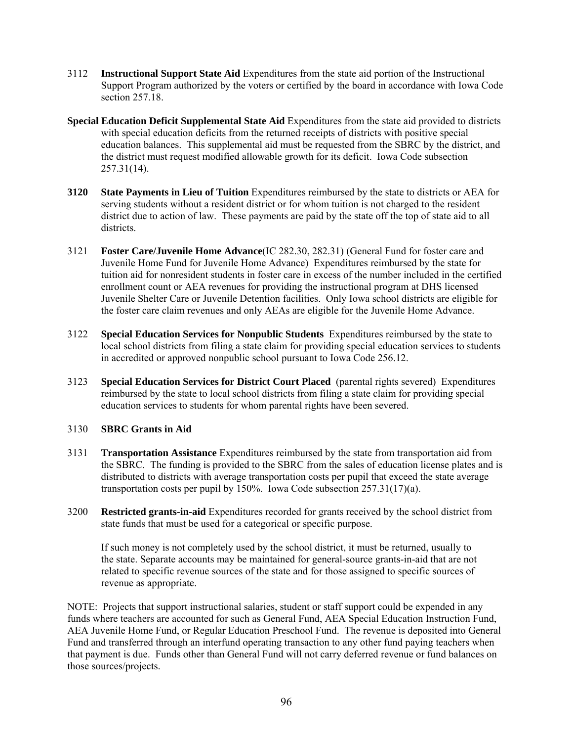- 3112 **Instructional Support State Aid** Expenditures from the state aid portion of the Instructional Support Program authorized by the voters or certified by the board in accordance with Iowa Code section 257.18.
- **Special Education Deficit Supplemental State Aid** Expenditures from the state aid provided to districts with special education deficits from the returned receipts of districts with positive special education balances. This supplemental aid must be requested from the SBRC by the district, and the district must request modified allowable growth for its deficit. Iowa Code subsection 257.31(14).
- **3120 State Payments in Lieu of Tuition** Expenditures reimbursed by the state to districts or AEA for serving students without a resident district or for whom tuition is not charged to the resident district due to action of law. These payments are paid by the state off the top of state aid to all districts.
- 3121 **Foster Care/Juvenile Home Advance**(IC 282.30, 282.31) (General Fund for foster care and Juvenile Home Fund for Juvenile Home Advance) Expenditures reimbursed by the state for tuition aid for nonresident students in foster care in excess of the number included in the certified enrollment count or AEA revenues for providing the instructional program at DHS licensed Juvenile Shelter Care or Juvenile Detention facilities. Only Iowa school districts are eligible for the foster care claim revenues and only AEAs are eligible for the Juvenile Home Advance.
- 3122 **Special Education Services for Nonpublic Students** Expenditures reimbursed by the state to local school districts from filing a state claim for providing special education services to students in accredited or approved nonpublic school pursuant to Iowa Code 256.12.
- 3123 **Special Education Services for District Court Placed** (parental rights severed) Expenditures reimbursed by the state to local school districts from filing a state claim for providing special education services to students for whom parental rights have been severed.

# 3130 **SBRC Grants in Aid**

- 3131 **Transportation Assistance** Expenditures reimbursed by the state from transportation aid from the SBRC. The funding is provided to the SBRC from the sales of education license plates and is distributed to districts with average transportation costs per pupil that exceed the state average transportation costs per pupil by 150%. Iowa Code subsection 257.31(17)(a).
- 3200 **Restricted grants-in-aid** Expenditures recorded for grants received by the school district from state funds that must be used for a categorical or specific purpose.

If such money is not completely used by the school district, it must be returned, usually to the state. Separate accounts may be maintained for general-source grants-in-aid that are not related to specific revenue sources of the state and for those assigned to specific sources of revenue as appropriate.

NOTE: Projects that support instructional salaries, student or staff support could be expended in any funds where teachers are accounted for such as General Fund, AEA Special Education Instruction Fund, AEA Juvenile Home Fund, or Regular Education Preschool Fund. The revenue is deposited into General Fund and transferred through an interfund operating transaction to any other fund paying teachers when that payment is due. Funds other than General Fund will not carry deferred revenue or fund balances on those sources/projects.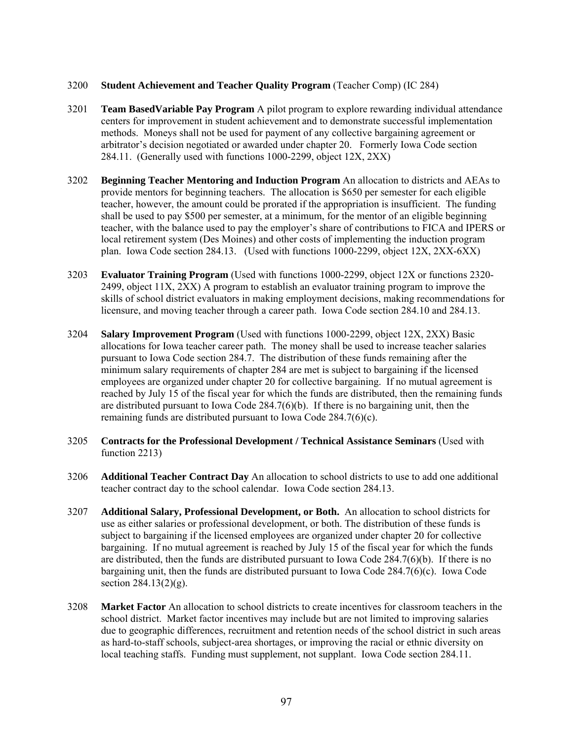# 3200 **Student Achievement and Teacher Quality Program** (Teacher Comp) (IC 284)

- 3201 **Team BasedVariable Pay Program** A pilot program to explore rewarding individual attendance centers for improvement in student achievement and to demonstrate successful implementation methods. Moneys shall not be used for payment of any collective bargaining agreement or arbitrator's decision negotiated or awarded under chapter 20. Formerly Iowa Code section 284.11. (Generally used with functions 1000-2299, object 12X, 2XX)
- 3202 **Beginning Teacher Mentoring and Induction Program** An allocation to districts and AEAs to provide mentors for beginning teachers. The allocation is \$650 per semester for each eligible teacher, however, the amount could be prorated if the appropriation is insufficient. The funding shall be used to pay \$500 per semester, at a minimum, for the mentor of an eligible beginning teacher, with the balance used to pay the employer's share of contributions to FICA and IPERS or local retirement system (Des Moines) and other costs of implementing the induction program plan. Iowa Code section 284.13. (Used with functions 1000-2299, object 12X, 2XX-6XX)
- 3203 **Evaluator Training Program** (Used with functions 1000-2299, object 12X or functions 2320- 2499, object 11X, 2XX) A program to establish an evaluator training program to improve the skills of school district evaluators in making employment decisions, making recommendations for licensure, and moving teacher through a career path. Iowa Code section 284.10 and 284.13.
- 3204 **Salary Improvement Program** (Used with functions 1000-2299, object 12X, 2XX) Basic allocations for Iowa teacher career path.The money shall be used to increase teacher salaries pursuant to Iowa Code section 284.7. The distribution of these funds remaining after the minimum salary requirements of chapter 284 are met is subject to bargaining if the licensed employees are organized under chapter 20 for collective bargaining. If no mutual agreement is reached by July 15 of the fiscal year for which the funds are distributed, then the remaining funds are distributed pursuant to Iowa Code  $284.7(6)(b)$ . If there is no bargaining unit, then the remaining funds are distributed pursuant to Iowa Code 284.7(6)(c).
- 3205 **Contracts for the Professional Development / Technical Assistance Seminars** (Used with function 2213)
- 3206 **Additional Teacher Contract Day** An allocation to school districts to use to add one additional teacher contract day to the school calendar. Iowa Code section 284.13.
- 3207 **Additional Salary, Professional Development, or Both.** An allocation to school districts for use as either salaries or professional development, or both. The distribution of these funds is subject to bargaining if the licensed employees are organized under chapter 20 for collective bargaining. If no mutual agreement is reached by July 15 of the fiscal year for which the funds are distributed, then the funds are distributed pursuant to Iowa Code 284.7(6)(b). If there is no bargaining unit, then the funds are distributed pursuant to Iowa Code 284.7(6)(c). Iowa Code section 284.13(2)(g).
- 3208 **Market Factor** An allocation to school districts to create incentives for classroom teachers in the school district. Market factor incentives may include but are not limited to improving salaries due to geographic differences, recruitment and retention needs of the school district in such areas as hard-to-staff schools, subject-area shortages, or improving the racial or ethnic diversity on local teaching staffs. Funding must supplement, not supplant. Iowa Code section 284.11.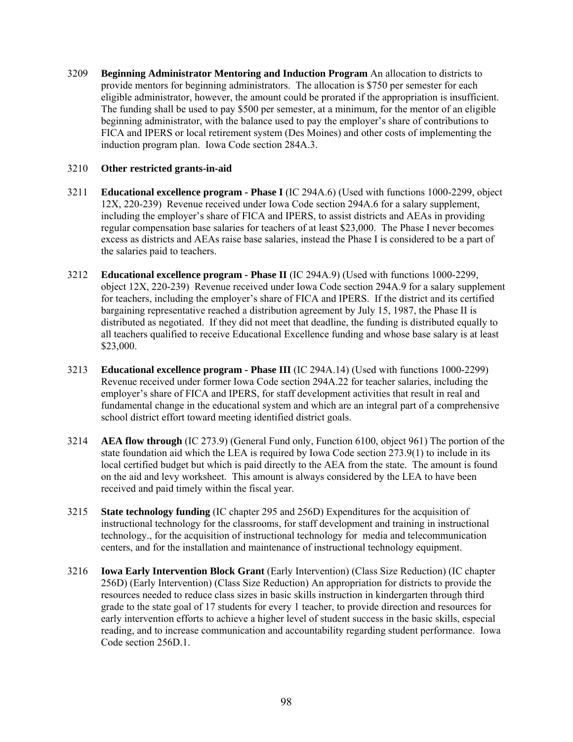3209 **Beginning Administrator Mentoring and Induction Program** An allocation to districts to provide mentors for beginning administrators. The allocation is \$750 per semester for each eligible administrator, however, the amount could be prorated if the appropriation is insufficient. The funding shall be used to pay \$500 per semester, at a minimum, for the mentor of an eligible beginning administrator, with the balance used to pay the employer's share of contributions to FICA and IPERS or local retirement system (Des Moines) and other costs of implementing the induction program plan. Iowa Code section 284A.3.

# 3210 **Other restricted grants-in-aid**

- 3211 **Educational excellence program Phase I** (IC 294A.6) (Used with functions 1000-2299, object 12X, 220-239) Revenue received under Iowa Code section 294A.6 for a salary supplement, including the employer's share of FICA and IPERS, to assist districts and AEAs in providing regular compensation base salaries for teachers of at least \$23,000. The Phase I never becomes excess as districts and AEAs raise base salaries, instead the Phase I is considered to be a part of the salaries paid to teachers.
- 3212 **Educational excellence program Phase II** (IC 294A.9) (Used with functions 1000-2299, object 12X, 220-239) Revenue received under Iowa Code section 294A.9 for a salary supplement for teachers, including the employer's share of FICA and IPERS. If the district and its certified bargaining representative reached a distribution agreement by July 15, 1987, the Phase II is distributed as negotiated. If they did not meet that deadline, the funding is distributed equally to all teachers qualified to receive Educational Excellence funding and whose base salary is at least \$23,000.
- 3213 **Educational excellence program Phase III** (IC 294A.14) (Used with functions 1000-2299) Revenue received under former Iowa Code section 294A.22 for teacher salaries, including the employer's share of FICA and IPERS, for staff development activities that result in real and fundamental change in the educational system and which are an integral part of a comprehensive school district effort toward meeting identified district goals.
- 3214 **AEA flow through** (IC 273.9) (General Fund only, Function 6100, object 961) The portion of the state foundation aid which the LEA is required by Iowa Code section 273.9(1) to include in its local certified budget but which is paid directly to the AEA from the state. The amount is found on the aid and levy worksheet. This amount is always considered by the LEA to have been received and paid timely within the fiscal year.
- 3215 **State technology funding** (IC chapter 295 and 256D) Expenditures for the acquisition of instructional technology for the classrooms, for staff development and training in instructional technology., for the acquisition of instructional technology for media and telecommunication centers, and for the installation and maintenance of instructional technology equipment.
- 3216 **Iowa Early Intervention Block Grant** (Early Intervention) (Class Size Reduction) (IC chapter 256D) (Early Intervention) (Class Size Reduction) An appropriation for districts to provide the resources needed to reduce class sizes in basic skills instruction in kindergarten through third grade to the state goal of 17 students for every 1 teacher, to provide direction and resources for early intervention efforts to achieve a higher level of student success in the basic skills, especial reading, and to increase communication and accountability regarding student performance. Iowa Code section 256D.1.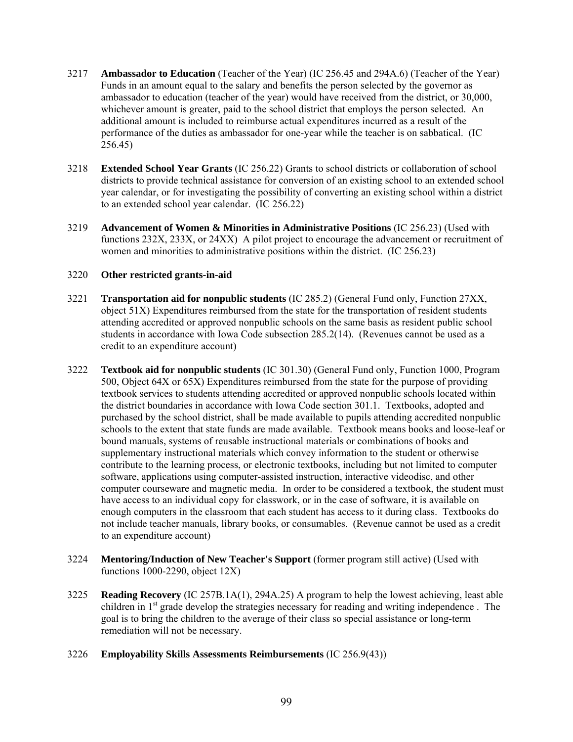- 3217 **Ambassador to Education** (Teacher of the Year) (IC 256.45 and 294A.6) (Teacher of the Year) Funds in an amount equal to the salary and benefits the person selected by the governor as ambassador to education (teacher of the year) would have received from the district, or 30,000, whichever amount is greater, paid to the school district that employs the person selected. An additional amount is included to reimburse actual expenditures incurred as a result of the performance of the duties as ambassador for one-year while the teacher is on sabbatical. (IC 256.45)
- 3218 **Extended School Year Grants** (IC 256.22) Grants to school districts or collaboration of school districts to provide technical assistance for conversion of an existing school to an extended school year calendar, or for investigating the possibility of converting an existing school within a district to an extended school year calendar. (IC 256.22)
- 3219 **Advancement of Women & Minorities in Administrative Positions** (IC 256.23) (Used with functions 232X, 233X, or 24XX) A pilot project to encourage the advancement or recruitment of women and minorities to administrative positions within the district. (IC 256.23)

- 3221 **Transportation aid for nonpublic students** (IC 285.2) (General Fund only, Function 27XX, object 51X) Expenditures reimbursed from the state for the transportation of resident students attending accredited or approved nonpublic schools on the same basis as resident public school students in accordance with Iowa Code subsection 285.2(14). (Revenues cannot be used as a credit to an expenditure account)
- 3222 **Textbook aid for nonpublic students** (IC 301.30) (General Fund only, Function 1000, Program 500, Object 64X or 65X) Expenditures reimbursed from the state for the purpose of providing textbook services to students attending accredited or approved nonpublic schools located within the district boundaries in accordance with Iowa Code section 301.1. Textbooks, adopted and purchased by the school district, shall be made available to pupils attending accredited nonpublic schools to the extent that state funds are made available. Textbook means books and loose-leaf or bound manuals, systems of reusable instructional materials or combinations of books and supplementary instructional materials which convey information to the student or otherwise contribute to the learning process, or electronic textbooks, including but not limited to computer software, applications using computer-assisted instruction, interactive videodisc, and other computer courseware and magnetic media. In order to be considered a textbook, the student must have access to an individual copy for classwork, or in the case of software, it is available on enough computers in the classroom that each student has access to it during class. Textbooks do not include teacher manuals, library books, or consumables. (Revenue cannot be used as a credit to an expenditure account)
- 3224 **Mentoring/Induction of New Teacher's Support** (former program still active) (Used with functions 1000-2290, object 12X)
- 3225 **Reading Recovery** (IC 257B.1A(1), 294A.25) A program to help the lowest achieving, least able children in  $1<sup>st</sup>$  grade develop the strategies necessary for reading and writing independence. The goal is to bring the children to the average of their class so special assistance or long-term remediation will not be necessary.
- 3226 **Employability Skills Assessments Reimbursements** (IC 256.9(43))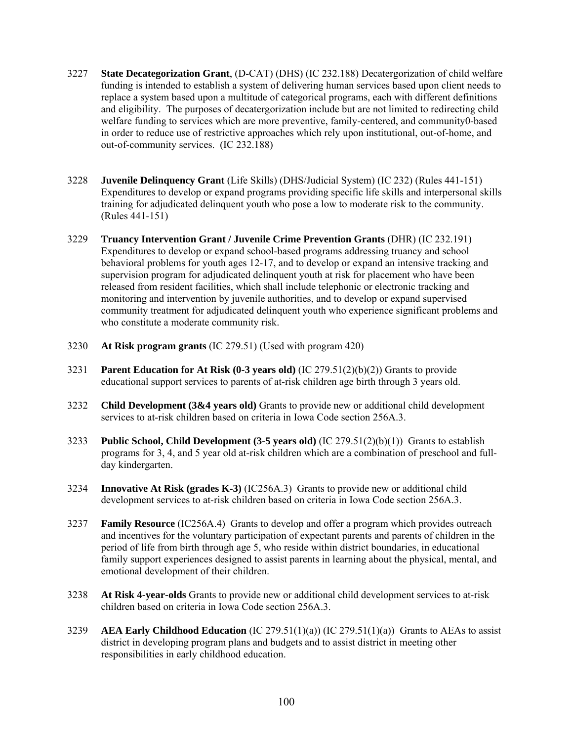- 3227 **State Decategorization Grant**, (D-CAT) (DHS) (IC 232.188) Decatergorization of child welfare funding is intended to establish a system of delivering human services based upon client needs to replace a system based upon a multitude of categorical programs, each with different definitions and eligibility. The purposes of decatergorization include but are not limited to redirecting child welfare funding to services which are more preventive, family-centered, and community0-based in order to reduce use of restrictive approaches which rely upon institutional, out-of-home, and out-of-community services. (IC 232.188)
- 3228 **Juvenile Delinquency Grant** (Life Skills) (DHS/Judicial System) (IC 232) (Rules 441-151) Expenditures to develop or expand programs providing specific life skills and interpersonal skills training for adjudicated delinquent youth who pose a low to moderate risk to the community. (Rules 441-151)
- 3229 **Truancy Intervention Grant / Juvenile Crime Prevention Grants** (DHR) (IC 232.191) Expenditures to develop or expand school-based programs addressing truancy and school behavioral problems for youth ages 12-17, and to develop or expand an intensive tracking and supervision program for adjudicated delinquent youth at risk for placement who have been released from resident facilities, which shall include telephonic or electronic tracking and monitoring and intervention by juvenile authorities, and to develop or expand supervised community treatment for adjudicated delinquent youth who experience significant problems and who constitute a moderate community risk.
- 3230 **At Risk program grants** (IC 279.51) (Used with program 420)
- 3231 **Parent Education for At Risk (0-3 years old)** (IC 279.51(2)(b)(2)) Grants to provide educational support services to parents of at-risk children age birth through 3 years old.
- 3232 **Child Development (3&4 years old)** Grants to provide new or additional child development services to at-risk children based on criteria in Iowa Code section 256A.3.
- 3233 **Public School, Child Development (3-5 years old)** (IC 279.51(2)(b)(1)) Grants to establish programs for 3, 4, and 5 year old at-risk children which are a combination of preschool and fullday kindergarten.
- 3234 **Innovative At Risk (grades K-3)** (IC256A.3) Grants to provide new or additional child development services to at-risk children based on criteria in Iowa Code section 256A.3.
- 3237 **Family Resource** (IC256A.4) Grants to develop and offer a program which provides outreach and incentives for the voluntary participation of expectant parents and parents of children in the period of life from birth through age 5, who reside within district boundaries, in educational family support experiences designed to assist parents in learning about the physical, mental, and emotional development of their children.
- 3238 **At Risk 4-year-olds** Grants to provide new or additional child development services to at-risk children based on criteria in Iowa Code section 256A.3.
- 3239 **AEA Early Childhood Education** (IC 279.51(1)(a)) (IC 279.51(1)(a)) Grants to AEAs to assist district in developing program plans and budgets and to assist district in meeting other responsibilities in early childhood education.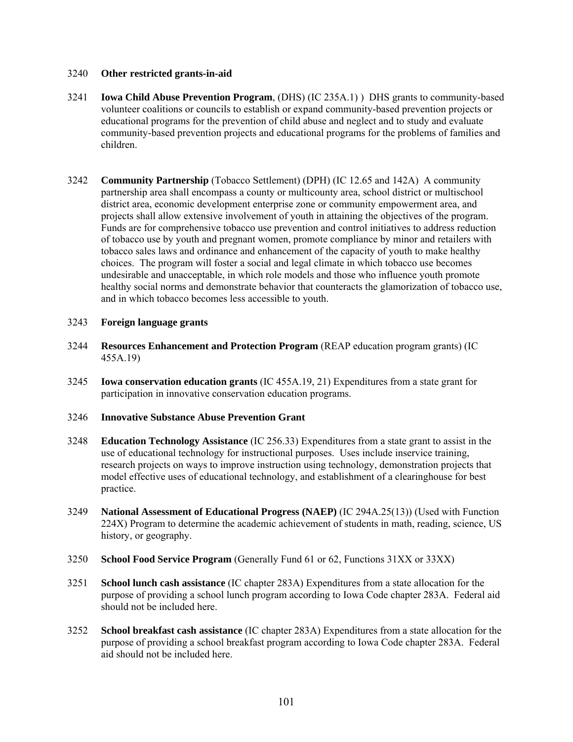- 3241 **Iowa Child Abuse Prevention Program**, (DHS) (IC 235A.1) ) DHS grants to community-based volunteer coalitions or councils to establish or expand community-based prevention projects or educational programs for the prevention of child abuse and neglect and to study and evaluate community-based prevention projects and educational programs for the problems of families and children.
- 3242 **Community Partnership** (Tobacco Settlement) (DPH) (IC 12.65 and 142A) A community partnership area shall encompass a county or multicounty area, school district or multischool district area, economic development enterprise zone or community empowerment area, and projects shall allow extensive involvement of youth in attaining the objectives of the program. Funds are for comprehensive tobacco use prevention and control initiatives to address reduction of tobacco use by youth and pregnant women, promote compliance by minor and retailers with tobacco sales laws and ordinance and enhancement of the capacity of youth to make healthy choices. The program will foster a social and legal climate in which tobacco use becomes undesirable and unacceptable, in which role models and those who influence youth promote healthy social norms and demonstrate behavior that counteracts the glamorization of tobacco use, and in which tobacco becomes less accessible to youth.

### 3243 **Foreign language grants**

- 3244 **Resources Enhancement and Protection Program** (REAP education program grants) (IC 455A.19)
- 3245 **Iowa conservation education grants** (IC 455A.19, 21) Expenditures from a state grant for participation in innovative conservation education programs.

#### 3246 **Innovative Substance Abuse Prevention Grant**

- 3248 **Education Technology Assistance** (IC 256.33) Expenditures from a state grant to assist in the use of educational technology for instructional purposes. Uses include inservice training, research projects on ways to improve instruction using technology, demonstration projects that model effective uses of educational technology, and establishment of a clearinghouse for best practice.
- 3249 **National Assessment of Educational Progress (NAEP)** (IC 294A.25(13)) (Used with Function 224X) Program to determine the academic achievement of students in math, reading, science, US history, or geography.
- 3250 **School Food Service Program** (Generally Fund 61 or 62, Functions 31XX or 33XX)
- 3251 **School lunch cash assistance** (IC chapter 283A) Expenditures from a state allocation for the purpose of providing a school lunch program according to Iowa Code chapter 283A. Federal aid should not be included here.
- 3252 **School breakfast cash assistance** (IC chapter 283A) Expenditures from a state allocation for the purpose of providing a school breakfast program according to Iowa Code chapter 283A. Federal aid should not be included here.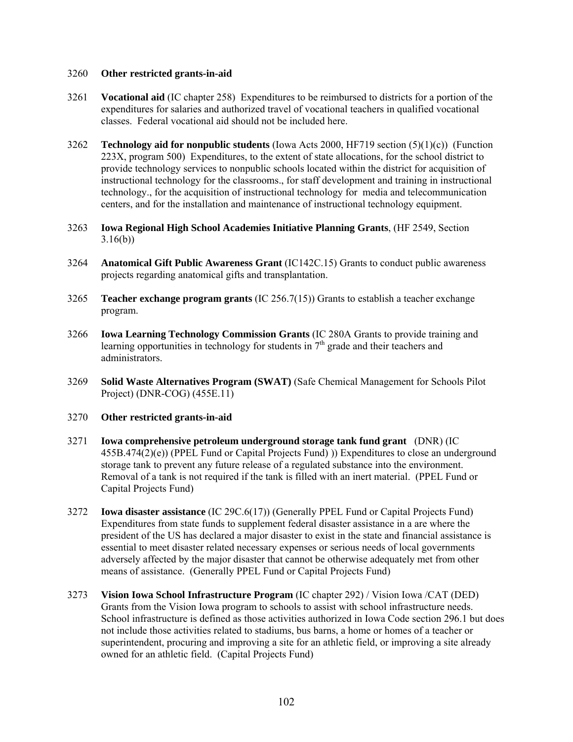- 3261 **Vocational aid** (IC chapter 258) Expenditures to be reimbursed to districts for a portion of the expenditures for salaries and authorized travel of vocational teachers in qualified vocational classes. Federal vocational aid should not be included here.
- 3262 **Technology aid for nonpublic students** (Iowa Acts 2000, HF719 section (5)(1)(c)) (Function 223X, program 500) Expenditures, to the extent of state allocations, for the school district to provide technology services to nonpublic schools located within the district for acquisition of instructional technology for the classrooms., for staff development and training in instructional technology., for the acquisition of instructional technology for media and telecommunication centers, and for the installation and maintenance of instructional technology equipment.
- 3263 **Iowa Regional High School Academies Initiative Planning Grants**, (HF 2549, Section 3.16(b))
- 3264 **Anatomical Gift Public Awareness Grant** (IC142C.15) Grants to conduct public awareness projects regarding anatomical gifts and transplantation.
- 3265 **Teacher exchange program grants** (IC 256.7(15)) Grants to establish a teacher exchange program.
- 3266 **Iowa Learning Technology Commission Grants** (IC 280A Grants to provide training and learning opportunities in technology for students in  $7<sup>th</sup>$  grade and their teachers and administrators.
- 3269 **Solid Waste Alternatives Program (SWAT)** (Safe Chemical Management for Schools Pilot Project) (DNR-COG) (455E.11)
- 3270 **Other restricted grants-in-aid**
- 3271 **Iowa comprehensive petroleum underground storage tank fund grant** (DNR) (IC 455B.474(2)(e)) (PPEL Fund or Capital Projects Fund) )) Expenditures to close an underground storage tank to prevent any future release of a regulated substance into the environment. Removal of a tank is not required if the tank is filled with an inert material. (PPEL Fund or Capital Projects Fund)
- 3272 **Iowa disaster assistance** (IC 29C.6(17)) (Generally PPEL Fund or Capital Projects Fund) Expenditures from state funds to supplement federal disaster assistance in a are where the president of the US has declared a major disaster to exist in the state and financial assistance is essential to meet disaster related necessary expenses or serious needs of local governments adversely affected by the major disaster that cannot be otherwise adequately met from other means of assistance. (Generally PPEL Fund or Capital Projects Fund)
- 3273 **Vision Iowa School Infrastructure Program** (IC chapter 292) / Vision Iowa /CAT (DED) Grants from the Vision Iowa program to schools to assist with school infrastructure needs. School infrastructure is defined as those activities authorized in Iowa Code section 296.1 but does not include those activities related to stadiums, bus barns, a home or homes of a teacher or superintendent, procuring and improving a site for an athletic field, or improving a site already owned for an athletic field. (Capital Projects Fund)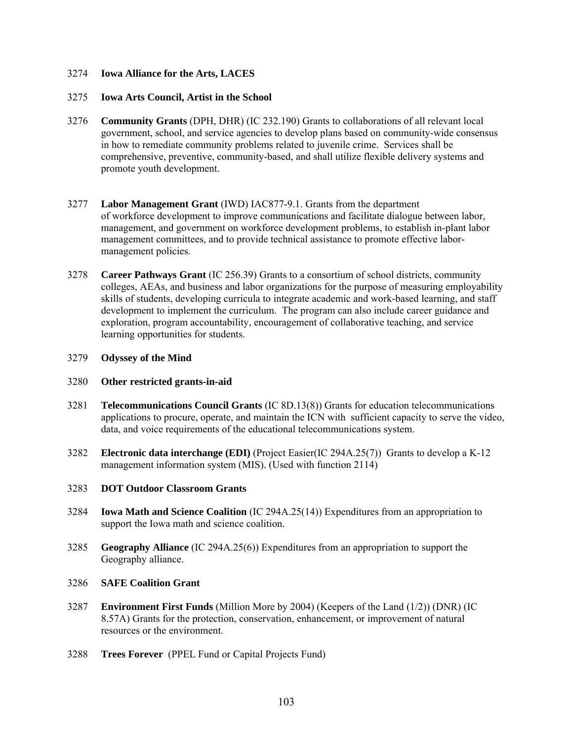# 3274 **Iowa Alliance for the Arts, LACES**

### 3275 **Iowa Arts Council, Artist in the School**

- 3276 **Community Grants** (DPH, DHR) (IC 232.190) Grants to collaborations of all relevant local government, school, and service agencies to develop plans based on community-wide consensus in how to remediate community problems related to juvenile crime. Services shall be comprehensive, preventive, community-based, and shall utilize flexible delivery systems and promote youth development.
- 3277 **Labor Management Grant** (IWD) IAC877-9.1. Grants from the department of workforce development to improve communications and facilitate dialogue between labor, management, and government on workforce development problems, to establish in-plant labor management committees, and to provide technical assistance to promote effective labormanagement policies.
- 3278 **Career Pathways Grant** (IC 256.39) Grants to a consortium of school districts, community colleges, AEAs, and business and labor organizations for the purpose of measuring employability skills of students, developing curricula to integrate academic and work-based learning, and staff development to implement the curriculum. The program can also include career guidance and exploration, program accountability, encouragement of collaborative teaching, and service learning opportunities for students.

### 3279 **Odyssey of the Mind**

# 3280 **Other restricted grants-in-aid**

- 3281 **Telecommunications Council Grants** (IC 8D.13(8)) Grants for education telecommunications applications to procure, operate, and maintain the ICN with sufficient capacity to serve the video, data, and voice requirements of the educational telecommunications system.
- 3282 **Electronic data interchange (EDI)** (Project Easier(IC 294A.25(7)) Grants to develop a K-12 management information system (MIS). (Used with function 2114)

# 3283 **DOT Outdoor Classroom Grants**

- 3284 **Iowa Math and Science Coalition** (IC 294A.25(14)) Expenditures from an appropriation to support the Iowa math and science coalition.
- 3285 **Geography Alliance** (IC 294A.25(6)) Expenditures from an appropriation to support the Geography alliance.

#### 3286 **SAFE Coalition Grant**

- 3287 **Environment First Funds** (Million More by 2004) (Keepers of the Land (1/2)) (DNR) (IC 8.57A) Grants for the protection, conservation, enhancement, or improvement of natural resources or the environment.
- 3288 **Trees Forever** (PPEL Fund or Capital Projects Fund)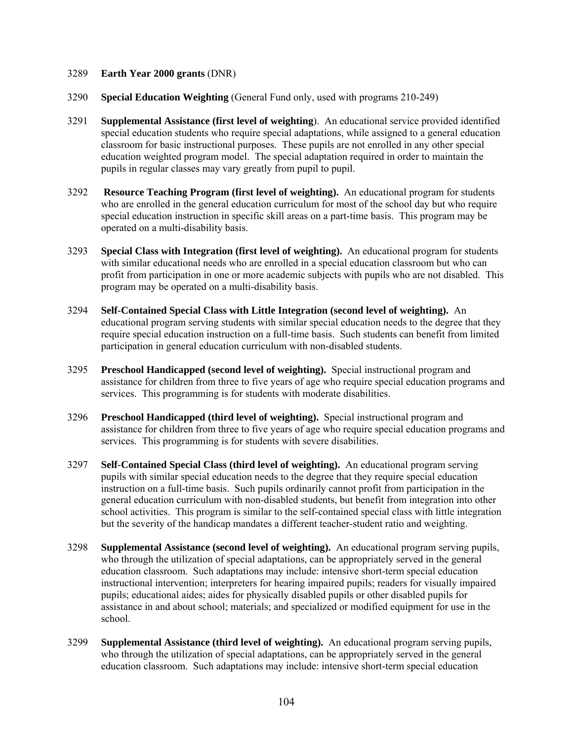# 3289 **Earth Year 2000 grants** (DNR)

- 3290 **Special Education Weighting** (General Fund only, used with programs 210-249)
- 3291 **Supplemental Assistance (first level of weighting**). An educational service provided identified special education students who require special adaptations, while assigned to a general education classroom for basic instructional purposes. These pupils are not enrolled in any other special education weighted program model. The special adaptation required in order to maintain the pupils in regular classes may vary greatly from pupil to pupil.
- 3292 **Resource Teaching Program (first level of weighting).** An educational program for students who are enrolled in the general education curriculum for most of the school day but who require special education instruction in specific skill areas on a part-time basis. This program may be operated on a multi-disability basis.
- 3293 **Special Class with Integration (first level of weighting).** An educational program for students with similar educational needs who are enrolled in a special education classroom but who can profit from participation in one or more academic subjects with pupils who are not disabled. This program may be operated on a multi-disability basis.
- 3294 **Self-Contained Special Class with Little Integration (second level of weighting).** An educational program serving students with similar special education needs to the degree that they require special education instruction on a full-time basis. Such students can benefit from limited participation in general education curriculum with non-disabled students.
- 3295 **Preschool Handicapped (second level of weighting).** Special instructional program and assistance for children from three to five years of age who require special education programs and services. This programming is for students with moderate disabilities.
- 3296 **Preschool Handicapped (third level of weighting).** Special instructional program and assistance for children from three to five years of age who require special education programs and services. This programming is for students with severe disabilities.
- 3297 **Self-Contained Special Class (third level of weighting).** An educational program serving pupils with similar special education needs to the degree that they require special education instruction on a full-time basis. Such pupils ordinarily cannot profit from participation in the general education curriculum with non-disabled students, but benefit from integration into other school activities. This program is similar to the self-contained special class with little integration but the severity of the handicap mandates a different teacher-student ratio and weighting.
- 3298 **Supplemental Assistance (second level of weighting).** An educational program serving pupils, who through the utilization of special adaptations, can be appropriately served in the general education classroom. Such adaptations may include: intensive short-term special education instructional intervention; interpreters for hearing impaired pupils; readers for visually impaired pupils; educational aides; aides for physically disabled pupils or other disabled pupils for assistance in and about school; materials; and specialized or modified equipment for use in the school.
- 3299 **Supplemental Assistance (third level of weighting).** An educational program serving pupils, who through the utilization of special adaptations, can be appropriately served in the general education classroom. Such adaptations may include: intensive short-term special education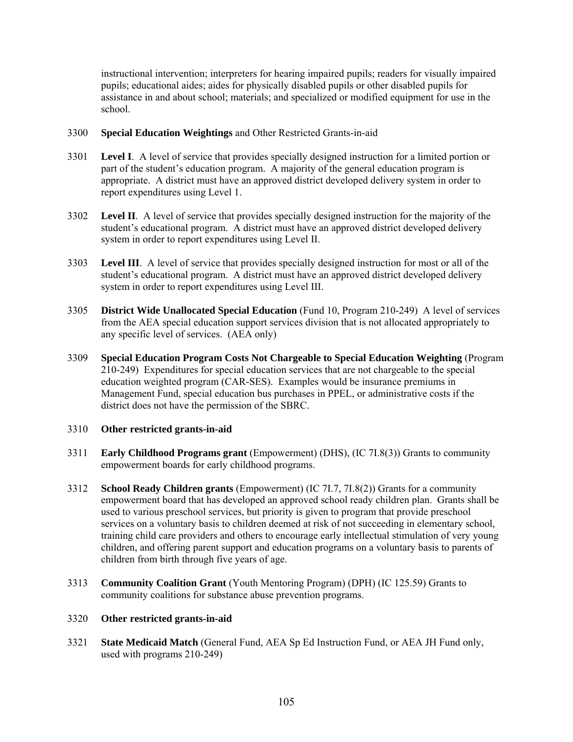instructional intervention; interpreters for hearing impaired pupils; readers for visually impaired pupils; educational aides; aides for physically disabled pupils or other disabled pupils for assistance in and about school; materials; and specialized or modified equipment for use in the school.

# 3300 **Special Education Weightings** and Other Restricted Grants-in-aid

- 3301 **Level I**. A level of service that provides specially designed instruction for a limited portion or part of the student's education program. A majority of the general education program is appropriate. A district must have an approved district developed delivery system in order to report expenditures using Level 1.
- 3302 **Level II**. A level of service that provides specially designed instruction for the majority of the student's educational program. A district must have an approved district developed delivery system in order to report expenditures using Level II.
- 3303 **Level III**. A level of service that provides specially designed instruction for most or all of the student's educational program. A district must have an approved district developed delivery system in order to report expenditures using Level III.
- 3305 **District Wide Unallocated Special Education** (Fund 10, Program 210-249) A level of services from the AEA special education support services division that is not allocated appropriately to any specific level of services. (AEA only)
- 3309 **Special Education Program Costs Not Chargeable to Special Education Weighting** (Program 210-249) Expenditures for special education services that are not chargeable to the special education weighted program (CAR-SES). Examples would be insurance premiums in Management Fund, special education bus purchases in PPEL, or administrative costs if the district does not have the permission of the SBRC.

# 3310 **Other restricted grants-in-aid**

- 3311 **Early Childhood Programs grant** (Empowerment) (DHS), (IC 7I.8(3)) Grants to community empowerment boards for early childhood programs.
- 3312 **School Ready Children grants** (Empowerment) (IC 7I.7, 7I.8(2)) Grants for a community empowerment board that has developed an approved school ready children plan. Grants shall be used to various preschool services, but priority is given to program that provide preschool services on a voluntary basis to children deemed at risk of not succeeding in elementary school, training child care providers and others to encourage early intellectual stimulation of very young children, and offering parent support and education programs on a voluntary basis to parents of children from birth through five years of age.
- 3313 **Community Coalition Grant** (Youth Mentoring Program) (DPH) (IC 125.59) Grants to community coalitions for substance abuse prevention programs.

# 3320 **Other restricted grants-in-aid**

3321 **State Medicaid Match** (General Fund, AEA Sp Ed Instruction Fund, or AEA JH Fund only, used with programs 210-249)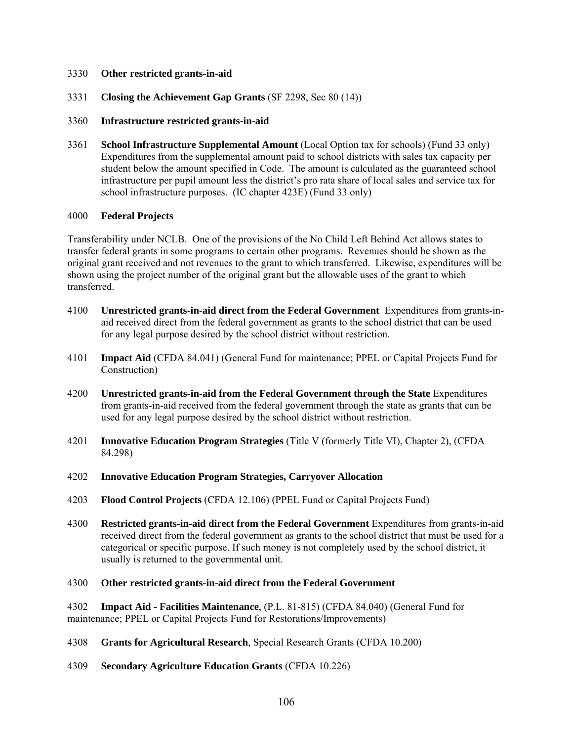- 3331 **Closing the Achievement Gap Grants** (SF 2298, Sec 80 (14))
- 3360 **Infrastructure restricted grants-in-aid**
- 3361 **School Infrastructure Supplemental Amount** (Local Option tax for schools) (Fund 33 only) Expenditures from the supplemental amount paid to school districts with sales tax capacity per student below the amount specified in Code. The amount is calculated as the guaranteed school infrastructure per pupil amount less the district's pro rata share of local sales and service tax for school infrastructure purposes. (IC chapter 423E) (Fund 33 only)

### 4000 **Federal Projects**

Transferability under NCLB. One of the provisions of the No Child Left Behind Act allows states to transfer federal grants in some programs to certain other programs. Revenues should be shown as the original grant received and not revenues to the grant to which transferred. Likewise, expenditures will be shown using the project number of the original grant but the allowable uses of the grant to which transferred.

- 4100 **Unrestricted grants-in-aid direct from the Federal Government** Expenditures from grants-inaid received direct from the federal government as grants to the school district that can be used for any legal purpose desired by the school district without restriction.
- 4101 **Impact Aid** (CFDA 84.041) (General Fund for maintenance; PPEL or Capital Projects Fund for Construction)
- 4200 **Unrestricted grants-in-aid from the Federal Government through the State** Expenditures from grants-in-aid received from the federal government through the state as grants that can be used for any legal purpose desired by the school district without restriction.
- 4201 **Innovative Education Program Strategies** (Title V (formerly Title VI), Chapter 2), (CFDA 84.298)
- 4202 **Innovative Education Program Strategies, Carryover Allocation**
- 4203 **Flood Control Projects** (CFDA 12.106) (PPEL Fund or Capital Projects Fund)
- 4300 **Restricted grants-in-aid direct from the Federal Government** Expenditures from grants-in-aid received direct from the federal government as grants to the school district that must be used for a categorical or specific purpose. If such money is not completely used by the school district, it usually is returned to the governmental unit.

#### 4300 **Other restricted grants-in-aid direct from the Federal Government**

4302 **Impact Aid - Facilities Maintenance**, (P.L. 81-815) (CFDA 84.040) (General Fund for maintenance; PPEL or Capital Projects Fund for Restorations/Improvements)

- 4308 **Grants for Agricultural Research**, Special Research Grants (CFDA 10.200)
- 4309 **Secondary Agriculture Education Grants** (CFDA 10.226)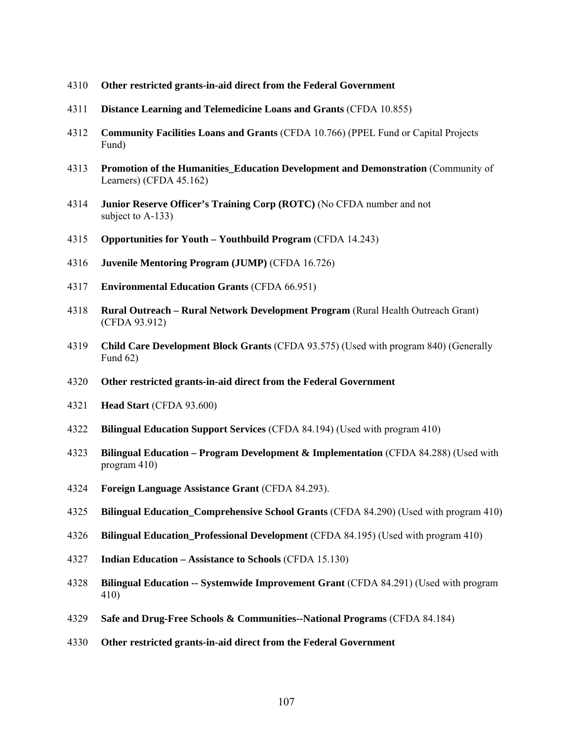- **Other restricted grants-in-aid direct from the Federal Government**
- **Distance Learning and Telemedicine Loans and Grants** (CFDA 10.855)
- **Community Facilities Loans and Grants** (CFDA 10.766) (PPEL Fund or Capital Projects Fund)
- **Promotion of the Humanities\_Education Development and Demonstration** (Community of Learners) (CFDA 45.162)
- **Junior Reserve Officer's Training Corp (ROTC)** (No CFDA number and not subject to A-133)
- **Opportunities for Youth Youthbuild Program** (CFDA 14.243)
- **Juvenile Mentoring Program (JUMP)** (CFDA 16.726)
- **Environmental Education Grants** (CFDA 66.951)
- **Rural Outreach Rural Network Development Program** (Rural Health Outreach Grant) (CFDA 93.912)
- **Child Care Development Block Grants** (CFDA 93.575) (Used with program 840) (Generally Fund 62)
- **Other restricted grants-in-aid direct from the Federal Government**
- **Head Start** (CFDA 93.600)
- **Bilingual Education Support Services** (CFDA 84.194) (Used with program 410)
- **Bilingual Education Program Development & Implementation** (CFDA 84.288) (Used with program 410)
- **Foreign Language Assistance Grant** (CFDA 84.293).
- **Bilingual Education\_Comprehensive School Grants** (CFDA 84.290) (Used with program 410)
- **Bilingual Education\_Professional Development** (CFDA 84.195) (Used with program 410)
- **Indian Education Assistance to Schools** (CFDA 15.130)
- **Bilingual Education -- Systemwide Improvement Grant** (CFDA 84.291) (Used with program 410)
- **Safe and Drug-Free Schools & Communities--National Programs** (CFDA 84.184)
- **Other restricted grants-in-aid direct from the Federal Government**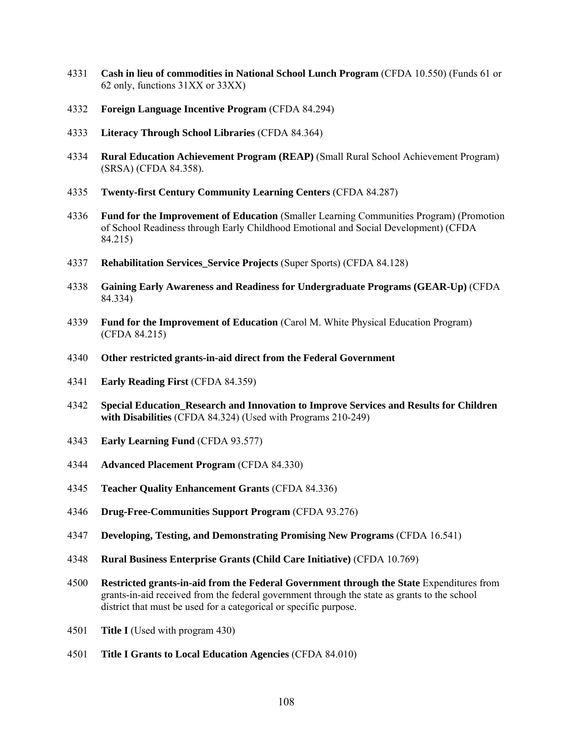- **Cash in lieu of commodities in National School Lunch Program** (CFDA 10.550) (Funds 61 or 62 only, functions 31XX or 33XX)
- **Foreign Language Incentive Program** (CFDA 84.294)
- **Literacy Through School Libraries** (CFDA 84.364)
- **Rural Education Achievement Program (REAP)** (Small Rural School Achievement Program) (SRSA) (CFDA 84.358).
- **Twenty-first Century Community Learning Centers** (CFDA 84.287)
- **Fund for the Improvement of Education** (Smaller Learning Communities Program) (Promotion of School Readiness through Early Childhood Emotional and Social Development) (CFDA 84.215)
- **Rehabilitation Services\_Service Projects** (Super Sports) (CFDA 84.128)
- **Gaining Early Awareness and Readiness for Undergraduate Programs (GEAR-Up)** (CFDA 84.334)
- **Fund for the Improvement of Education** (Carol M. White Physical Education Program) (CFDA 84.215)
- **Other restricted grants-in-aid direct from the Federal Government**
- **Early Reading First** (CFDA 84.359)
- **Special Education\_Research and Innovation to Improve Services and Results for Children with Disabilities** (CFDA 84.324) (Used with Programs 210-249)
- **Early Learning Fund** (CFDA 93.577)
- **Advanced Placement Program** (CFDA 84.330)
- **Teacher Quality Enhancement Grants** (CFDA 84.336)
- **Drug-Free-Communities Support Program** (CFDA 93.276)
- **Developing, Testing, and Demonstrating Promising New Programs** (CFDA 16.541)
- **Rural Business Enterprise Grants (Child Care Initiative)** (CFDA 10.769)
- **Restricted grants-in-aid from the Federal Government through the State** Expenditures from grants-in-aid received from the federal government through the state as grants to the school district that must be used for a categorical or specific purpose.
- **Title I** (Used with program 430)
- **Title I Grants to Local Education Agencies** (CFDA 84.010)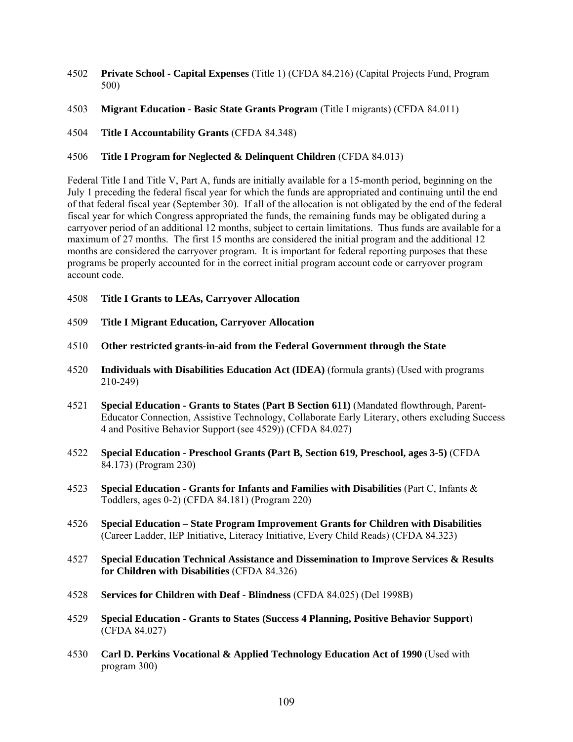- 4502 **Private School Capital Expenses** (Title 1) (CFDA 84.216) (Capital Projects Fund, Program 500)
- 4503 **Migrant Education Basic State Grants Program** (Title I migrants) (CFDA 84.011)
- 4504 **Title I Accountability Grants** (CFDA 84.348)

# 4506 **Title I Program for Neglected & Delinquent Children** (CFDA 84.013)

Federal Title I and Title V, Part A, funds are initially available for a 15-month period, beginning on the July 1 preceding the federal fiscal year for which the funds are appropriated and continuing until the end of that federal fiscal year (September 30). If all of the allocation is not obligated by the end of the federal fiscal year for which Congress appropriated the funds, the remaining funds may be obligated during a carryover period of an additional 12 months, subject to certain limitations. Thus funds are available for a maximum of 27 months. The first 15 months are considered the initial program and the additional 12 months are considered the carryover program. It is important for federal reporting purposes that these programs be properly accounted for in the correct initial program account code or carryover program account code.

- 4508 **Title I Grants to LEAs, Carryover Allocation**
- 4509 **Title I Migrant Education, Carryover Allocation**
- 4510 **Other restricted grants-in-aid from the Federal Government through the State**
- 4520 **Individuals with Disabilities Education Act (IDEA)** (formula grants) (Used with programs 210-249)
- 4521 **Special Education Grants to States (Part B Section 611)** (Mandated flowthrough, Parent-Educator Connection, Assistive Technology, Collaborate Early Literary, others excluding Success 4 and Positive Behavior Support (see 4529)) (CFDA 84.027)
- 4522 **Special Education Preschool Grants (Part B, Section 619, Preschool, ages 3-5)** (CFDA 84.173) (Program 230)
- 4523 **Special Education Grants for Infants and Families with Disabilities** (Part C, Infants & Toddlers, ages 0-2) (CFDA 84.181) (Program 220)
- 4526 **Special Education State Program Improvement Grants for Children with Disabilities** (Career Ladder, IEP Initiative, Literacy Initiative, Every Child Reads) (CFDA 84.323)
- 4527 **Special Education Technical Assistance and Dissemination to Improve Services & Results for Children with Disabilities** (CFDA 84.326)
- 4528 **Services for Children with Deaf Blindness** (CFDA 84.025) (Del 1998B)
- 4529 **Special Education Grants to States (Success 4 Planning, Positive Behavior Support**) (CFDA 84.027)
- 4530 **Carl D. Perkins Vocational & Applied Technology Education Act of 1990** (Used with program 300)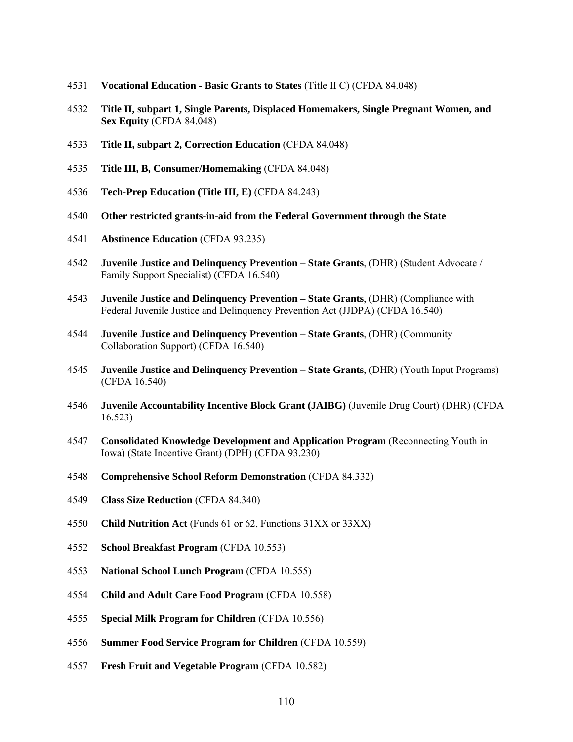- **Vocational Education Basic Grants to States** (Title II C) (CFDA 84.048)
- **Title II, subpart 1, Single Parents, Displaced Homemakers, Single Pregnant Women, and Sex Equity** (CFDA 84.048)
- **Title II, subpart 2, Correction Education** (CFDA 84.048)
- **Title III, B, Consumer/Homemaking** (CFDA 84.048)
- **Tech-Prep Education (Title III, E)** (CFDA 84.243)
- **Other restricted grants-in-aid from the Federal Government through the State**
- **Abstinence Education** (CFDA 93.235)
- **Juvenile Justice and Delinquency Prevention State Grants**, (DHR) (Student Advocate / Family Support Specialist) (CFDA 16.540)
- **Juvenile Justice and Delinquency Prevention State Grants**, (DHR) (Compliance with Federal Juvenile Justice and Delinquency Prevention Act (JJDPA) (CFDA 16.540)
- **Juvenile Justice and Delinquency Prevention State Grants**, (DHR) (Community Collaboration Support) (CFDA 16.540)
- **Juvenile Justice and Delinquency Prevention State Grants**, (DHR) (Youth Input Programs) (CFDA 16.540)
- **Juvenile Accountability Incentive Block Grant (JAIBG)** (Juvenile Drug Court) (DHR) (CFDA 16.523)
- **Consolidated Knowledge Development and Application Program** (Reconnecting Youth in Iowa) (State Incentive Grant) (DPH) (CFDA 93.230)
- **Comprehensive School Reform Demonstration** (CFDA 84.332)
- **Class Size Reduction** (CFDA 84.340)
- **Child Nutrition Act** (Funds 61 or 62, Functions 31XX or 33XX)
- **School Breakfast Program** (CFDA 10.553)
- **National School Lunch Program** (CFDA 10.555)
- **Child and Adult Care Food Program** (CFDA 10.558)
- **Special Milk Program for Children** (CFDA 10.556)
- **Summer Food Service Program for Children** (CFDA 10.559)
- **Fresh Fruit and Vegetable Program** (CFDA 10.582)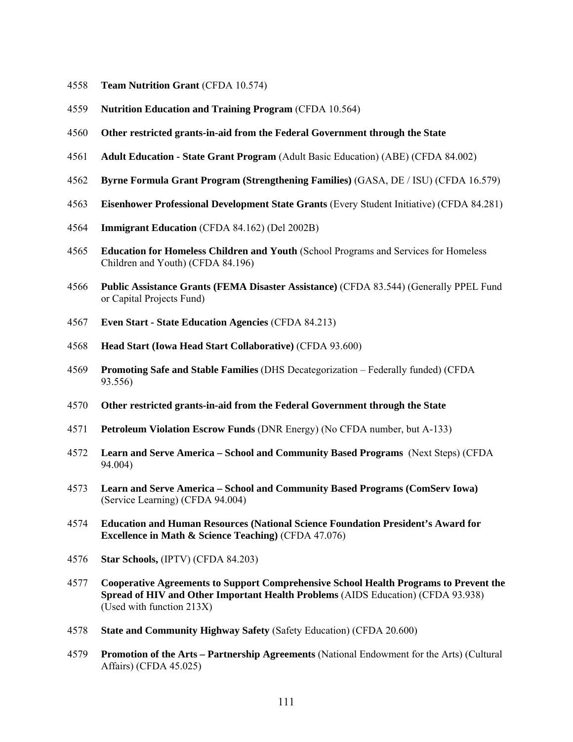- **Team Nutrition Grant** (CFDA 10.574)
- **Nutrition Education and Training Program** (CFDA 10.564)
- **Other restricted grants-in-aid from the Federal Government through the State**
- **Adult Education State Grant Program** (Adult Basic Education) (ABE) (CFDA 84.002)
- **Byrne Formula Grant Program (Strengthening Families)** (GASA, DE / ISU) (CFDA 16.579)
- **Eisenhower Professional Development State Grants** (Every Student Initiative) (CFDA 84.281)
- **Immigrant Education** (CFDA 84.162) (Del 2002B)
- **Education for Homeless Children and Youth** (School Programs and Services for Homeless Children and Youth) (CFDA 84.196)
- **Public Assistance Grants (FEMA Disaster Assistance)** (CFDA 83.544) (Generally PPEL Fund or Capital Projects Fund)
- **Even Start State Education Agencies** (CFDA 84.213)
- **Head Start (Iowa Head Start Collaborative)** (CFDA 93.600)
- **Promoting Safe and Stable Families** (DHS Decategorization Federally funded) (CFDA 93.556)
- **Other restricted grants-in-aid from the Federal Government through the State**
- **Petroleum Violation Escrow Funds** (DNR Energy) (No CFDA number, but A-133)
- **Learn and Serve America School and Community Based Programs** (Next Steps) (CFDA 94.004)
- **Learn and Serve America School and Community Based Programs (ComServ Iowa)** (Service Learning) (CFDA 94.004)
- **Education and Human Resources (National Science Foundation President's Award for Excellence in Math & Science Teaching)** (CFDA 47.076)
- **Star Schools,** (IPTV) (CFDA 84.203)
- **Cooperative Agreements to Support Comprehensive School Health Programs to Prevent the Spread of HIV and Other Important Health Problems** (AIDS Education) (CFDA 93.938) (Used with function 213X)
- **State and Community Highway Safety** (Safety Education) (CFDA 20.600)
- **Promotion of the Arts Partnership Agreements** (National Endowment for the Arts) (Cultural Affairs) (CFDA 45.025)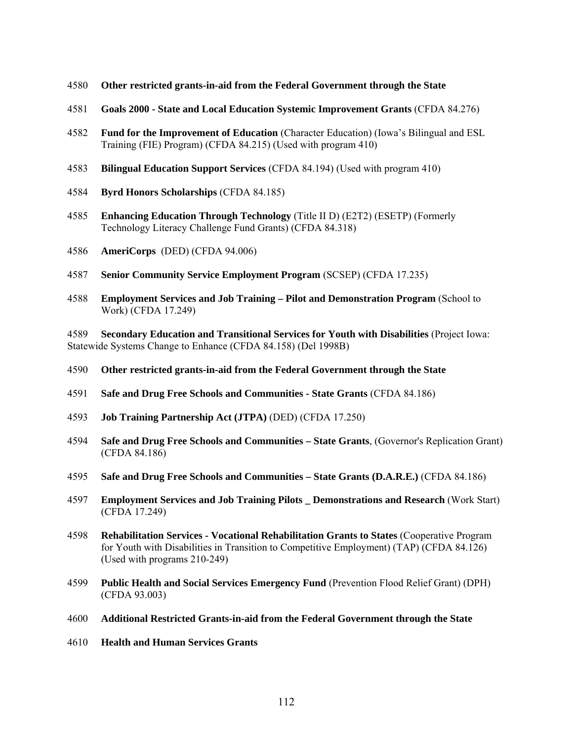- **Other restricted grants-in-aid from the Federal Government through the State**
- **Goals 2000 State and Local Education Systemic Improvement Grants** (CFDA 84.276)
- **Fund for the Improvement of Education** (Character Education) (Iowa's Bilingual and ESL Training (FIE) Program) (CFDA 84.215) (Used with program 410)
- **Bilingual Education Support Services** (CFDA 84.194) (Used with program 410)
- **Byrd Honors Scholarships** (CFDA 84.185)
- **Enhancing Education Through Technology** (Title II D) (E2T2) (ESETP) (Formerly Technology Literacy Challenge Fund Grants) (CFDA 84.318)
- **AmeriCorps** (DED) (CFDA 94.006)
- **Senior Community Service Employment Program** (SCSEP) (CFDA 17.235)
- **Employment Services and Job Training Pilot and Demonstration Program** (School to Work) (CFDA 17.249)

**Secondary Education and Transitional Services for Youth with Disabilities** (Project Iowa: Statewide Systems Change to Enhance (CFDA 84.158) (Del 1998B)

- **Other restricted grants-in-aid from the Federal Government through the State**
- **Safe and Drug Free Schools and Communities State Grants** (CFDA 84.186)
- **Job Training Partnership Act (JTPA)** (DED) (CFDA 17.250)
- **Safe and Drug Free Schools and Communities State Grants**, (Governor's Replication Grant) (CFDA 84.186)
- **Safe and Drug Free Schools and Communities State Grants (D.A.R.E.)** (CFDA 84.186)
- **Employment Services and Job Training Pilots \_ Demonstrations and Research** (Work Start) (CFDA 17.249)
- **Rehabilitation Services Vocational Rehabilitation Grants to States** (Cooperative Program for Youth with Disabilities in Transition to Competitive Employment) (TAP) (CFDA 84.126) (Used with programs 210-249)
- **Public Health and Social Services Emergency Fund** (Prevention Flood Relief Grant) (DPH) (CFDA 93.003)
- **Additional Restricted Grants-in-aid from the Federal Government through the State**
- **Health and Human Services Grants**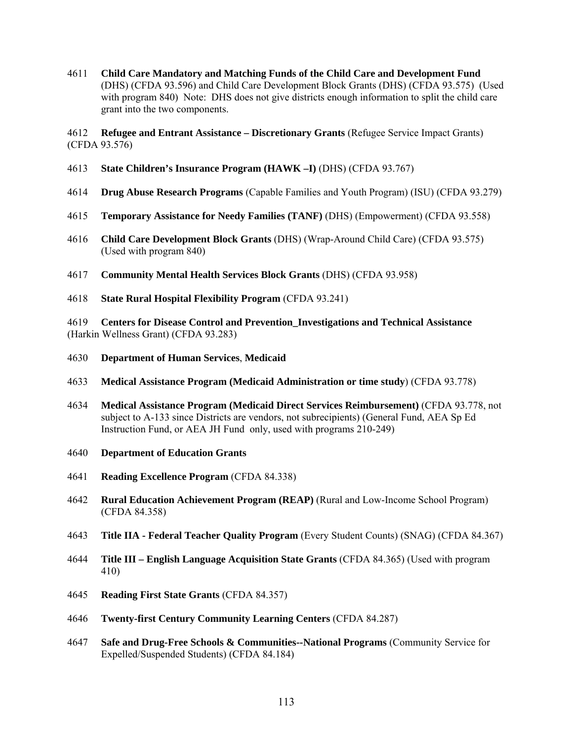**Child Care Mandatory and Matching Funds of the Child Care and Development Fund** (DHS) (CFDA 93.596) and Child Care Development Block Grants (DHS) (CFDA 93.575) (Used with program 840) Note: DHS does not give districts enough information to split the child care grant into the two components.

**Refugee and Entrant Assistance – Discretionary Grants** (Refugee Service Impact Grants) (CFDA 93.576)

- **State Children's Insurance Program (HAWK –I)** (DHS) (CFDA 93.767)
- **Drug Abuse Research Programs** (Capable Families and Youth Program) (ISU) (CFDA 93.279)
- **Temporary Assistance for Needy Families (TANF)** (DHS) (Empowerment) (CFDA 93.558)
- **Child Care Development Block Grants** (DHS) (Wrap-Around Child Care) (CFDA 93.575) (Used with program 840)
- **Community Mental Health Services Block Grants** (DHS) (CFDA 93.958)
- **State Rural Hospital Flexibility Program** (CFDA 93.241)

**Centers for Disease Control and Prevention\_Investigations and Technical Assistance** (Harkin Wellness Grant) (CFDA 93.283)

- **Department of Human Services**, **Medicaid**
- **Medical Assistance Program (Medicaid Administration or time study**) (CFDA 93.778)
- **Medical Assistance Program (Medicaid Direct Services Reimbursement)** (CFDA 93.778, not subject to A-133 since Districts are vendors, not subrecipients) (General Fund, AEA Sp Ed Instruction Fund, or AEA JH Fund only, used with programs 210-249)
- **Department of Education Grants**
- **Reading Excellence Program** (CFDA 84.338)
- **Rural Education Achievement Program (REAP)** (Rural and Low-Income School Program) (CFDA 84.358)
- **Title IIA Federal Teacher Quality Program** (Every Student Counts) (SNAG) (CFDA 84.367)
- **Title III English Language Acquisition State Grants** (CFDA 84.365) (Used with program 410)
- **Reading First State Grants** (CFDA 84.357)
- **Twenty-first Century Community Learning Centers** (CFDA 84.287)
- **Safe and Drug-Free Schools & Communities--National Programs** (Community Service for Expelled/Suspended Students) (CFDA 84.184)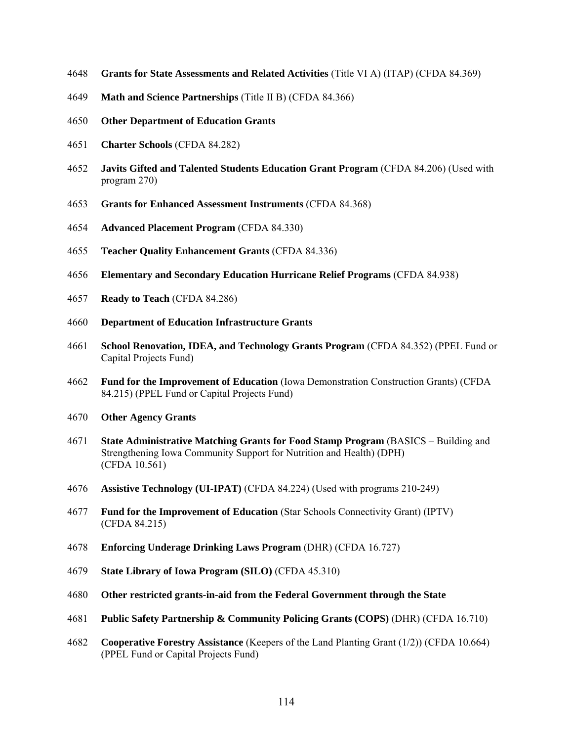- **Grants for State Assessments and Related Activities** (Title VI A) (ITAP) (CFDA 84.369)
- **Math and Science Partnerships** (Title II B) (CFDA 84.366)
- **Other Department of Education Grants**
- **Charter Schools** (CFDA 84.282)
- **Javits Gifted and Talented Students Education Grant Program** (CFDA 84.206) (Used with program 270)
- **Grants for Enhanced Assessment Instruments** (CFDA 84.368)
- **Advanced Placement Program** (CFDA 84.330)
- **Teacher Quality Enhancement Grants** (CFDA 84.336)
- **Elementary and Secondary Education Hurricane Relief Programs** (CFDA 84.938)
- **Ready to Teach** (CFDA 84.286)
- **Department of Education Infrastructure Grants**
- **School Renovation, IDEA, and Technology Grants Program** (CFDA 84.352) (PPEL Fund or Capital Projects Fund)
- **Fund for the Improvement of Education** (Iowa Demonstration Construction Grants) (CFDA 84.215) (PPEL Fund or Capital Projects Fund)
- **Other Agency Grants**
- **State Administrative Matching Grants for Food Stamp Program** (BASICS Building and Strengthening Iowa Community Support for Nutrition and Health) (DPH) (CFDA 10.561)
- **Assistive Technology (UI-IPAT)** (CFDA 84.224) (Used with programs 210-249)
- **Fund for the Improvement of Education** (Star Schools Connectivity Grant) (IPTV) (CFDA 84.215)
- **Enforcing Underage Drinking Laws Program** (DHR) (CFDA 16.727)
- **State Library of Iowa Program (SILO)** (CFDA 45.310)
- **Other restricted grants-in-aid from the Federal Government through the State**
- **Public Safety Partnership & Community Policing Grants (COPS)** (DHR) (CFDA 16.710)
- **Cooperative Forestry Assistance** (Keepers of the Land Planting Grant (1/2)) (CFDA 10.664) (PPEL Fund or Capital Projects Fund)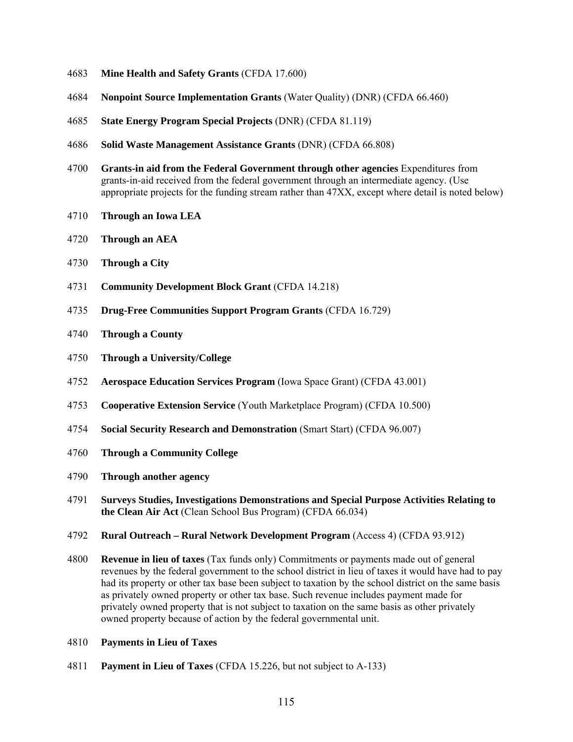- **Mine Health and Safety Grants** (CFDA 17.600)
- **Nonpoint Source Implementation Grants** (Water Quality) (DNR) (CFDA 66.460)
- **State Energy Program Special Projects** (DNR) (CFDA 81.119)
- **Solid Waste Management Assistance Grants** (DNR) (CFDA 66.808)
- **Grants-in aid from the Federal Government through other agencies** Expenditures from grants-in-aid received from the federal government through an intermediate agency. (Use appropriate projects for the funding stream rather than 47XX, except where detail is noted below)
- **Through an Iowa LEA**
- **Through an AEA**
- **Through a City**
- **Community Development Block Grant** (CFDA 14.218)
- **Drug-Free Communities Support Program Grants** (CFDA 16.729)
- **Through a County**
- **Through a University/College**
- **Aerospace Education Services Program** (Iowa Space Grant) (CFDA 43.001)
- **Cooperative Extension Service** (Youth Marketplace Program) (CFDA 10.500)
- **Social Security Research and Demonstration** (Smart Start) (CFDA 96.007)
- **Through a Community College**
- **Through another agency**
- **Surveys Studies, Investigations Demonstrations and Special Purpose Activities Relating to the Clean Air Act** (Clean School Bus Program) (CFDA 66.034)
- **Rural Outreach Rural Network Development Program** (Access 4) (CFDA 93.912)
- **Revenue in lieu of taxes** (Tax funds only) Commitments or payments made out of general revenues by the federal government to the school district in lieu of taxes it would have had to pay had its property or other tax base been subject to taxation by the school district on the same basis as privately owned property or other tax base. Such revenue includes payment made for privately owned property that is not subject to taxation on the same basis as other privately owned property because of action by the federal governmental unit.
- **Payments in Lieu of Taxes**
- **Payment in Lieu of Taxes** (CFDA 15.226, but not subject to A-133)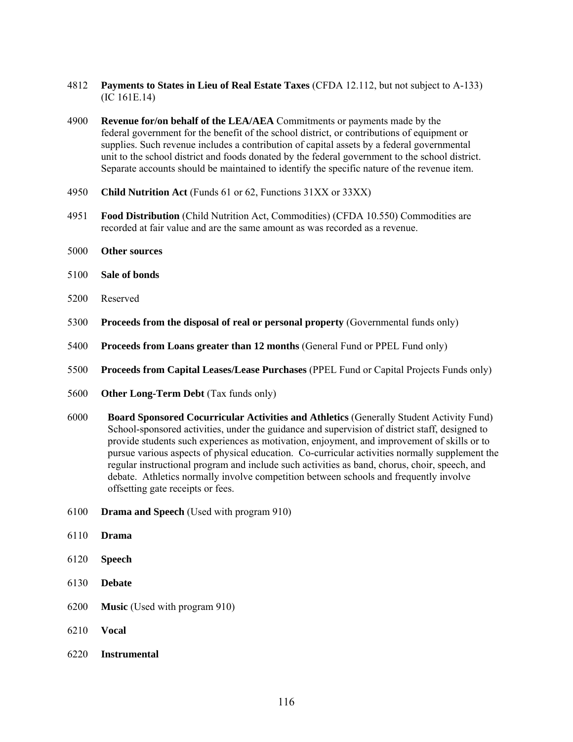- 4812 **Payments to States in Lieu of Real Estate Taxes** (CFDA 12.112, but not subject to A-133) (IC 161E.14)
- 4900 **Revenue for/on behalf of the LEA/AEA** Commitments or payments made by the federal government for the benefit of the school district, or contributions of equipment or supplies. Such revenue includes a contribution of capital assets by a federal governmental unit to the school district and foods donated by the federal government to the school district. Separate accounts should be maintained to identify the specific nature of the revenue item.
- 4950 **Child Nutrition Act** (Funds 61 or 62, Functions 31XX or 33XX)
- 4951 **Food Distribution** (Child Nutrition Act, Commodities) (CFDA 10.550) Commodities are recorded at fair value and are the same amount as was recorded as a revenue.
- 5000 **Other sources**
- 5100 **Sale of bonds**
- 5200 Reserved
- 5300 **Proceeds from the disposal of real or personal property** (Governmental funds only)
- 5400 **Proceeds from Loans greater than 12 months** (General Fund or PPEL Fund only)
- 5500 **Proceeds from Capital Leases/Lease Purchases** (PPEL Fund or Capital Projects Funds only)
- 5600 **Other Long-Term Debt** (Tax funds only)
- 6000 **Board Sponsored Cocurricular Activities and Athletics** (Generally Student Activity Fund) School-sponsored activities, under the guidance and supervision of district staff, designed to provide students such experiences as motivation, enjoyment, and improvement of skills or to pursue various aspects of physical education. Co-curricular activities normally supplement the regular instructional program and include such activities as band, chorus, choir, speech, and debate. Athletics normally involve competition between schools and frequently involve offsetting gate receipts or fees.
- 6100 **Drama and Speech** (Used with program 910)
- 6110 **Drama**
- 6120 **Speech**
- 6130 **Debate**
- 6200 **Music** (Used with program 910)
- 6210 **Vocal**
- 6220 **Instrumental**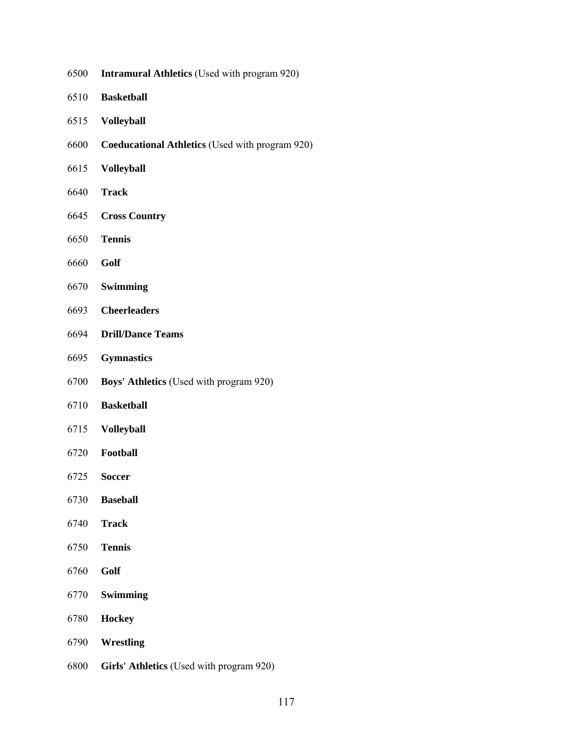- **Intramural Athletics** (Used with program 920)
- **Basketball**
- **Volleyball**
- **Coeducational Athletics** (Used with program 920)
- **Volleyball**
- **Track**
- **Cross Country**
- **Tennis**
- **Golf**
- **Swimming**
- **Cheerleaders**
- **Drill/Dance Teams**
- **Gymnastics**
- **Boys' Athletics** (Used with program 920)
- **Basketball**
- **Volleyball**
- **Football**
- **Soccer**
- **Baseball**
- **Track**
- **Tennis**
- **Golf**
- **Swimming**
- **Hockey**
- **Wrestling**
- **Girls' Athletics** (Used with program 920)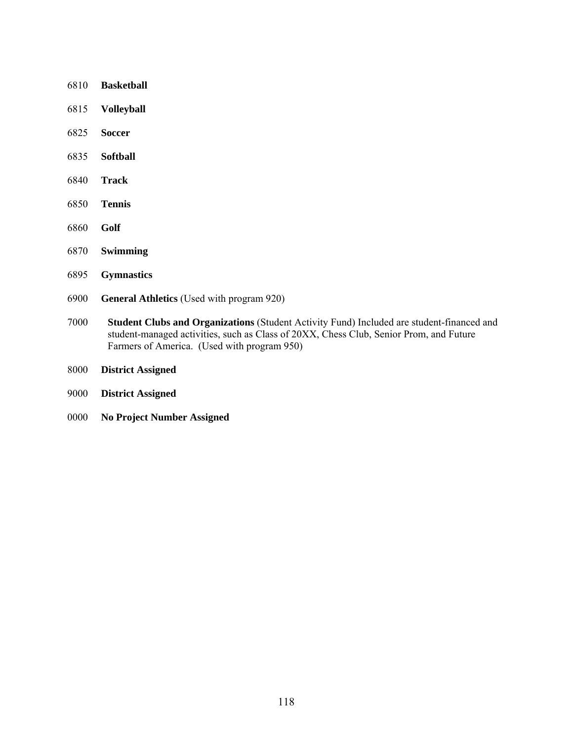- **Basketball Volleyball Soccer Softball Track Tennis Golf**
- **Swimming**
- **Gymnastics**
- **General Athletics** (Used with program 920)
- **Student Clubs and Organizations** (Student Activity Fund) Included are student-financed and student-managed activities, such as Class of 20XX, Chess Club, Senior Prom, and Future Farmers of America. (Used with program 950)
- **District Assigned**
- **District Assigned**
- **No Project Number Assigned**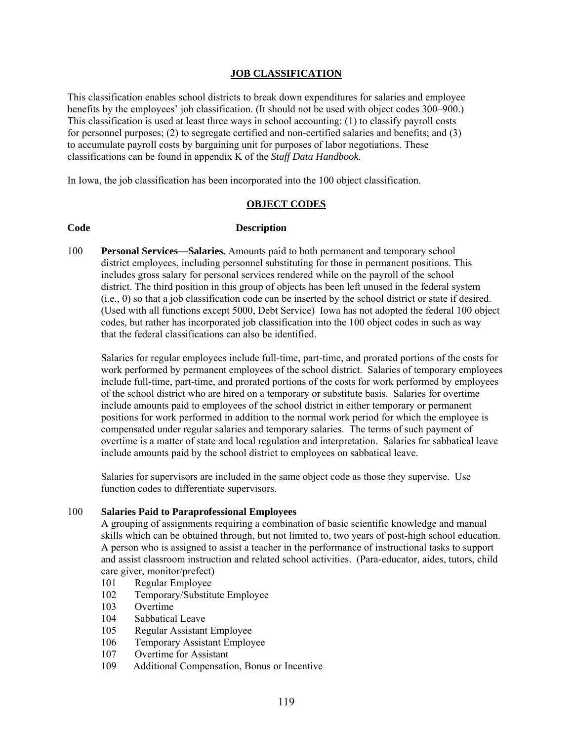## **JOB CLASSIFICATION**

This classification enables school districts to break down expenditures for salaries and employee benefits by the employees' job classification. (It should not be used with object codes 300–900.) This classification is used at least three ways in school accounting: (1) to classify payroll costs for personnel purposes; (2) to segregate certified and non-certified salaries and benefits; and (3) to accumulate payroll costs by bargaining unit for purposes of labor negotiations. These classifications can be found in appendix K of the *Staff Data Handbook.* 

In Iowa, the job classification has been incorporated into the 100 object classification.

## **OBJECT CODES**

## **Code Description**

100 **Personal Services—Salaries.** Amounts paid to both permanent and temporary school district employees, including personnel substituting for those in permanent positions. This includes gross salary for personal services rendered while on the payroll of the school district. The third position in this group of objects has been left unused in the federal system (i.e., 0) so that a job classification code can be inserted by the school district or state if desired. (Used with all functions except 5000, Debt Service) Iowa has not adopted the federal 100 object codes, but rather has incorporated job classification into the 100 object codes in such as way that the federal classifications can also be identified.

Salaries for regular employees include full-time, part-time, and prorated portions of the costs for work performed by permanent employees of the school district. Salaries of temporary employees include full-time, part-time, and prorated portions of the costs for work performed by employees of the school district who are hired on a temporary or substitute basis. Salaries for overtime include amounts paid to employees of the school district in either temporary or permanent positions for work performed in addition to the normal work period for which the employee is compensated under regular salaries and temporary salaries. The terms of such payment of overtime is a matter of state and local regulation and interpretation. Salaries for sabbatical leave include amounts paid by the school district to employees on sabbatical leave.

Salaries for supervisors are included in the same object code as those they supervise. Use function codes to differentiate supervisors.

## 100 **Salaries Paid to Paraprofessional Employees**

A grouping of assignments requiring a combination of basic scientific knowledge and manual skills which can be obtained through, but not limited to, two years of post-high school education. A person who is assigned to assist a teacher in the performance of instructional tasks to support and assist classroom instruction and related school activities. (Para-educator, aides, tutors, child care giver, monitor/prefect)

- 101 Regular Employee
- 102 Temporary/Substitute Employee
- 103 Overtime
- 104 Sabbatical Leave
- 105 Regular Assistant Employee
- 106 Temporary Assistant Employee
- 107 Overtime for Assistant
- 109 Additional Compensation, Bonus or Incentive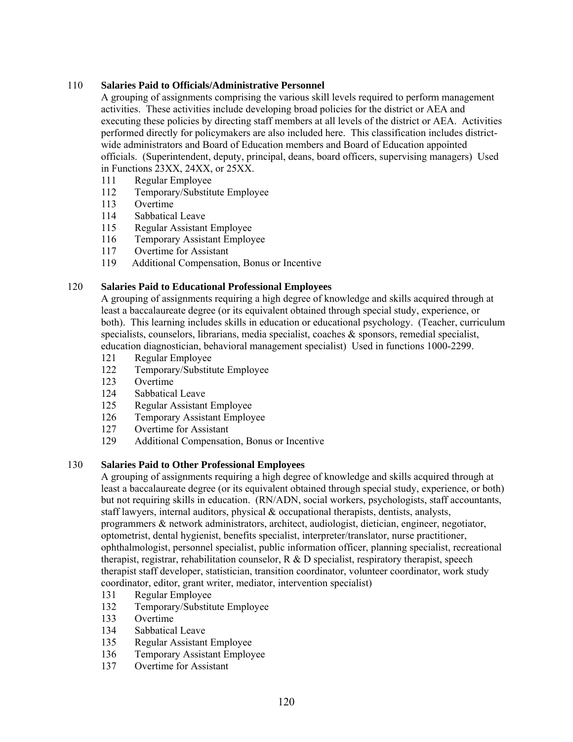# 110 **Salaries Paid to Officials/Administrative Personnel**

A grouping of assignments comprising the various skill levels required to perform management activities. These activities include developing broad policies for the district or AEA and executing these policies by directing staff members at all levels of the district or AEA. Activities performed directly for policymakers are also included here. This classification includes districtwide administrators and Board of Education members and Board of Education appointed officials. (Superintendent, deputy, principal, deans, board officers, supervising managers) Used in Functions 23XX, 24XX, or 25XX.

- 111 Regular Employee
- 112 Temporary/Substitute Employee
- 113 Overtime
- 114 Sabbatical Leave
- 115 Regular Assistant Employee
- 116 Temporary Assistant Employee
- 117 Overtime for Assistant
- 119 Additional Compensation, Bonus or Incentive

# 120 **Salaries Paid to Educational Professional Employees**

A grouping of assignments requiring a high degree of knowledge and skills acquired through at least a baccalaureate degree (or its equivalent obtained through special study, experience, or both). This learning includes skills in education or educational psychology. (Teacher, curriculum specialists, counselors, librarians, media specialist, coaches & sponsors, remedial specialist, education diagnostician, behavioral management specialist) Used in functions 1000-2299.

- 121 Regular Employee
- 122 Temporary/Substitute Employee
- 123 Overtime
- 124 Sabbatical Leave
- 125 Regular Assistant Employee
- 126 Temporary Assistant Employee
- 127 Overtime for Assistant
- 129 Additional Compensation, Bonus or Incentive

## 130 **Salaries Paid to Other Professional Employees**

A grouping of assignments requiring a high degree of knowledge and skills acquired through at least a baccalaureate degree (or its equivalent obtained through special study, experience, or both) but not requiring skills in education. (RN/ADN, social workers, psychologists, staff accountants, staff lawyers, internal auditors, physical & occupational therapists, dentists, analysts, programmers & network administrators, architect, audiologist, dietician, engineer, negotiator, optometrist, dental hygienist, benefits specialist, interpreter/translator, nurse practitioner, ophthalmologist, personnel specialist, public information officer, planning specialist, recreational therapist, registrar, rehabilitation counselor,  $R \& D$  specialist, respiratory therapist, speech therapist staff developer, statistician, transition coordinator, volunteer coordinator, work study coordinator, editor, grant writer, mediator, intervention specialist)

- 131 Regular Employee
- 132 Temporary/Substitute Employee
- 133 Overtime
- 134 Sabbatical Leave
- 135 Regular Assistant Employee
- 136 Temporary Assistant Employee
- 137 Overtime for Assistant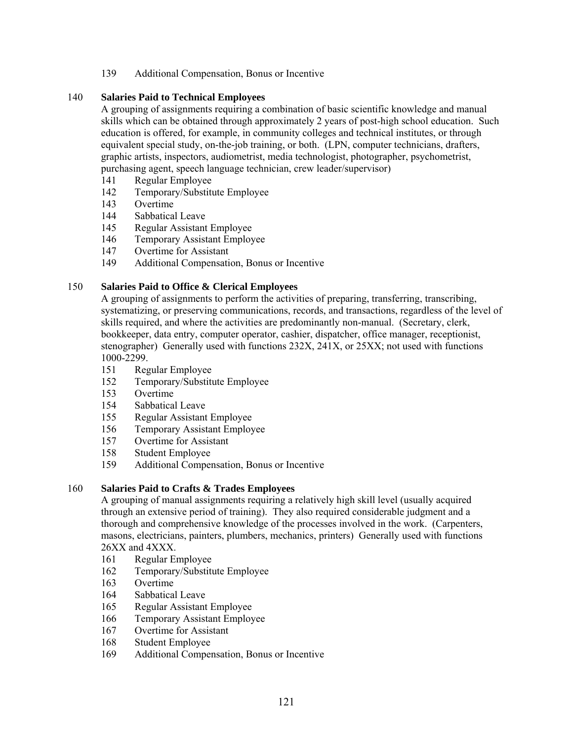139 Additional Compensation, Bonus or Incentive

# 140 **Salaries Paid to Technical Employees**

A grouping of assignments requiring a combination of basic scientific knowledge and manual skills which can be obtained through approximately 2 years of post-high school education. Such education is offered, for example, in community colleges and technical institutes, or through equivalent special study, on-the-job training, or both. (LPN, computer technicians, drafters, graphic artists, inspectors, audiometrist, media technologist, photographer, psychometrist, purchasing agent, speech language technician, crew leader/supervisor)

- 141 Regular Employee
- 142 Temporary/Substitute Employee
- 143 Overtime
- 144 Sabbatical Leave
- 145 Regular Assistant Employee
- 146 Temporary Assistant Employee
- 147 Overtime for Assistant
- 149 Additional Compensation, Bonus or Incentive

# 150 **Salaries Paid to Office & Clerical Employees**

A grouping of assignments to perform the activities of preparing, transferring, transcribing, systematizing, or preserving communications, records, and transactions, regardless of the level of skills required, and where the activities are predominantly non-manual. (Secretary, clerk, bookkeeper, data entry, computer operator, cashier, dispatcher, office manager, receptionist, stenographer) Generally used with functions 232X, 241X, or 25XX; not used with functions 1000-2299.

- 151 Regular Employee
- 152 Temporary/Substitute Employee
- 153 Overtime
- 154 Sabbatical Leave
- 155 Regular Assistant Employee
- 156 Temporary Assistant Employee
- 157 Overtime for Assistant
- 158 Student Employee<br>159 Additional Comper
- 159 Additional Compensation, Bonus or Incentive

## 160 **Salaries Paid to Crafts & Trades Employees**

A grouping of manual assignments requiring a relatively high skill level (usually acquired through an extensive period of training). They also required considerable judgment and a thorough and comprehensive knowledge of the processes involved in the work. (Carpenters, masons, electricians, painters, plumbers, mechanics, printers) Generally used with functions 26XX and 4XXX.

- 161 Regular Employee
- 162 Temporary/Substitute Employee
- 163 Overtime
- 164 Sabbatical Leave
- 165 Regular Assistant Employee
- 166 Temporary Assistant Employee
- 167 Overtime for Assistant
- 168 Student Employee
- 169 Additional Compensation, Bonus or Incentive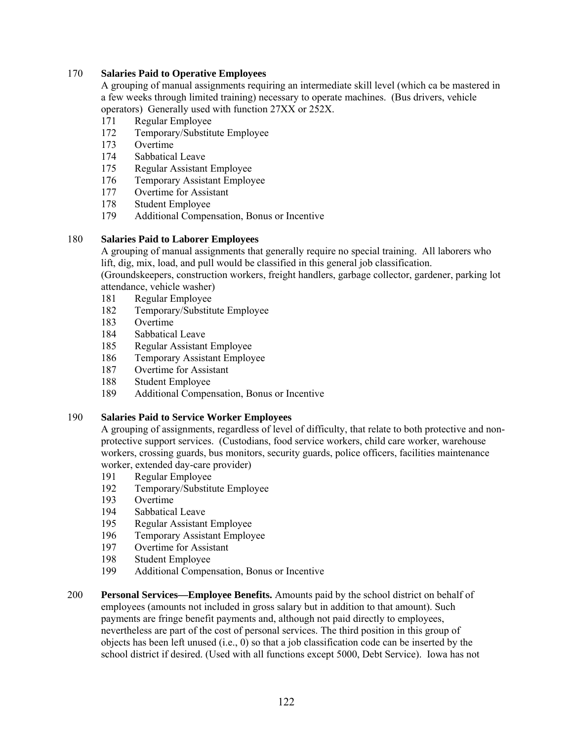# 170 **Salaries Paid to Operative Employees**

A grouping of manual assignments requiring an intermediate skill level (which ca be mastered in a few weeks through limited training) necessary to operate machines. (Bus drivers, vehicle operators) Generally used with function 27XX or 252X.

- 171 Regular Employee
- 172 Temporary/Substitute Employee
- 173 Overtime
- 174 Sabbatical Leave
- 175 Regular Assistant Employee
- 176 Temporary Assistant Employee
- 177 Overtime for Assistant
- 178 Student Employee
- 179 Additional Compensation, Bonus or Incentive

## 180 **Salaries Paid to Laborer Employees**

A grouping of manual assignments that generally require no special training. All laborers who lift, dig, mix, load, and pull would be classified in this general job classification.

(Groundskeepers, construction workers, freight handlers, garbage collector, gardener, parking lot attendance, vehicle washer)

- 181 Regular Employee
- 182 Temporary/Substitute Employee
- 183 Overtime
- 184 Sabbatical Leave
- 185 Regular Assistant Employee
- 186 Temporary Assistant Employee
- 187 Overtime for Assistant
- 188 Student Employee
- 189 Additional Compensation, Bonus or Incentive

## 190 **Salaries Paid to Service Worker Employees**

A grouping of assignments, regardless of level of difficulty, that relate to both protective and nonprotective support services. (Custodians, food service workers, child care worker, warehouse workers, crossing guards, bus monitors, security guards, police officers, facilities maintenance worker, extended day-care provider)

- 191 Regular Employee
- 192 Temporary/Substitute Employee
- 193 Overtime
- 194 Sabbatical Leave
- 195 Regular Assistant Employee
- 196 Temporary Assistant Employee
- 197 Overtime for Assistant
- 198 Student Employee
- 199 Additional Compensation, Bonus or Incentive
- 200 **Personal Services—Employee Benefits.** Amounts paid by the school district on behalf of employees (amounts not included in gross salary but in addition to that amount). Such payments are fringe benefit payments and, although not paid directly to employees, nevertheless are part of the cost of personal services. The third position in this group of objects has been left unused (i.e., 0) so that a job classification code can be inserted by the school district if desired. (Used with all functions except 5000, Debt Service). Iowa has not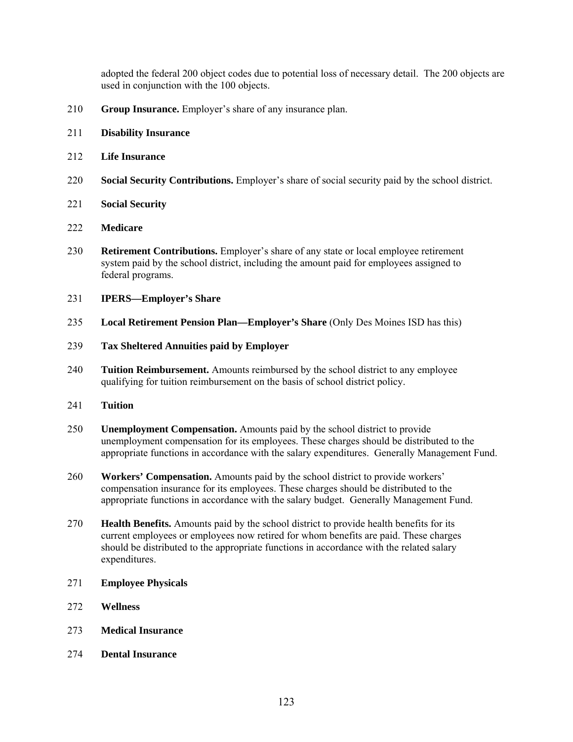adopted the federal 200 object codes due to potential loss of necessary detail. The 200 objects are used in conjunction with the 100 objects.

- **Group Insurance.** Employer's share of any insurance plan.
- **Disability Insurance**
- **Life Insurance**
- **Social Security Contributions.** Employer's share of social security paid by the school district.
- **Social Security**
- **Medicare**
- **Retirement Contributions.** Employer's share of any state or local employee retirement system paid by the school district, including the amount paid for employees assigned to federal programs.
- **IPERS—Employer's Share**
- **Local Retirement Pension Plan—Employer's Share** (Only Des Moines ISD has this)
- **Tax Sheltered Annuities paid by Employer**
- **Tuition Reimbursement.** Amounts reimbursed by the school district to any employee qualifying for tuition reimbursement on the basis of school district policy.
- **Tuition**
- **Unemployment Compensation.** Amounts paid by the school district to provide unemployment compensation for its employees. These charges should be distributed to the appropriate functions in accordance with the salary expenditures. Generally Management Fund.
- **Workers' Compensation.** Amounts paid by the school district to provide workers' compensation insurance for its employees. These charges should be distributed to the appropriate functions in accordance with the salary budget. Generally Management Fund.
- **Health Benefits.** Amounts paid by the school district to provide health benefits for its current employees or employees now retired for whom benefits are paid. These charges should be distributed to the appropriate functions in accordance with the related salary expenditures.
- **Employee Physicals**
- **Wellness**
- **Medical Insurance**
- **Dental Insurance**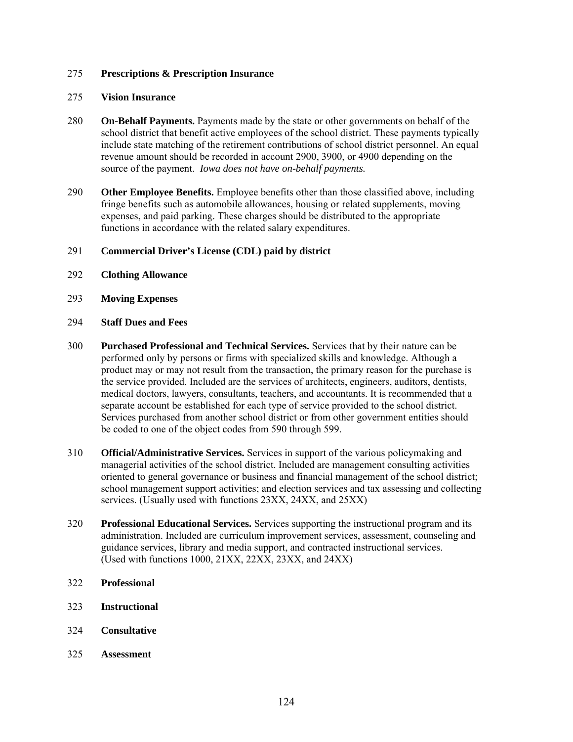#### 275 **Prescriptions & Prescription Insurance**

#### 275 **Vision Insurance**

- 280 **On-Behalf Payments.** Payments made by the state or other governments on behalf of the school district that benefit active employees of the school district. These payments typically include state matching of the retirement contributions of school district personnel. An equal revenue amount should be recorded in account 2900, 3900, or 4900 depending on the source of the payment. *Iowa does not have on-behalf payments.*
- 290 **Other Employee Benefits.** Employee benefits other than those classified above, including fringe benefits such as automobile allowances, housing or related supplements, moving expenses, and paid parking. These charges should be distributed to the appropriate functions in accordance with the related salary expenditures.

#### 291 **Commercial Driver's License (CDL) paid by district**

- 292 **Clothing Allowance**
- 293 **Moving Expenses**
- 294 **Staff Dues and Fees**
- 300 **Purchased Professional and Technical Services.** Services that by their nature can be performed only by persons or firms with specialized skills and knowledge. Although a product may or may not result from the transaction, the primary reason for the purchase is the service provided. Included are the services of architects, engineers, auditors, dentists, medical doctors, lawyers, consultants, teachers, and accountants. It is recommended that a separate account be established for each type of service provided to the school district. Services purchased from another school district or from other government entities should be coded to one of the object codes from 590 through 599.
- 310 **Official/Administrative Services.** Services in support of the various policymaking and managerial activities of the school district. Included are management consulting activities oriented to general governance or business and financial management of the school district; school management support activities; and election services and tax assessing and collecting services. (Usually used with functions 23XX, 24XX, and 25XX)
- 320 **Professional Educational Services.** Services supporting the instructional program and its administration. Included are curriculum improvement services, assessment, counseling and guidance services, library and media support, and contracted instructional services. (Used with functions 1000, 21XX, 22XX, 23XX, and 24XX)
- 322 **Professional**
- 323 **Instructional**
- 324 **Consultative**
- 325 **Assessment**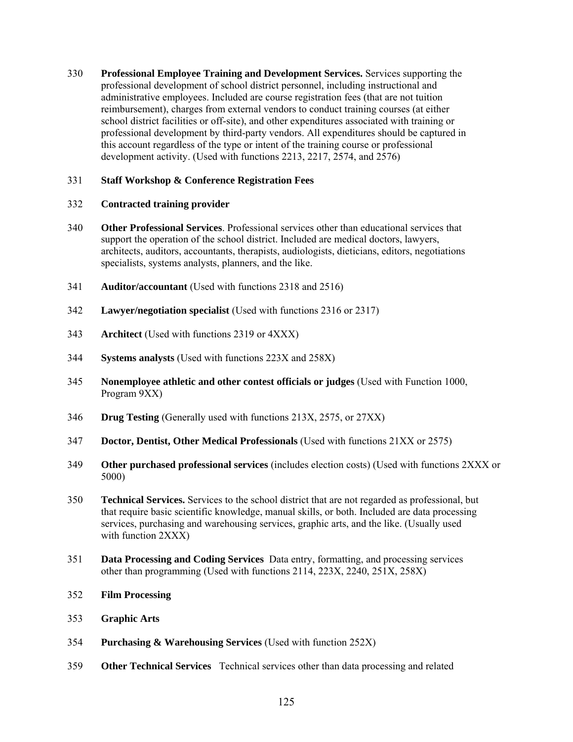330 **Professional Employee Training and Development Services.** Services supporting the professional development of school district personnel, including instructional and administrative employees. Included are course registration fees (that are not tuition reimbursement), charges from external vendors to conduct training courses (at either school district facilities or off-site), and other expenditures associated with training or professional development by third-party vendors. All expenditures should be captured in this account regardless of the type or intent of the training course or professional development activity. (Used with functions 2213, 2217, 2574, and 2576)

# 331 **Staff Workshop & Conference Registration Fees**

# 332 **Contracted training provider**

- 340 **Other Professional Services**. Professional services other than educational services that support the operation of the school district. Included are medical doctors, lawyers, architects, auditors, accountants, therapists, audiologists, dieticians, editors, negotiations specialists, systems analysts, planners, and the like.
- 341 **Auditor/accountant** (Used with functions 2318 and 2516)
- 342 **Lawyer/negotiation specialist** (Used with functions 2316 or 2317)
- 343 **Architect** (Used with functions 2319 or 4XXX)
- 344 **Systems analysts** (Used with functions 223X and 258X)
- 345 **Nonemployee athletic and other contest officials or judges** (Used with Function 1000, Program 9XX)
- 346 **Drug Testing** (Generally used with functions 213X, 2575, or 27XX)
- 347 **Doctor, Dentist, Other Medical Professionals** (Used with functions 21XX or 2575)
- 349 **Other purchased professional services** (includes election costs) (Used with functions 2XXX or 5000)
- 350 **Technical Services.** Services to the school district that are not regarded as professional, but that require basic scientific knowledge, manual skills, or both. Included are data processing services, purchasing and warehousing services, graphic arts, and the like. (Usually used with function 2XXX)
- 351 **Data Processing and Coding Services** Data entry, formatting, and processing services other than programming (Used with functions 2114, 223X, 2240, 251X, 258X)
- 352 **Film Processing**
- 353 **Graphic Arts**
- 354 **Purchasing & Warehousing Services** (Used with function 252X)
- 359 **Other Technical Services** Technical services other than data processing and related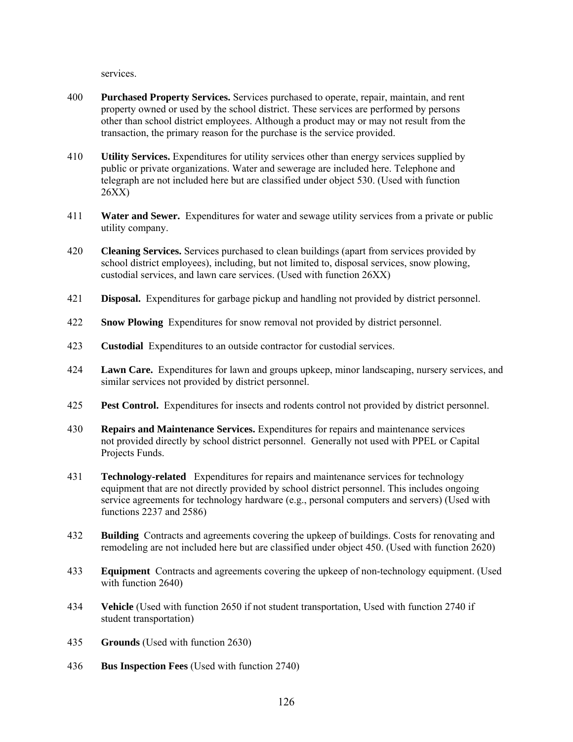services.

- 400 **Purchased Property Services.** Services purchased to operate, repair, maintain, and rent property owned or used by the school district. These services are performed by persons other than school district employees. Although a product may or may not result from the transaction, the primary reason for the purchase is the service provided.
- 410 **Utility Services.** Expenditures for utility services other than energy services supplied by public or private organizations. Water and sewerage are included here. Telephone and telegraph are not included here but are classified under object 530. (Used with function 26XX)
- 411 **Water and Sewer.** Expenditures for water and sewage utility services from a private or public utility company.
- 420 **Cleaning Services.** Services purchased to clean buildings (apart from services provided by school district employees), including, but not limited to, disposal services, snow plowing, custodial services, and lawn care services. (Used with function 26XX)
- 421 **Disposal.** Expenditures for garbage pickup and handling not provided by district personnel.
- 422 **Snow Plowing** Expenditures for snow removal not provided by district personnel.
- 423 **Custodial** Expenditures to an outside contractor for custodial services.
- 424 **Lawn Care.** Expenditures for lawn and groups upkeep, minor landscaping, nursery services, and similar services not provided by district personnel.
- 425 **Pest Control.** Expenditures for insects and rodents control not provided by district personnel.
- 430 **Repairs and Maintenance Services.** Expenditures for repairs and maintenance services not provided directly by school district personnel. Generally not used with PPEL or Capital Projects Funds.
- 431 **Technology-related** Expenditures for repairs and maintenance services for technology equipment that are not directly provided by school district personnel. This includes ongoing service agreements for technology hardware (e.g., personal computers and servers) (Used with functions 2237 and 2586)
- 432 **Building** Contracts and agreements covering the upkeep of buildings. Costs for renovating and remodeling are not included here but are classified under object 450. (Used with function 2620)
- 433 **Equipment** Contracts and agreements covering the upkeep of non-technology equipment. (Used with function 2640)
- 434 **Vehicle** (Used with function 2650 if not student transportation, Used with function 2740 if student transportation)
- 435 **Grounds** (Used with function 2630)
- 436 **Bus Inspection Fees** (Used with function 2740)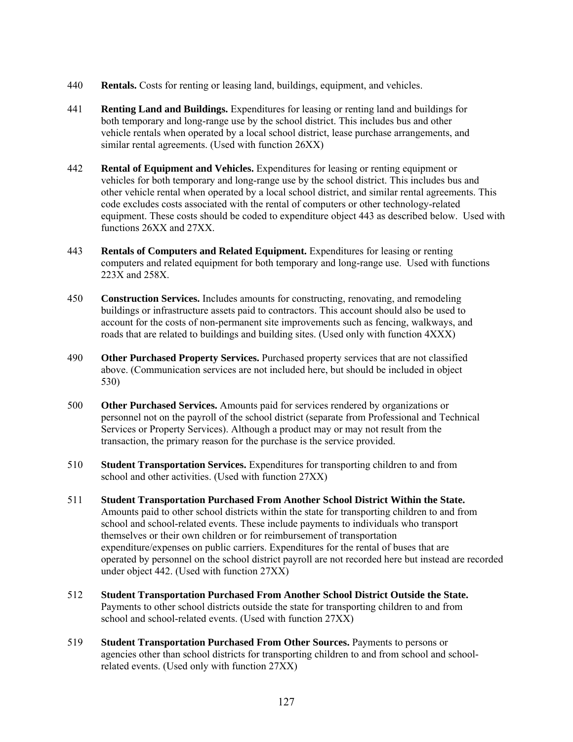- 440 **Rentals.** Costs for renting or leasing land, buildings, equipment, and vehicles.
- 441 **Renting Land and Buildings.** Expenditures for leasing or renting land and buildings for both temporary and long-range use by the school district. This includes bus and other vehicle rentals when operated by a local school district, lease purchase arrangements, and similar rental agreements. (Used with function 26XX)
- 442 **Rental of Equipment and Vehicles.** Expenditures for leasing or renting equipment or vehicles for both temporary and long-range use by the school district. This includes bus and other vehicle rental when operated by a local school district, and similar rental agreements. This code excludes costs associated with the rental of computers or other technology-related equipment. These costs should be coded to expenditure object 443 as described below. Used with functions 26XX and 27XX.
- 443 **Rentals of Computers and Related Equipment.** Expenditures for leasing or renting computers and related equipment for both temporary and long-range use. Used with functions 223X and 258X.
- 450 **Construction Services.** Includes amounts for constructing, renovating, and remodeling buildings or infrastructure assets paid to contractors. This account should also be used to account for the costs of non-permanent site improvements such as fencing, walkways, and roads that are related to buildings and building sites. (Used only with function 4XXX)
- 490 **Other Purchased Property Services.** Purchased property services that are not classified above. (Communication services are not included here, but should be included in object 530)
- 500 **Other Purchased Services.** Amounts paid for services rendered by organizations or personnel not on the payroll of the school district (separate from Professional and Technical Services or Property Services). Although a product may or may not result from the transaction, the primary reason for the purchase is the service provided.
- 510 **Student Transportation Services.** Expenditures for transporting children to and from school and other activities. (Used with function 27XX)
- 511 **Student Transportation Purchased From Another School District Within the State.**  Amounts paid to other school districts within the state for transporting children to and from school and school-related events. These include payments to individuals who transport themselves or their own children or for reimbursement of transportation expenditure/expenses on public carriers. Expenditures for the rental of buses that are operated by personnel on the school district payroll are not recorded here but instead are recorded under object 442. (Used with function 27XX)
- 512 **Student Transportation Purchased From Another School District Outside the State.**  Payments to other school districts outside the state for transporting children to and from school and school-related events. (Used with function 27XX)
- 519 **Student Transportation Purchased From Other Sources.** Payments to persons or agencies other than school districts for transporting children to and from school and schoolrelated events. (Used only with function 27XX)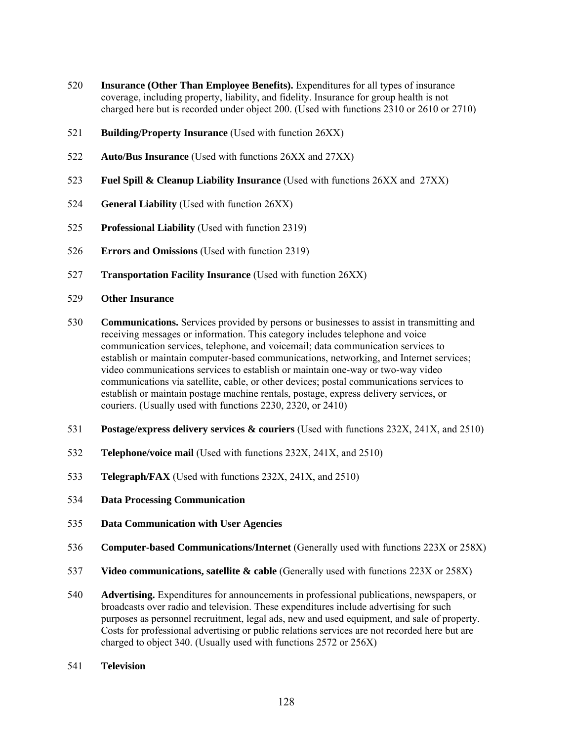- **Insurance (Other Than Employee Benefits).** Expenditures for all types of insurance coverage, including property, liability, and fidelity. Insurance for group health is not charged here but is recorded under object 200. (Used with functions 2310 or 2610 or 2710)
- **Building/Property Insurance** (Used with function 26XX)
- **Auto/Bus Insurance** (Used with functions 26XX and 27XX)
- **Fuel Spill & Cleanup Liability Insurance** (Used with functions 26XX and 27XX)
- **General Liability** (Used with function 26XX)
- **Professional Liability** (Used with function 2319)
- **Errors and Omissions** (Used with function 2319)
- **Transportation Facility Insurance** (Used with function 26XX)
- **Other Insurance**
- **Communications.** Services provided by persons or businesses to assist in transmitting and receiving messages or information. This category includes telephone and voice communication services, telephone, and voicemail; data communication services to establish or maintain computer-based communications, networking, and Internet services; video communications services to establish or maintain one-way or two-way video communications via satellite, cable, or other devices; postal communications services to establish or maintain postage machine rentals, postage, express delivery services, or couriers. (Usually used with functions 2230, 2320, or 2410)
- **Postage/express delivery services & couriers** (Used with functions 232X, 241X, and 2510)
- **Telephone/voice mail** (Used with functions 232X, 241X, and 2510)
- **Telegraph/FAX** (Used with functions 232X, 241X, and 2510)
- **Data Processing Communication**
- **Data Communication with User Agencies**
- **Computer-based Communications/Internet** (Generally used with functions 223X or 258X)
- **Video communications, satellite & cable** (Generally used with functions 223X or 258X)
- **Advertising.** Expenditures for announcements in professional publications, newspapers, or broadcasts over radio and television. These expenditures include advertising for such purposes as personnel recruitment, legal ads, new and used equipment, and sale of property. Costs for professional advertising or public relations services are not recorded here but are charged to object 340. (Usually used with functions 2572 or 256X)
- **Television**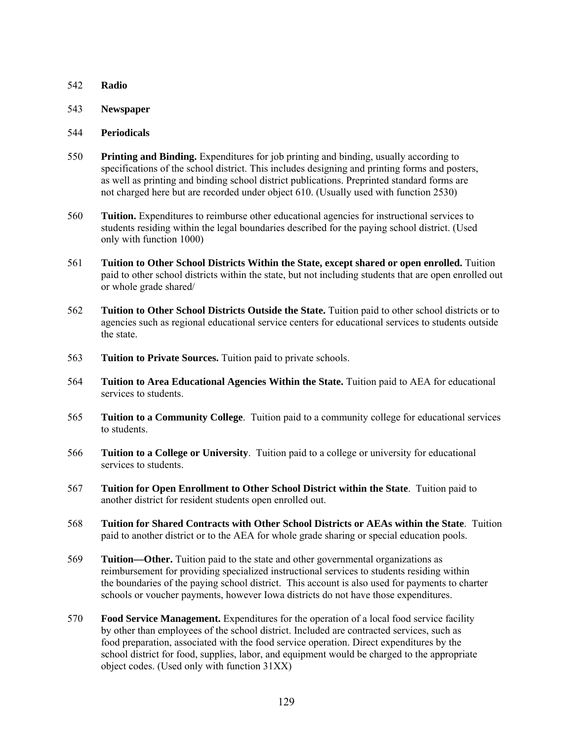- 542 **Radio**
- 543 **Newspaper**
- 544 **Periodicals**
- 550 **Printing and Binding.** Expenditures for job printing and binding, usually according to specifications of the school district. This includes designing and printing forms and posters, as well as printing and binding school district publications. Preprinted standard forms are not charged here but are recorded under object 610. (Usually used with function 2530)
- 560 **Tuition.** Expenditures to reimburse other educational agencies for instructional services to students residing within the legal boundaries described for the paying school district. (Used only with function 1000)
- 561 **Tuition to Other School Districts Within the State, except shared or open enrolled.** Tuition paid to other school districts within the state, but not including students that are open enrolled out or whole grade shared/
- 562 **Tuition to Other School Districts Outside the State.** Tuition paid to other school districts or to agencies such as regional educational service centers for educational services to students outside the state.
- 563 **Tuition to Private Sources.** Tuition paid to private schools.
- 564 **Tuition to Area Educational Agencies Within the State.** Tuition paid to AEA for educational services to students.
- 565 **Tuition to a Community College**. Tuition paid to a community college for educational services to students.
- 566 **Tuition to a College or University**. Tuition paid to a college or university for educational services to students.
- 567 **Tuition for Open Enrollment to Other School District within the State**. Tuition paid to another district for resident students open enrolled out.
- 568 **Tuition for Shared Contracts with Other School Districts or AEAs within the State**. Tuition paid to another district or to the AEA for whole grade sharing or special education pools.
- 569 **Tuition—Other.** Tuition paid to the state and other governmental organizations as reimbursement for providing specialized instructional services to students residing within the boundaries of the paying school district. This account is also used for payments to charter schools or voucher payments, however Iowa districts do not have those expenditures.
- 570 **Food Service Management.** Expenditures for the operation of a local food service facility by other than employees of the school district. Included are contracted services, such as food preparation, associated with the food service operation. Direct expenditures by the school district for food, supplies, labor, and equipment would be charged to the appropriate object codes. (Used only with function 31XX)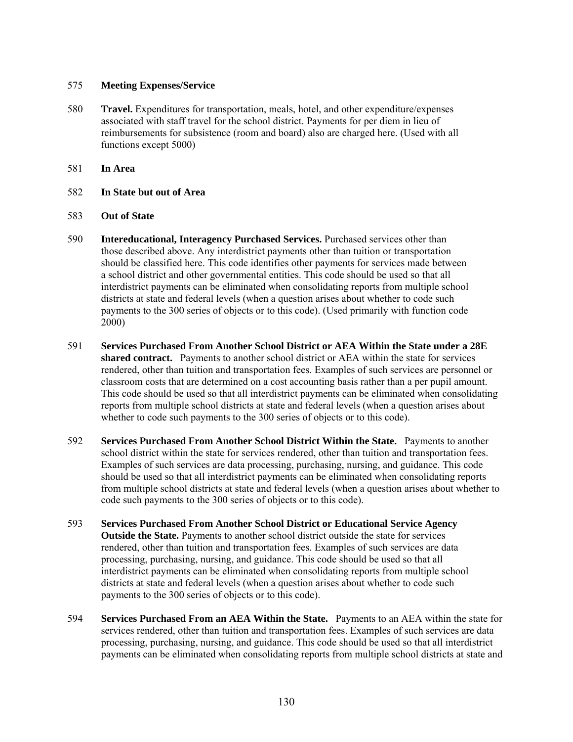## 575 **Meeting Expenses/Service**

- 580 **Travel.** Expenditures for transportation, meals, hotel, and other expenditure/expenses associated with staff travel for the school district. Payments for per diem in lieu of reimbursements for subsistence (room and board) also are charged here. (Used with all functions except 5000)
- 581 **In Area**
- 582 **In State but out of Area**
- 583 **Out of State**
- 590 **Intereducational, Interagency Purchased Services.** Purchased services other than those described above. Any interdistrict payments other than tuition or transportation should be classified here. This code identifies other payments for services made between a school district and other governmental entities. This code should be used so that all interdistrict payments can be eliminated when consolidating reports from multiple school districts at state and federal levels (when a question arises about whether to code such payments to the 300 series of objects or to this code). (Used primarily with function code 2000)
- 591 **Services Purchased From Another School District or AEA Within the State under a 28E shared contract.** Payments to another school district or AEA within the state for services rendered, other than tuition and transportation fees. Examples of such services are personnel or classroom costs that are determined on a cost accounting basis rather than a per pupil amount. This code should be used so that all interdistrict payments can be eliminated when consolidating reports from multiple school districts at state and federal levels (when a question arises about whether to code such payments to the 300 series of objects or to this code).
- 592 **Services Purchased From Another School District Within the State.** Payments to another school district within the state for services rendered, other than tuition and transportation fees. Examples of such services are data processing, purchasing, nursing, and guidance. This code should be used so that all interdistrict payments can be eliminated when consolidating reports from multiple school districts at state and federal levels (when a question arises about whether to code such payments to the 300 series of objects or to this code).
- 593 **Services Purchased From Another School District or Educational Service Agency Outside the State.** Payments to another school district outside the state for services rendered, other than tuition and transportation fees. Examples of such services are data processing, purchasing, nursing, and guidance. This code should be used so that all interdistrict payments can be eliminated when consolidating reports from multiple school districts at state and federal levels (when a question arises about whether to code such payments to the 300 series of objects or to this code).
- 594 **Services Purchased From an AEA Within the State.** Payments to an AEA within the state for services rendered, other than tuition and transportation fees. Examples of such services are data processing, purchasing, nursing, and guidance. This code should be used so that all interdistrict payments can be eliminated when consolidating reports from multiple school districts at state and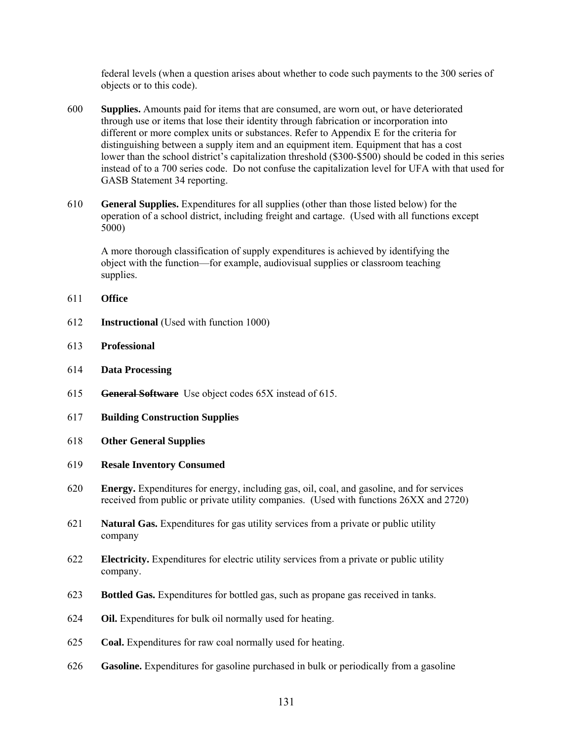federal levels (when a question arises about whether to code such payments to the 300 series of objects or to this code).

- 600 **Supplies.** Amounts paid for items that are consumed, are worn out, or have deteriorated through use or items that lose their identity through fabrication or incorporation into different or more complex units or substances. Refer to Appendix E for the criteria for distinguishing between a supply item and an equipment item. Equipment that has a cost lower than the school district's capitalization threshold (\$300-\$500) should be coded in this series instead of to a 700 series code. Do not confuse the capitalization level for UFA with that used for GASB Statement 34 reporting.
- 610 **General Supplies.** Expenditures for all supplies (other than those listed below) for the operation of a school district, including freight and cartage. (Used with all functions except 5000)

A more thorough classification of supply expenditures is achieved by identifying the object with the function—for example, audiovisual supplies or classroom teaching supplies.

- 611 **Office**
- 612 **Instructional** (Used with function 1000)
- 613 **Professional**
- 614 **Data Processing**
- 615 **General Software** Use object codes 65X instead of 615.
- 617 **Building Construction Supplies**
- 618 **Other General Supplies**
- 619 **Resale Inventory Consumed**
- 620 **Energy.** Expenditures for energy, including gas, oil, coal, and gasoline, and for services received from public or private utility companies. (Used with functions 26XX and 2720)
- 621 **Natural Gas.** Expenditures for gas utility services from a private or public utility company
- 622 **Electricity.** Expenditures for electric utility services from a private or public utility company.
- 623 **Bottled Gas.** Expenditures for bottled gas, such as propane gas received in tanks.
- 624 **Oil.** Expenditures for bulk oil normally used for heating.
- 625 **Coal.** Expenditures for raw coal normally used for heating.
- 626 **Gasoline.** Expenditures for gasoline purchased in bulk or periodically from a gasoline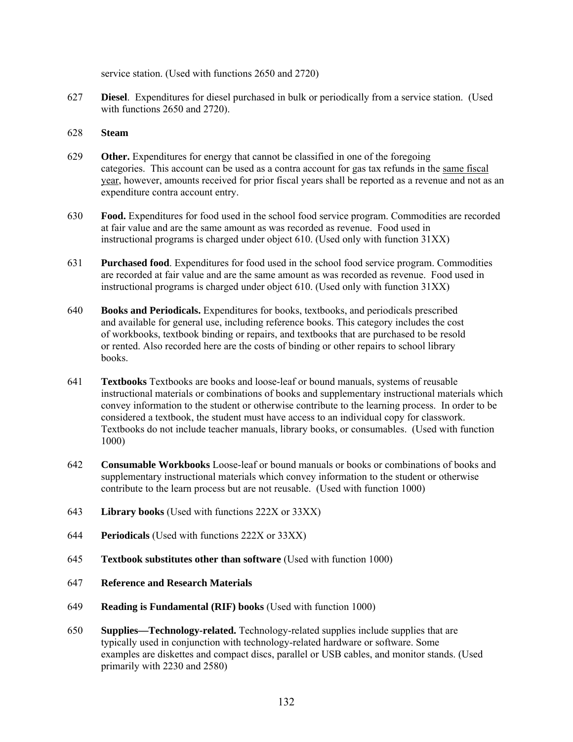service station. (Used with functions 2650 and 2720)

627 **Diesel**. Expenditures for diesel purchased in bulk or periodically from a service station. (Used with functions 2650 and 2720).

#### 628 **Steam**

- 629 **Other.** Expenditures for energy that cannot be classified in one of the foregoing categories. This account can be used as a contra account for gas tax refunds in the same fiscal year, however, amounts received for prior fiscal years shall be reported as a revenue and not as an expenditure contra account entry.
- 630 **Food.** Expenditures for food used in the school food service program. Commodities are recorded at fair value and are the same amount as was recorded as revenue. Food used in instructional programs is charged under object 610. (Used only with function 31XX)
- 631 **Purchased food**. Expenditures for food used in the school food service program. Commodities are recorded at fair value and are the same amount as was recorded as revenue. Food used in instructional programs is charged under object 610. (Used only with function 31XX)
- 640 **Books and Periodicals.** Expenditures for books, textbooks, and periodicals prescribed and available for general use, including reference books. This category includes the cost of workbooks, textbook binding or repairs, and textbooks that are purchased to be resold or rented. Also recorded here are the costs of binding or other repairs to school library books.
- 641 **Textbooks** Textbooks are books and loose-leaf or bound manuals, systems of reusable instructional materials or combinations of books and supplementary instructional materials which convey information to the student or otherwise contribute to the learning process. In order to be considered a textbook, the student must have access to an individual copy for classwork. Textbooks do not include teacher manuals, library books, or consumables. (Used with function 1000)
- 642 **Consumable Workbooks** Loose-leaf or bound manuals or books or combinations of books and supplementary instructional materials which convey information to the student or otherwise contribute to the learn process but are not reusable. (Used with function 1000)
- 643 **Library books** (Used with functions 222X or 33XX)
- 644 **Periodicals** (Used with functions 222X or 33XX)
- 645 **Textbook substitutes other than software** (Used with function 1000)
- 647 **Reference and Research Materials**
- 649 **Reading is Fundamental (RIF) books** (Used with function 1000)
- 650 **Supplies—Technology-related.** Technology-related supplies include supplies that are typically used in conjunction with technology-related hardware or software. Some examples are diskettes and compact discs, parallel or USB cables, and monitor stands. (Used primarily with 2230 and 2580)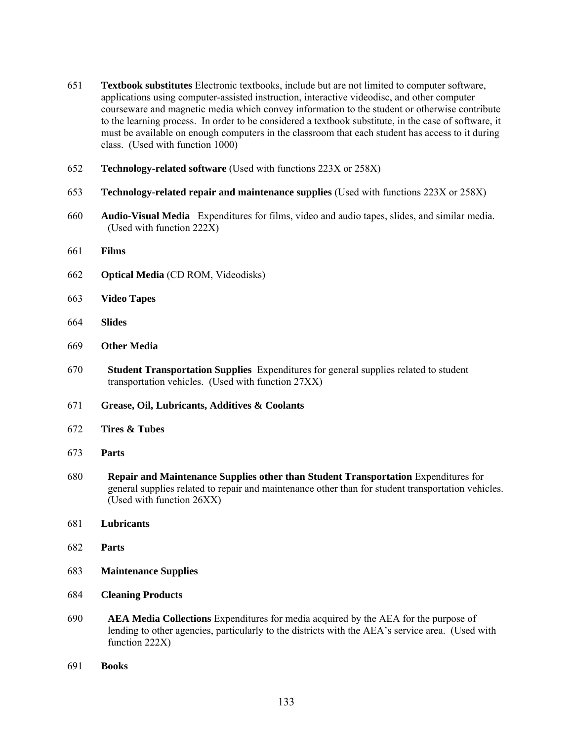- **Textbook substitutes** Electronic textbooks, include but are not limited to computer software, applications using computer-assisted instruction, interactive videodisc, and other computer courseware and magnetic media which convey information to the student or otherwise contribute to the learning process. In order to be considered a textbook substitute, in the case of software, it must be available on enough computers in the classroom that each student has access to it during class. (Used with function 1000)
- **Technology-related software** (Used with functions 223X or 258X)
- **Technology-related repair and maintenance supplies** (Used with functions 223X or 258X)
- **Audio-Visual Media** Expenditures for films, video and audio tapes, slides, and similar media. (Used with function 222X)
- **Films**
- **Optical Media** (CD ROM, Videodisks)
- **Video Tapes**
- **Slides**
- **Other Media**
- **Student Transportation Supplies** Expenditures for general supplies related to student transportation vehicles. (Used with function 27XX)
- **Grease, Oil, Lubricants, Additives & Coolants**
- **Tires & Tubes**
- **Parts**
- **Repair and Maintenance Supplies other than Student Transportation** Expenditures for general supplies related to repair and maintenance other than for student transportation vehicles. (Used with function 26XX)
- **Lubricants**
- **Parts**
- **Maintenance Supplies**
- **Cleaning Products**
- **AEA Media Collections** Expenditures for media acquired by the AEA for the purpose of lending to other agencies, particularly to the districts with the AEA's service area. (Used with function 222X)
- **Books**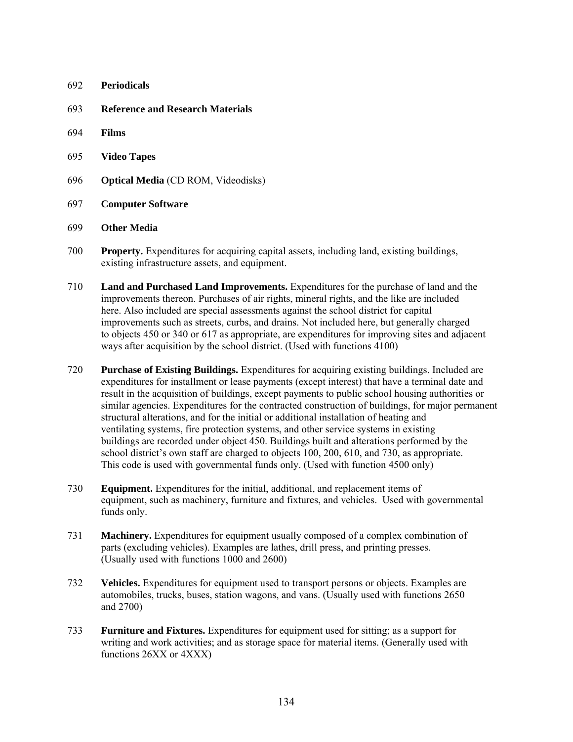#### 692 **Periodicals**

- 693 **Reference and Research Materials**
- 694 **Films**
- 695 **Video Tapes**
- 696 **Optical Media** (CD ROM, Videodisks)
- 697 **Computer Software**

#### 699 **Other Media**

- 700 **Property.** Expenditures for acquiring capital assets, including land, existing buildings, existing infrastructure assets, and equipment.
- 710 **Land and Purchased Land Improvements.** Expenditures for the purchase of land and the improvements thereon. Purchases of air rights, mineral rights, and the like are included here. Also included are special assessments against the school district for capital improvements such as streets, curbs, and drains. Not included here, but generally charged to objects 450 or 340 or 617 as appropriate, are expenditures for improving sites and adjacent ways after acquisition by the school district. (Used with functions 4100)
- 720 **Purchase of Existing Buildings.** Expenditures for acquiring existing buildings. Included are expenditures for installment or lease payments (except interest) that have a terminal date and result in the acquisition of buildings, except payments to public school housing authorities or similar agencies. Expenditures for the contracted construction of buildings, for major permanent structural alterations, and for the initial or additional installation of heating and ventilating systems, fire protection systems, and other service systems in existing buildings are recorded under object 450. Buildings built and alterations performed by the school district's own staff are charged to objects 100, 200, 610, and 730, as appropriate. This code is used with governmental funds only. (Used with function 4500 only)
- 730 **Equipment.** Expenditures for the initial, additional, and replacement items of equipment, such as machinery, furniture and fixtures, and vehicles. Used with governmental funds only.
- 731 **Machinery.** Expenditures for equipment usually composed of a complex combination of parts (excluding vehicles). Examples are lathes, drill press, and printing presses. (Usually used with functions 1000 and 2600)
- 732 **Vehicles.** Expenditures for equipment used to transport persons or objects. Examples are automobiles, trucks, buses, station wagons, and vans. (Usually used with functions 2650 and 2700)
- 733 **Furniture and Fixtures.** Expenditures for equipment used for sitting; as a support for writing and work activities; and as storage space for material items. (Generally used with functions 26XX or 4XXX)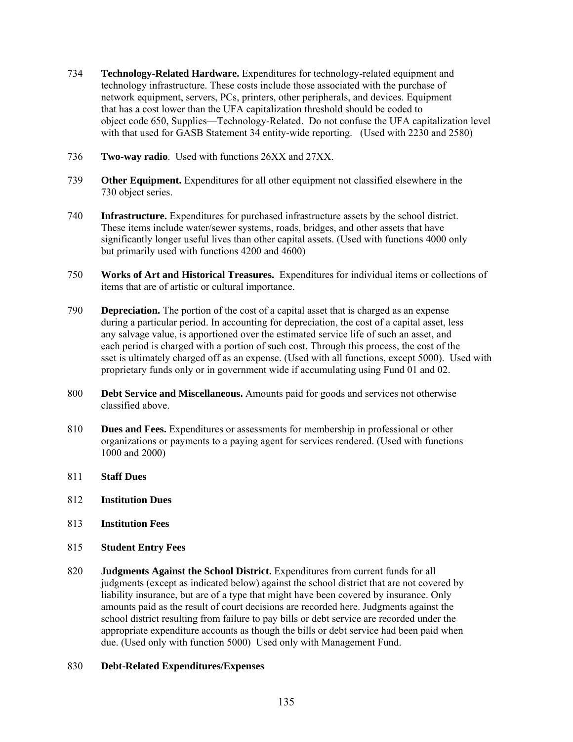- 734 **Technology-Related Hardware.** Expenditures for technology-related equipment and technology infrastructure. These costs include those associated with the purchase of network equipment, servers, PCs, printers, other peripherals, and devices. Equipment that has a cost lower than the UFA capitalization threshold should be coded to object code 650, Supplies—Technology-Related. Do not confuse the UFA capitalization level with that used for GASB Statement 34 entity-wide reporting. (Used with 2230 and 2580)
- 736 **Two-way radio**. Used with functions 26XX and 27XX.
- 739 **Other Equipment.** Expenditures for all other equipment not classified elsewhere in the 730 object series.
- 740 **Infrastructure.** Expenditures for purchased infrastructure assets by the school district. These items include water/sewer systems, roads, bridges, and other assets that have significantly longer useful lives than other capital assets. (Used with functions 4000 only but primarily used with functions 4200 and 4600)
- 750 **Works of Art and Historical Treasures.** Expenditures for individual items or collections of items that are of artistic or cultural importance.
- 790 **Depreciation.** The portion of the cost of a capital asset that is charged as an expense during a particular period. In accounting for depreciation, the cost of a capital asset, less any salvage value, is apportioned over the estimated service life of such an asset, and each period is charged with a portion of such cost. Through this process, the cost of the sset is ultimately charged off as an expense. (Used with all functions, except 5000). Used with proprietary funds only or in government wide if accumulating using Fund 01 and 02.
- 800 **Debt Service and Miscellaneous.** Amounts paid for goods and services not otherwise classified above.
- 810 **Dues and Fees.** Expenditures or assessments for membership in professional or other organizations or payments to a paying agent for services rendered. (Used with functions 1000 and 2000)
- 811 **Staff Dues**
- 812 **Institution Dues**
- 813 **Institution Fees**
- 815 **Student Entry Fees**
- 820 **Judgments Against the School District.** Expenditures from current funds for all judgments (except as indicated below) against the school district that are not covered by liability insurance, but are of a type that might have been covered by insurance. Only amounts paid as the result of court decisions are recorded here. Judgments against the school district resulting from failure to pay bills or debt service are recorded under the appropriate expenditure accounts as though the bills or debt service had been paid when due. (Used only with function 5000) Used only with Management Fund.

## 830 **Debt-Related Expenditures/Expenses**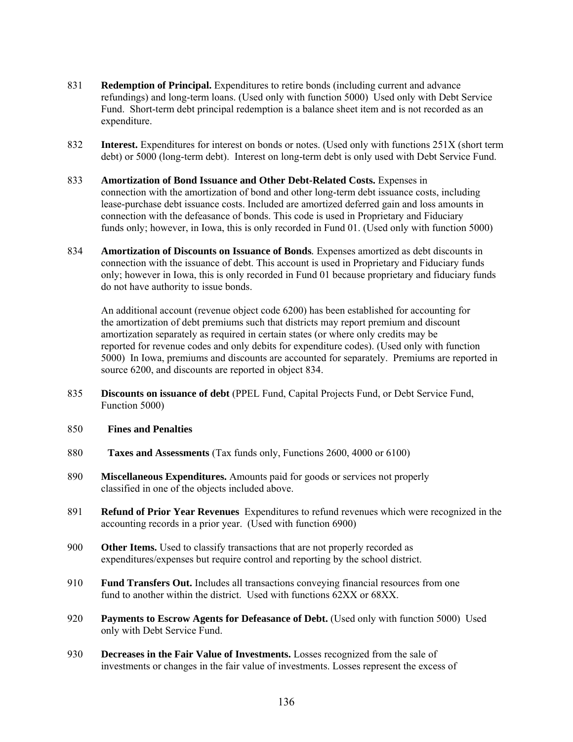- 831 **Redemption of Principal.** Expenditures to retire bonds (including current and advance refundings) and long-term loans. (Used only with function 5000) Used only with Debt Service Fund. Short-term debt principal redemption is a balance sheet item and is not recorded as an expenditure.
- 832 **Interest.** Expenditures for interest on bonds or notes. (Used only with functions 251X (short term debt) or 5000 (long-term debt). Interest on long-term debt is only used with Debt Service Fund.
- 833 **Amortization of Bond Issuance and Other Debt-Related Costs.** Expenses in connection with the amortization of bond and other long-term debt issuance costs, including lease-purchase debt issuance costs. Included are amortized deferred gain and loss amounts in connection with the defeasance of bonds. This code is used in Proprietary and Fiduciary funds only; however, in Iowa, this is only recorded in Fund 01. (Used only with function 5000)
- 834 **Amortization of Discounts on Issuance of Bonds***.* Expenses amortized as debt discounts in connection with the issuance of debt. This account is used in Proprietary and Fiduciary funds only; however in Iowa, this is only recorded in Fund 01 because proprietary and fiduciary funds do not have authority to issue bonds.

An additional account (revenue object code 6200) has been established for accounting for the amortization of debt premiums such that districts may report premium and discount amortization separately as required in certain states (or where only credits may be reported for revenue codes and only debits for expenditure codes). (Used only with function 5000) In Iowa, premiums and discounts are accounted for separately. Premiums are reported in source 6200, and discounts are reported in object 834.

- 835 **Discounts on issuance of debt** (PPEL Fund, Capital Projects Fund, or Debt Service Fund, Function 5000)
- 850 **Fines and Penalties**
- 880 **Taxes and Assessments** (Tax funds only, Functions 2600, 4000 or 6100)
- 890 **Miscellaneous Expenditures.** Amounts paid for goods or services not properly classified in one of the objects included above.
- 891 **Refund of Prior Year Revenues** Expenditures to refund revenues which were recognized in the accounting records in a prior year. (Used with function 6900)
- 900 **Other Items.** Used to classify transactions that are not properly recorded as expenditures/expenses but require control and reporting by the school district.
- 910 **Fund Transfers Out.** Includes all transactions conveying financial resources from one fund to another within the district. Used with functions 62XX or 68XX.
- 920 **Payments to Escrow Agents for Defeasance of Debt.** (Used only with function 5000) Used only with Debt Service Fund.
- 930 **Decreases in the Fair Value of Investments.** Losses recognized from the sale of investments or changes in the fair value of investments. Losses represent the excess of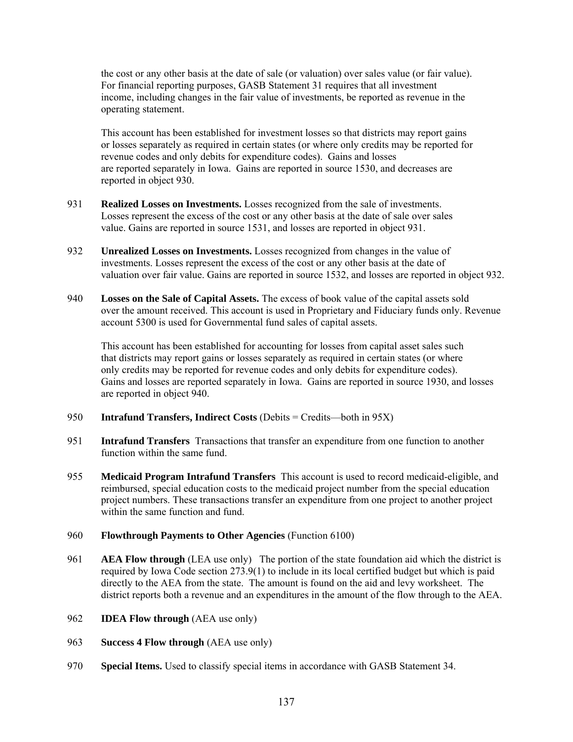the cost or any other basis at the date of sale (or valuation) over sales value (or fair value). For financial reporting purposes, GASB Statement 31 requires that all investment income, including changes in the fair value of investments, be reported as revenue in the operating statement.

This account has been established for investment losses so that districts may report gains or losses separately as required in certain states (or where only credits may be reported for revenue codes and only debits for expenditure codes). Gains and losses are reported separately in Iowa. Gains are reported in source 1530, and decreases are reported in object 930.

- 931 **Realized Losses on Investments.** Losses recognized from the sale of investments. Losses represent the excess of the cost or any other basis at the date of sale over sales value. Gains are reported in source 1531, and losses are reported in object 931.
- 932 **Unrealized Losses on Investments.** Losses recognized from changes in the value of investments. Losses represent the excess of the cost or any other basis at the date of valuation over fair value. Gains are reported in source 1532, and losses are reported in object 932.
- 940 **Losses on the Sale of Capital Assets.** The excess of book value of the capital assets sold over the amount received. This account is used in Proprietary and Fiduciary funds only. Revenue account 5300 is used for Governmental fund sales of capital assets.

This account has been established for accounting for losses from capital asset sales such that districts may report gains or losses separately as required in certain states (or where only credits may be reported for revenue codes and only debits for expenditure codes). Gains and losses are reported separately in Iowa. Gains are reported in source 1930, and losses are reported in object 940.

- 950 **Intrafund Transfers, Indirect Costs** (Debits = Credits—both in 95X)
- 951 **Intrafund Transfers** Transactions that transfer an expenditure from one function to another function within the same fund.
- 955 **Medicaid Program Intrafund Transfers** This account is used to record medicaid-eligible, and reimbursed, special education costs to the medicaid project number from the special education project numbers. These transactions transfer an expenditure from one project to another project within the same function and fund.

## 960 **Flowthrough Payments to Other Agencies** (Function 6100)

- 961 **AEA Flow through** (LEA use only) The portion of the state foundation aid which the district is required by Iowa Code section 273.9(1) to include in its local certified budget but which is paid directly to the AEA from the state. The amount is found on the aid and levy worksheet. The district reports both a revenue and an expenditures in the amount of the flow through to the AEA.
- 962 **IDEA Flow through** (AEA use only)
- 963 **Success 4 Flow through** (AEA use only)
- 970 **Special Items.** Used to classify special items in accordance with GASB Statement 34.